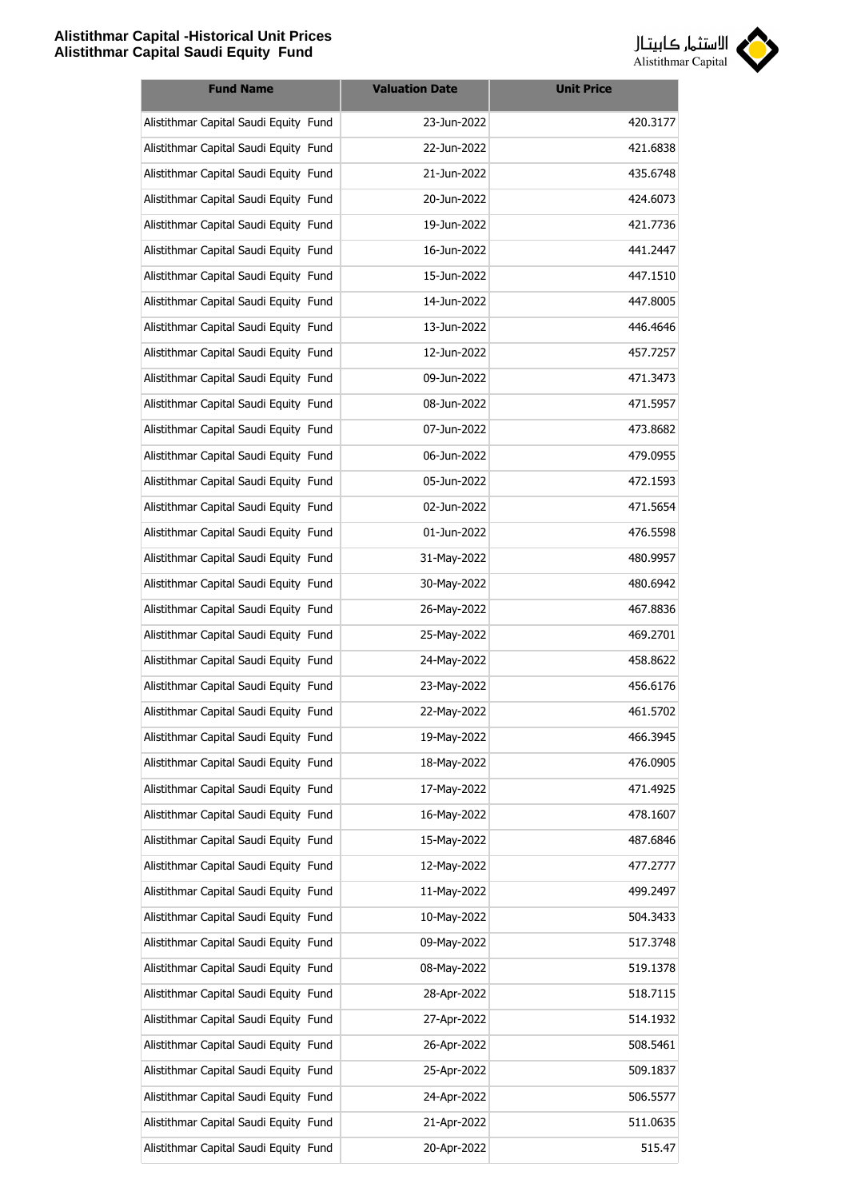

| <b>Fund Name</b>                      | <b>Valuation Date</b> | <b>Unit Price</b> |
|---------------------------------------|-----------------------|-------------------|
| Alistithmar Capital Saudi Equity Fund | 23-Jun-2022           | 420.3177          |
| Alistithmar Capital Saudi Equity Fund | 22-Jun-2022           | 421.6838          |
| Alistithmar Capital Saudi Equity Fund | 21-Jun-2022           | 435.6748          |
| Alistithmar Capital Saudi Equity Fund | 20-Jun-2022           | 424.6073          |
| Alistithmar Capital Saudi Equity Fund | 19-Jun-2022           | 421.7736          |
| Alistithmar Capital Saudi Equity Fund | 16-Jun-2022           | 441.2447          |
| Alistithmar Capital Saudi Equity Fund | 15-Jun-2022           | 447.1510          |
| Alistithmar Capital Saudi Equity Fund | 14-Jun-2022           | 447.8005          |
| Alistithmar Capital Saudi Equity Fund | 13-Jun-2022           | 446.4646          |
| Alistithmar Capital Saudi Equity Fund | 12-Jun-2022           | 457.7257          |
| Alistithmar Capital Saudi Equity Fund | 09-Jun-2022           | 471.3473          |
| Alistithmar Capital Saudi Equity Fund | 08-Jun-2022           | 471.5957          |
| Alistithmar Capital Saudi Equity Fund | 07-Jun-2022           | 473.8682          |
| Alistithmar Capital Saudi Equity Fund | 06-Jun-2022           | 479.0955          |
| Alistithmar Capital Saudi Equity Fund | 05-Jun-2022           | 472.1593          |
| Alistithmar Capital Saudi Equity Fund | 02-Jun-2022           | 471.5654          |
| Alistithmar Capital Saudi Equity Fund | 01-Jun-2022           | 476.5598          |
| Alistithmar Capital Saudi Equity Fund | 31-May-2022           | 480.9957          |
| Alistithmar Capital Saudi Equity Fund | 30-May-2022           | 480.6942          |
| Alistithmar Capital Saudi Equity Fund | 26-May-2022           | 467.8836          |
| Alistithmar Capital Saudi Equity Fund | 25-May-2022           | 469.2701          |
| Alistithmar Capital Saudi Equity Fund | 24-May-2022           | 458.8622          |
| Alistithmar Capital Saudi Equity Fund | 23-May-2022           | 456.6176          |
| Alistithmar Capital Saudi Equity Fund | 22-May-2022           | 461.5702          |
| Alistithmar Capital Saudi Equity Fund | 19-May-2022           | 466.3945          |
| Alistithmar Capital Saudi Equity Fund | 18-May-2022           | 476.0905          |
| Alistithmar Capital Saudi Equity Fund | 17-May-2022           | 471.4925          |
| Alistithmar Capital Saudi Equity Fund | 16-May-2022           | 478.1607          |
| Alistithmar Capital Saudi Equity Fund | 15-May-2022           | 487.6846          |
| Alistithmar Capital Saudi Equity Fund | 12-May-2022           | 477.2777          |
| Alistithmar Capital Saudi Equity Fund | 11-May-2022           | 499.2497          |
| Alistithmar Capital Saudi Equity Fund | 10-May-2022           | 504.3433          |
| Alistithmar Capital Saudi Equity Fund | 09-May-2022           | 517.3748          |
| Alistithmar Capital Saudi Equity Fund | 08-May-2022           | 519.1378          |
| Alistithmar Capital Saudi Equity Fund | 28-Apr-2022           | 518.7115          |
| Alistithmar Capital Saudi Equity Fund | 27-Apr-2022           | 514.1932          |
| Alistithmar Capital Saudi Equity Fund | 26-Apr-2022           | 508.5461          |
| Alistithmar Capital Saudi Equity Fund | 25-Apr-2022           | 509.1837          |
| Alistithmar Capital Saudi Equity Fund | 24-Apr-2022           | 506.5577          |
| Alistithmar Capital Saudi Equity Fund | 21-Apr-2022           | 511.0635          |
| Alistithmar Capital Saudi Equity Fund | 20-Apr-2022           | 515.47            |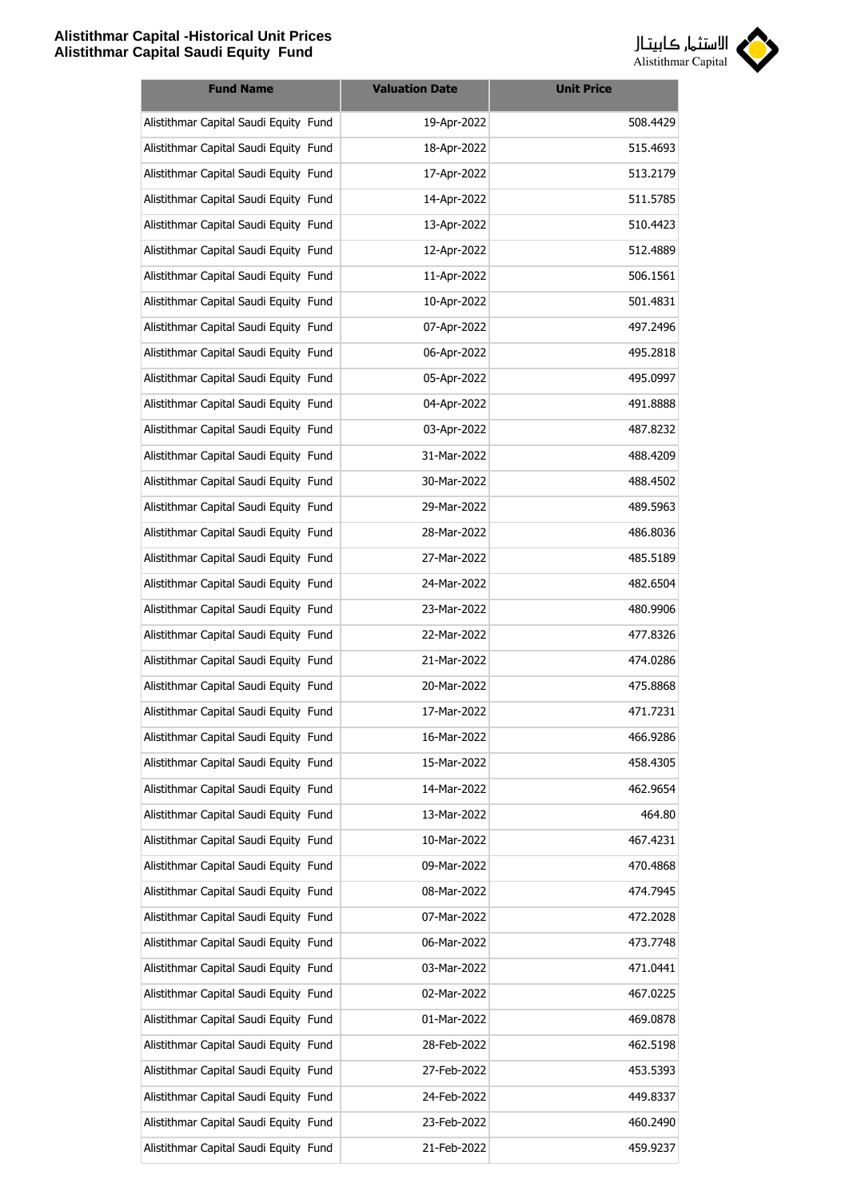

| <b>Fund Name</b>                      | <b>Valuation Date</b> | <b>Unit Price</b> |
|---------------------------------------|-----------------------|-------------------|
| Alistithmar Capital Saudi Equity Fund | 19-Apr-2022           | 508.4429          |
| Alistithmar Capital Saudi Equity Fund | 18-Apr-2022           | 515.4693          |
| Alistithmar Capital Saudi Equity Fund | 17-Apr-2022           | 513.2179          |
| Alistithmar Capital Saudi Equity Fund | 14-Apr-2022           | 511.5785          |
| Alistithmar Capital Saudi Equity Fund | 13-Apr-2022           | 510.4423          |
| Alistithmar Capital Saudi Equity Fund | 12-Apr-2022           | 512.4889          |
| Alistithmar Capital Saudi Equity Fund | 11-Apr-2022           | 506.1561          |
| Alistithmar Capital Saudi Equity Fund | 10-Apr-2022           | 501.4831          |
| Alistithmar Capital Saudi Equity Fund | 07-Apr-2022           | 497.2496          |
| Alistithmar Capital Saudi Equity Fund | 06-Apr-2022           | 495.2818          |
| Alistithmar Capital Saudi Equity Fund | 05-Apr-2022           | 495.0997          |
| Alistithmar Capital Saudi Equity Fund | 04-Apr-2022           | 491.8888          |
| Alistithmar Capital Saudi Equity Fund | 03-Apr-2022           | 487.8232          |
| Alistithmar Capital Saudi Equity Fund | 31-Mar-2022           | 488.4209          |
| Alistithmar Capital Saudi Equity Fund | 30-Mar-2022           | 488.4502          |
| Alistithmar Capital Saudi Equity Fund | 29-Mar-2022           | 489.5963          |
| Alistithmar Capital Saudi Equity Fund | 28-Mar-2022           | 486.8036          |
| Alistithmar Capital Saudi Equity Fund | 27-Mar-2022           | 485.5189          |
| Alistithmar Capital Saudi Equity Fund | 24-Mar-2022           | 482.6504          |
| Alistithmar Capital Saudi Equity Fund | 23-Mar-2022           | 480.9906          |
| Alistithmar Capital Saudi Equity Fund | 22-Mar-2022           | 477.8326          |
| Alistithmar Capital Saudi Equity Fund | 21-Mar-2022           | 474.0286          |
| Alistithmar Capital Saudi Equity Fund | 20-Mar-2022           | 475.8868          |
| Alistithmar Capital Saudi Equity Fund | 17-Mar-2022           | 471.7231          |
| Alistithmar Capital Saudi Equity Fund | 16-Mar-2022           | 466.9286          |
| Alistithmar Capital Saudi Equity Fund | 15-Mar-2022           | 458.4305          |
| Alistithmar Capital Saudi Equity Fund | 14-Mar-2022           | 462.9654          |
| Alistithmar Capital Saudi Equity Fund | 13-Mar-2022           | 464.80            |
| Alistithmar Capital Saudi Equity Fund | 10-Mar-2022           | 467.4231          |
| Alistithmar Capital Saudi Equity Fund | 09-Mar-2022           | 470.4868          |
| Alistithmar Capital Saudi Equity Fund | 08-Mar-2022           | 474.7945          |
| Alistithmar Capital Saudi Equity Fund | 07-Mar-2022           | 472.2028          |
| Alistithmar Capital Saudi Equity Fund | 06-Mar-2022           | 473.7748          |
| Alistithmar Capital Saudi Equity Fund | 03-Mar-2022           | 471.0441          |
| Alistithmar Capital Saudi Equity Fund | 02-Mar-2022           | 467.0225          |
| Alistithmar Capital Saudi Equity Fund | 01-Mar-2022           | 469.0878          |
| Alistithmar Capital Saudi Equity Fund | 28-Feb-2022           | 462.5198          |
| Alistithmar Capital Saudi Equity Fund | 27-Feb-2022           | 453.5393          |
| Alistithmar Capital Saudi Equity Fund | 24-Feb-2022           | 449.8337          |
| Alistithmar Capital Saudi Equity Fund | 23-Feb-2022           | 460.2490          |
| Alistithmar Capital Saudi Equity Fund | 21-Feb-2022           | 459.9237          |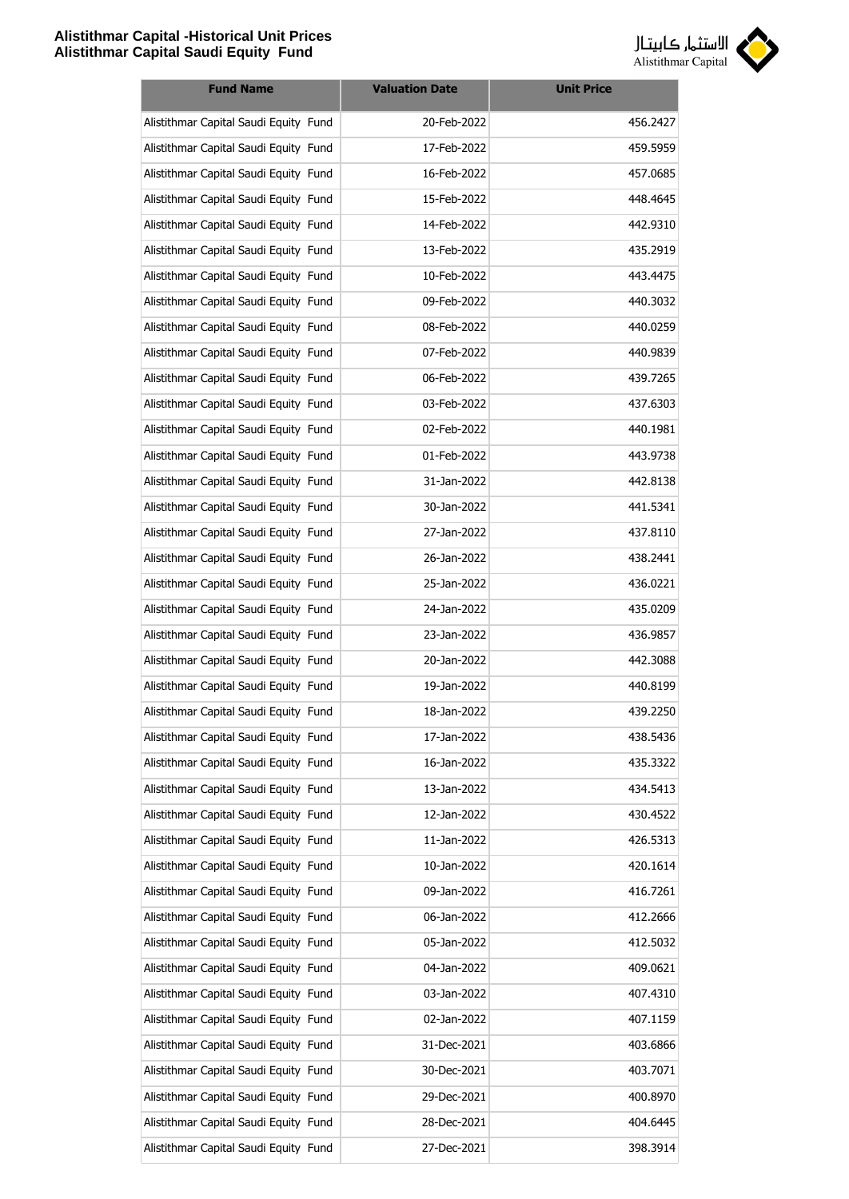

| <b>Fund Name</b>                      | <b>Valuation Date</b> | <b>Unit Price</b> |
|---------------------------------------|-----------------------|-------------------|
| Alistithmar Capital Saudi Equity Fund | 20-Feb-2022           | 456.2427          |
| Alistithmar Capital Saudi Equity Fund | 17-Feb-2022           | 459.5959          |
| Alistithmar Capital Saudi Equity Fund | 16-Feb-2022           | 457.0685          |
| Alistithmar Capital Saudi Equity Fund | 15-Feb-2022           | 448.4645          |
| Alistithmar Capital Saudi Equity Fund | 14-Feb-2022           | 442.9310          |
| Alistithmar Capital Saudi Equity Fund | 13-Feb-2022           | 435.2919          |
| Alistithmar Capital Saudi Equity Fund | 10-Feb-2022           | 443.4475          |
| Alistithmar Capital Saudi Equity Fund | 09-Feb-2022           | 440.3032          |
| Alistithmar Capital Saudi Equity Fund | 08-Feb-2022           | 440.0259          |
| Alistithmar Capital Saudi Equity Fund | 07-Feb-2022           | 440.9839          |
| Alistithmar Capital Saudi Equity Fund | 06-Feb-2022           | 439.7265          |
| Alistithmar Capital Saudi Equity Fund | 03-Feb-2022           | 437.6303          |
| Alistithmar Capital Saudi Equity Fund | 02-Feb-2022           | 440.1981          |
| Alistithmar Capital Saudi Equity Fund | 01-Feb-2022           | 443.9738          |
| Alistithmar Capital Saudi Equity Fund | 31-Jan-2022           | 442.8138          |
| Alistithmar Capital Saudi Equity Fund | 30-Jan-2022           | 441.5341          |
| Alistithmar Capital Saudi Equity Fund | 27-Jan-2022           | 437.8110          |
| Alistithmar Capital Saudi Equity Fund | 26-Jan-2022           | 438.2441          |
| Alistithmar Capital Saudi Equity Fund | 25-Jan-2022           | 436.0221          |
| Alistithmar Capital Saudi Equity Fund | 24-Jan-2022           | 435.0209          |
| Alistithmar Capital Saudi Equity Fund | 23-Jan-2022           | 436.9857          |
| Alistithmar Capital Saudi Equity Fund | 20-Jan-2022           | 442.3088          |
| Alistithmar Capital Saudi Equity Fund | 19-Jan-2022           | 440.8199          |
| Alistithmar Capital Saudi Equity Fund | 18-Jan-2022           | 439.2250          |
| Alistithmar Capital Saudi Equity Fund | 17-Jan-2022           | 438.5436          |
| Alistithmar Capital Saudi Equity Fund | 16-Jan-2022           | 435.3322          |
| Alistithmar Capital Saudi Equity Fund | 13-Jan-2022           | 434.5413          |
| Alistithmar Capital Saudi Equity Fund | 12-Jan-2022           | 430.4522          |
| Alistithmar Capital Saudi Equity Fund | 11-Jan-2022           | 426.5313          |
| Alistithmar Capital Saudi Equity Fund | 10-Jan-2022           | 420.1614          |
| Alistithmar Capital Saudi Equity Fund | 09-Jan-2022           | 416.7261          |
| Alistithmar Capital Saudi Equity Fund | 06-Jan-2022           | 412.2666          |
| Alistithmar Capital Saudi Equity Fund | 05-Jan-2022           | 412.5032          |
| Alistithmar Capital Saudi Equity Fund | 04-Jan-2022           | 409.0621          |
| Alistithmar Capital Saudi Equity Fund | 03-Jan-2022           | 407.4310          |
| Alistithmar Capital Saudi Equity Fund | 02-Jan-2022           | 407.1159          |
| Alistithmar Capital Saudi Equity Fund | 31-Dec-2021           | 403.6866          |
| Alistithmar Capital Saudi Equity Fund | 30-Dec-2021           | 403.7071          |
| Alistithmar Capital Saudi Equity Fund | 29-Dec-2021           | 400.8970          |
| Alistithmar Capital Saudi Equity Fund | 28-Dec-2021           | 404.6445          |
| Alistithmar Capital Saudi Equity Fund | 27-Dec-2021           | 398.3914          |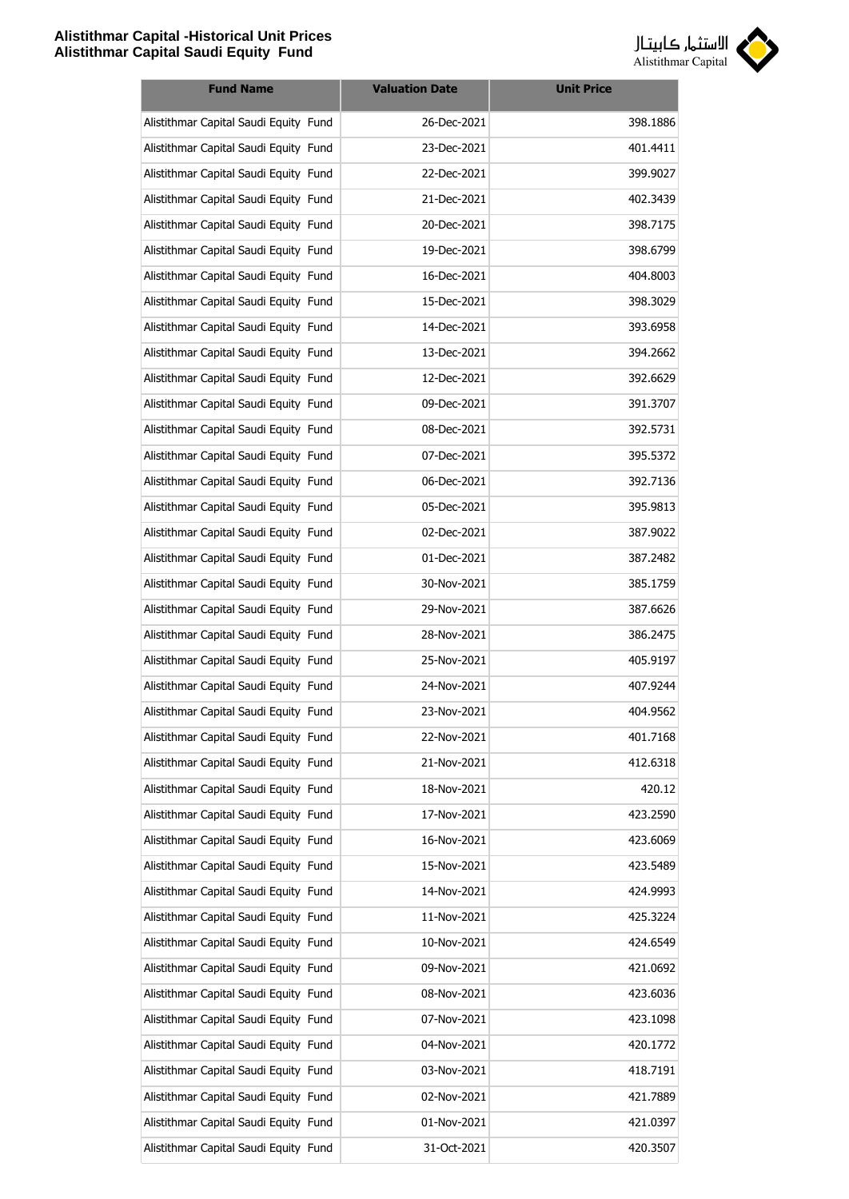

| <b>Fund Name</b>                      | <b>Valuation Date</b> | <b>Unit Price</b> |
|---------------------------------------|-----------------------|-------------------|
| Alistithmar Capital Saudi Equity Fund | 26-Dec-2021           | 398.1886          |
| Alistithmar Capital Saudi Equity Fund | 23-Dec-2021           | 401.4411          |
| Alistithmar Capital Saudi Equity Fund | 22-Dec-2021           | 399.9027          |
| Alistithmar Capital Saudi Equity Fund | 21-Dec-2021           | 402.3439          |
| Alistithmar Capital Saudi Equity Fund | 20-Dec-2021           | 398.7175          |
| Alistithmar Capital Saudi Equity Fund | 19-Dec-2021           | 398.6799          |
| Alistithmar Capital Saudi Equity Fund | 16-Dec-2021           | 404.8003          |
| Alistithmar Capital Saudi Equity Fund | 15-Dec-2021           | 398.3029          |
| Alistithmar Capital Saudi Equity Fund | 14-Dec-2021           | 393.6958          |
| Alistithmar Capital Saudi Equity Fund | 13-Dec-2021           | 394.2662          |
| Alistithmar Capital Saudi Equity Fund | 12-Dec-2021           | 392.6629          |
| Alistithmar Capital Saudi Equity Fund | 09-Dec-2021           | 391.3707          |
| Alistithmar Capital Saudi Equity Fund | 08-Dec-2021           | 392.5731          |
| Alistithmar Capital Saudi Equity Fund | 07-Dec-2021           | 395.5372          |
| Alistithmar Capital Saudi Equity Fund | 06-Dec-2021           | 392.7136          |
| Alistithmar Capital Saudi Equity Fund | 05-Dec-2021           | 395.9813          |
| Alistithmar Capital Saudi Equity Fund | 02-Dec-2021           | 387.9022          |
| Alistithmar Capital Saudi Equity Fund | 01-Dec-2021           | 387.2482          |
| Alistithmar Capital Saudi Equity Fund | 30-Nov-2021           | 385.1759          |
| Alistithmar Capital Saudi Equity Fund | 29-Nov-2021           | 387.6626          |
| Alistithmar Capital Saudi Equity Fund | 28-Nov-2021           | 386.2475          |
| Alistithmar Capital Saudi Equity Fund | 25-Nov-2021           | 405.9197          |
| Alistithmar Capital Saudi Equity Fund | 24-Nov-2021           | 407.9244          |
| Alistithmar Capital Saudi Equity Fund | 23-Nov-2021           | 404.9562          |
| Alistithmar Capital Saudi Equity Fund | 22-Nov-2021           | 401.7168          |
| Alistithmar Capital Saudi Equity Fund | 21-Nov-2021           | 412.6318          |
| Alistithmar Capital Saudi Equity Fund | 18-Nov-2021           | 420.12            |
| Alistithmar Capital Saudi Equity Fund | 17-Nov-2021           | 423.2590          |
| Alistithmar Capital Saudi Equity Fund | 16-Nov-2021           | 423.6069          |
| Alistithmar Capital Saudi Equity Fund | 15-Nov-2021           | 423.5489          |
| Alistithmar Capital Saudi Equity Fund | 14-Nov-2021           | 424.9993          |
| Alistithmar Capital Saudi Equity Fund | 11-Nov-2021           | 425.3224          |
| Alistithmar Capital Saudi Equity Fund | 10-Nov-2021           | 424.6549          |
| Alistithmar Capital Saudi Equity Fund | 09-Nov-2021           | 421.0692          |
| Alistithmar Capital Saudi Equity Fund | 08-Nov-2021           | 423.6036          |
| Alistithmar Capital Saudi Equity Fund | 07-Nov-2021           | 423.1098          |
| Alistithmar Capital Saudi Equity Fund | 04-Nov-2021           | 420.1772          |
| Alistithmar Capital Saudi Equity Fund | 03-Nov-2021           | 418.7191          |
| Alistithmar Capital Saudi Equity Fund | 02-Nov-2021           | 421.7889          |
| Alistithmar Capital Saudi Equity Fund | 01-Nov-2021           | 421.0397          |
| Alistithmar Capital Saudi Equity Fund | 31-Oct-2021           | 420.3507          |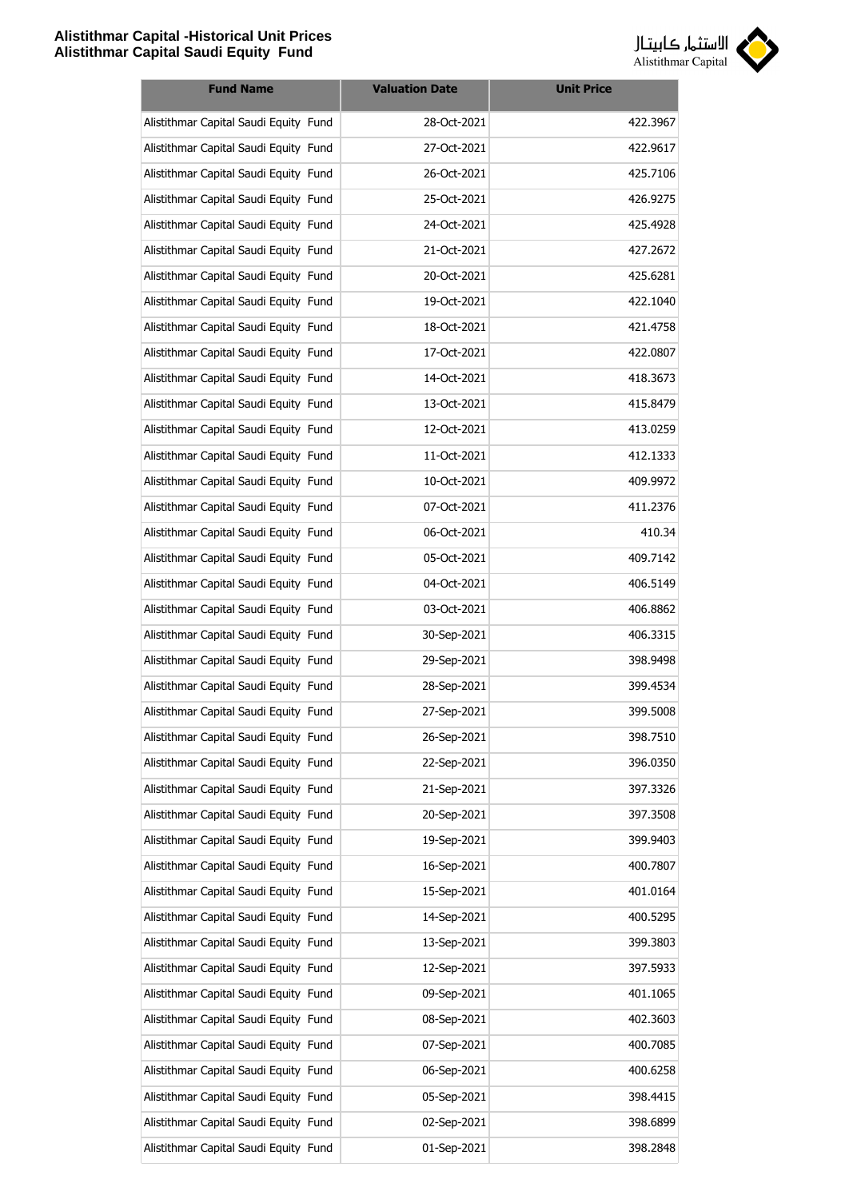

| <b>Fund Name</b>                      | <b>Valuation Date</b> | <b>Unit Price</b> |
|---------------------------------------|-----------------------|-------------------|
| Alistithmar Capital Saudi Equity Fund | 28-Oct-2021           | 422.3967          |
| Alistithmar Capital Saudi Equity Fund | 27-Oct-2021           | 422.9617          |
| Alistithmar Capital Saudi Equity Fund | 26-Oct-2021           | 425.7106          |
| Alistithmar Capital Saudi Equity Fund | 25-Oct-2021           | 426.9275          |
| Alistithmar Capital Saudi Equity Fund | 24-Oct-2021           | 425.4928          |
| Alistithmar Capital Saudi Equity Fund | 21-Oct-2021           | 427.2672          |
| Alistithmar Capital Saudi Equity Fund | 20-Oct-2021           | 425.6281          |
| Alistithmar Capital Saudi Equity Fund | 19-Oct-2021           | 422.1040          |
| Alistithmar Capital Saudi Equity Fund | 18-Oct-2021           | 421.4758          |
| Alistithmar Capital Saudi Equity Fund | 17-Oct-2021           | 422.0807          |
| Alistithmar Capital Saudi Equity Fund | 14-Oct-2021           | 418.3673          |
| Alistithmar Capital Saudi Equity Fund | 13-Oct-2021           | 415.8479          |
| Alistithmar Capital Saudi Equity Fund | 12-Oct-2021           | 413.0259          |
| Alistithmar Capital Saudi Equity Fund | 11-Oct-2021           | 412.1333          |
| Alistithmar Capital Saudi Equity Fund | 10-Oct-2021           | 409.9972          |
| Alistithmar Capital Saudi Equity Fund | 07-Oct-2021           | 411.2376          |
| Alistithmar Capital Saudi Equity Fund | 06-Oct-2021           | 410.34            |
| Alistithmar Capital Saudi Equity Fund | 05-Oct-2021           | 409.7142          |
| Alistithmar Capital Saudi Equity Fund | 04-Oct-2021           | 406.5149          |
| Alistithmar Capital Saudi Equity Fund | 03-Oct-2021           | 406.8862          |
| Alistithmar Capital Saudi Equity Fund | 30-Sep-2021           | 406.3315          |
| Alistithmar Capital Saudi Equity Fund | 29-Sep-2021           | 398.9498          |
| Alistithmar Capital Saudi Equity Fund | 28-Sep-2021           | 399.4534          |
| Alistithmar Capital Saudi Equity Fund | 27-Sep-2021           | 399.5008          |
| Alistithmar Capital Saudi Equity Fund | 26-Sep-2021           | 398.7510          |
| Alistithmar Capital Saudi Equity Fund | 22-Sep-2021           | 396.0350          |
| Alistithmar Capital Saudi Equity Fund | 21-Sep-2021           | 397.3326          |
| Alistithmar Capital Saudi Equity Fund | 20-Sep-2021           | 397.3508          |
| Alistithmar Capital Saudi Equity Fund | 19-Sep-2021           | 399.9403          |
| Alistithmar Capital Saudi Equity Fund | 16-Sep-2021           | 400.7807          |
| Alistithmar Capital Saudi Equity Fund | 15-Sep-2021           | 401.0164          |
| Alistithmar Capital Saudi Equity Fund | 14-Sep-2021           | 400.5295          |
| Alistithmar Capital Saudi Equity Fund | 13-Sep-2021           | 399.3803          |
| Alistithmar Capital Saudi Equity Fund | 12-Sep-2021           | 397.5933          |
| Alistithmar Capital Saudi Equity Fund | 09-Sep-2021           | 401.1065          |
| Alistithmar Capital Saudi Equity Fund | 08-Sep-2021           | 402.3603          |
| Alistithmar Capital Saudi Equity Fund | 07-Sep-2021           | 400.7085          |
| Alistithmar Capital Saudi Equity Fund | 06-Sep-2021           | 400.6258          |
| Alistithmar Capital Saudi Equity Fund | 05-Sep-2021           | 398.4415          |
| Alistithmar Capital Saudi Equity Fund | 02-Sep-2021           | 398.6899          |
| Alistithmar Capital Saudi Equity Fund | 01-Sep-2021           | 398.2848          |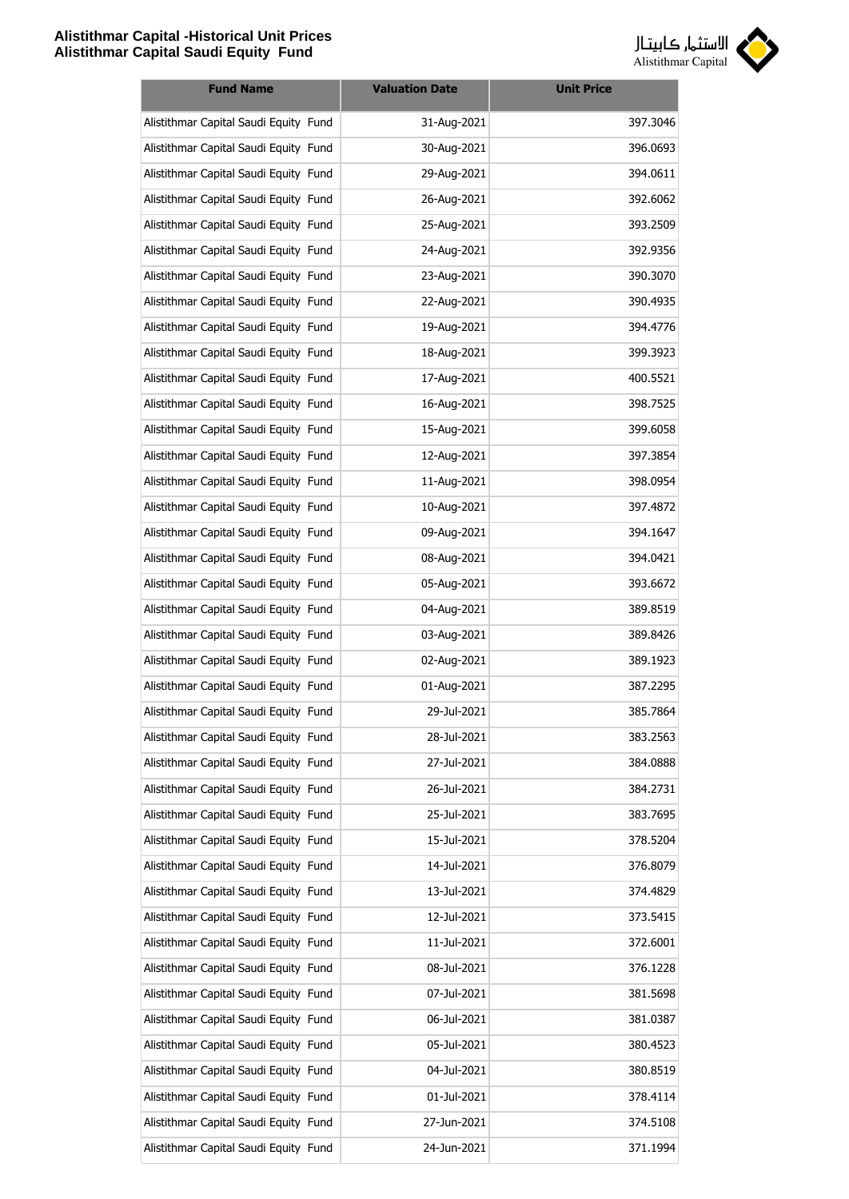

| <b>Fund Name</b>                      | <b>Valuation Date</b> | <b>Unit Price</b> |
|---------------------------------------|-----------------------|-------------------|
| Alistithmar Capital Saudi Equity Fund | 31-Aug-2021           | 397.3046          |
| Alistithmar Capital Saudi Equity Fund | 30-Aug-2021           | 396.0693          |
| Alistithmar Capital Saudi Equity Fund | 29-Aug-2021           | 394.0611          |
| Alistithmar Capital Saudi Equity Fund | 26-Aug-2021           | 392.6062          |
| Alistithmar Capital Saudi Equity Fund | 25-Aug-2021           | 393.2509          |
| Alistithmar Capital Saudi Equity Fund | 24-Aug-2021           | 392.9356          |
| Alistithmar Capital Saudi Equity Fund | 23-Aug-2021           | 390.3070          |
| Alistithmar Capital Saudi Equity Fund | 22-Aug-2021           | 390.4935          |
| Alistithmar Capital Saudi Equity Fund | 19-Aug-2021           | 394.4776          |
| Alistithmar Capital Saudi Equity Fund | 18-Aug-2021           | 399.3923          |
| Alistithmar Capital Saudi Equity Fund | 17-Aug-2021           | 400.5521          |
| Alistithmar Capital Saudi Equity Fund | 16-Aug-2021           | 398.7525          |
| Alistithmar Capital Saudi Equity Fund | 15-Aug-2021           | 399.6058          |
| Alistithmar Capital Saudi Equity Fund | 12-Aug-2021           | 397.3854          |
| Alistithmar Capital Saudi Equity Fund | 11-Aug-2021           | 398.0954          |
| Alistithmar Capital Saudi Equity Fund | 10-Aug-2021           | 397.4872          |
| Alistithmar Capital Saudi Equity Fund | 09-Aug-2021           | 394.1647          |
| Alistithmar Capital Saudi Equity Fund | 08-Aug-2021           | 394.0421          |
| Alistithmar Capital Saudi Equity Fund | 05-Aug-2021           | 393.6672          |
| Alistithmar Capital Saudi Equity Fund | 04-Aug-2021           | 389.8519          |
| Alistithmar Capital Saudi Equity Fund | 03-Aug-2021           | 389.8426          |
| Alistithmar Capital Saudi Equity Fund | 02-Aug-2021           | 389.1923          |
| Alistithmar Capital Saudi Equity Fund | 01-Aug-2021           | 387.2295          |
| Alistithmar Capital Saudi Equity Fund | 29-Jul-2021           | 385.7864          |
| Alistithmar Capital Saudi Equity Fund | 28-Jul-2021           | 383.2563          |
| Alistithmar Capital Saudi Equity Fund | 27-Jul-2021           | 384.0888          |
| Alistithmar Capital Saudi Equity Fund | 26-Jul-2021           | 384.2731          |
| Alistithmar Capital Saudi Equity Fund | 25-Jul-2021           | 383.7695          |
| Alistithmar Capital Saudi Equity Fund | 15-Jul-2021           | 378.5204          |
| Alistithmar Capital Saudi Equity Fund | 14-Jul-2021           | 376.8079          |
| Alistithmar Capital Saudi Equity Fund | 13-Jul-2021           | 374.4829          |
| Alistithmar Capital Saudi Equity Fund | 12-Jul-2021           | 373.5415          |
| Alistithmar Capital Saudi Equity Fund | 11-Jul-2021           | 372.6001          |
| Alistithmar Capital Saudi Equity Fund | 08-Jul-2021           | 376.1228          |
| Alistithmar Capital Saudi Equity Fund | 07-Jul-2021           | 381.5698          |
| Alistithmar Capital Saudi Equity Fund | 06-Jul-2021           | 381.0387          |
| Alistithmar Capital Saudi Equity Fund | 05-Jul-2021           | 380.4523          |
| Alistithmar Capital Saudi Equity Fund | 04-Jul-2021           | 380.8519          |
| Alistithmar Capital Saudi Equity Fund | 01-Jul-2021           | 378.4114          |
| Alistithmar Capital Saudi Equity Fund | 27-Jun-2021           | 374.5108          |
| Alistithmar Capital Saudi Equity Fund | 24-Jun-2021           | 371.1994          |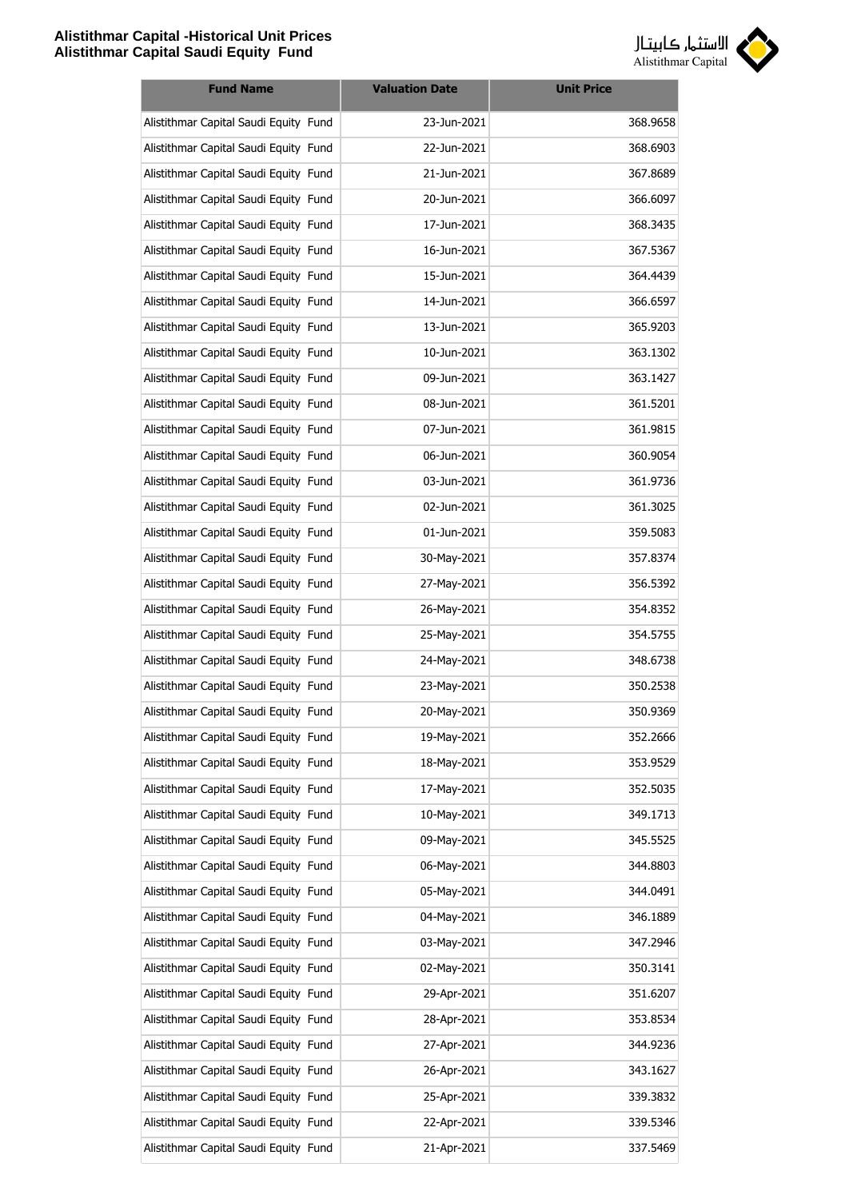

| <b>Fund Name</b>                      | <b>Valuation Date</b> | <b>Unit Price</b> |
|---------------------------------------|-----------------------|-------------------|
| Alistithmar Capital Saudi Equity Fund | 23-Jun-2021           | 368.9658          |
| Alistithmar Capital Saudi Equity Fund | 22-Jun-2021           | 368.6903          |
| Alistithmar Capital Saudi Equity Fund | 21-Jun-2021           | 367.8689          |
| Alistithmar Capital Saudi Equity Fund | 20-Jun-2021           | 366.6097          |
| Alistithmar Capital Saudi Equity Fund | 17-Jun-2021           | 368.3435          |
| Alistithmar Capital Saudi Equity Fund | 16-Jun-2021           | 367.5367          |
| Alistithmar Capital Saudi Equity Fund | 15-Jun-2021           | 364.4439          |
| Alistithmar Capital Saudi Equity Fund | 14-Jun-2021           | 366.6597          |
| Alistithmar Capital Saudi Equity Fund | 13-Jun-2021           | 365.9203          |
| Alistithmar Capital Saudi Equity Fund | 10-Jun-2021           | 363.1302          |
| Alistithmar Capital Saudi Equity Fund | 09-Jun-2021           | 363.1427          |
| Alistithmar Capital Saudi Equity Fund | 08-Jun-2021           | 361.5201          |
| Alistithmar Capital Saudi Equity Fund | 07-Jun-2021           | 361.9815          |
| Alistithmar Capital Saudi Equity Fund | 06-Jun-2021           | 360.9054          |
| Alistithmar Capital Saudi Equity Fund | 03-Jun-2021           | 361.9736          |
| Alistithmar Capital Saudi Equity Fund | 02-Jun-2021           | 361.3025          |
| Alistithmar Capital Saudi Equity Fund | 01-Jun-2021           | 359.5083          |
| Alistithmar Capital Saudi Equity Fund | 30-May-2021           | 357.8374          |
| Alistithmar Capital Saudi Equity Fund | 27-May-2021           | 356.5392          |
| Alistithmar Capital Saudi Equity Fund | 26-May-2021           | 354.8352          |
| Alistithmar Capital Saudi Equity Fund | 25-May-2021           | 354.5755          |
| Alistithmar Capital Saudi Equity Fund | 24-May-2021           | 348.6738          |
| Alistithmar Capital Saudi Equity Fund | 23-May-2021           | 350.2538          |
| Alistithmar Capital Saudi Equity Fund | 20-May-2021           | 350.9369          |
| Alistithmar Capital Saudi Equity Fund | 19-May-2021           | 352.2666          |
| Alistithmar Capital Saudi Equity Fund | 18-May-2021           | 353.9529          |
| Alistithmar Capital Saudi Equity Fund | 17-May-2021           | 352.5035          |
| Alistithmar Capital Saudi Equity Fund | 10-May-2021           | 349.1713          |
| Alistithmar Capital Saudi Equity Fund | 09-May-2021           | 345.5525          |
| Alistithmar Capital Saudi Equity Fund | 06-May-2021           | 344.8803          |
| Alistithmar Capital Saudi Equity Fund | 05-May-2021           | 344.0491          |
| Alistithmar Capital Saudi Equity Fund | 04-May-2021           | 346.1889          |
| Alistithmar Capital Saudi Equity Fund | 03-May-2021           | 347.2946          |
| Alistithmar Capital Saudi Equity Fund | 02-May-2021           | 350.3141          |
| Alistithmar Capital Saudi Equity Fund | 29-Apr-2021           | 351.6207          |
| Alistithmar Capital Saudi Equity Fund | 28-Apr-2021           | 353.8534          |
| Alistithmar Capital Saudi Equity Fund | 27-Apr-2021           | 344.9236          |
| Alistithmar Capital Saudi Equity Fund | 26-Apr-2021           | 343.1627          |
| Alistithmar Capital Saudi Equity Fund | 25-Apr-2021           | 339.3832          |
| Alistithmar Capital Saudi Equity Fund | 22-Apr-2021           | 339.5346          |
| Alistithmar Capital Saudi Equity Fund | 21-Apr-2021           | 337.5469          |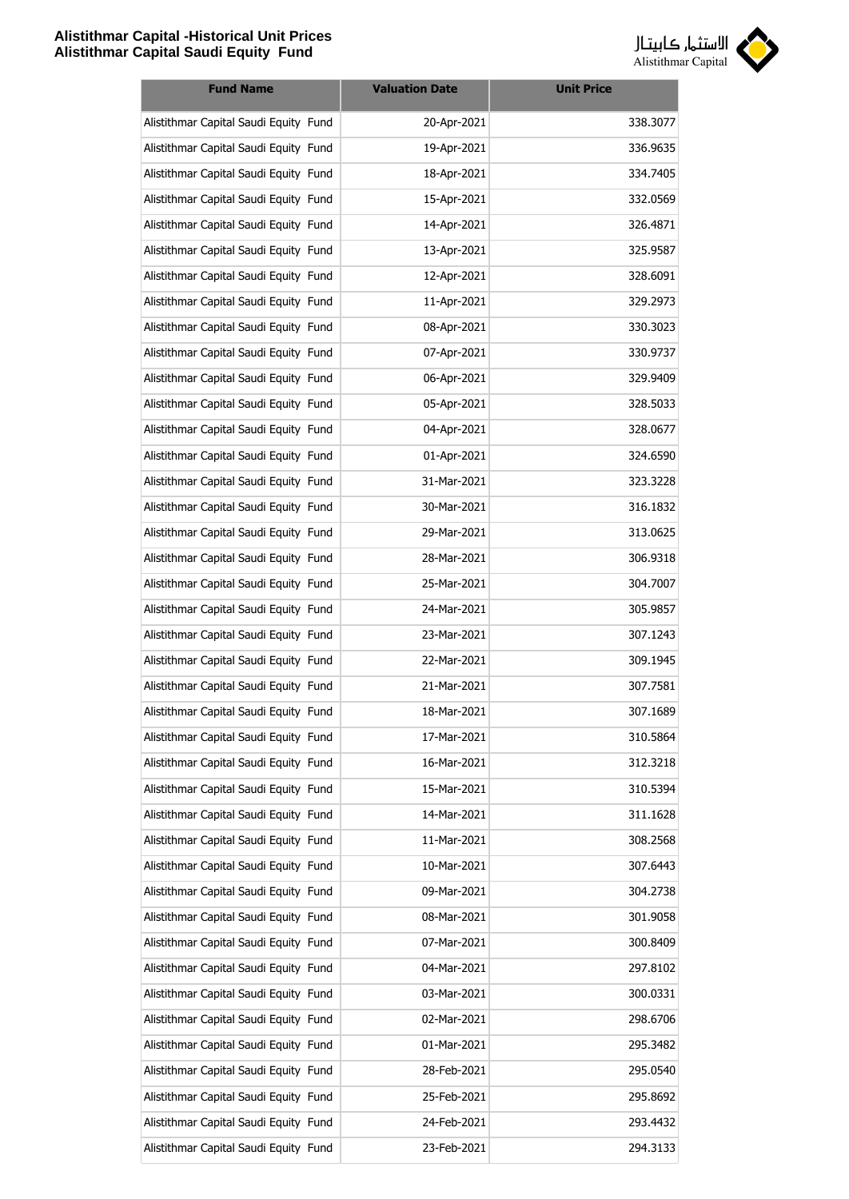

| <b>Fund Name</b>                      | <b>Valuation Date</b> | <b>Unit Price</b> |
|---------------------------------------|-----------------------|-------------------|
| Alistithmar Capital Saudi Equity Fund | 20-Apr-2021           | 338.3077          |
| Alistithmar Capital Saudi Equity Fund | 19-Apr-2021           | 336.9635          |
| Alistithmar Capital Saudi Equity Fund | 18-Apr-2021           | 334.7405          |
| Alistithmar Capital Saudi Equity Fund | 15-Apr-2021           | 332.0569          |
| Alistithmar Capital Saudi Equity Fund | 14-Apr-2021           | 326.4871          |
| Alistithmar Capital Saudi Equity Fund | 13-Apr-2021           | 325.9587          |
| Alistithmar Capital Saudi Equity Fund | 12-Apr-2021           | 328.6091          |
| Alistithmar Capital Saudi Equity Fund | 11-Apr-2021           | 329.2973          |
| Alistithmar Capital Saudi Equity Fund | 08-Apr-2021           | 330.3023          |
| Alistithmar Capital Saudi Equity Fund | 07-Apr-2021           | 330.9737          |
| Alistithmar Capital Saudi Equity Fund | 06-Apr-2021           | 329.9409          |
| Alistithmar Capital Saudi Equity Fund | 05-Apr-2021           | 328.5033          |
| Alistithmar Capital Saudi Equity Fund | 04-Apr-2021           | 328.0677          |
| Alistithmar Capital Saudi Equity Fund | 01-Apr-2021           | 324.6590          |
| Alistithmar Capital Saudi Equity Fund | 31-Mar-2021           | 323.3228          |
| Alistithmar Capital Saudi Equity Fund | 30-Mar-2021           | 316.1832          |
| Alistithmar Capital Saudi Equity Fund | 29-Mar-2021           | 313.0625          |
| Alistithmar Capital Saudi Equity Fund | 28-Mar-2021           | 306.9318          |
| Alistithmar Capital Saudi Equity Fund | 25-Mar-2021           | 304.7007          |
| Alistithmar Capital Saudi Equity Fund | 24-Mar-2021           | 305.9857          |
| Alistithmar Capital Saudi Equity Fund | 23-Mar-2021           | 307.1243          |
| Alistithmar Capital Saudi Equity Fund | 22-Mar-2021           | 309.1945          |
| Alistithmar Capital Saudi Equity Fund | 21-Mar-2021           | 307.7581          |
| Alistithmar Capital Saudi Equity Fund | 18-Mar-2021           | 307.1689          |
| Alistithmar Capital Saudi Equity Fund | 17-Mar-2021           | 310.5864          |
| Alistithmar Capital Saudi Equity Fund | 16-Mar-2021           | 312.3218          |
| Alistithmar Capital Saudi Equity Fund | 15-Mar-2021           | 310.5394          |
| Alistithmar Capital Saudi Equity Fund | 14-Mar-2021           | 311.1628          |
| Alistithmar Capital Saudi Equity Fund | 11-Mar-2021           | 308.2568          |
| Alistithmar Capital Saudi Equity Fund | 10-Mar-2021           | 307.6443          |
| Alistithmar Capital Saudi Equity Fund | 09-Mar-2021           | 304.2738          |
| Alistithmar Capital Saudi Equity Fund | 08-Mar-2021           | 301.9058          |
| Alistithmar Capital Saudi Equity Fund | 07-Mar-2021           | 300.8409          |
| Alistithmar Capital Saudi Equity Fund | 04-Mar-2021           | 297.8102          |
| Alistithmar Capital Saudi Equity Fund | 03-Mar-2021           | 300.0331          |
| Alistithmar Capital Saudi Equity Fund | 02-Mar-2021           | 298.6706          |
| Alistithmar Capital Saudi Equity Fund | 01-Mar-2021           | 295.3482          |
| Alistithmar Capital Saudi Equity Fund | 28-Feb-2021           | 295.0540          |
| Alistithmar Capital Saudi Equity Fund | 25-Feb-2021           | 295.8692          |
| Alistithmar Capital Saudi Equity Fund | 24-Feb-2021           | 293.4432          |
| Alistithmar Capital Saudi Equity Fund | 23-Feb-2021           | 294.3133          |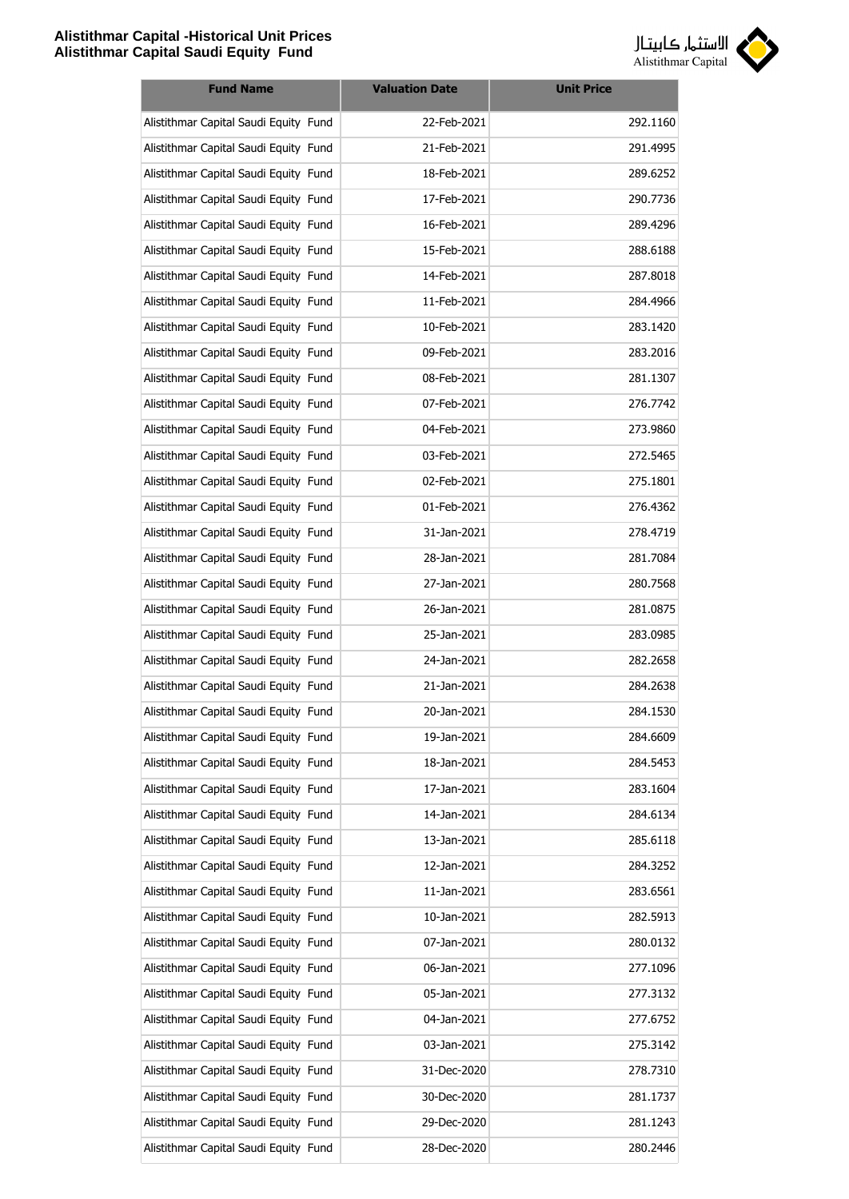

| <b>Fund Name</b>                      | <b>Valuation Date</b> | <b>Unit Price</b> |
|---------------------------------------|-----------------------|-------------------|
| Alistithmar Capital Saudi Equity Fund | 22-Feb-2021           | 292.1160          |
| Alistithmar Capital Saudi Equity Fund | 21-Feb-2021           | 291.4995          |
| Alistithmar Capital Saudi Equity Fund | 18-Feb-2021           | 289.6252          |
| Alistithmar Capital Saudi Equity Fund | 17-Feb-2021           | 290.7736          |
| Alistithmar Capital Saudi Equity Fund | 16-Feb-2021           | 289.4296          |
| Alistithmar Capital Saudi Equity Fund | 15-Feb-2021           | 288.6188          |
| Alistithmar Capital Saudi Equity Fund | 14-Feb-2021           | 287.8018          |
| Alistithmar Capital Saudi Equity Fund | 11-Feb-2021           | 284.4966          |
| Alistithmar Capital Saudi Equity Fund | 10-Feb-2021           | 283.1420          |
| Alistithmar Capital Saudi Equity Fund | 09-Feb-2021           | 283.2016          |
| Alistithmar Capital Saudi Equity Fund | 08-Feb-2021           | 281.1307          |
| Alistithmar Capital Saudi Equity Fund | 07-Feb-2021           | 276.7742          |
| Alistithmar Capital Saudi Equity Fund | 04-Feb-2021           | 273.9860          |
| Alistithmar Capital Saudi Equity Fund | 03-Feb-2021           | 272.5465          |
| Alistithmar Capital Saudi Equity Fund | 02-Feb-2021           | 275.1801          |
| Alistithmar Capital Saudi Equity Fund | 01-Feb-2021           | 276.4362          |
| Alistithmar Capital Saudi Equity Fund | 31-Jan-2021           | 278.4719          |
| Alistithmar Capital Saudi Equity Fund | 28-Jan-2021           | 281.7084          |
| Alistithmar Capital Saudi Equity Fund | 27-Jan-2021           | 280.7568          |
| Alistithmar Capital Saudi Equity Fund | 26-Jan-2021           | 281.0875          |
| Alistithmar Capital Saudi Equity Fund | 25-Jan-2021           | 283.0985          |
| Alistithmar Capital Saudi Equity Fund | 24-Jan-2021           | 282.2658          |
| Alistithmar Capital Saudi Equity Fund | 21-Jan-2021           | 284.2638          |
| Alistithmar Capital Saudi Equity Fund | 20-Jan-2021           | 284.1530          |
| Alistithmar Capital Saudi Equity Fund | 19-Jan-2021           | 284.6609          |
| Alistithmar Capital Saudi Equity Fund | 18-Jan-2021           | 284.5453          |
| Alistithmar Capital Saudi Equity Fund | 17-Jan-2021           | 283.1604          |
| Alistithmar Capital Saudi Equity Fund | 14-Jan-2021           | 284.6134          |
| Alistithmar Capital Saudi Equity Fund | 13-Jan-2021           | 285.6118          |
| Alistithmar Capital Saudi Equity Fund | 12-Jan-2021           | 284.3252          |
| Alistithmar Capital Saudi Equity Fund | 11-Jan-2021           | 283.6561          |
| Alistithmar Capital Saudi Equity Fund | 10-Jan-2021           | 282.5913          |
| Alistithmar Capital Saudi Equity Fund | 07-Jan-2021           | 280.0132          |
| Alistithmar Capital Saudi Equity Fund | 06-Jan-2021           | 277.1096          |
| Alistithmar Capital Saudi Equity Fund | 05-Jan-2021           | 277.3132          |
| Alistithmar Capital Saudi Equity Fund | 04-Jan-2021           | 277.6752          |
| Alistithmar Capital Saudi Equity Fund | 03-Jan-2021           | 275.3142          |
| Alistithmar Capital Saudi Equity Fund | 31-Dec-2020           | 278.7310          |
| Alistithmar Capital Saudi Equity Fund | 30-Dec-2020           | 281.1737          |
| Alistithmar Capital Saudi Equity Fund | 29-Dec-2020           | 281.1243          |
| Alistithmar Capital Saudi Equity Fund | 28-Dec-2020           | 280.2446          |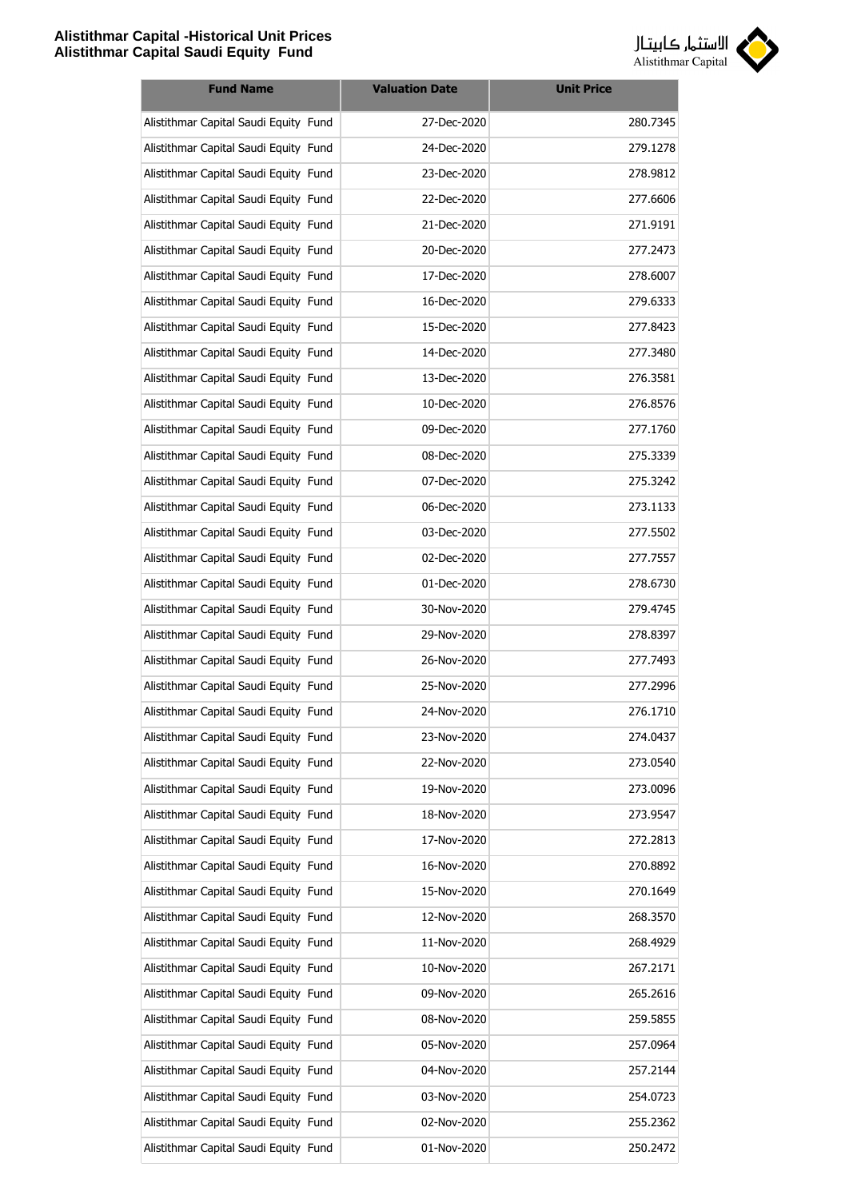

| <b>Fund Name</b>                      | <b>Valuation Date</b> | <b>Unit Price</b> |
|---------------------------------------|-----------------------|-------------------|
| Alistithmar Capital Saudi Equity Fund | 27-Dec-2020           | 280.7345          |
| Alistithmar Capital Saudi Equity Fund | 24-Dec-2020           | 279.1278          |
| Alistithmar Capital Saudi Equity Fund | 23-Dec-2020           | 278.9812          |
| Alistithmar Capital Saudi Equity Fund | 22-Dec-2020           | 277.6606          |
| Alistithmar Capital Saudi Equity Fund | 21-Dec-2020           | 271.9191          |
| Alistithmar Capital Saudi Equity Fund | 20-Dec-2020           | 277.2473          |
| Alistithmar Capital Saudi Equity Fund | 17-Dec-2020           | 278,6007          |
| Alistithmar Capital Saudi Equity Fund | 16-Dec-2020           | 279.6333          |
| Alistithmar Capital Saudi Equity Fund | 15-Dec-2020           | 277.8423          |
| Alistithmar Capital Saudi Equity Fund | 14-Dec-2020           | 277.3480          |
| Alistithmar Capital Saudi Equity Fund | 13-Dec-2020           | 276.3581          |
| Alistithmar Capital Saudi Equity Fund | 10-Dec-2020           | 276.8576          |
| Alistithmar Capital Saudi Equity Fund | 09-Dec-2020           | 277.1760          |
| Alistithmar Capital Saudi Equity Fund | 08-Dec-2020           | 275.3339          |
| Alistithmar Capital Saudi Equity Fund | 07-Dec-2020           | 275.3242          |
| Alistithmar Capital Saudi Equity Fund | 06-Dec-2020           | 273.1133          |
| Alistithmar Capital Saudi Equity Fund | 03-Dec-2020           | 277.5502          |
| Alistithmar Capital Saudi Equity Fund | 02-Dec-2020           | 277.7557          |
| Alistithmar Capital Saudi Equity Fund | 01-Dec-2020           | 278.6730          |
| Alistithmar Capital Saudi Equity Fund | 30-Nov-2020           | 279.4745          |
| Alistithmar Capital Saudi Equity Fund | 29-Nov-2020           | 278.8397          |
| Alistithmar Capital Saudi Equity Fund | 26-Nov-2020           | 277.7493          |
| Alistithmar Capital Saudi Equity Fund | 25-Nov-2020           | 277.2996          |
| Alistithmar Capital Saudi Equity Fund | 24-Nov-2020           | 276.1710          |
| Alistithmar Capital Saudi Equity Fund | 23-Nov-2020           | 274.0437          |
| Alistithmar Capital Saudi Equity Fund | 22-Nov-2020           | 273.0540          |
| Alistithmar Capital Saudi Equity Fund | 19-Nov-2020           | 273.0096          |
| Alistithmar Capital Saudi Equity Fund | 18-Nov-2020           | 273.9547          |
| Alistithmar Capital Saudi Equity Fund | 17-Nov-2020           | 272.2813          |
| Alistithmar Capital Saudi Equity Fund | 16-Nov-2020           | 270.8892          |
| Alistithmar Capital Saudi Equity Fund | 15-Nov-2020           | 270.1649          |
| Alistithmar Capital Saudi Equity Fund | 12-Nov-2020           | 268.3570          |
| Alistithmar Capital Saudi Equity Fund | 11-Nov-2020           | 268.4929          |
| Alistithmar Capital Saudi Equity Fund | 10-Nov-2020           | 267.2171          |
| Alistithmar Capital Saudi Equity Fund | 09-Nov-2020           | 265.2616          |
| Alistithmar Capital Saudi Equity Fund | 08-Nov-2020           | 259.5855          |
| Alistithmar Capital Saudi Equity Fund | 05-Nov-2020           | 257.0964          |
| Alistithmar Capital Saudi Equity Fund | 04-Nov-2020           | 257.2144          |
| Alistithmar Capital Saudi Equity Fund | 03-Nov-2020           | 254.0723          |
| Alistithmar Capital Saudi Equity Fund | 02-Nov-2020           | 255.2362          |
| Alistithmar Capital Saudi Equity Fund | 01-Nov-2020           | 250.2472          |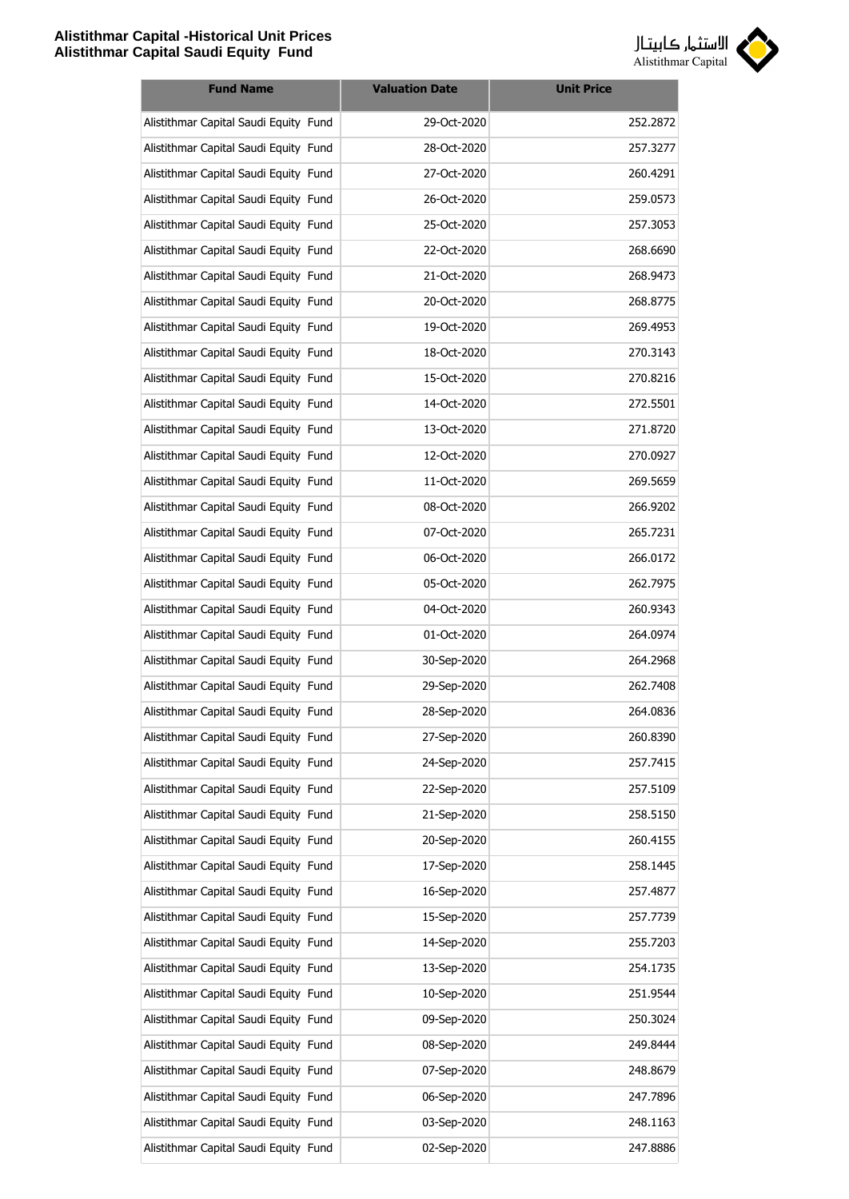

| <b>Fund Name</b>                      | <b>Valuation Date</b> | <b>Unit Price</b> |
|---------------------------------------|-----------------------|-------------------|
| Alistithmar Capital Saudi Equity Fund | 29-Oct-2020           | 252.2872          |
| Alistithmar Capital Saudi Equity Fund | 28-Oct-2020           | 257.3277          |
| Alistithmar Capital Saudi Equity Fund | 27-Oct-2020           | 260.4291          |
| Alistithmar Capital Saudi Equity Fund | 26-Oct-2020           | 259.0573          |
| Alistithmar Capital Saudi Equity Fund | 25-Oct-2020           | 257.3053          |
| Alistithmar Capital Saudi Equity Fund | 22-Oct-2020           | 268.6690          |
| Alistithmar Capital Saudi Equity Fund | 21-Oct-2020           | 268.9473          |
| Alistithmar Capital Saudi Equity Fund | 20-Oct-2020           | 268.8775          |
| Alistithmar Capital Saudi Equity Fund | 19-Oct-2020           | 269.4953          |
| Alistithmar Capital Saudi Equity Fund | 18-Oct-2020           | 270.3143          |
| Alistithmar Capital Saudi Equity Fund | 15-Oct-2020           | 270.8216          |
| Alistithmar Capital Saudi Equity Fund | 14-Oct-2020           | 272.5501          |
| Alistithmar Capital Saudi Equity Fund | 13-Oct-2020           | 271.8720          |
| Alistithmar Capital Saudi Equity Fund | 12-Oct-2020           | 270.0927          |
| Alistithmar Capital Saudi Equity Fund | 11-Oct-2020           | 269.5659          |
| Alistithmar Capital Saudi Equity Fund | 08-Oct-2020           | 266.9202          |
| Alistithmar Capital Saudi Equity Fund | 07-Oct-2020           | 265.7231          |
| Alistithmar Capital Saudi Equity Fund | 06-Oct-2020           | 266.0172          |
| Alistithmar Capital Saudi Equity Fund | 05-Oct-2020           | 262.7975          |
| Alistithmar Capital Saudi Equity Fund | 04-Oct-2020           | 260.9343          |
| Alistithmar Capital Saudi Equity Fund | 01-Oct-2020           | 264.0974          |
| Alistithmar Capital Saudi Equity Fund | 30-Sep-2020           | 264.2968          |
| Alistithmar Capital Saudi Equity Fund | 29-Sep-2020           | 262.7408          |
| Alistithmar Capital Saudi Equity Fund | 28-Sep-2020           | 264.0836          |
| Alistithmar Capital Saudi Equity Fund | 27-Sep-2020           | 260.8390          |
| Alistithmar Capital Saudi Equity Fund | 24-Sep-2020           | 257.7415          |
| Alistithmar Capital Saudi Equity Fund | 22-Sep-2020           | 257.5109          |
| Alistithmar Capital Saudi Equity Fund | 21-Sep-2020           | 258.5150          |
| Alistithmar Capital Saudi Equity Fund | 20-Sep-2020           | 260.4155          |
| Alistithmar Capital Saudi Equity Fund | 17-Sep-2020           | 258.1445          |
| Alistithmar Capital Saudi Equity Fund | 16-Sep-2020           | 257.4877          |
| Alistithmar Capital Saudi Equity Fund | 15-Sep-2020           | 257.7739          |
| Alistithmar Capital Saudi Equity Fund | 14-Sep-2020           | 255.7203          |
| Alistithmar Capital Saudi Equity Fund | 13-Sep-2020           | 254.1735          |
| Alistithmar Capital Saudi Equity Fund | 10-Sep-2020           | 251.9544          |
| Alistithmar Capital Saudi Equity Fund | 09-Sep-2020           | 250.3024          |
| Alistithmar Capital Saudi Equity Fund | 08-Sep-2020           | 249.8444          |
| Alistithmar Capital Saudi Equity Fund | 07-Sep-2020           | 248.8679          |
| Alistithmar Capital Saudi Equity Fund | 06-Sep-2020           | 247.7896          |
| Alistithmar Capital Saudi Equity Fund | 03-Sep-2020           | 248.1163          |
| Alistithmar Capital Saudi Equity Fund | 02-Sep-2020           | 247.8886          |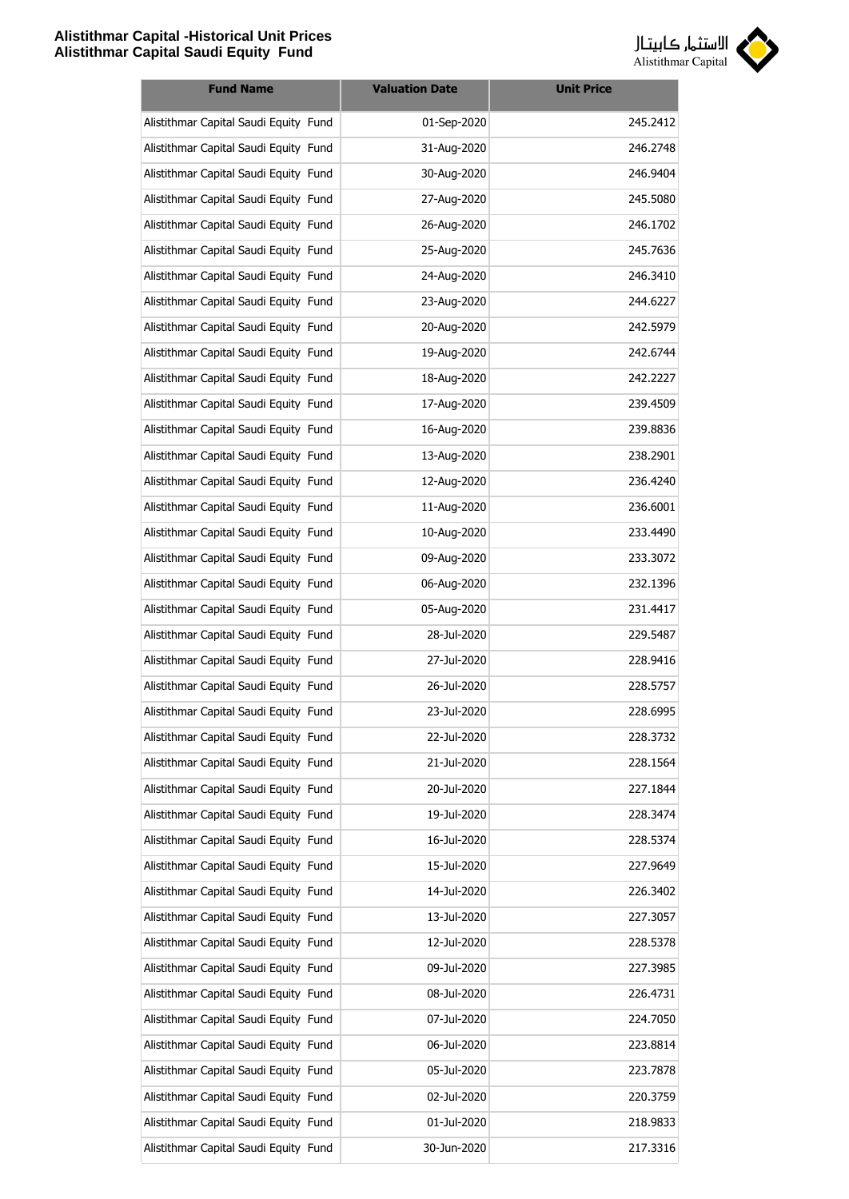

| <b>Fund Name</b>                      | <b>Valuation Date</b> | <b>Unit Price</b> |
|---------------------------------------|-----------------------|-------------------|
| Alistithmar Capital Saudi Equity Fund | 01-Sep-2020           | 245.2412          |
| Alistithmar Capital Saudi Equity Fund | 31-Aug-2020           | 246.2748          |
| Alistithmar Capital Saudi Equity Fund | 30-Aug-2020           | 246.9404          |
| Alistithmar Capital Saudi Equity Fund | 27-Aug-2020           | 245.5080          |
| Alistithmar Capital Saudi Equity Fund | 26-Aug-2020           | 246.1702          |
| Alistithmar Capital Saudi Equity Fund | 25-Aug-2020           | 245.7636          |
| Alistithmar Capital Saudi Equity Fund | 24-Aug-2020           | 246.3410          |
| Alistithmar Capital Saudi Equity Fund | 23-Aug-2020           | 244.6227          |
| Alistithmar Capital Saudi Equity Fund | 20-Aug-2020           | 242.5979          |
| Alistithmar Capital Saudi Equity Fund | 19-Aug-2020           | 242.6744          |
| Alistithmar Capital Saudi Equity Fund | 18-Aug-2020           | 242.2227          |
| Alistithmar Capital Saudi Equity Fund | 17-Aug-2020           | 239.4509          |
| Alistithmar Capital Saudi Equity Fund | 16-Aug-2020           | 239.8836          |
| Alistithmar Capital Saudi Equity Fund | 13-Aug-2020           | 238.2901          |
| Alistithmar Capital Saudi Equity Fund | 12-Aug-2020           | 236.4240          |
| Alistithmar Capital Saudi Equity Fund | 11-Aug-2020           | 236.6001          |
| Alistithmar Capital Saudi Equity Fund | 10-Aug-2020           | 233.4490          |
| Alistithmar Capital Saudi Equity Fund | 09-Aug-2020           | 233.3072          |
| Alistithmar Capital Saudi Equity Fund | 06-Aug-2020           | 232.1396          |
| Alistithmar Capital Saudi Equity Fund | 05-Aug-2020           | 231.4417          |
| Alistithmar Capital Saudi Equity Fund | 28-Jul-2020           | 229.5487          |
| Alistithmar Capital Saudi Equity Fund | 27-Jul-2020           | 228.9416          |
| Alistithmar Capital Saudi Equity Fund | 26-Jul-2020           | 228.5757          |
| Alistithmar Capital Saudi Equity Fund | 23-Jul-2020           | 228.6995          |
| Alistithmar Capital Saudi Equity Fund | 22-Jul-2020           | 228.3732          |
| Alistithmar Capital Saudi Equity Fund | 21-Jul-2020           | 228.1564          |
| Alistithmar Capital Saudi Equity Fund | 20-Jul-2020           | 227.1844          |
| Alistithmar Capital Saudi Equity Fund | 19-Jul-2020           | 228.3474          |
| Alistithmar Capital Saudi Equity Fund | 16-Jul-2020           | 228.5374          |
| Alistithmar Capital Saudi Equity Fund | 15-Jul-2020           | 227.9649          |
| Alistithmar Capital Saudi Equity Fund | 14-Jul-2020           | 226.3402          |
| Alistithmar Capital Saudi Equity Fund | 13-Jul-2020           | 227.3057          |
| Alistithmar Capital Saudi Equity Fund | 12-Jul-2020           | 228.5378          |
| Alistithmar Capital Saudi Equity Fund | 09-Jul-2020           | 227.3985          |
| Alistithmar Capital Saudi Equity Fund | 08-Jul-2020           | 226.4731          |
| Alistithmar Capital Saudi Equity Fund | 07-Jul-2020           | 224.7050          |
| Alistithmar Capital Saudi Equity Fund | 06-Jul-2020           | 223.8814          |
| Alistithmar Capital Saudi Equity Fund | 05-Jul-2020           | 223.7878          |
| Alistithmar Capital Saudi Equity Fund | 02-Jul-2020           | 220.3759          |
| Alistithmar Capital Saudi Equity Fund | 01-Jul-2020           | 218.9833          |
| Alistithmar Capital Saudi Equity Fund | 30-Jun-2020           | 217.3316          |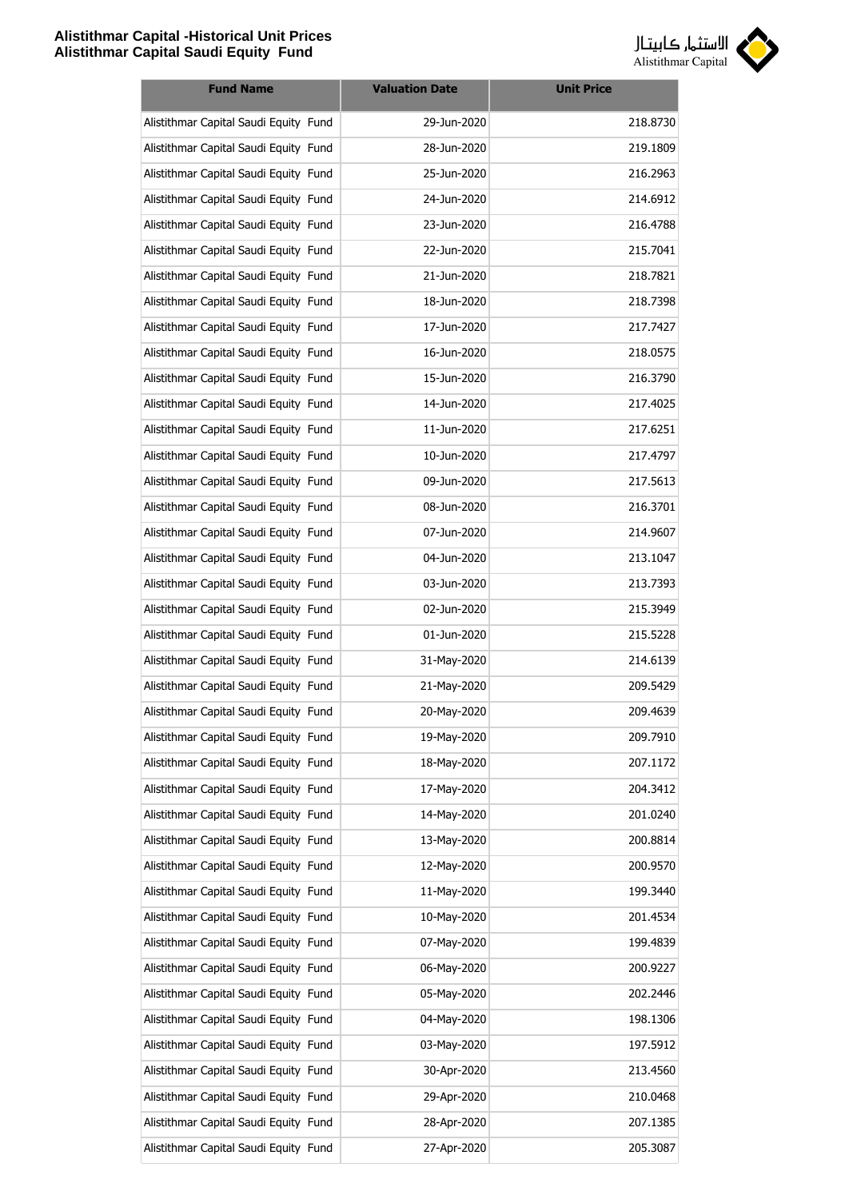

| <b>Fund Name</b>                      | <b>Valuation Date</b> | <b>Unit Price</b> |
|---------------------------------------|-----------------------|-------------------|
| Alistithmar Capital Saudi Equity Fund | 29-Jun-2020           | 218.8730          |
| Alistithmar Capital Saudi Equity Fund | 28-Jun-2020           | 219.1809          |
| Alistithmar Capital Saudi Equity Fund | 25-Jun-2020           | 216.2963          |
| Alistithmar Capital Saudi Equity Fund | 24-Jun-2020           | 214.6912          |
| Alistithmar Capital Saudi Equity Fund | 23-Jun-2020           | 216.4788          |
| Alistithmar Capital Saudi Equity Fund | 22-Jun-2020           | 215.7041          |
| Alistithmar Capital Saudi Equity Fund | 21-Jun-2020           | 218.7821          |
| Alistithmar Capital Saudi Equity Fund | 18-Jun-2020           | 218.7398          |
| Alistithmar Capital Saudi Equity Fund | 17-Jun-2020           | 217.7427          |
| Alistithmar Capital Saudi Equity Fund | 16-Jun-2020           | 218.0575          |
| Alistithmar Capital Saudi Equity Fund | 15-Jun-2020           | 216.3790          |
| Alistithmar Capital Saudi Equity Fund | 14-Jun-2020           | 217.4025          |
| Alistithmar Capital Saudi Equity Fund | 11-Jun-2020           | 217.6251          |
| Alistithmar Capital Saudi Equity Fund | 10-Jun-2020           | 217.4797          |
| Alistithmar Capital Saudi Equity Fund | 09-Jun-2020           | 217.5613          |
| Alistithmar Capital Saudi Equity Fund | 08-Jun-2020           | 216.3701          |
| Alistithmar Capital Saudi Equity Fund | 07-Jun-2020           | 214.9607          |
| Alistithmar Capital Saudi Equity Fund | 04-Jun-2020           | 213.1047          |
| Alistithmar Capital Saudi Equity Fund | 03-Jun-2020           | 213.7393          |
| Alistithmar Capital Saudi Equity Fund | 02-Jun-2020           | 215.3949          |
| Alistithmar Capital Saudi Equity Fund | 01-Jun-2020           | 215.5228          |
| Alistithmar Capital Saudi Equity Fund | 31-May-2020           | 214.6139          |
| Alistithmar Capital Saudi Equity Fund | 21-May-2020           | 209.5429          |
| Alistithmar Capital Saudi Equity Fund | 20-May-2020           | 209.4639          |
| Alistithmar Capital Saudi Equity Fund | 19-May-2020           | 209.7910          |
| Alistithmar Capital Saudi Equity Fund | 18-May-2020           | 207.1172          |
| Alistithmar Capital Saudi Equity Fund | 17-May-2020           | 204.3412          |
| Alistithmar Capital Saudi Equity Fund | 14-May-2020           | 201.0240          |
| Alistithmar Capital Saudi Equity Fund | 13-May-2020           | 200.8814          |
| Alistithmar Capital Saudi Equity Fund | 12-May-2020           | 200.9570          |
| Alistithmar Capital Saudi Equity Fund | 11-May-2020           | 199.3440          |
| Alistithmar Capital Saudi Equity Fund | 10-May-2020           | 201.4534          |
| Alistithmar Capital Saudi Equity Fund | 07-May-2020           | 199.4839          |
| Alistithmar Capital Saudi Equity Fund | 06-May-2020           | 200.9227          |
| Alistithmar Capital Saudi Equity Fund | 05-May-2020           | 202.2446          |
| Alistithmar Capital Saudi Equity Fund | 04-May-2020           | 198.1306          |
| Alistithmar Capital Saudi Equity Fund | 03-May-2020           | 197.5912          |
| Alistithmar Capital Saudi Equity Fund | 30-Apr-2020           | 213.4560          |
| Alistithmar Capital Saudi Equity Fund | 29-Apr-2020           | 210.0468          |
| Alistithmar Capital Saudi Equity Fund | 28-Apr-2020           | 207.1385          |
| Alistithmar Capital Saudi Equity Fund | 27-Apr-2020           | 205.3087          |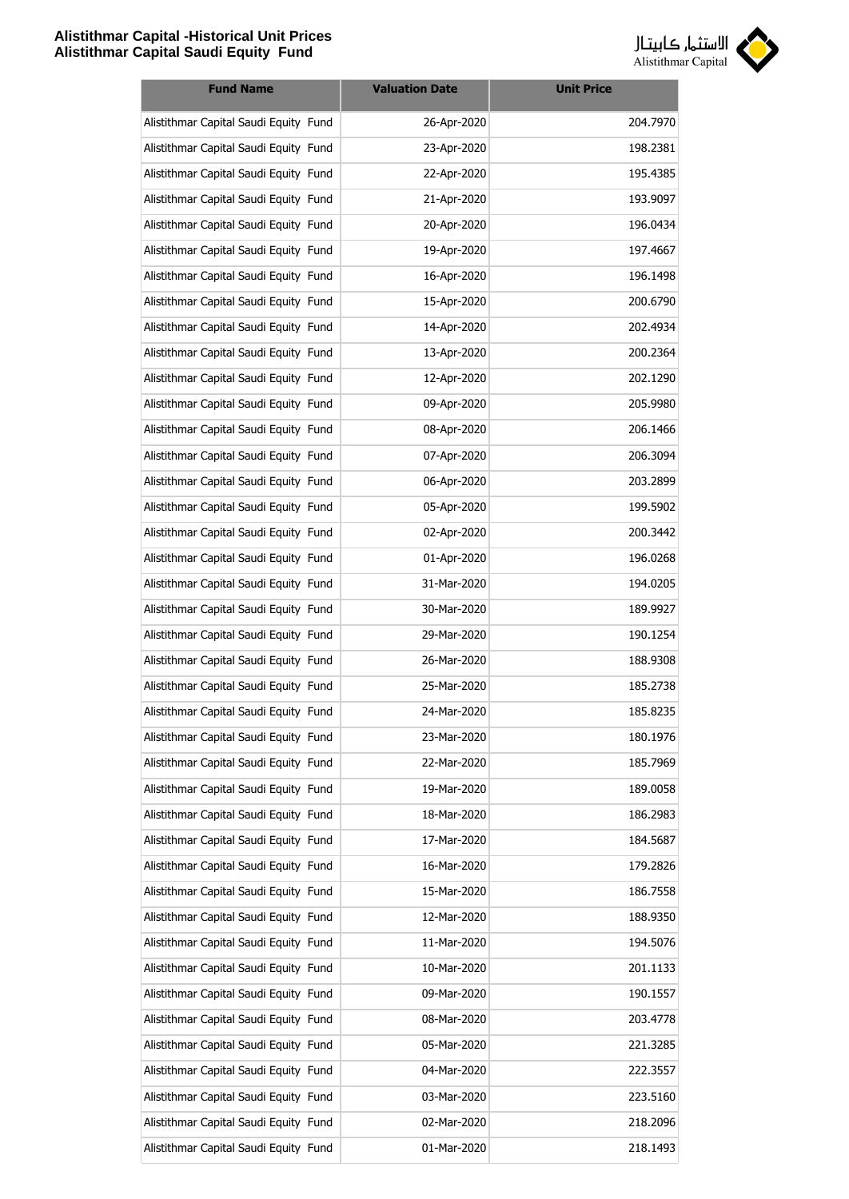

| <b>Fund Name</b>                      | <b>Valuation Date</b> | <b>Unit Price</b> |
|---------------------------------------|-----------------------|-------------------|
| Alistithmar Capital Saudi Equity Fund | 26-Apr-2020           | 204.7970          |
| Alistithmar Capital Saudi Equity Fund | 23-Apr-2020           | 198.2381          |
| Alistithmar Capital Saudi Equity Fund | 22-Apr-2020           | 195.4385          |
| Alistithmar Capital Saudi Equity Fund | 21-Apr-2020           | 193.9097          |
| Alistithmar Capital Saudi Equity Fund | 20-Apr-2020           | 196.0434          |
| Alistithmar Capital Saudi Equity Fund | 19-Apr-2020           | 197.4667          |
| Alistithmar Capital Saudi Equity Fund | 16-Apr-2020           | 196.1498          |
| Alistithmar Capital Saudi Equity Fund | 15-Apr-2020           | 200.6790          |
| Alistithmar Capital Saudi Equity Fund | 14-Apr-2020           | 202.4934          |
| Alistithmar Capital Saudi Equity Fund | 13-Apr-2020           | 200.2364          |
| Alistithmar Capital Saudi Equity Fund | 12-Apr-2020           | 202.1290          |
| Alistithmar Capital Saudi Equity Fund | 09-Apr-2020           | 205.9980          |
| Alistithmar Capital Saudi Equity Fund | 08-Apr-2020           | 206.1466          |
| Alistithmar Capital Saudi Equity Fund | 07-Apr-2020           | 206.3094          |
| Alistithmar Capital Saudi Equity Fund | 06-Apr-2020           | 203.2899          |
| Alistithmar Capital Saudi Equity Fund | 05-Apr-2020           | 199.5902          |
| Alistithmar Capital Saudi Equity Fund | 02-Apr-2020           | 200.3442          |
| Alistithmar Capital Saudi Equity Fund | 01-Apr-2020           | 196.0268          |
| Alistithmar Capital Saudi Equity Fund | 31-Mar-2020           | 194.0205          |
| Alistithmar Capital Saudi Equity Fund | 30-Mar-2020           | 189.9927          |
| Alistithmar Capital Saudi Equity Fund | 29-Mar-2020           | 190.1254          |
| Alistithmar Capital Saudi Equity Fund | 26-Mar-2020           | 188.9308          |
| Alistithmar Capital Saudi Equity Fund | 25-Mar-2020           | 185.2738          |
| Alistithmar Capital Saudi Equity Fund | 24-Mar-2020           | 185.8235          |
| Alistithmar Capital Saudi Equity Fund | 23-Mar-2020           | 180.1976          |
| Alistithmar Capital Saudi Equity Fund | 22-Mar-2020           | 185.7969          |
| Alistithmar Capital Saudi Equity Fund | 19-Mar-2020           | 189.0058          |
| Alistithmar Capital Saudi Equity Fund | 18-Mar-2020           | 186.2983          |
| Alistithmar Capital Saudi Equity Fund | 17-Mar-2020           | 184.5687          |
| Alistithmar Capital Saudi Equity Fund | 16-Mar-2020           | 179.2826          |
| Alistithmar Capital Saudi Equity Fund | 15-Mar-2020           | 186.7558          |
| Alistithmar Capital Saudi Equity Fund | 12-Mar-2020           | 188.9350          |
| Alistithmar Capital Saudi Equity Fund | 11-Mar-2020           | 194.5076          |
| Alistithmar Capital Saudi Equity Fund | 10-Mar-2020           | 201.1133          |
| Alistithmar Capital Saudi Equity Fund | 09-Mar-2020           | 190.1557          |
| Alistithmar Capital Saudi Equity Fund | 08-Mar-2020           | 203.4778          |
| Alistithmar Capital Saudi Equity Fund | 05-Mar-2020           | 221.3285          |
| Alistithmar Capital Saudi Equity Fund | 04-Mar-2020           | 222.3557          |
| Alistithmar Capital Saudi Equity Fund | 03-Mar-2020           | 223.5160          |
| Alistithmar Capital Saudi Equity Fund | 02-Mar-2020           | 218.2096          |
| Alistithmar Capital Saudi Equity Fund | 01-Mar-2020           | 218.1493          |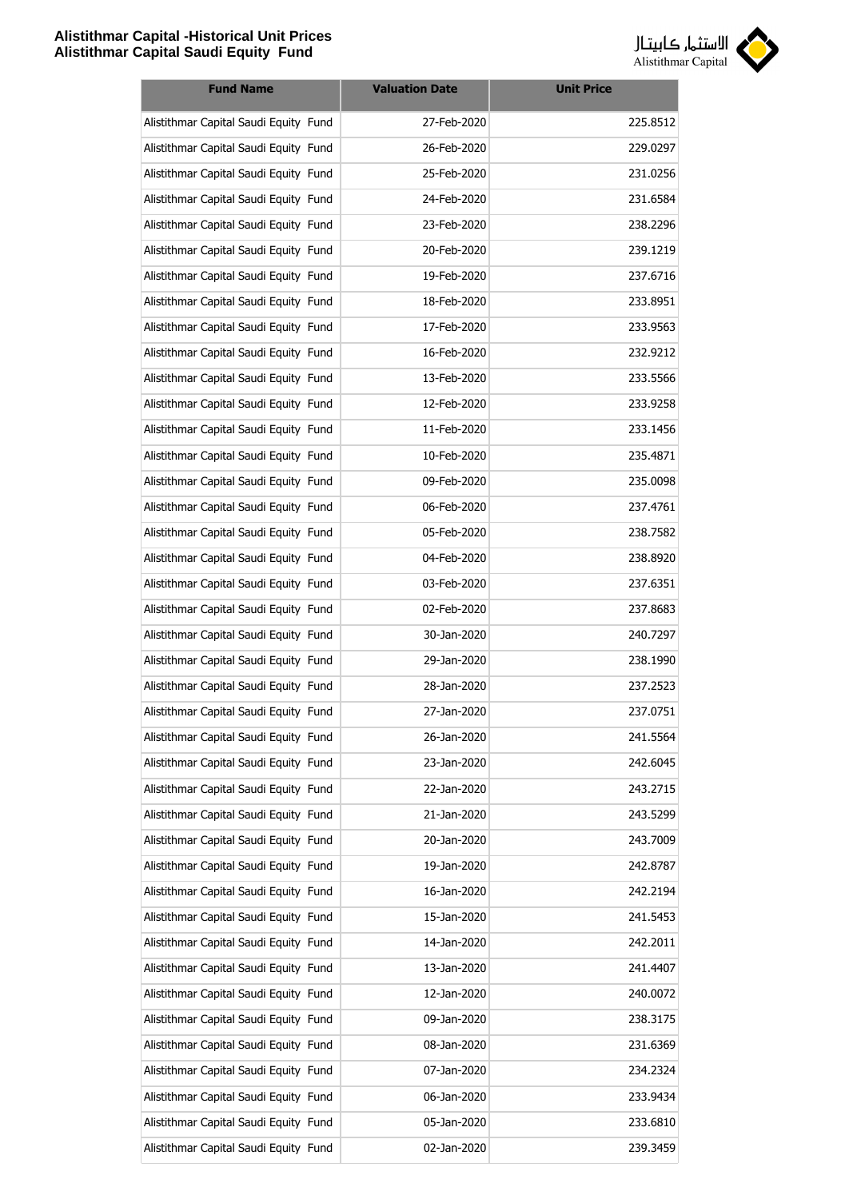

| <b>Fund Name</b>                      | <b>Valuation Date</b> | <b>Unit Price</b> |
|---------------------------------------|-----------------------|-------------------|
| Alistithmar Capital Saudi Equity Fund | 27-Feb-2020           | 225.8512          |
| Alistithmar Capital Saudi Equity Fund | 26-Feb-2020           | 229.0297          |
| Alistithmar Capital Saudi Equity Fund | 25-Feb-2020           | 231.0256          |
| Alistithmar Capital Saudi Equity Fund | 24-Feb-2020           | 231.6584          |
| Alistithmar Capital Saudi Equity Fund | 23-Feb-2020           | 238.2296          |
| Alistithmar Capital Saudi Equity Fund | 20-Feb-2020           | 239.1219          |
| Alistithmar Capital Saudi Equity Fund | 19-Feb-2020           | 237.6716          |
| Alistithmar Capital Saudi Equity Fund | 18-Feb-2020           | 233.8951          |
| Alistithmar Capital Saudi Equity Fund | 17-Feb-2020           | 233.9563          |
| Alistithmar Capital Saudi Equity Fund | 16-Feb-2020           | 232.9212          |
| Alistithmar Capital Saudi Equity Fund | 13-Feb-2020           | 233.5566          |
| Alistithmar Capital Saudi Equity Fund | 12-Feb-2020           | 233.9258          |
| Alistithmar Capital Saudi Equity Fund | 11-Feb-2020           | 233.1456          |
| Alistithmar Capital Saudi Equity Fund | 10-Feb-2020           | 235.4871          |
| Alistithmar Capital Saudi Equity Fund | 09-Feb-2020           | 235.0098          |
| Alistithmar Capital Saudi Equity Fund | 06-Feb-2020           | 237.4761          |
| Alistithmar Capital Saudi Equity Fund | 05-Feb-2020           | 238.7582          |
| Alistithmar Capital Saudi Equity Fund | 04-Feb-2020           | 238.8920          |
| Alistithmar Capital Saudi Equity Fund | 03-Feb-2020           | 237.6351          |
| Alistithmar Capital Saudi Equity Fund | 02-Feb-2020           | 237.8683          |
| Alistithmar Capital Saudi Equity Fund | 30-Jan-2020           | 240.7297          |
| Alistithmar Capital Saudi Equity Fund | 29-Jan-2020           | 238.1990          |
| Alistithmar Capital Saudi Equity Fund | 28-Jan-2020           | 237.2523          |
| Alistithmar Capital Saudi Equity Fund | 27-Jan-2020           | 237.0751          |
| Alistithmar Capital Saudi Equity Fund | 26-Jan-2020           | 241.5564          |
| Alistithmar Capital Saudi Equity Fund | 23-Jan-2020           | 242.6045          |
| Alistithmar Capital Saudi Equity Fund | 22-Jan-2020           | 243.2715          |
| Alistithmar Capital Saudi Equity Fund | 21-Jan-2020           | 243.5299          |
| Alistithmar Capital Saudi Equity Fund | 20-Jan-2020           | 243.7009          |
| Alistithmar Capital Saudi Equity Fund | 19-Jan-2020           | 242.8787          |
| Alistithmar Capital Saudi Equity Fund | 16-Jan-2020           | 242.2194          |
| Alistithmar Capital Saudi Equity Fund | 15-Jan-2020           | 241.5453          |
| Alistithmar Capital Saudi Equity Fund | 14-Jan-2020           | 242.2011          |
| Alistithmar Capital Saudi Equity Fund | 13-Jan-2020           | 241.4407          |
| Alistithmar Capital Saudi Equity Fund | 12-Jan-2020           | 240.0072          |
| Alistithmar Capital Saudi Equity Fund | 09-Jan-2020           | 238.3175          |
| Alistithmar Capital Saudi Equity Fund | 08-Jan-2020           | 231.6369          |
| Alistithmar Capital Saudi Equity Fund | 07-Jan-2020           | 234.2324          |
| Alistithmar Capital Saudi Equity Fund | 06-Jan-2020           | 233.9434          |
| Alistithmar Capital Saudi Equity Fund | 05-Jan-2020           | 233.6810          |
| Alistithmar Capital Saudi Equity Fund | 02-Jan-2020           | 239.3459          |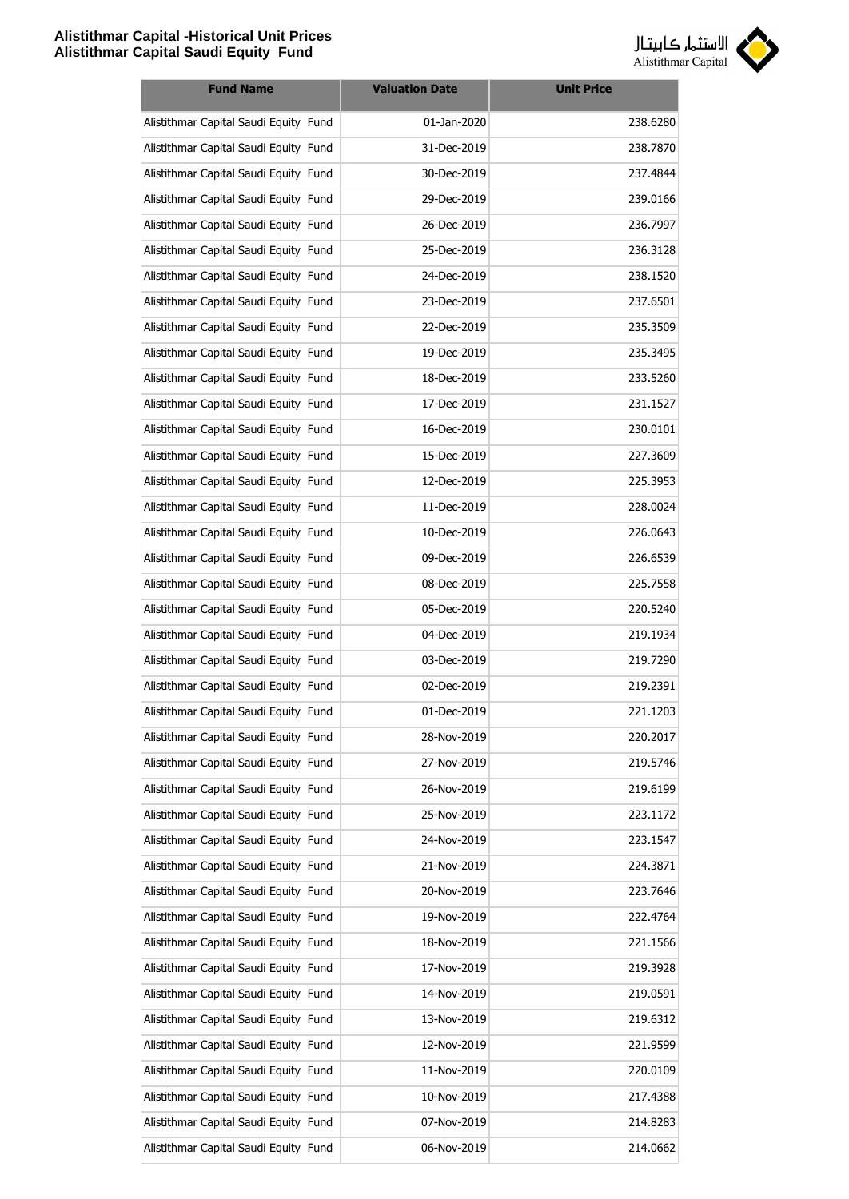

| <b>Fund Name</b>                      | <b>Valuation Date</b> | <b>Unit Price</b> |
|---------------------------------------|-----------------------|-------------------|
| Alistithmar Capital Saudi Equity Fund | 01-Jan-2020           | 238.6280          |
| Alistithmar Capital Saudi Equity Fund | 31-Dec-2019           | 238.7870          |
| Alistithmar Capital Saudi Equity Fund | 30-Dec-2019           | 237.4844          |
| Alistithmar Capital Saudi Equity Fund | 29-Dec-2019           | 239.0166          |
| Alistithmar Capital Saudi Equity Fund | 26-Dec-2019           | 236.7997          |
| Alistithmar Capital Saudi Equity Fund | 25-Dec-2019           | 236.3128          |
| Alistithmar Capital Saudi Equity Fund | 24-Dec-2019           | 238.1520          |
| Alistithmar Capital Saudi Equity Fund | 23-Dec-2019           | 237.6501          |
| Alistithmar Capital Saudi Equity Fund | 22-Dec-2019           | 235.3509          |
| Alistithmar Capital Saudi Equity Fund | 19-Dec-2019           | 235.3495          |
| Alistithmar Capital Saudi Equity Fund | 18-Dec-2019           | 233.5260          |
| Alistithmar Capital Saudi Equity Fund | 17-Dec-2019           | 231.1527          |
| Alistithmar Capital Saudi Equity Fund | 16-Dec-2019           | 230.0101          |
| Alistithmar Capital Saudi Equity Fund | 15-Dec-2019           | 227.3609          |
| Alistithmar Capital Saudi Equity Fund | 12-Dec-2019           | 225.3953          |
| Alistithmar Capital Saudi Equity Fund | 11-Dec-2019           | 228.0024          |
| Alistithmar Capital Saudi Equity Fund | 10-Dec-2019           | 226.0643          |
| Alistithmar Capital Saudi Equity Fund | 09-Dec-2019           | 226.6539          |
| Alistithmar Capital Saudi Equity Fund | 08-Dec-2019           | 225.7558          |
| Alistithmar Capital Saudi Equity Fund | 05-Dec-2019           | 220.5240          |
| Alistithmar Capital Saudi Equity Fund | 04-Dec-2019           | 219.1934          |
| Alistithmar Capital Saudi Equity Fund | 03-Dec-2019           | 219.7290          |
| Alistithmar Capital Saudi Equity Fund | 02-Dec-2019           | 219.2391          |
| Alistithmar Capital Saudi Equity Fund | 01-Dec-2019           | 221.1203          |
| Alistithmar Capital Saudi Equity Fund | 28-Nov-2019           | 220.2017          |
| Alistithmar Capital Saudi Equity Fund | 27-Nov-2019           | 219.5746          |
| Alistithmar Capital Saudi Equity Fund | 26-Nov-2019           | 219.6199          |
| Alistithmar Capital Saudi Equity Fund | 25-Nov-2019           | 223.1172          |
| Alistithmar Capital Saudi Equity Fund | 24-Nov-2019           | 223.1547          |
| Alistithmar Capital Saudi Equity Fund | 21-Nov-2019           | 224.3871          |
| Alistithmar Capital Saudi Equity Fund | 20-Nov-2019           | 223.7646          |
| Alistithmar Capital Saudi Equity Fund | 19-Nov-2019           | 222.4764          |
| Alistithmar Capital Saudi Equity Fund | 18-Nov-2019           | 221.1566          |
| Alistithmar Capital Saudi Equity Fund | 17-Nov-2019           | 219.3928          |
| Alistithmar Capital Saudi Equity Fund | 14-Nov-2019           | 219.0591          |
| Alistithmar Capital Saudi Equity Fund | 13-Nov-2019           | 219.6312          |
| Alistithmar Capital Saudi Equity Fund | 12-Nov-2019           | 221.9599          |
| Alistithmar Capital Saudi Equity Fund | 11-Nov-2019           | 220.0109          |
| Alistithmar Capital Saudi Equity Fund | 10-Nov-2019           | 217.4388          |
| Alistithmar Capital Saudi Equity Fund | 07-Nov-2019           | 214.8283          |
| Alistithmar Capital Saudi Equity Fund | 06-Nov-2019           | 214.0662          |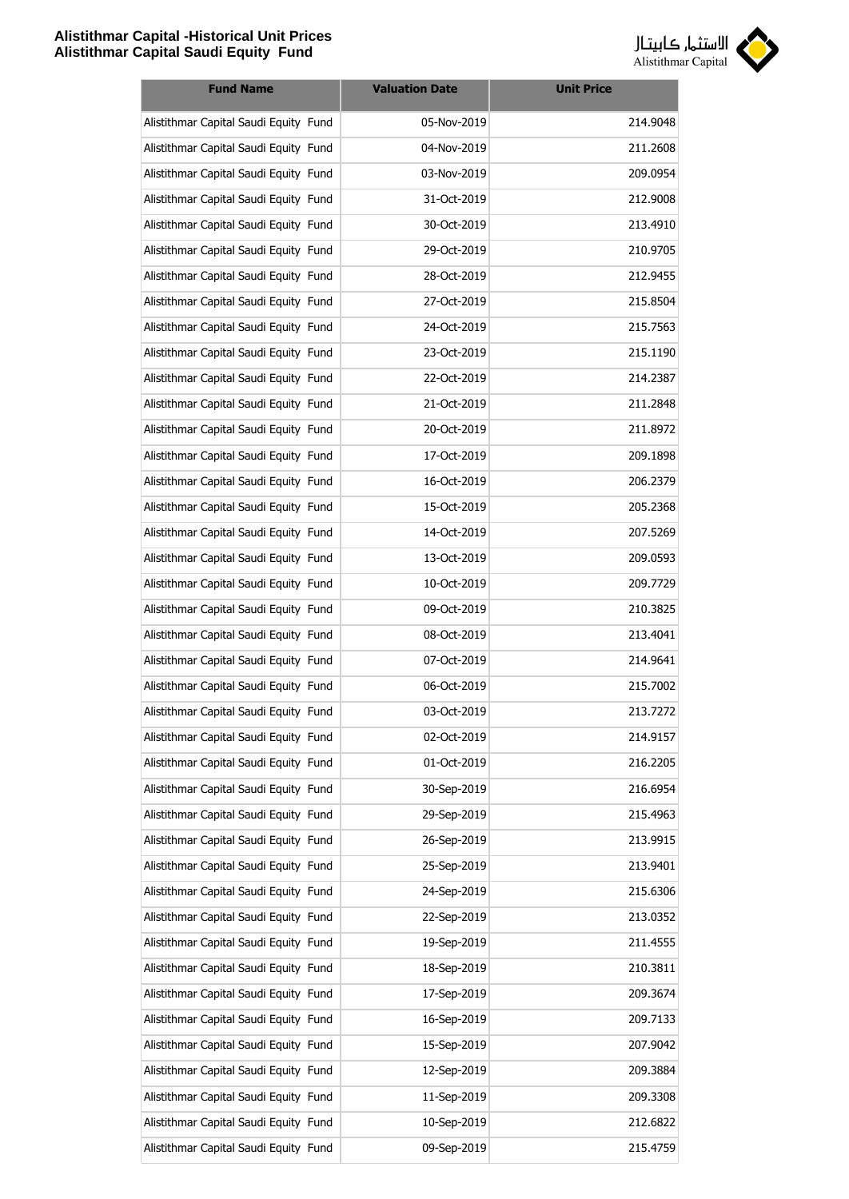

| <b>Fund Name</b>                      | <b>Valuation Date</b> | <b>Unit Price</b> |
|---------------------------------------|-----------------------|-------------------|
| Alistithmar Capital Saudi Equity Fund | 05-Nov-2019           | 214.9048          |
| Alistithmar Capital Saudi Equity Fund | 04-Nov-2019           | 211.2608          |
| Alistithmar Capital Saudi Equity Fund | 03-Nov-2019           | 209.0954          |
| Alistithmar Capital Saudi Equity Fund | 31-Oct-2019           | 212.9008          |
| Alistithmar Capital Saudi Equity Fund | 30-Oct-2019           | 213.4910          |
| Alistithmar Capital Saudi Equity Fund | 29-Oct-2019           | 210.9705          |
| Alistithmar Capital Saudi Equity Fund | 28-Oct-2019           | 212.9455          |
| Alistithmar Capital Saudi Equity Fund | 27-Oct-2019           | 215.8504          |
| Alistithmar Capital Saudi Equity Fund | 24-Oct-2019           | 215.7563          |
| Alistithmar Capital Saudi Equity Fund | 23-Oct-2019           | 215.1190          |
| Alistithmar Capital Saudi Equity Fund | 22-Oct-2019           | 214.2387          |
| Alistithmar Capital Saudi Equity Fund | 21-Oct-2019           | 211.2848          |
| Alistithmar Capital Saudi Equity Fund | 20-Oct-2019           | 211.8972          |
| Alistithmar Capital Saudi Equity Fund | 17-Oct-2019           | 209.1898          |
| Alistithmar Capital Saudi Equity Fund | 16-Oct-2019           | 206.2379          |
| Alistithmar Capital Saudi Equity Fund | 15-Oct-2019           | 205.2368          |
| Alistithmar Capital Saudi Equity Fund | 14-Oct-2019           | 207.5269          |
| Alistithmar Capital Saudi Equity Fund | 13-Oct-2019           | 209.0593          |
| Alistithmar Capital Saudi Equity Fund | 10-Oct-2019           | 209.7729          |
| Alistithmar Capital Saudi Equity Fund | 09-Oct-2019           | 210.3825          |
| Alistithmar Capital Saudi Equity Fund | 08-Oct-2019           | 213.4041          |
| Alistithmar Capital Saudi Equity Fund | 07-Oct-2019           | 214.9641          |
| Alistithmar Capital Saudi Equity Fund | 06-Oct-2019           | 215.7002          |
| Alistithmar Capital Saudi Equity Fund | 03-Oct-2019           | 213.7272          |
| Alistithmar Capital Saudi Equity Fund | 02-Oct-2019           | 214.9157          |
| Alistithmar Capital Saudi Equity Fund | 01-Oct-2019           | 216.2205          |
| Alistithmar Capital Saudi Equity Fund | 30-Sep-2019           | 216.6954          |
| Alistithmar Capital Saudi Equity Fund | 29-Sep-2019           | 215.4963          |
| Alistithmar Capital Saudi Equity Fund | 26-Sep-2019           | 213.9915          |
| Alistithmar Capital Saudi Equity Fund | 25-Sep-2019           | 213.9401          |
| Alistithmar Capital Saudi Equity Fund | 24-Sep-2019           | 215.6306          |
| Alistithmar Capital Saudi Equity Fund | 22-Sep-2019           | 213.0352          |
| Alistithmar Capital Saudi Equity Fund | 19-Sep-2019           | 211.4555          |
| Alistithmar Capital Saudi Equity Fund | 18-Sep-2019           | 210.3811          |
| Alistithmar Capital Saudi Equity Fund | 17-Sep-2019           | 209.3674          |
| Alistithmar Capital Saudi Equity Fund | 16-Sep-2019           | 209.7133          |
| Alistithmar Capital Saudi Equity Fund | 15-Sep-2019           | 207.9042          |
| Alistithmar Capital Saudi Equity Fund | 12-Sep-2019           | 209.3884          |
| Alistithmar Capital Saudi Equity Fund | 11-Sep-2019           | 209.3308          |
| Alistithmar Capital Saudi Equity Fund | 10-Sep-2019           | 212.6822          |
| Alistithmar Capital Saudi Equity Fund | 09-Sep-2019           | 215.4759          |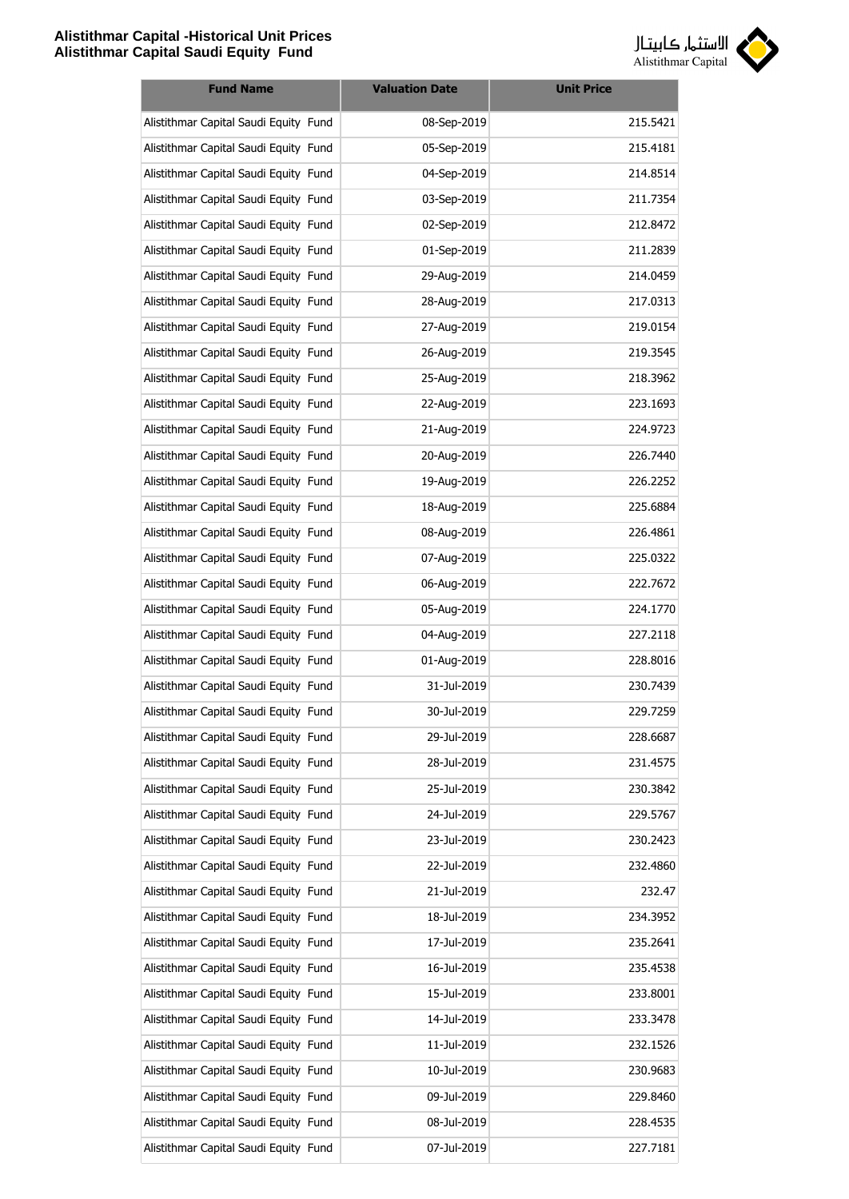

| <b>Fund Name</b>                      | <b>Valuation Date</b> | <b>Unit Price</b> |
|---------------------------------------|-----------------------|-------------------|
| Alistithmar Capital Saudi Equity Fund | 08-Sep-2019           | 215.5421          |
| Alistithmar Capital Saudi Equity Fund | 05-Sep-2019           | 215.4181          |
| Alistithmar Capital Saudi Equity Fund | 04-Sep-2019           | 214.8514          |
| Alistithmar Capital Saudi Equity Fund | 03-Sep-2019           | 211.7354          |
| Alistithmar Capital Saudi Equity Fund | 02-Sep-2019           | 212.8472          |
| Alistithmar Capital Saudi Equity Fund | 01-Sep-2019           | 211.2839          |
| Alistithmar Capital Saudi Equity Fund | 29-Aug-2019           | 214.0459          |
| Alistithmar Capital Saudi Equity Fund | 28-Aug-2019           | 217.0313          |
| Alistithmar Capital Saudi Equity Fund | 27-Aug-2019           | 219.0154          |
| Alistithmar Capital Saudi Equity Fund | 26-Aug-2019           | 219.3545          |
| Alistithmar Capital Saudi Equity Fund | 25-Aug-2019           | 218.3962          |
| Alistithmar Capital Saudi Equity Fund | 22-Aug-2019           | 223.1693          |
| Alistithmar Capital Saudi Equity Fund | 21-Aug-2019           | 224.9723          |
| Alistithmar Capital Saudi Equity Fund | 20-Aug-2019           | 226.7440          |
| Alistithmar Capital Saudi Equity Fund | 19-Aug-2019           | 226.2252          |
| Alistithmar Capital Saudi Equity Fund | 18-Aug-2019           | 225.6884          |
| Alistithmar Capital Saudi Equity Fund | 08-Aug-2019           | 226.4861          |
| Alistithmar Capital Saudi Equity Fund | 07-Aug-2019           | 225.0322          |
| Alistithmar Capital Saudi Equity Fund | 06-Aug-2019           | 222.7672          |
| Alistithmar Capital Saudi Equity Fund | 05-Aug-2019           | 224.1770          |
| Alistithmar Capital Saudi Equity Fund | 04-Aug-2019           | 227.2118          |
| Alistithmar Capital Saudi Equity Fund | 01-Aug-2019           | 228.8016          |
| Alistithmar Capital Saudi Equity Fund | 31-Jul-2019           | 230.7439          |
| Alistithmar Capital Saudi Equity Fund | 30-Jul-2019           | 229.7259          |
| Alistithmar Capital Saudi Equity Fund | 29-Jul-2019           | 228.6687          |
| Alistithmar Capital Saudi Equity Fund | 28-Jul-2019           | 231.4575          |
| Alistithmar Capital Saudi Equity Fund | 25-Jul-2019           | 230.3842          |
| Alistithmar Capital Saudi Equity Fund | 24-Jul-2019           | 229.5767          |
| Alistithmar Capital Saudi Equity Fund | 23-Jul-2019           | 230.2423          |
| Alistithmar Capital Saudi Equity Fund | 22-Jul-2019           | 232.4860          |
| Alistithmar Capital Saudi Equity Fund | 21-Jul-2019           | 232.47            |
| Alistithmar Capital Saudi Equity Fund | 18-Jul-2019           | 234.3952          |
| Alistithmar Capital Saudi Equity Fund | 17-Jul-2019           | 235.2641          |
| Alistithmar Capital Saudi Equity Fund | 16-Jul-2019           | 235.4538          |
| Alistithmar Capital Saudi Equity Fund | 15-Jul-2019           | 233.8001          |
| Alistithmar Capital Saudi Equity Fund | 14-Jul-2019           | 233.3478          |
| Alistithmar Capital Saudi Equity Fund | 11-Jul-2019           | 232.1526          |
| Alistithmar Capital Saudi Equity Fund | 10-Jul-2019           | 230.9683          |
| Alistithmar Capital Saudi Equity Fund | 09-Jul-2019           | 229.8460          |
| Alistithmar Capital Saudi Equity Fund | 08-Jul-2019           | 228.4535          |
| Alistithmar Capital Saudi Equity Fund | 07-Jul-2019           | 227.7181          |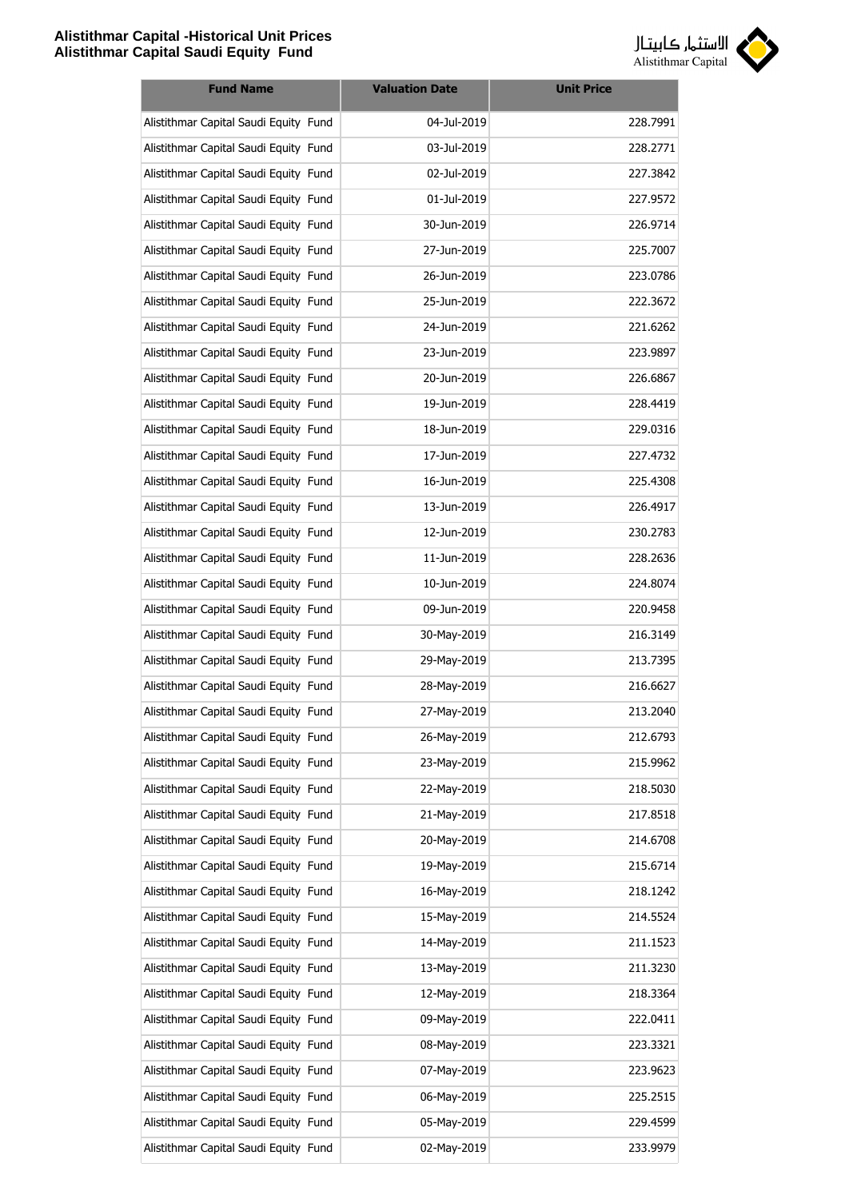

| <b>Fund Name</b>                      | <b>Valuation Date</b> | <b>Unit Price</b> |
|---------------------------------------|-----------------------|-------------------|
| Alistithmar Capital Saudi Equity Fund | 04-Jul-2019           | 228.7991          |
| Alistithmar Capital Saudi Equity Fund | 03-Jul-2019           | 228.2771          |
| Alistithmar Capital Saudi Equity Fund | 02-Jul-2019           | 227.3842          |
| Alistithmar Capital Saudi Equity Fund | 01-Jul-2019           | 227.9572          |
| Alistithmar Capital Saudi Equity Fund | 30-Jun-2019           | 226.9714          |
| Alistithmar Capital Saudi Equity Fund | 27-Jun-2019           | 225.7007          |
| Alistithmar Capital Saudi Equity Fund | 26-Jun-2019           | 223.0786          |
| Alistithmar Capital Saudi Equity Fund | 25-Jun-2019           | 222.3672          |
| Alistithmar Capital Saudi Equity Fund | 24-Jun-2019           | 221.6262          |
| Alistithmar Capital Saudi Equity Fund | 23-Jun-2019           | 223.9897          |
| Alistithmar Capital Saudi Equity Fund | 20-Jun-2019           | 226.6867          |
| Alistithmar Capital Saudi Equity Fund | 19-Jun-2019           | 228.4419          |
| Alistithmar Capital Saudi Equity Fund | 18-Jun-2019           | 229.0316          |
| Alistithmar Capital Saudi Equity Fund | 17-Jun-2019           | 227.4732          |
| Alistithmar Capital Saudi Equity Fund | 16-Jun-2019           | 225.4308          |
| Alistithmar Capital Saudi Equity Fund | 13-Jun-2019           | 226.4917          |
| Alistithmar Capital Saudi Equity Fund | 12-Jun-2019           | 230.2783          |
| Alistithmar Capital Saudi Equity Fund | 11-Jun-2019           | 228.2636          |
| Alistithmar Capital Saudi Equity Fund | 10-Jun-2019           | 224.8074          |
| Alistithmar Capital Saudi Equity Fund | 09-Jun-2019           | 220.9458          |
| Alistithmar Capital Saudi Equity Fund | 30-May-2019           | 216.3149          |
| Alistithmar Capital Saudi Equity Fund | 29-May-2019           | 213.7395          |
| Alistithmar Capital Saudi Equity Fund | 28-May-2019           | 216.6627          |
| Alistithmar Capital Saudi Equity Fund | 27-May-2019           | 213.2040          |
| Alistithmar Capital Saudi Equity Fund | 26-May-2019           | 212.6793          |
| Alistithmar Capital Saudi Equity Fund | 23-May-2019           | 215.9962          |
| Alistithmar Capital Saudi Equity Fund | 22-May-2019           | 218.5030          |
| Alistithmar Capital Saudi Equity Fund | 21-May-2019           | 217.8518          |
| Alistithmar Capital Saudi Equity Fund | 20-May-2019           | 214.6708          |
| Alistithmar Capital Saudi Equity Fund | 19-May-2019           | 215.6714          |
| Alistithmar Capital Saudi Equity Fund | 16-May-2019           | 218.1242          |
| Alistithmar Capital Saudi Equity Fund | 15-May-2019           | 214.5524          |
| Alistithmar Capital Saudi Equity Fund | 14-May-2019           | 211.1523          |
| Alistithmar Capital Saudi Equity Fund | 13-May-2019           | 211.3230          |
| Alistithmar Capital Saudi Equity Fund | 12-May-2019           | 218.3364          |
| Alistithmar Capital Saudi Equity Fund | 09-May-2019           | 222.0411          |
| Alistithmar Capital Saudi Equity Fund | 08-May-2019           | 223.3321          |
| Alistithmar Capital Saudi Equity Fund | 07-May-2019           | 223.9623          |
| Alistithmar Capital Saudi Equity Fund | 06-May-2019           | 225.2515          |
| Alistithmar Capital Saudi Equity Fund | 05-May-2019           | 229.4599          |
| Alistithmar Capital Saudi Equity Fund | 02-May-2019           | 233.9979          |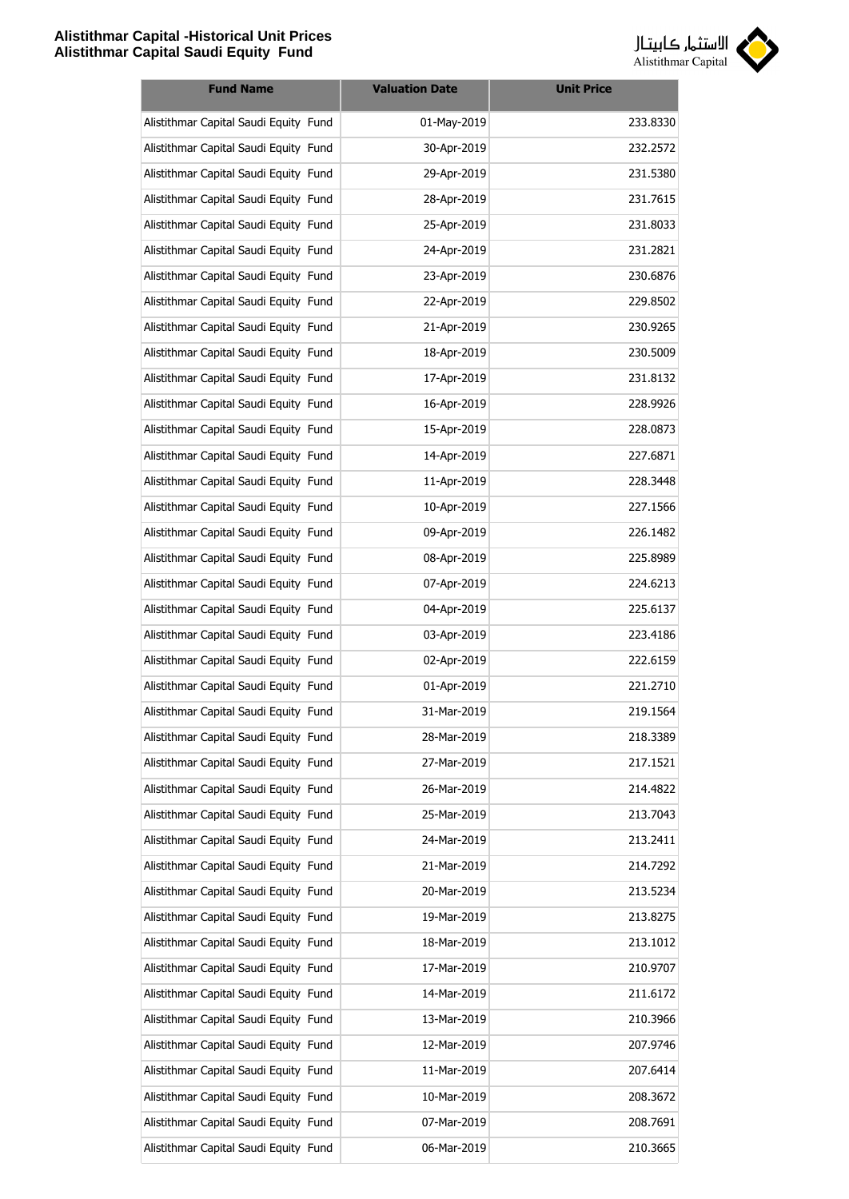

| <b>Fund Name</b>                      | <b>Valuation Date</b> | <b>Unit Price</b> |
|---------------------------------------|-----------------------|-------------------|
| Alistithmar Capital Saudi Equity Fund | 01-May-2019           | 233.8330          |
| Alistithmar Capital Saudi Equity Fund | 30-Apr-2019           | 232.2572          |
| Alistithmar Capital Saudi Equity Fund | 29-Apr-2019           | 231.5380          |
| Alistithmar Capital Saudi Equity Fund | 28-Apr-2019           | 231.7615          |
| Alistithmar Capital Saudi Equity Fund | 25-Apr-2019           | 231.8033          |
| Alistithmar Capital Saudi Equity Fund | 24-Apr-2019           | 231.2821          |
| Alistithmar Capital Saudi Equity Fund | 23-Apr-2019           | 230.6876          |
| Alistithmar Capital Saudi Equity Fund | 22-Apr-2019           | 229.8502          |
| Alistithmar Capital Saudi Equity Fund | 21-Apr-2019           | 230.9265          |
| Alistithmar Capital Saudi Equity Fund | 18-Apr-2019           | 230.5009          |
| Alistithmar Capital Saudi Equity Fund | 17-Apr-2019           | 231.8132          |
| Alistithmar Capital Saudi Equity Fund | 16-Apr-2019           | 228.9926          |
| Alistithmar Capital Saudi Equity Fund | 15-Apr-2019           | 228.0873          |
| Alistithmar Capital Saudi Equity Fund | 14-Apr-2019           | 227.6871          |
| Alistithmar Capital Saudi Equity Fund | 11-Apr-2019           | 228.3448          |
| Alistithmar Capital Saudi Equity Fund | 10-Apr-2019           | 227.1566          |
| Alistithmar Capital Saudi Equity Fund | 09-Apr-2019           | 226.1482          |
| Alistithmar Capital Saudi Equity Fund | 08-Apr-2019           | 225.8989          |
| Alistithmar Capital Saudi Equity Fund | 07-Apr-2019           | 224.6213          |
| Alistithmar Capital Saudi Equity Fund | 04-Apr-2019           | 225.6137          |
| Alistithmar Capital Saudi Equity Fund | 03-Apr-2019           | 223.4186          |
| Alistithmar Capital Saudi Equity Fund | 02-Apr-2019           | 222.6159          |
| Alistithmar Capital Saudi Equity Fund | 01-Apr-2019           | 221.2710          |
| Alistithmar Capital Saudi Equity Fund | 31-Mar-2019           | 219.1564          |
| Alistithmar Capital Saudi Equity Fund | 28-Mar-2019           | 218.3389          |
| Alistithmar Capital Saudi Equity Fund | 27-Mar-2019           | 217.1521          |
| Alistithmar Capital Saudi Equity Fund | 26-Mar-2019           | 214.4822          |
| Alistithmar Capital Saudi Equity Fund | 25-Mar-2019           | 213.7043          |
| Alistithmar Capital Saudi Equity Fund | 24-Mar-2019           | 213.2411          |
| Alistithmar Capital Saudi Equity Fund | 21-Mar-2019           | 214.7292          |
| Alistithmar Capital Saudi Equity Fund | 20-Mar-2019           | 213.5234          |
| Alistithmar Capital Saudi Equity Fund | 19-Mar-2019           | 213.8275          |
| Alistithmar Capital Saudi Equity Fund | 18-Mar-2019           | 213.1012          |
| Alistithmar Capital Saudi Equity Fund | 17-Mar-2019           | 210.9707          |
| Alistithmar Capital Saudi Equity Fund | 14-Mar-2019           | 211.6172          |
| Alistithmar Capital Saudi Equity Fund | 13-Mar-2019           | 210.3966          |
| Alistithmar Capital Saudi Equity Fund | 12-Mar-2019           | 207.9746          |
| Alistithmar Capital Saudi Equity Fund | 11-Mar-2019           | 207.6414          |
| Alistithmar Capital Saudi Equity Fund | 10-Mar-2019           | 208.3672          |
| Alistithmar Capital Saudi Equity Fund | 07-Mar-2019           | 208.7691          |
| Alistithmar Capital Saudi Equity Fund | 06-Mar-2019           | 210.3665          |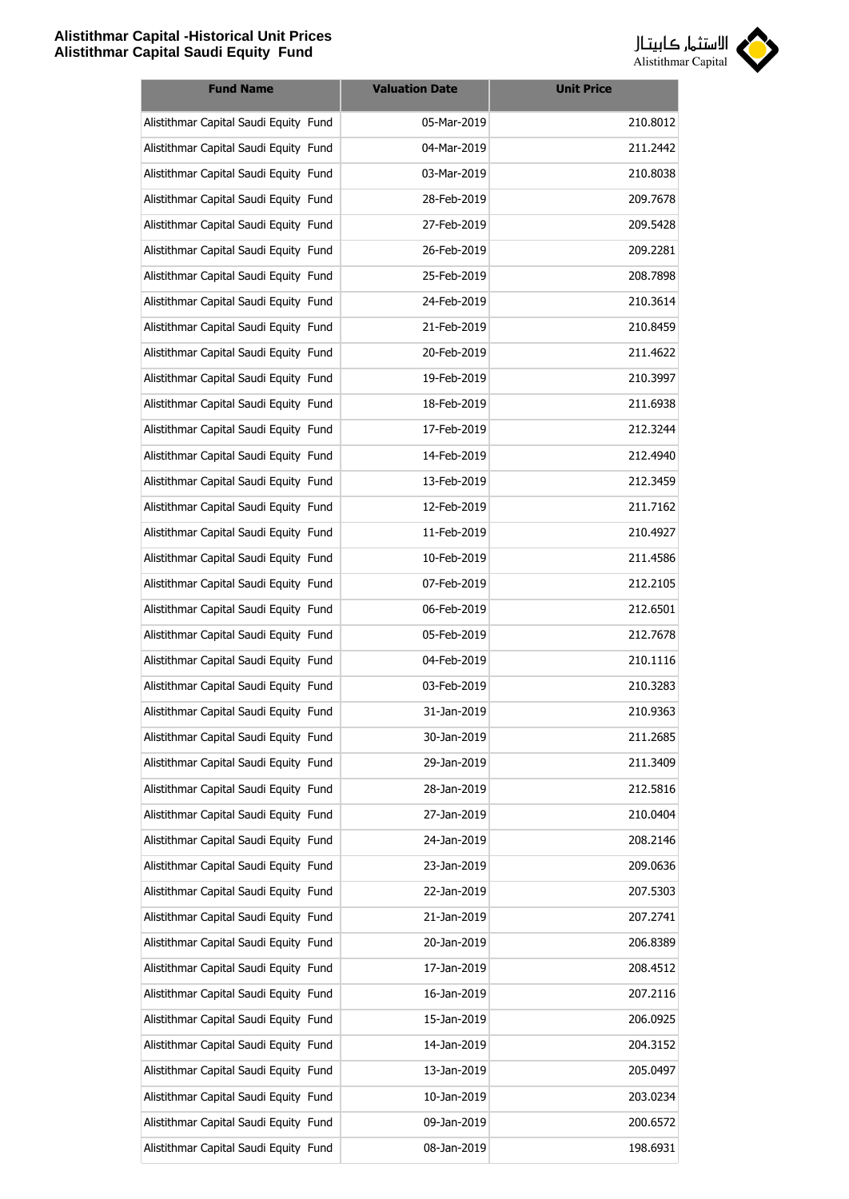

| <b>Fund Name</b>                      | <b>Valuation Date</b> | <b>Unit Price</b> |
|---------------------------------------|-----------------------|-------------------|
| Alistithmar Capital Saudi Equity Fund | 05-Mar-2019           | 210.8012          |
| Alistithmar Capital Saudi Equity Fund | 04-Mar-2019           | 211.2442          |
| Alistithmar Capital Saudi Equity Fund | 03-Mar-2019           | 210.8038          |
| Alistithmar Capital Saudi Equity Fund | 28-Feb-2019           | 209.7678          |
| Alistithmar Capital Saudi Equity Fund | 27-Feb-2019           | 209.5428          |
| Alistithmar Capital Saudi Equity Fund | 26-Feb-2019           | 209.2281          |
| Alistithmar Capital Saudi Equity Fund | 25-Feb-2019           | 208.7898          |
| Alistithmar Capital Saudi Equity Fund | 24-Feb-2019           | 210.3614          |
| Alistithmar Capital Saudi Equity Fund | 21-Feb-2019           | 210.8459          |
| Alistithmar Capital Saudi Equity Fund | 20-Feb-2019           | 211.4622          |
| Alistithmar Capital Saudi Equity Fund | 19-Feb-2019           | 210.3997          |
| Alistithmar Capital Saudi Equity Fund | 18-Feb-2019           | 211.6938          |
| Alistithmar Capital Saudi Equity Fund | 17-Feb-2019           | 212.3244          |
| Alistithmar Capital Saudi Equity Fund | 14-Feb-2019           | 212.4940          |
| Alistithmar Capital Saudi Equity Fund | 13-Feb-2019           | 212.3459          |
| Alistithmar Capital Saudi Equity Fund | 12-Feb-2019           | 211.7162          |
| Alistithmar Capital Saudi Equity Fund | 11-Feb-2019           | 210.4927          |
| Alistithmar Capital Saudi Equity Fund | 10-Feb-2019           | 211.4586          |
| Alistithmar Capital Saudi Equity Fund | 07-Feb-2019           | 212.2105          |
| Alistithmar Capital Saudi Equity Fund | 06-Feb-2019           | 212.6501          |
| Alistithmar Capital Saudi Equity Fund | 05-Feb-2019           | 212.7678          |
| Alistithmar Capital Saudi Equity Fund | 04-Feb-2019           | 210.1116          |
| Alistithmar Capital Saudi Equity Fund | 03-Feb-2019           | 210.3283          |
| Alistithmar Capital Saudi Equity Fund | 31-Jan-2019           | 210.9363          |
| Alistithmar Capital Saudi Equity Fund | 30-Jan-2019           | 211.2685          |
| Alistithmar Capital Saudi Equity Fund | 29-Jan-2019           | 211.3409          |
| Alistithmar Capital Saudi Equity Fund | 28-Jan-2019           | 212.5816          |
| Alistithmar Capital Saudi Equity Fund | 27-Jan-2019           | 210.0404          |
| Alistithmar Capital Saudi Equity Fund | 24-Jan-2019           | 208.2146          |
| Alistithmar Capital Saudi Equity Fund | 23-Jan-2019           | 209.0636          |
| Alistithmar Capital Saudi Equity Fund | 22-Jan-2019           | 207.5303          |
| Alistithmar Capital Saudi Equity Fund | 21-Jan-2019           | 207.2741          |
| Alistithmar Capital Saudi Equity Fund | 20-Jan-2019           | 206.8389          |
| Alistithmar Capital Saudi Equity Fund | 17-Jan-2019           | 208.4512          |
| Alistithmar Capital Saudi Equity Fund | 16-Jan-2019           | 207.2116          |
| Alistithmar Capital Saudi Equity Fund | 15-Jan-2019           | 206.0925          |
| Alistithmar Capital Saudi Equity Fund | 14-Jan-2019           | 204.3152          |
| Alistithmar Capital Saudi Equity Fund | 13-Jan-2019           | 205.0497          |
| Alistithmar Capital Saudi Equity Fund | 10-Jan-2019           | 203.0234          |
| Alistithmar Capital Saudi Equity Fund | 09-Jan-2019           | 200.6572          |
| Alistithmar Capital Saudi Equity Fund | 08-Jan-2019           | 198.6931          |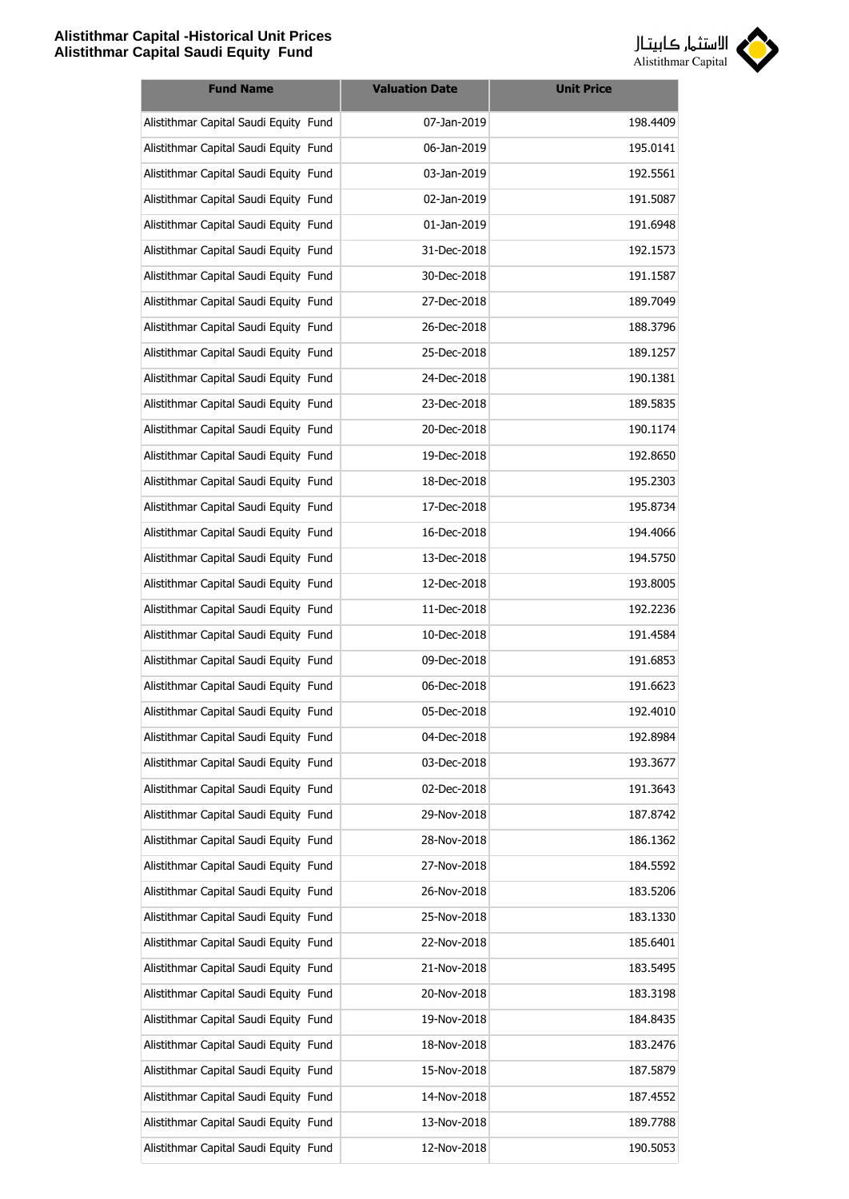

| <b>Fund Name</b>                      | <b>Valuation Date</b> | <b>Unit Price</b> |
|---------------------------------------|-----------------------|-------------------|
| Alistithmar Capital Saudi Equity Fund | 07-Jan-2019           | 198.4409          |
| Alistithmar Capital Saudi Equity Fund | 06-Jan-2019           | 195.0141          |
| Alistithmar Capital Saudi Equity Fund | 03-Jan-2019           | 192.5561          |
| Alistithmar Capital Saudi Equity Fund | 02-Jan-2019           | 191.5087          |
| Alistithmar Capital Saudi Equity Fund | 01-Jan-2019           | 191.6948          |
| Alistithmar Capital Saudi Equity Fund | 31-Dec-2018           | 192.1573          |
| Alistithmar Capital Saudi Equity Fund | 30-Dec-2018           | 191.1587          |
| Alistithmar Capital Saudi Equity Fund | 27-Dec-2018           | 189.7049          |
| Alistithmar Capital Saudi Equity Fund | 26-Dec-2018           | 188.3796          |
| Alistithmar Capital Saudi Equity Fund | 25-Dec-2018           | 189.1257          |
| Alistithmar Capital Saudi Equity Fund | 24-Dec-2018           | 190.1381          |
| Alistithmar Capital Saudi Equity Fund | 23-Dec-2018           | 189.5835          |
| Alistithmar Capital Saudi Equity Fund | 20-Dec-2018           | 190.1174          |
| Alistithmar Capital Saudi Equity Fund | 19-Dec-2018           | 192.8650          |
| Alistithmar Capital Saudi Equity Fund | 18-Dec-2018           | 195.2303          |
| Alistithmar Capital Saudi Equity Fund | 17-Dec-2018           | 195.8734          |
| Alistithmar Capital Saudi Equity Fund | 16-Dec-2018           | 194.4066          |
| Alistithmar Capital Saudi Equity Fund | 13-Dec-2018           | 194.5750          |
| Alistithmar Capital Saudi Equity Fund | 12-Dec-2018           | 193.8005          |
| Alistithmar Capital Saudi Equity Fund | 11-Dec-2018           | 192.2236          |
| Alistithmar Capital Saudi Equity Fund | 10-Dec-2018           | 191.4584          |
| Alistithmar Capital Saudi Equity Fund | 09-Dec-2018           | 191.6853          |
| Alistithmar Capital Saudi Equity Fund | 06-Dec-2018           | 191.6623          |
| Alistithmar Capital Saudi Equity Fund | 05-Dec-2018           | 192.4010          |
| Alistithmar Capital Saudi Equity Fund | 04-Dec-2018           | 192.8984          |
| Alistithmar Capital Saudi Equity Fund | 03-Dec-2018           | 193.3677          |
| Alistithmar Capital Saudi Equity Fund | 02-Dec-2018           | 191.3643          |
| Alistithmar Capital Saudi Equity Fund | 29-Nov-2018           | 187.8742          |
| Alistithmar Capital Saudi Equity Fund | 28-Nov-2018           | 186.1362          |
| Alistithmar Capital Saudi Equity Fund | 27-Nov-2018           | 184.5592          |
| Alistithmar Capital Saudi Equity Fund | 26-Nov-2018           | 183.5206          |
| Alistithmar Capital Saudi Equity Fund | 25-Nov-2018           | 183.1330          |
| Alistithmar Capital Saudi Equity Fund | 22-Nov-2018           | 185.6401          |
| Alistithmar Capital Saudi Equity Fund | 21-Nov-2018           | 183.5495          |
| Alistithmar Capital Saudi Equity Fund | 20-Nov-2018           | 183.3198          |
| Alistithmar Capital Saudi Equity Fund | 19-Nov-2018           | 184.8435          |
| Alistithmar Capital Saudi Equity Fund | 18-Nov-2018           | 183.2476          |
| Alistithmar Capital Saudi Equity Fund | 15-Nov-2018           | 187.5879          |
| Alistithmar Capital Saudi Equity Fund | 14-Nov-2018           | 187.4552          |
| Alistithmar Capital Saudi Equity Fund | 13-Nov-2018           | 189.7788          |
| Alistithmar Capital Saudi Equity Fund | 12-Nov-2018           | 190.5053          |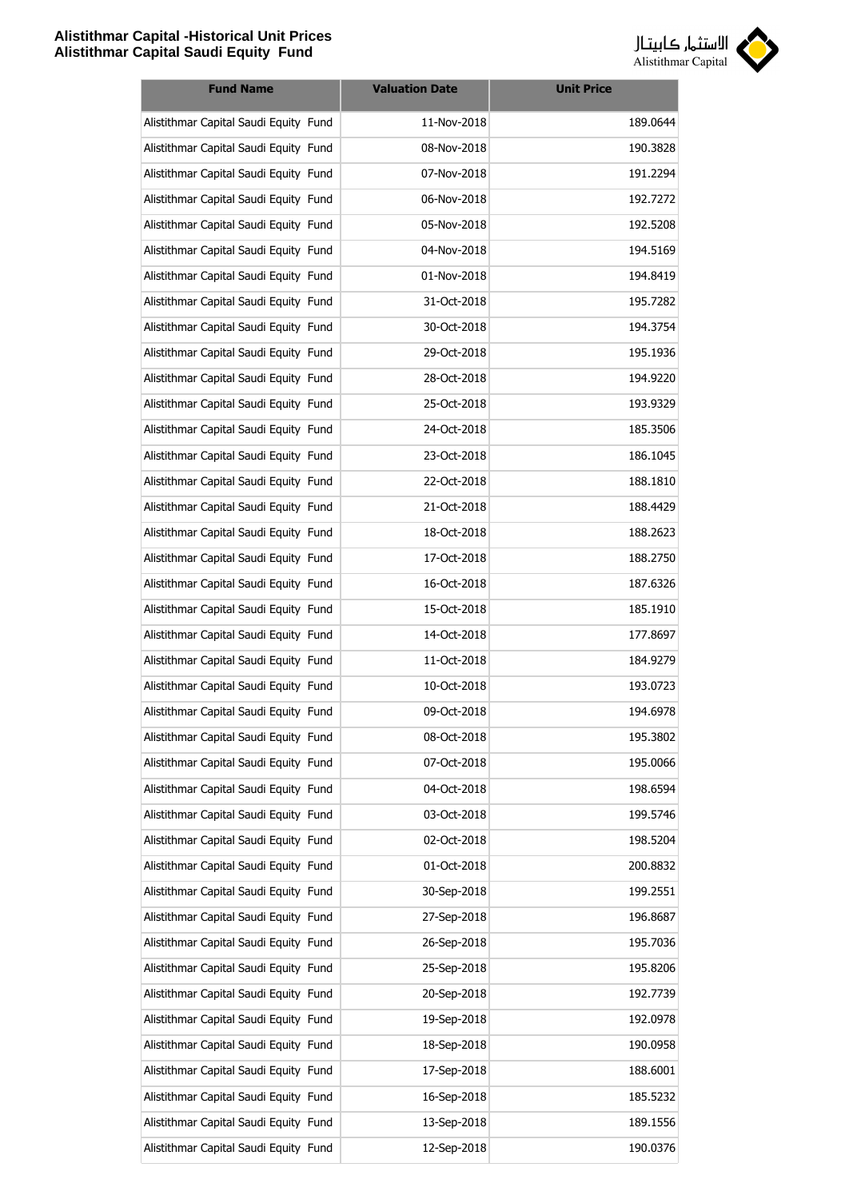

| <b>Fund Name</b>                      | <b>Valuation Date</b> | <b>Unit Price</b> |
|---------------------------------------|-----------------------|-------------------|
| Alistithmar Capital Saudi Equity Fund | 11-Nov-2018           | 189.0644          |
| Alistithmar Capital Saudi Equity Fund | 08-Nov-2018           | 190.3828          |
| Alistithmar Capital Saudi Equity Fund | 07-Nov-2018           | 191.2294          |
| Alistithmar Capital Saudi Equity Fund | 06-Nov-2018           | 192.7272          |
| Alistithmar Capital Saudi Equity Fund | 05-Nov-2018           | 192.5208          |
| Alistithmar Capital Saudi Equity Fund | 04-Nov-2018           | 194.5169          |
| Alistithmar Capital Saudi Equity Fund | 01-Nov-2018           | 194.8419          |
| Alistithmar Capital Saudi Equity Fund | 31-Oct-2018           | 195.7282          |
| Alistithmar Capital Saudi Equity Fund | 30-Oct-2018           | 194.3754          |
| Alistithmar Capital Saudi Equity Fund | 29-Oct-2018           | 195.1936          |
| Alistithmar Capital Saudi Equity Fund | 28-Oct-2018           | 194.9220          |
| Alistithmar Capital Saudi Equity Fund | 25-Oct-2018           | 193.9329          |
| Alistithmar Capital Saudi Equity Fund | 24-Oct-2018           | 185.3506          |
| Alistithmar Capital Saudi Equity Fund | 23-Oct-2018           | 186.1045          |
| Alistithmar Capital Saudi Equity Fund | 22-Oct-2018           | 188.1810          |
| Alistithmar Capital Saudi Equity Fund | 21-Oct-2018           | 188.4429          |
| Alistithmar Capital Saudi Equity Fund | 18-Oct-2018           | 188.2623          |
| Alistithmar Capital Saudi Equity Fund | 17-Oct-2018           | 188.2750          |
| Alistithmar Capital Saudi Equity Fund | 16-Oct-2018           | 187.6326          |
| Alistithmar Capital Saudi Equity Fund | 15-Oct-2018           | 185.1910          |
| Alistithmar Capital Saudi Equity Fund | 14-Oct-2018           | 177.8697          |
| Alistithmar Capital Saudi Equity Fund | 11-Oct-2018           | 184.9279          |
| Alistithmar Capital Saudi Equity Fund | 10-Oct-2018           | 193.0723          |
| Alistithmar Capital Saudi Equity Fund | 09-Oct-2018           | 194.6978          |
| Alistithmar Capital Saudi Equity Fund | 08-Oct-2018           | 195.3802          |
| Alistithmar Capital Saudi Equity Fund | 07-Oct-2018           | 195.0066          |
| Alistithmar Capital Saudi Equity Fund | 04-Oct-2018           | 198.6594          |
| Alistithmar Capital Saudi Equity Fund | 03-Oct-2018           | 199.5746          |
| Alistithmar Capital Saudi Equity Fund | 02-Oct-2018           | 198.5204          |
| Alistithmar Capital Saudi Equity Fund | 01-Oct-2018           | 200.8832          |
| Alistithmar Capital Saudi Equity Fund | 30-Sep-2018           | 199.2551          |
| Alistithmar Capital Saudi Equity Fund | 27-Sep-2018           | 196.8687          |
| Alistithmar Capital Saudi Equity Fund | 26-Sep-2018           | 195.7036          |
| Alistithmar Capital Saudi Equity Fund | 25-Sep-2018           | 195.8206          |
| Alistithmar Capital Saudi Equity Fund | 20-Sep-2018           | 192.7739          |
| Alistithmar Capital Saudi Equity Fund | 19-Sep-2018           | 192.0978          |
| Alistithmar Capital Saudi Equity Fund | 18-Sep-2018           | 190.0958          |
| Alistithmar Capital Saudi Equity Fund | 17-Sep-2018           | 188.6001          |
| Alistithmar Capital Saudi Equity Fund | 16-Sep-2018           | 185.5232          |
| Alistithmar Capital Saudi Equity Fund | 13-Sep-2018           | 189.1556          |
| Alistithmar Capital Saudi Equity Fund | 12-Sep-2018           | 190.0376          |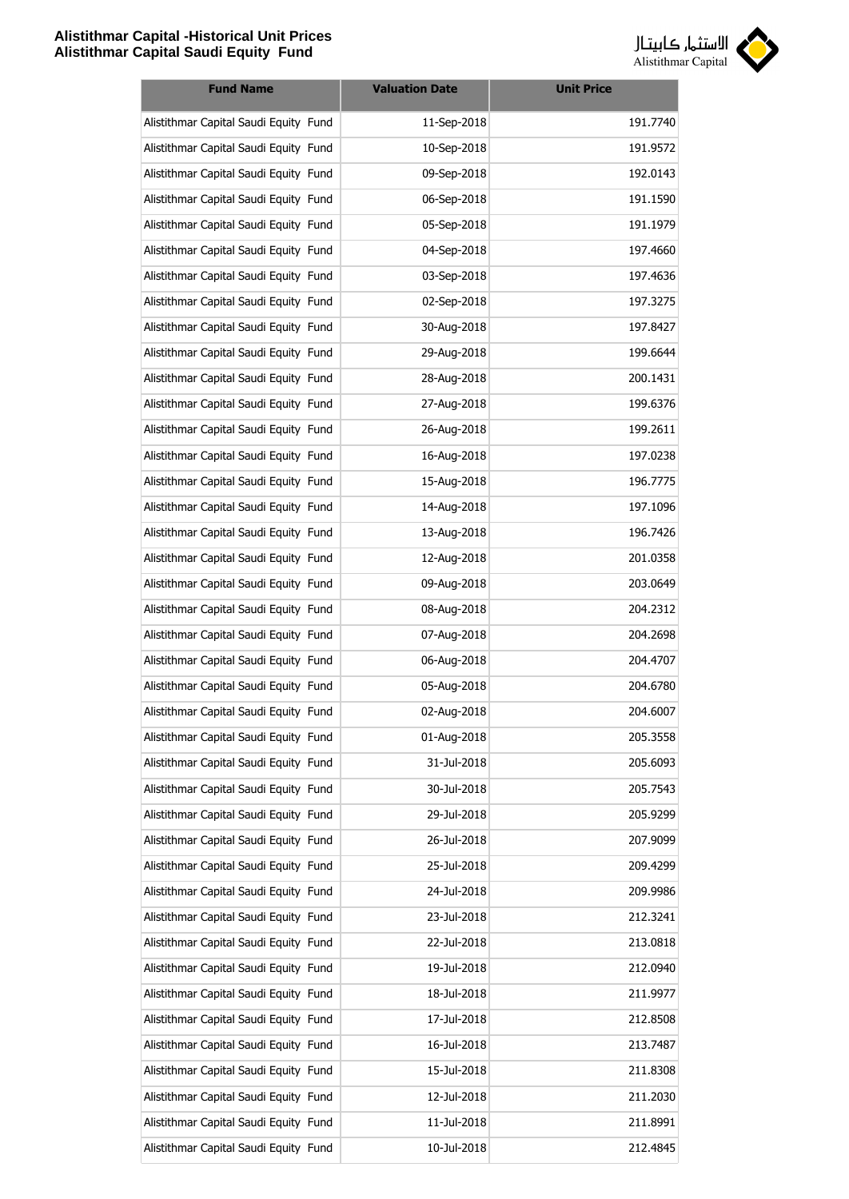

| <b>Fund Name</b>                      | <b>Valuation Date</b> | <b>Unit Price</b> |
|---------------------------------------|-----------------------|-------------------|
| Alistithmar Capital Saudi Equity Fund | 11-Sep-2018           | 191.7740          |
| Alistithmar Capital Saudi Equity Fund | 10-Sep-2018           | 191.9572          |
| Alistithmar Capital Saudi Equity Fund | 09-Sep-2018           | 192.0143          |
| Alistithmar Capital Saudi Equity Fund | 06-Sep-2018           | 191.1590          |
| Alistithmar Capital Saudi Equity Fund | 05-Sep-2018           | 191.1979          |
| Alistithmar Capital Saudi Equity Fund | 04-Sep-2018           | 197.4660          |
| Alistithmar Capital Saudi Equity Fund | 03-Sep-2018           | 197.4636          |
| Alistithmar Capital Saudi Equity Fund | 02-Sep-2018           | 197.3275          |
| Alistithmar Capital Saudi Equity Fund | 30-Aug-2018           | 197.8427          |
| Alistithmar Capital Saudi Equity Fund | 29-Aug-2018           | 199.6644          |
| Alistithmar Capital Saudi Equity Fund | 28-Aug-2018           | 200.1431          |
| Alistithmar Capital Saudi Equity Fund | 27-Aug-2018           | 199.6376          |
| Alistithmar Capital Saudi Equity Fund | 26-Aug-2018           | 199.2611          |
| Alistithmar Capital Saudi Equity Fund | 16-Aug-2018           | 197.0238          |
| Alistithmar Capital Saudi Equity Fund | 15-Aug-2018           | 196.7775          |
| Alistithmar Capital Saudi Equity Fund | 14-Aug-2018           | 197.1096          |
| Alistithmar Capital Saudi Equity Fund | 13-Aug-2018           | 196.7426          |
| Alistithmar Capital Saudi Equity Fund | 12-Aug-2018           | 201.0358          |
| Alistithmar Capital Saudi Equity Fund | 09-Aug-2018           | 203.0649          |
| Alistithmar Capital Saudi Equity Fund | 08-Aug-2018           | 204.2312          |
| Alistithmar Capital Saudi Equity Fund | 07-Aug-2018           | 204.2698          |
| Alistithmar Capital Saudi Equity Fund | 06-Aug-2018           | 204.4707          |
| Alistithmar Capital Saudi Equity Fund | 05-Aug-2018           | 204.6780          |
| Alistithmar Capital Saudi Equity Fund | 02-Aug-2018           | 204.6007          |
| Alistithmar Capital Saudi Equity Fund | 01-Aug-2018           | 205.3558          |
| Alistithmar Capital Saudi Equity Fund | 31-Jul-2018           | 205.6093          |
| Alistithmar Capital Saudi Equity Fund | 30-Jul-2018           | 205.7543          |
| Alistithmar Capital Saudi Equity Fund | 29-Jul-2018           | 205.9299          |
| Alistithmar Capital Saudi Equity Fund | 26-Jul-2018           | 207.9099          |
| Alistithmar Capital Saudi Equity Fund | 25-Jul-2018           | 209.4299          |
| Alistithmar Capital Saudi Equity Fund | 24-Jul-2018           | 209.9986          |
| Alistithmar Capital Saudi Equity Fund | 23-Jul-2018           | 212.3241          |
| Alistithmar Capital Saudi Equity Fund | 22-Jul-2018           | 213.0818          |
| Alistithmar Capital Saudi Equity Fund | 19-Jul-2018           | 212.0940          |
| Alistithmar Capital Saudi Equity Fund | 18-Jul-2018           | 211.9977          |
| Alistithmar Capital Saudi Equity Fund | 17-Jul-2018           | 212.8508          |
| Alistithmar Capital Saudi Equity Fund | 16-Jul-2018           | 213.7487          |
| Alistithmar Capital Saudi Equity Fund | 15-Jul-2018           | 211.8308          |
| Alistithmar Capital Saudi Equity Fund | 12-Jul-2018           | 211.2030          |
| Alistithmar Capital Saudi Equity Fund | 11-Jul-2018           | 211.8991          |
| Alistithmar Capital Saudi Equity Fund | 10-Jul-2018           | 212.4845          |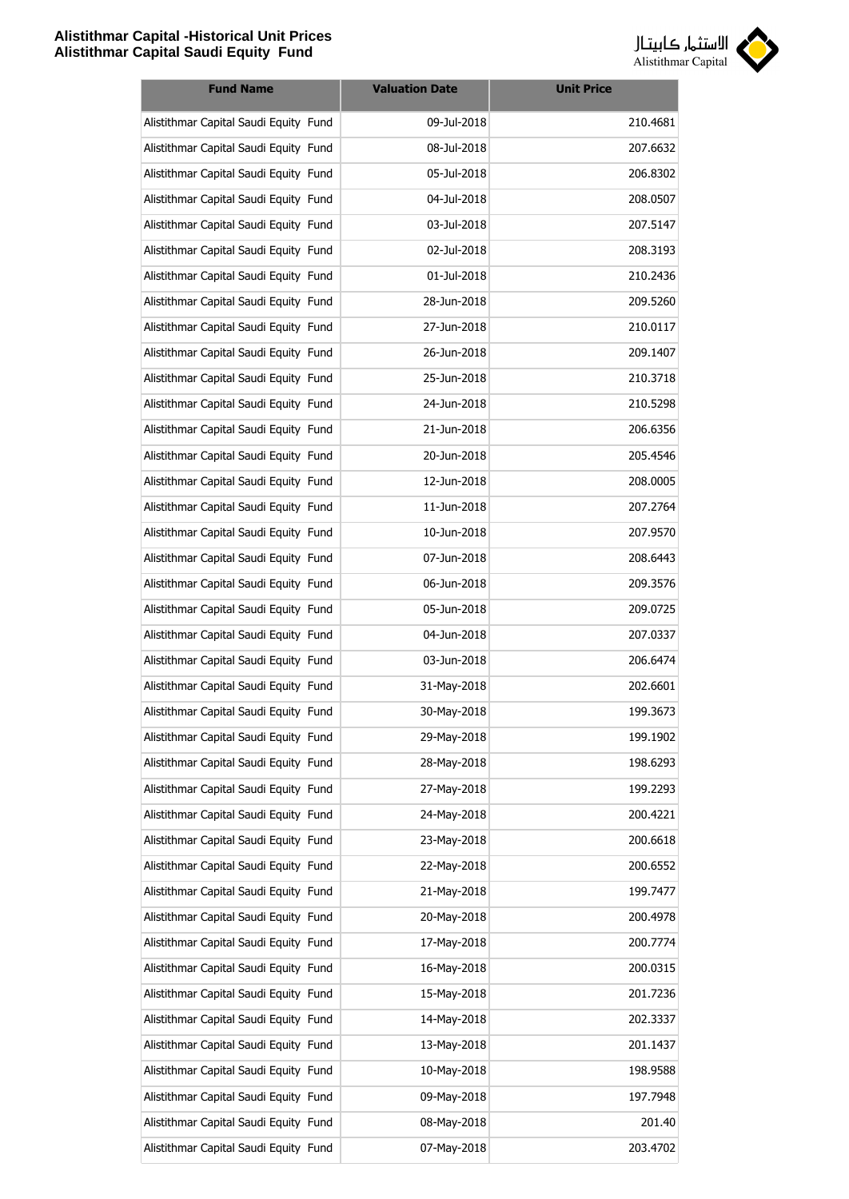

| <b>Fund Name</b>                      | <b>Valuation Date</b> | <b>Unit Price</b> |
|---------------------------------------|-----------------------|-------------------|
| Alistithmar Capital Saudi Equity Fund | 09-Jul-2018           | 210.4681          |
| Alistithmar Capital Saudi Equity Fund | 08-Jul-2018           | 207.6632          |
| Alistithmar Capital Saudi Equity Fund | 05-Jul-2018           | 206.8302          |
| Alistithmar Capital Saudi Equity Fund | 04-Jul-2018           | 208.0507          |
| Alistithmar Capital Saudi Equity Fund | 03-Jul-2018           | 207.5147          |
| Alistithmar Capital Saudi Equity Fund | 02-Jul-2018           | 208.3193          |
| Alistithmar Capital Saudi Equity Fund | 01-Jul-2018           | 210.2436          |
| Alistithmar Capital Saudi Equity Fund | 28-Jun-2018           | 209.5260          |
| Alistithmar Capital Saudi Equity Fund | 27-Jun-2018           | 210.0117          |
| Alistithmar Capital Saudi Equity Fund | 26-Jun-2018           | 209.1407          |
| Alistithmar Capital Saudi Equity Fund | 25-Jun-2018           | 210.3718          |
| Alistithmar Capital Saudi Equity Fund | 24-Jun-2018           | 210.5298          |
| Alistithmar Capital Saudi Equity Fund | 21-Jun-2018           | 206.6356          |
| Alistithmar Capital Saudi Equity Fund | 20-Jun-2018           | 205.4546          |
| Alistithmar Capital Saudi Equity Fund | 12-Jun-2018           | 208.0005          |
| Alistithmar Capital Saudi Equity Fund | 11-Jun-2018           | 207.2764          |
| Alistithmar Capital Saudi Equity Fund | 10-Jun-2018           | 207.9570          |
| Alistithmar Capital Saudi Equity Fund | 07-Jun-2018           | 208.6443          |
| Alistithmar Capital Saudi Equity Fund | 06-Jun-2018           | 209.3576          |
| Alistithmar Capital Saudi Equity Fund | 05-Jun-2018           | 209.0725          |
| Alistithmar Capital Saudi Equity Fund | 04-Jun-2018           | 207.0337          |
| Alistithmar Capital Saudi Equity Fund | 03-Jun-2018           | 206.6474          |
| Alistithmar Capital Saudi Equity Fund | 31-May-2018           | 202.6601          |
| Alistithmar Capital Saudi Equity Fund | 30-May-2018           | 199.3673          |
| Alistithmar Capital Saudi Equity Fund | 29-May-2018           | 199.1902          |
| Alistithmar Capital Saudi Equity Fund | 28-May-2018           | 198.6293          |
| Alistithmar Capital Saudi Equity Fund | 27-May-2018           | 199.2293          |
| Alistithmar Capital Saudi Equity Fund | 24-May-2018           | 200.4221          |
| Alistithmar Capital Saudi Equity Fund | 23-May-2018           | 200.6618          |
| Alistithmar Capital Saudi Equity Fund | 22-May-2018           | 200.6552          |
| Alistithmar Capital Saudi Equity Fund | 21-May-2018           | 199.7477          |
| Alistithmar Capital Saudi Equity Fund | 20-May-2018           | 200.4978          |
| Alistithmar Capital Saudi Equity Fund | 17-May-2018           | 200.7774          |
| Alistithmar Capital Saudi Equity Fund | 16-May-2018           | 200.0315          |
| Alistithmar Capital Saudi Equity Fund | 15-May-2018           | 201.7236          |
| Alistithmar Capital Saudi Equity Fund | 14-May-2018           | 202.3337          |
| Alistithmar Capital Saudi Equity Fund | 13-May-2018           | 201.1437          |
| Alistithmar Capital Saudi Equity Fund | 10-May-2018           | 198.9588          |
| Alistithmar Capital Saudi Equity Fund | 09-May-2018           | 197.7948          |
| Alistithmar Capital Saudi Equity Fund | 08-May-2018           | 201.40            |
| Alistithmar Capital Saudi Equity Fund | 07-May-2018           | 203.4702          |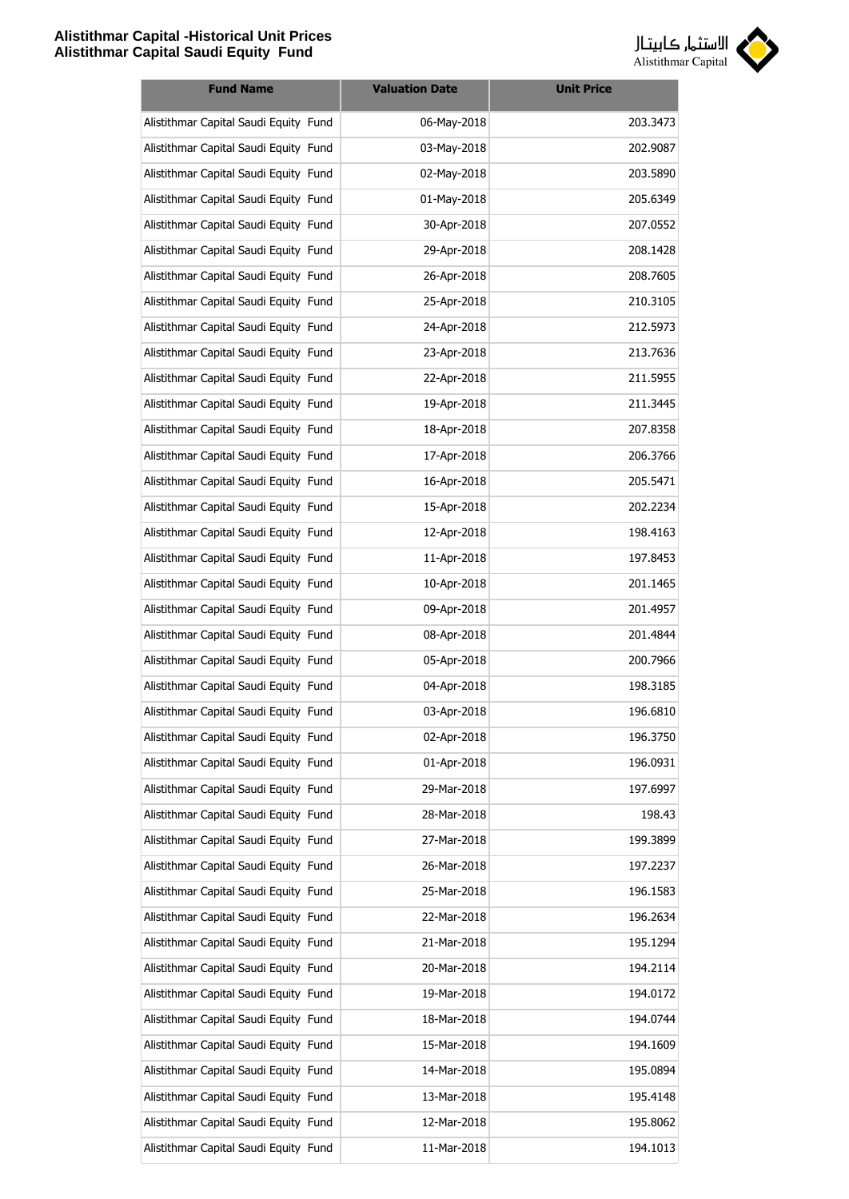

| <b>Fund Name</b>                      | <b>Valuation Date</b> | <b>Unit Price</b> |
|---------------------------------------|-----------------------|-------------------|
| Alistithmar Capital Saudi Equity Fund | 06-May-2018           | 203.3473          |
| Alistithmar Capital Saudi Equity Fund | 03-May-2018           | 202.9087          |
| Alistithmar Capital Saudi Equity Fund | 02-May-2018           | 203.5890          |
| Alistithmar Capital Saudi Equity Fund | 01-May-2018           | 205.6349          |
| Alistithmar Capital Saudi Equity Fund | 30-Apr-2018           | 207.0552          |
| Alistithmar Capital Saudi Equity Fund | 29-Apr-2018           | 208.1428          |
| Alistithmar Capital Saudi Equity Fund | 26-Apr-2018           | 208.7605          |
| Alistithmar Capital Saudi Equity Fund | 25-Apr-2018           | 210.3105          |
| Alistithmar Capital Saudi Equity Fund | 24-Apr-2018           | 212.5973          |
| Alistithmar Capital Saudi Equity Fund | 23-Apr-2018           | 213.7636          |
| Alistithmar Capital Saudi Equity Fund | 22-Apr-2018           | 211.5955          |
| Alistithmar Capital Saudi Equity Fund | 19-Apr-2018           | 211.3445          |
| Alistithmar Capital Saudi Equity Fund | 18-Apr-2018           | 207.8358          |
| Alistithmar Capital Saudi Equity Fund | 17-Apr-2018           | 206.3766          |
| Alistithmar Capital Saudi Equity Fund | 16-Apr-2018           | 205.5471          |
| Alistithmar Capital Saudi Equity Fund | 15-Apr-2018           | 202.2234          |
| Alistithmar Capital Saudi Equity Fund | 12-Apr-2018           | 198.4163          |
| Alistithmar Capital Saudi Equity Fund | 11-Apr-2018           | 197.8453          |
| Alistithmar Capital Saudi Equity Fund | 10-Apr-2018           | 201.1465          |
| Alistithmar Capital Saudi Equity Fund | 09-Apr-2018           | 201.4957          |
| Alistithmar Capital Saudi Equity Fund | 08-Apr-2018           | 201.4844          |
| Alistithmar Capital Saudi Equity Fund | 05-Apr-2018           | 200.7966          |
| Alistithmar Capital Saudi Equity Fund | 04-Apr-2018           | 198.3185          |
| Alistithmar Capital Saudi Equity Fund | 03-Apr-2018           | 196.6810          |
| Alistithmar Capital Saudi Equity Fund | 02-Apr-2018           | 196.3750          |
| Alistithmar Capital Saudi Equity Fund | 01-Apr-2018           | 196.0931          |
| Alistithmar Capital Saudi Equity Fund | 29-Mar-2018           | 197.6997          |
| Alistithmar Capital Saudi Equity Fund | 28-Mar-2018           | 198.43            |
| Alistithmar Capital Saudi Equity Fund | 27-Mar-2018           | 199.3899          |
| Alistithmar Capital Saudi Equity Fund | 26-Mar-2018           | 197.2237          |
| Alistithmar Capital Saudi Equity Fund | 25-Mar-2018           | 196.1583          |
| Alistithmar Capital Saudi Equity Fund | 22-Mar-2018           | 196.2634          |
| Alistithmar Capital Saudi Equity Fund | 21-Mar-2018           | 195.1294          |
| Alistithmar Capital Saudi Equity Fund | 20-Mar-2018           | 194.2114          |
| Alistithmar Capital Saudi Equity Fund | 19-Mar-2018           | 194.0172          |
| Alistithmar Capital Saudi Equity Fund | 18-Mar-2018           | 194.0744          |
| Alistithmar Capital Saudi Equity Fund | 15-Mar-2018           | 194.1609          |
| Alistithmar Capital Saudi Equity Fund | 14-Mar-2018           | 195.0894          |
| Alistithmar Capital Saudi Equity Fund | 13-Mar-2018           | 195.4148          |
| Alistithmar Capital Saudi Equity Fund | 12-Mar-2018           | 195.8062          |
| Alistithmar Capital Saudi Equity Fund | 11-Mar-2018           | 194.1013          |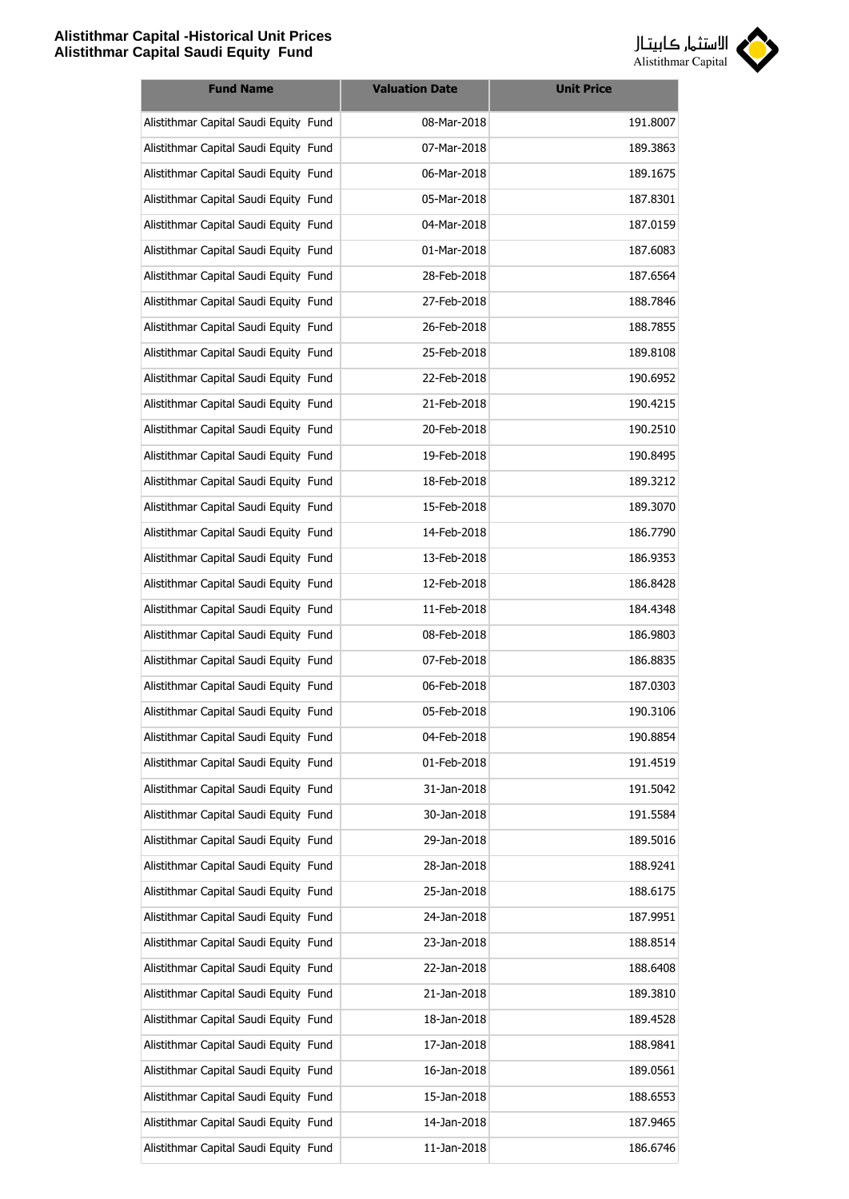

| <b>Fund Name</b>                      | <b>Valuation Date</b> | <b>Unit Price</b> |
|---------------------------------------|-----------------------|-------------------|
| Alistithmar Capital Saudi Equity Fund | 08-Mar-2018           | 191.8007          |
| Alistithmar Capital Saudi Equity Fund | 07-Mar-2018           | 189.3863          |
| Alistithmar Capital Saudi Equity Fund | 06-Mar-2018           | 189.1675          |
| Alistithmar Capital Saudi Equity Fund | 05-Mar-2018           | 187.8301          |
| Alistithmar Capital Saudi Equity Fund | 04-Mar-2018           | 187.0159          |
| Alistithmar Capital Saudi Equity Fund | 01-Mar-2018           | 187.6083          |
| Alistithmar Capital Saudi Equity Fund | 28-Feb-2018           | 187.6564          |
| Alistithmar Capital Saudi Equity Fund | 27-Feb-2018           | 188.7846          |
| Alistithmar Capital Saudi Equity Fund | 26-Feb-2018           | 188.7855          |
| Alistithmar Capital Saudi Equity Fund | 25-Feb-2018           | 189.8108          |
| Alistithmar Capital Saudi Equity Fund | 22-Feb-2018           | 190.6952          |
| Alistithmar Capital Saudi Equity Fund | 21-Feb-2018           | 190.4215          |
| Alistithmar Capital Saudi Equity Fund | 20-Feb-2018           | 190.2510          |
| Alistithmar Capital Saudi Equity Fund | 19-Feb-2018           | 190.8495          |
| Alistithmar Capital Saudi Equity Fund | 18-Feb-2018           | 189.3212          |
| Alistithmar Capital Saudi Equity Fund | 15-Feb-2018           | 189.3070          |
| Alistithmar Capital Saudi Equity Fund | 14-Feb-2018           | 186.7790          |
| Alistithmar Capital Saudi Equity Fund | 13-Feb-2018           | 186.9353          |
| Alistithmar Capital Saudi Equity Fund | 12-Feb-2018           | 186.8428          |
| Alistithmar Capital Saudi Equity Fund | 11-Feb-2018           | 184.4348          |
| Alistithmar Capital Saudi Equity Fund | 08-Feb-2018           | 186.9803          |
| Alistithmar Capital Saudi Equity Fund | 07-Feb-2018           | 186.8835          |
| Alistithmar Capital Saudi Equity Fund | 06-Feb-2018           | 187.0303          |
| Alistithmar Capital Saudi Equity Fund | 05-Feb-2018           | 190.3106          |
| Alistithmar Capital Saudi Equity Fund | 04-Feb-2018           | 190.8854          |
| Alistithmar Capital Saudi Equity Fund | 01-Feb-2018           | 191.4519          |
| Alistithmar Capital Saudi Equity Fund | 31-Jan-2018           | 191.5042          |
| Alistithmar Capital Saudi Equity Fund | 30-Jan-2018           | 191.5584          |
| Alistithmar Capital Saudi Equity Fund | 29-Jan-2018           | 189.5016          |
| Alistithmar Capital Saudi Equity Fund | 28-Jan-2018           | 188.9241          |
| Alistithmar Capital Saudi Equity Fund | 25-Jan-2018           | 188.6175          |
| Alistithmar Capital Saudi Equity Fund | 24-Jan-2018           | 187.9951          |
| Alistithmar Capital Saudi Equity Fund | 23-Jan-2018           | 188.8514          |
| Alistithmar Capital Saudi Equity Fund | 22-Jan-2018           | 188.6408          |
| Alistithmar Capital Saudi Equity Fund | 21-Jan-2018           | 189.3810          |
| Alistithmar Capital Saudi Equity Fund | 18-Jan-2018           | 189.4528          |
| Alistithmar Capital Saudi Equity Fund | 17-Jan-2018           | 188.9841          |
| Alistithmar Capital Saudi Equity Fund | 16-Jan-2018           | 189.0561          |
| Alistithmar Capital Saudi Equity Fund | 15-Jan-2018           | 188.6553          |
| Alistithmar Capital Saudi Equity Fund | 14-Jan-2018           | 187.9465          |
| Alistithmar Capital Saudi Equity Fund | 11-Jan-2018           | 186.6746          |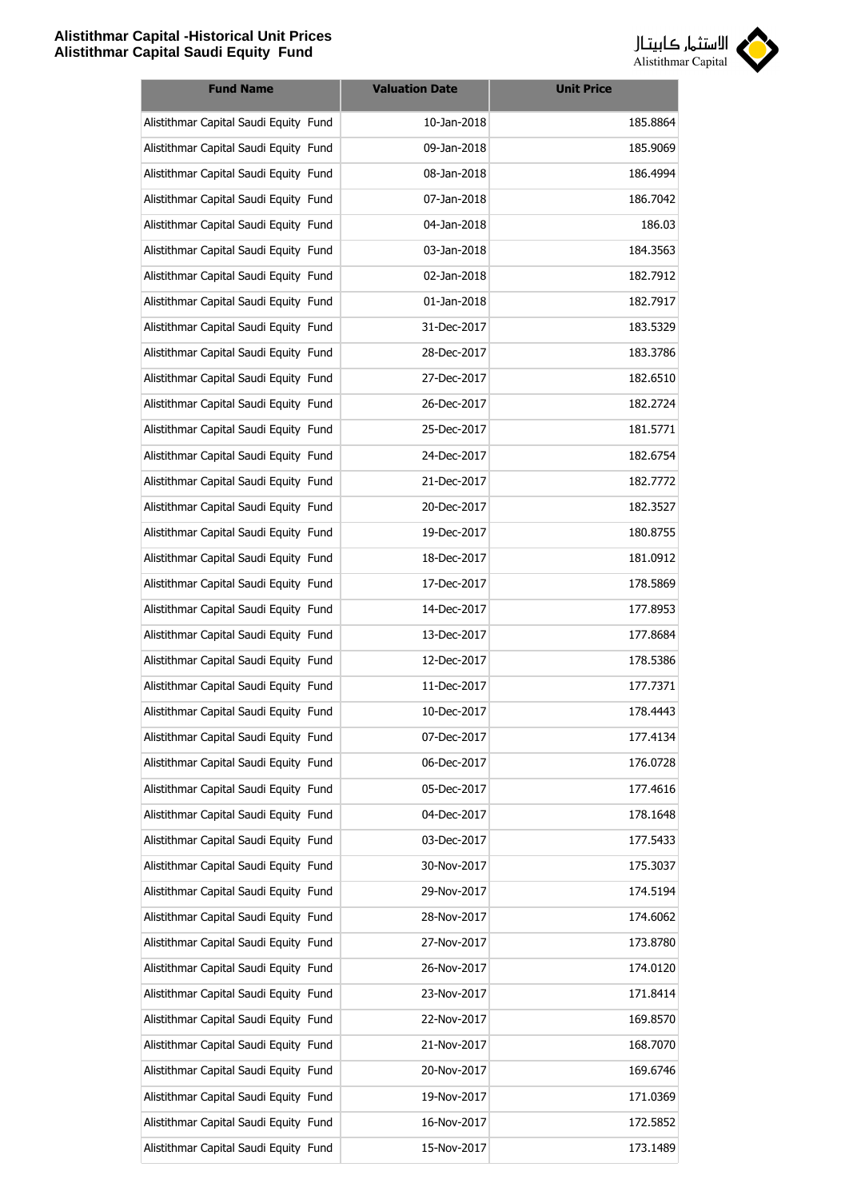

| <b>Fund Name</b>                      | <b>Valuation Date</b> | <b>Unit Price</b> |
|---------------------------------------|-----------------------|-------------------|
| Alistithmar Capital Saudi Equity Fund | 10-Jan-2018           | 185.8864          |
| Alistithmar Capital Saudi Equity Fund | 09-Jan-2018           | 185.9069          |
| Alistithmar Capital Saudi Equity Fund | 08-Jan-2018           | 186.4994          |
| Alistithmar Capital Saudi Equity Fund | 07-Jan-2018           | 186.7042          |
| Alistithmar Capital Saudi Equity Fund | 04-Jan-2018           | 186.03            |
| Alistithmar Capital Saudi Equity Fund | 03-Jan-2018           | 184.3563          |
| Alistithmar Capital Saudi Equity Fund | 02-Jan-2018           | 182.7912          |
| Alistithmar Capital Saudi Equity Fund | 01-Jan-2018           | 182.7917          |
| Alistithmar Capital Saudi Equity Fund | 31-Dec-2017           | 183.5329          |
| Alistithmar Capital Saudi Equity Fund | 28-Dec-2017           | 183.3786          |
| Alistithmar Capital Saudi Equity Fund | 27-Dec-2017           | 182.6510          |
| Alistithmar Capital Saudi Equity Fund | 26-Dec-2017           | 182.2724          |
| Alistithmar Capital Saudi Equity Fund | 25-Dec-2017           | 181.5771          |
| Alistithmar Capital Saudi Equity Fund | 24-Dec-2017           | 182.6754          |
| Alistithmar Capital Saudi Equity Fund | 21-Dec-2017           | 182.7772          |
| Alistithmar Capital Saudi Equity Fund | 20-Dec-2017           | 182.3527          |
| Alistithmar Capital Saudi Equity Fund | 19-Dec-2017           | 180.8755          |
| Alistithmar Capital Saudi Equity Fund | 18-Dec-2017           | 181.0912          |
| Alistithmar Capital Saudi Equity Fund | 17-Dec-2017           | 178.5869          |
| Alistithmar Capital Saudi Equity Fund | 14-Dec-2017           | 177.8953          |
| Alistithmar Capital Saudi Equity Fund | 13-Dec-2017           | 177.8684          |
| Alistithmar Capital Saudi Equity Fund | 12-Dec-2017           | 178.5386          |
| Alistithmar Capital Saudi Equity Fund | 11-Dec-2017           | 177.7371          |
| Alistithmar Capital Saudi Equity Fund | 10-Dec-2017           | 178.4443          |
| Alistithmar Capital Saudi Equity Fund | 07-Dec-2017           | 177.4134          |
| Alistithmar Capital Saudi Equity Fund | 06-Dec-2017           | 176.0728          |
| Alistithmar Capital Saudi Equity Fund | 05-Dec-2017           | 177.4616          |
| Alistithmar Capital Saudi Equity Fund | 04-Dec-2017           | 178.1648          |
| Alistithmar Capital Saudi Equity Fund | 03-Dec-2017           | 177.5433          |
| Alistithmar Capital Saudi Equity Fund | 30-Nov-2017           | 175.3037          |
| Alistithmar Capital Saudi Equity Fund | 29-Nov-2017           | 174.5194          |
| Alistithmar Capital Saudi Equity Fund | 28-Nov-2017           | 174.6062          |
| Alistithmar Capital Saudi Equity Fund | 27-Nov-2017           | 173.8780          |
| Alistithmar Capital Saudi Equity Fund | 26-Nov-2017           | 174.0120          |
| Alistithmar Capital Saudi Equity Fund | 23-Nov-2017           | 171.8414          |
| Alistithmar Capital Saudi Equity Fund | 22-Nov-2017           | 169.8570          |
| Alistithmar Capital Saudi Equity Fund | 21-Nov-2017           | 168.7070          |
| Alistithmar Capital Saudi Equity Fund | 20-Nov-2017           | 169.6746          |
| Alistithmar Capital Saudi Equity Fund | 19-Nov-2017           | 171.0369          |
| Alistithmar Capital Saudi Equity Fund | 16-Nov-2017           | 172.5852          |
| Alistithmar Capital Saudi Equity Fund | 15-Nov-2017           | 173.1489          |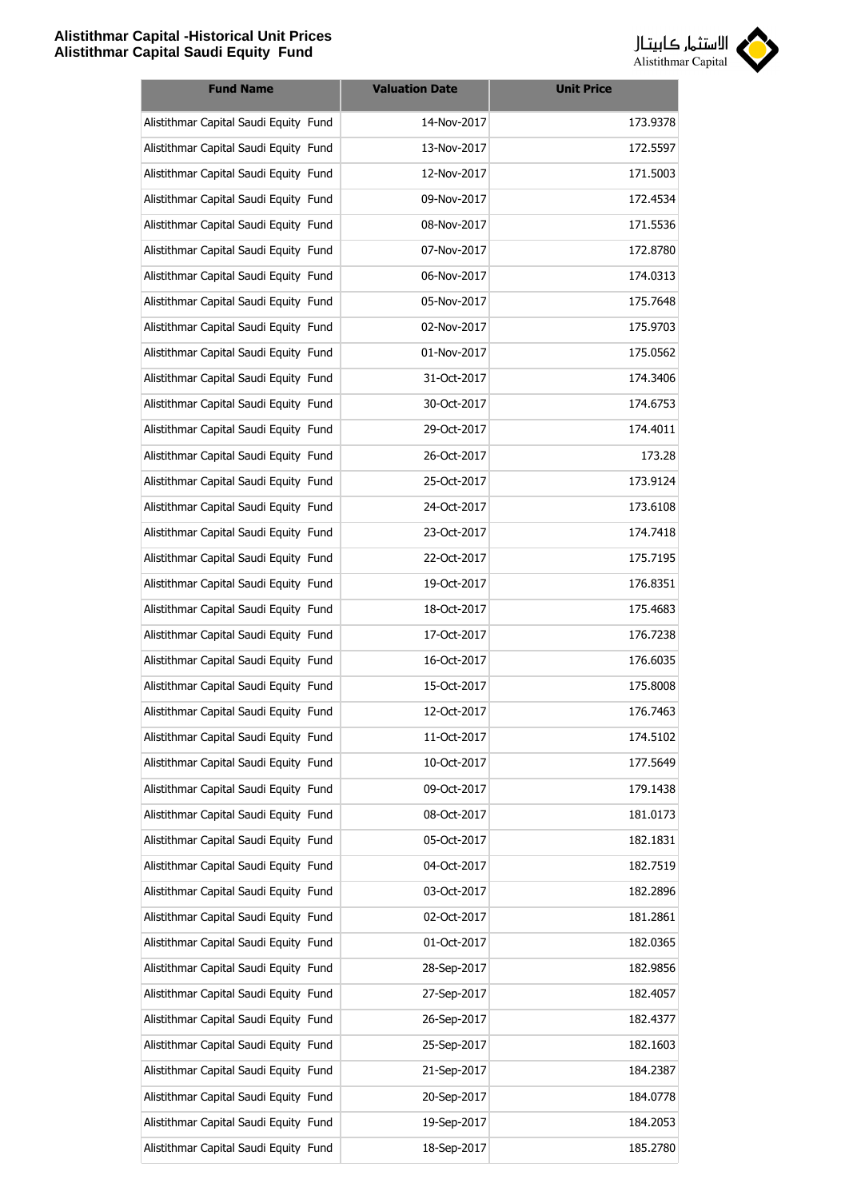

| <b>Fund Name</b>                      | <b>Valuation Date</b> | <b>Unit Price</b> |
|---------------------------------------|-----------------------|-------------------|
| Alistithmar Capital Saudi Equity Fund | 14-Nov-2017           | 173.9378          |
| Alistithmar Capital Saudi Equity Fund | 13-Nov-2017           | 172.5597          |
| Alistithmar Capital Saudi Equity Fund | 12-Nov-2017           | 171.5003          |
| Alistithmar Capital Saudi Equity Fund | 09-Nov-2017           | 172.4534          |
| Alistithmar Capital Saudi Equity Fund | 08-Nov-2017           | 171.5536          |
| Alistithmar Capital Saudi Equity Fund | 07-Nov-2017           | 172.8780          |
| Alistithmar Capital Saudi Equity Fund | 06-Nov-2017           | 174.0313          |
| Alistithmar Capital Saudi Equity Fund | 05-Nov-2017           | 175.7648          |
| Alistithmar Capital Saudi Equity Fund | 02-Nov-2017           | 175.9703          |
| Alistithmar Capital Saudi Equity Fund | 01-Nov-2017           | 175.0562          |
| Alistithmar Capital Saudi Equity Fund | 31-Oct-2017           | 174.3406          |
| Alistithmar Capital Saudi Equity Fund | 30-Oct-2017           | 174.6753          |
| Alistithmar Capital Saudi Equity Fund | 29-Oct-2017           | 174.4011          |
| Alistithmar Capital Saudi Equity Fund | 26-Oct-2017           | 173.28            |
| Alistithmar Capital Saudi Equity Fund | 25-Oct-2017           | 173.9124          |
| Alistithmar Capital Saudi Equity Fund | 24-Oct-2017           | 173.6108          |
| Alistithmar Capital Saudi Equity Fund | 23-Oct-2017           | 174.7418          |
| Alistithmar Capital Saudi Equity Fund | 22-Oct-2017           | 175.7195          |
| Alistithmar Capital Saudi Equity Fund | 19-Oct-2017           | 176.8351          |
| Alistithmar Capital Saudi Equity Fund | 18-Oct-2017           | 175.4683          |
| Alistithmar Capital Saudi Equity Fund | 17-Oct-2017           | 176.7238          |
| Alistithmar Capital Saudi Equity Fund | 16-Oct-2017           | 176.6035          |
| Alistithmar Capital Saudi Equity Fund | 15-Oct-2017           | 175.8008          |
| Alistithmar Capital Saudi Equity Fund | 12-Oct-2017           | 176.7463          |
| Alistithmar Capital Saudi Equity Fund | 11-Oct-2017           | 174.5102          |
| Alistithmar Capital Saudi Equity Fund | 10-Oct-2017           | 177.5649          |
| Alistithmar Capital Saudi Equity Fund | 09-Oct-2017           | 179.1438          |
| Alistithmar Capital Saudi Equity Fund | 08-Oct-2017           | 181.0173          |
| Alistithmar Capital Saudi Equity Fund | 05-Oct-2017           | 182.1831          |
| Alistithmar Capital Saudi Equity Fund | 04-Oct-2017           | 182.7519          |
| Alistithmar Capital Saudi Equity Fund | 03-Oct-2017           | 182.2896          |
| Alistithmar Capital Saudi Equity Fund | 02-Oct-2017           | 181.2861          |
| Alistithmar Capital Saudi Equity Fund | 01-Oct-2017           | 182.0365          |
| Alistithmar Capital Saudi Equity Fund | 28-Sep-2017           | 182.9856          |
| Alistithmar Capital Saudi Equity Fund | 27-Sep-2017           | 182.4057          |
| Alistithmar Capital Saudi Equity Fund | 26-Sep-2017           | 182.4377          |
| Alistithmar Capital Saudi Equity Fund | 25-Sep-2017           | 182.1603          |
| Alistithmar Capital Saudi Equity Fund | 21-Sep-2017           | 184.2387          |
| Alistithmar Capital Saudi Equity Fund | 20-Sep-2017           | 184.0778          |
| Alistithmar Capital Saudi Equity Fund | 19-Sep-2017           | 184.2053          |
| Alistithmar Capital Saudi Equity Fund | 18-Sep-2017           | 185.2780          |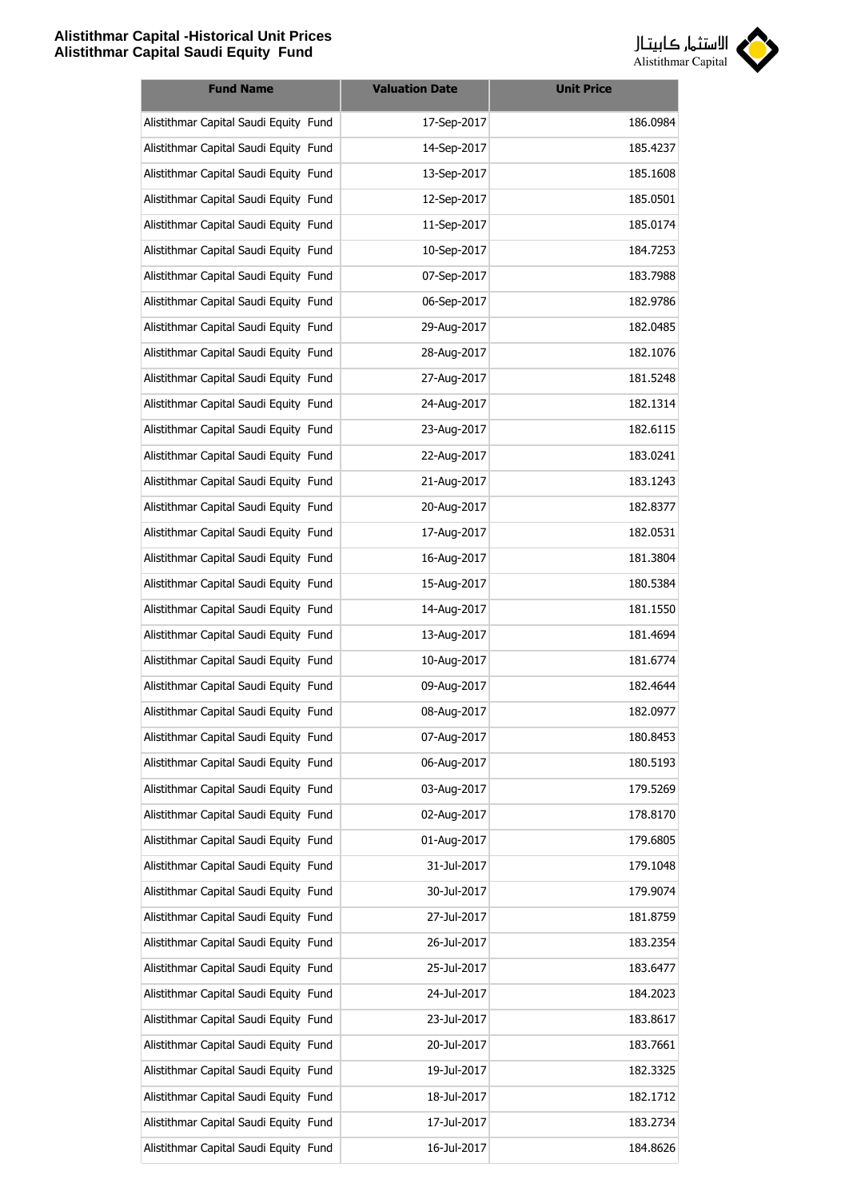

| <b>Fund Name</b>                      | <b>Valuation Date</b> | <b>Unit Price</b> |
|---------------------------------------|-----------------------|-------------------|
| Alistithmar Capital Saudi Equity Fund | 17-Sep-2017           | 186.0984          |
| Alistithmar Capital Saudi Equity Fund | 14-Sep-2017           | 185.4237          |
| Alistithmar Capital Saudi Equity Fund | 13-Sep-2017           | 185.1608          |
| Alistithmar Capital Saudi Equity Fund | 12-Sep-2017           | 185.0501          |
| Alistithmar Capital Saudi Equity Fund | 11-Sep-2017           | 185.0174          |
| Alistithmar Capital Saudi Equity Fund | 10-Sep-2017           | 184.7253          |
| Alistithmar Capital Saudi Equity Fund | 07-Sep-2017           | 183.7988          |
| Alistithmar Capital Saudi Equity Fund | 06-Sep-2017           | 182.9786          |
| Alistithmar Capital Saudi Equity Fund | 29-Aug-2017           | 182.0485          |
| Alistithmar Capital Saudi Equity Fund | 28-Aug-2017           | 182.1076          |
| Alistithmar Capital Saudi Equity Fund | 27-Aug-2017           | 181.5248          |
| Alistithmar Capital Saudi Equity Fund | 24-Aug-2017           | 182.1314          |
| Alistithmar Capital Saudi Equity Fund | 23-Aug-2017           | 182.6115          |
| Alistithmar Capital Saudi Equity Fund | 22-Aug-2017           | 183.0241          |
| Alistithmar Capital Saudi Equity Fund | 21-Aug-2017           | 183.1243          |
| Alistithmar Capital Saudi Equity Fund | 20-Aug-2017           | 182.8377          |
| Alistithmar Capital Saudi Equity Fund | 17-Aug-2017           | 182.0531          |
| Alistithmar Capital Saudi Equity Fund | 16-Aug-2017           | 181.3804          |
| Alistithmar Capital Saudi Equity Fund | 15-Aug-2017           | 180.5384          |
| Alistithmar Capital Saudi Equity Fund | 14-Aug-2017           | 181.1550          |
| Alistithmar Capital Saudi Equity Fund | 13-Aug-2017           | 181.4694          |
| Alistithmar Capital Saudi Equity Fund | 10-Aug-2017           | 181.6774          |
| Alistithmar Capital Saudi Equity Fund | 09-Aug-2017           | 182.4644          |
| Alistithmar Capital Saudi Equity Fund | 08-Aug-2017           | 182.0977          |
| Alistithmar Capital Saudi Equity Fund | 07-Aug-2017           | 180.8453          |
| Alistithmar Capital Saudi Equity Fund | 06-Aug-2017           | 180.5193          |
| Alistithmar Capital Saudi Equity Fund | 03-Aug-2017           | 179.5269          |
| Alistithmar Capital Saudi Equity Fund | 02-Aug-2017           | 178.8170          |
| Alistithmar Capital Saudi Equity Fund | 01-Aug-2017           | 179.6805          |
| Alistithmar Capital Saudi Equity Fund | 31-Jul-2017           | 179.1048          |
| Alistithmar Capital Saudi Equity Fund | 30-Jul-2017           | 179.9074          |
| Alistithmar Capital Saudi Equity Fund | 27-Jul-2017           | 181.8759          |
| Alistithmar Capital Saudi Equity Fund | 26-Jul-2017           | 183.2354          |
| Alistithmar Capital Saudi Equity Fund | 25-Jul-2017           | 183.6477          |
| Alistithmar Capital Saudi Equity Fund | 24-Jul-2017           | 184.2023          |
| Alistithmar Capital Saudi Equity Fund | 23-Jul-2017           | 183.8617          |
| Alistithmar Capital Saudi Equity Fund | 20-Jul-2017           | 183.7661          |
| Alistithmar Capital Saudi Equity Fund | 19-Jul-2017           | 182.3325          |
| Alistithmar Capital Saudi Equity Fund | 18-Jul-2017           | 182.1712          |
| Alistithmar Capital Saudi Equity Fund | 17-Jul-2017           | 183.2734          |
| Alistithmar Capital Saudi Equity Fund | 16-Jul-2017           | 184.8626          |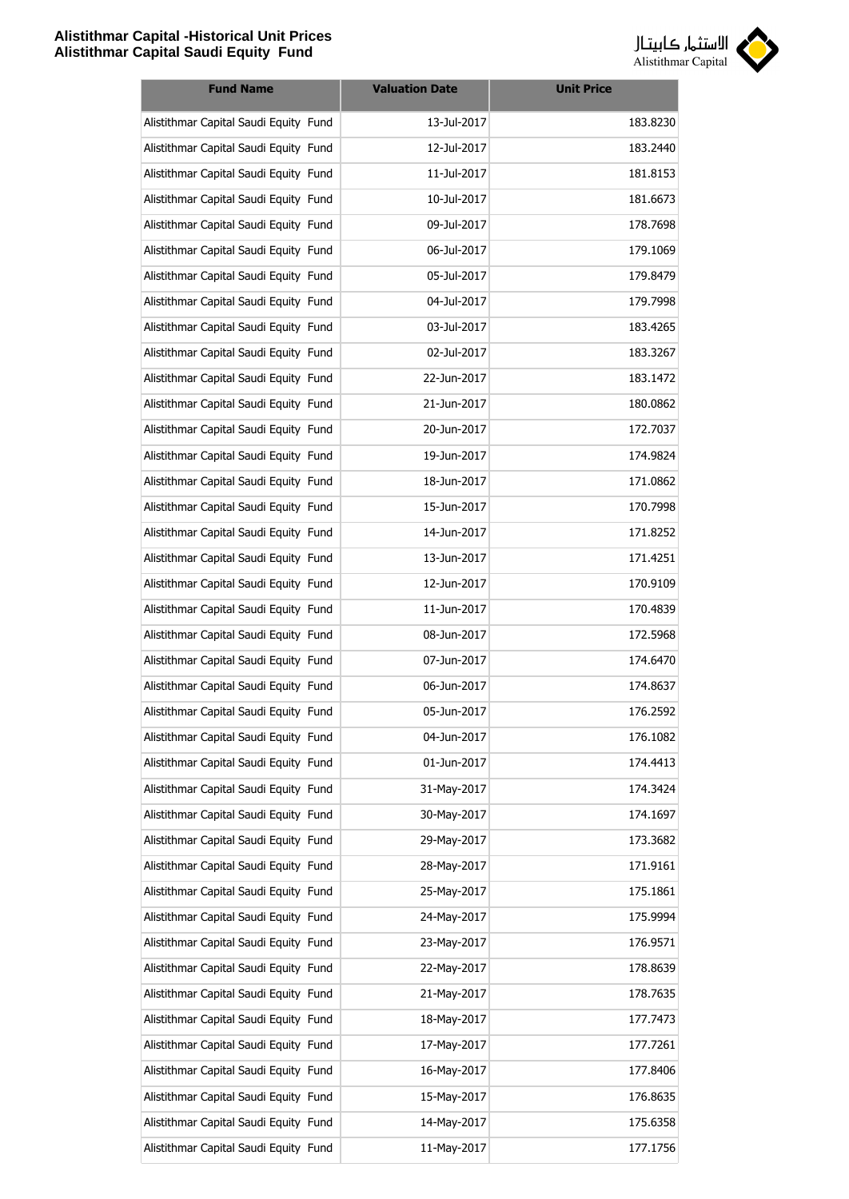

| <b>Fund Name</b>                      | <b>Valuation Date</b> | <b>Unit Price</b> |
|---------------------------------------|-----------------------|-------------------|
| Alistithmar Capital Saudi Equity Fund | 13-Jul-2017           | 183.8230          |
| Alistithmar Capital Saudi Equity Fund | 12-Jul-2017           | 183.2440          |
| Alistithmar Capital Saudi Equity Fund | 11-Jul-2017           | 181.8153          |
| Alistithmar Capital Saudi Equity Fund | 10-Jul-2017           | 181.6673          |
| Alistithmar Capital Saudi Equity Fund | 09-Jul-2017           | 178.7698          |
| Alistithmar Capital Saudi Equity Fund | 06-Jul-2017           | 179.1069          |
| Alistithmar Capital Saudi Equity Fund | 05-Jul-2017           | 179.8479          |
| Alistithmar Capital Saudi Equity Fund | 04-Jul-2017           | 179.7998          |
| Alistithmar Capital Saudi Equity Fund | 03-Jul-2017           | 183.4265          |
| Alistithmar Capital Saudi Equity Fund | 02-Jul-2017           | 183.3267          |
| Alistithmar Capital Saudi Equity Fund | 22-Jun-2017           | 183.1472          |
| Alistithmar Capital Saudi Equity Fund | 21-Jun-2017           | 180.0862          |
| Alistithmar Capital Saudi Equity Fund | 20-Jun-2017           | 172.7037          |
| Alistithmar Capital Saudi Equity Fund | 19-Jun-2017           | 174.9824          |
| Alistithmar Capital Saudi Equity Fund | 18-Jun-2017           | 171.0862          |
| Alistithmar Capital Saudi Equity Fund | 15-Jun-2017           | 170.7998          |
| Alistithmar Capital Saudi Equity Fund | 14-Jun-2017           | 171.8252          |
| Alistithmar Capital Saudi Equity Fund | 13-Jun-2017           | 171.4251          |
| Alistithmar Capital Saudi Equity Fund | 12-Jun-2017           | 170.9109          |
| Alistithmar Capital Saudi Equity Fund | 11-Jun-2017           | 170.4839          |
| Alistithmar Capital Saudi Equity Fund | 08-Jun-2017           | 172.5968          |
| Alistithmar Capital Saudi Equity Fund | 07-Jun-2017           | 174.6470          |
| Alistithmar Capital Saudi Equity Fund | 06-Jun-2017           | 174.8637          |
| Alistithmar Capital Saudi Equity Fund | 05-Jun-2017           | 176.2592          |
| Alistithmar Capital Saudi Equity Fund | 04-Jun-2017           | 176.1082          |
| Alistithmar Capital Saudi Equity Fund | 01-Jun-2017           | 174.4413          |
| Alistithmar Capital Saudi Equity Fund | 31-May-2017           | 174.3424          |
| Alistithmar Capital Saudi Equity Fund | 30-May-2017           | 174.1697          |
| Alistithmar Capital Saudi Equity Fund | 29-May-2017           | 173.3682          |
| Alistithmar Capital Saudi Equity Fund | 28-May-2017           | 171.9161          |
| Alistithmar Capital Saudi Equity Fund | 25-May-2017           | 175.1861          |
| Alistithmar Capital Saudi Equity Fund | 24-May-2017           | 175.9994          |
| Alistithmar Capital Saudi Equity Fund | 23-May-2017           | 176.9571          |
| Alistithmar Capital Saudi Equity Fund | 22-May-2017           | 178.8639          |
| Alistithmar Capital Saudi Equity Fund | 21-May-2017           | 178.7635          |
| Alistithmar Capital Saudi Equity Fund | 18-May-2017           | 177.7473          |
| Alistithmar Capital Saudi Equity Fund | 17-May-2017           | 177.7261          |
| Alistithmar Capital Saudi Equity Fund | 16-May-2017           | 177.8406          |
| Alistithmar Capital Saudi Equity Fund | 15-May-2017           | 176.8635          |
| Alistithmar Capital Saudi Equity Fund | 14-May-2017           | 175.6358          |
| Alistithmar Capital Saudi Equity Fund | 11-May-2017           | 177.1756          |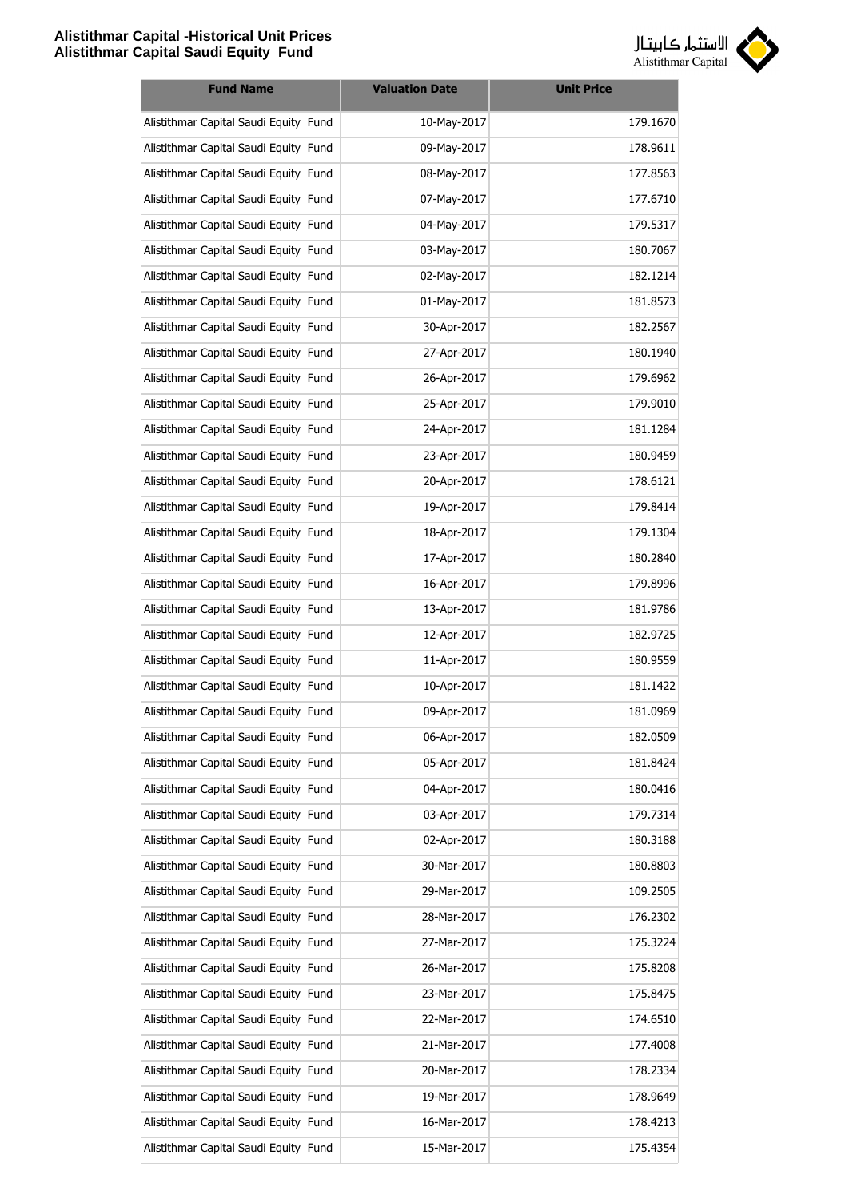

| <b>Fund Name</b>                      | <b>Valuation Date</b> | <b>Unit Price</b> |
|---------------------------------------|-----------------------|-------------------|
| Alistithmar Capital Saudi Equity Fund | 10-May-2017           | 179.1670          |
| Alistithmar Capital Saudi Equity Fund | 09-May-2017           | 178.9611          |
| Alistithmar Capital Saudi Equity Fund | 08-May-2017           | 177.8563          |
| Alistithmar Capital Saudi Equity Fund | 07-May-2017           | 177.6710          |
| Alistithmar Capital Saudi Equity Fund | 04-May-2017           | 179.5317          |
| Alistithmar Capital Saudi Equity Fund | 03-May-2017           | 180.7067          |
| Alistithmar Capital Saudi Equity Fund | 02-May-2017           | 182.1214          |
| Alistithmar Capital Saudi Equity Fund | 01-May-2017           | 181.8573          |
| Alistithmar Capital Saudi Equity Fund | 30-Apr-2017           | 182.2567          |
| Alistithmar Capital Saudi Equity Fund | 27-Apr-2017           | 180.1940          |
| Alistithmar Capital Saudi Equity Fund | 26-Apr-2017           | 179.6962          |
| Alistithmar Capital Saudi Equity Fund | 25-Apr-2017           | 179.9010          |
| Alistithmar Capital Saudi Equity Fund | 24-Apr-2017           | 181.1284          |
| Alistithmar Capital Saudi Equity Fund | 23-Apr-2017           | 180.9459          |
| Alistithmar Capital Saudi Equity Fund | 20-Apr-2017           | 178.6121          |
| Alistithmar Capital Saudi Equity Fund | 19-Apr-2017           | 179.8414          |
| Alistithmar Capital Saudi Equity Fund | 18-Apr-2017           | 179.1304          |
| Alistithmar Capital Saudi Equity Fund | 17-Apr-2017           | 180.2840          |
| Alistithmar Capital Saudi Equity Fund | 16-Apr-2017           | 179.8996          |
| Alistithmar Capital Saudi Equity Fund | 13-Apr-2017           | 181.9786          |
| Alistithmar Capital Saudi Equity Fund | 12-Apr-2017           | 182.9725          |
| Alistithmar Capital Saudi Equity Fund | 11-Apr-2017           | 180.9559          |
| Alistithmar Capital Saudi Equity Fund | 10-Apr-2017           | 181.1422          |
| Alistithmar Capital Saudi Equity Fund | 09-Apr-2017           | 181.0969          |
| Alistithmar Capital Saudi Equity Fund | 06-Apr-2017           | 182.0509          |
| Alistithmar Capital Saudi Equity Fund | 05-Apr-2017           | 181.8424          |
| Alistithmar Capital Saudi Equity Fund | 04-Apr-2017           | 180.0416          |
| Alistithmar Capital Saudi Equity Fund | 03-Apr-2017           | 179.7314          |
| Alistithmar Capital Saudi Equity Fund | 02-Apr-2017           | 180.3188          |
| Alistithmar Capital Saudi Equity Fund | 30-Mar-2017           | 180.8803          |
| Alistithmar Capital Saudi Equity Fund | 29-Mar-2017           | 109.2505          |
| Alistithmar Capital Saudi Equity Fund | 28-Mar-2017           | 176.2302          |
| Alistithmar Capital Saudi Equity Fund | 27-Mar-2017           | 175.3224          |
| Alistithmar Capital Saudi Equity Fund | 26-Mar-2017           | 175.8208          |
| Alistithmar Capital Saudi Equity Fund | 23-Mar-2017           | 175.8475          |
| Alistithmar Capital Saudi Equity Fund | 22-Mar-2017           | 174.6510          |
| Alistithmar Capital Saudi Equity Fund | 21-Mar-2017           | 177.4008          |
| Alistithmar Capital Saudi Equity Fund | 20-Mar-2017           | 178.2334          |
| Alistithmar Capital Saudi Equity Fund | 19-Mar-2017           | 178.9649          |
| Alistithmar Capital Saudi Equity Fund | 16-Mar-2017           | 178.4213          |
| Alistithmar Capital Saudi Equity Fund | 15-Mar-2017           | 175.4354          |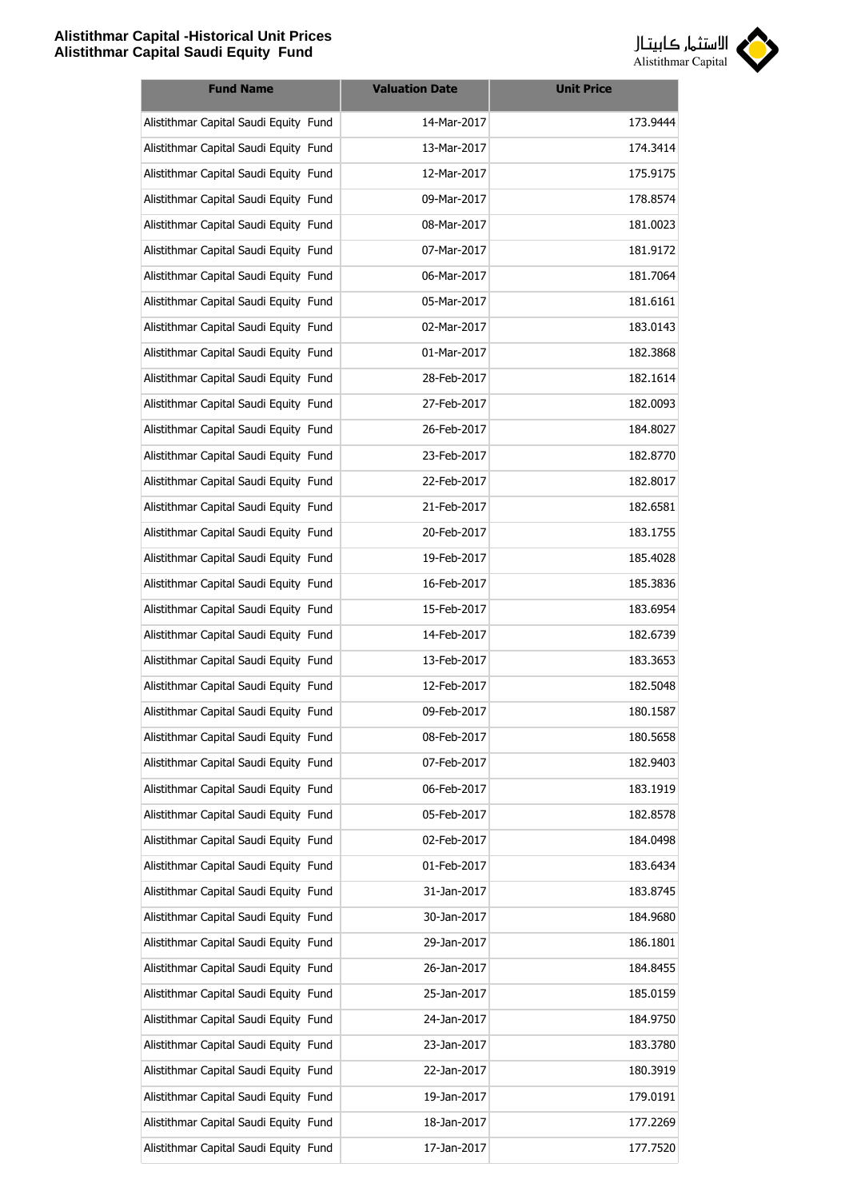

| <b>Fund Name</b>                      | <b>Valuation Date</b> | <b>Unit Price</b> |
|---------------------------------------|-----------------------|-------------------|
| Alistithmar Capital Saudi Equity Fund | 14-Mar-2017           | 173.9444          |
| Alistithmar Capital Saudi Equity Fund | 13-Mar-2017           | 174.3414          |
| Alistithmar Capital Saudi Equity Fund | 12-Mar-2017           | 175.9175          |
| Alistithmar Capital Saudi Equity Fund | 09-Mar-2017           | 178.8574          |
| Alistithmar Capital Saudi Equity Fund | 08-Mar-2017           | 181.0023          |
| Alistithmar Capital Saudi Equity Fund | 07-Mar-2017           | 181.9172          |
| Alistithmar Capital Saudi Equity Fund | 06-Mar-2017           | 181.7064          |
| Alistithmar Capital Saudi Equity Fund | 05-Mar-2017           | 181.6161          |
| Alistithmar Capital Saudi Equity Fund | 02-Mar-2017           | 183.0143          |
| Alistithmar Capital Saudi Equity Fund | 01-Mar-2017           | 182.3868          |
| Alistithmar Capital Saudi Equity Fund | 28-Feb-2017           | 182.1614          |
| Alistithmar Capital Saudi Equity Fund | 27-Feb-2017           | 182.0093          |
| Alistithmar Capital Saudi Equity Fund | 26-Feb-2017           | 184.8027          |
| Alistithmar Capital Saudi Equity Fund | 23-Feb-2017           | 182.8770          |
| Alistithmar Capital Saudi Equity Fund | 22-Feb-2017           | 182.8017          |
| Alistithmar Capital Saudi Equity Fund | 21-Feb-2017           | 182.6581          |
| Alistithmar Capital Saudi Equity Fund | 20-Feb-2017           | 183.1755          |
| Alistithmar Capital Saudi Equity Fund | 19-Feb-2017           | 185.4028          |
| Alistithmar Capital Saudi Equity Fund | 16-Feb-2017           | 185.3836          |
| Alistithmar Capital Saudi Equity Fund | 15-Feb-2017           | 183.6954          |
| Alistithmar Capital Saudi Equity Fund | 14-Feb-2017           | 182.6739          |
| Alistithmar Capital Saudi Equity Fund | 13-Feb-2017           | 183.3653          |
| Alistithmar Capital Saudi Equity Fund | 12-Feb-2017           | 182.5048          |
| Alistithmar Capital Saudi Equity Fund | 09-Feb-2017           | 180.1587          |
| Alistithmar Capital Saudi Equity Fund | 08-Feb-2017           | 180.5658          |
| Alistithmar Capital Saudi Equity Fund | 07-Feb-2017           | 182.9403          |
| Alistithmar Capital Saudi Equity Fund | 06-Feb-2017           | 183.1919          |
| Alistithmar Capital Saudi Equity Fund | 05-Feb-2017           | 182.8578          |
| Alistithmar Capital Saudi Equity Fund | 02-Feb-2017           | 184.0498          |
| Alistithmar Capital Saudi Equity Fund | 01-Feb-2017           | 183.6434          |
| Alistithmar Capital Saudi Equity Fund | 31-Jan-2017           | 183.8745          |
| Alistithmar Capital Saudi Equity Fund | 30-Jan-2017           | 184.9680          |
| Alistithmar Capital Saudi Equity Fund | 29-Jan-2017           | 186.1801          |
| Alistithmar Capital Saudi Equity Fund | 26-Jan-2017           | 184.8455          |
| Alistithmar Capital Saudi Equity Fund | 25-Jan-2017           | 185.0159          |
| Alistithmar Capital Saudi Equity Fund | 24-Jan-2017           | 184.9750          |
| Alistithmar Capital Saudi Equity Fund | 23-Jan-2017           | 183.3780          |
| Alistithmar Capital Saudi Equity Fund | 22-Jan-2017           | 180.3919          |
| Alistithmar Capital Saudi Equity Fund | 19-Jan-2017           | 179.0191          |
| Alistithmar Capital Saudi Equity Fund | 18-Jan-2017           | 177.2269          |
| Alistithmar Capital Saudi Equity Fund | 17-Jan-2017           | 177.7520          |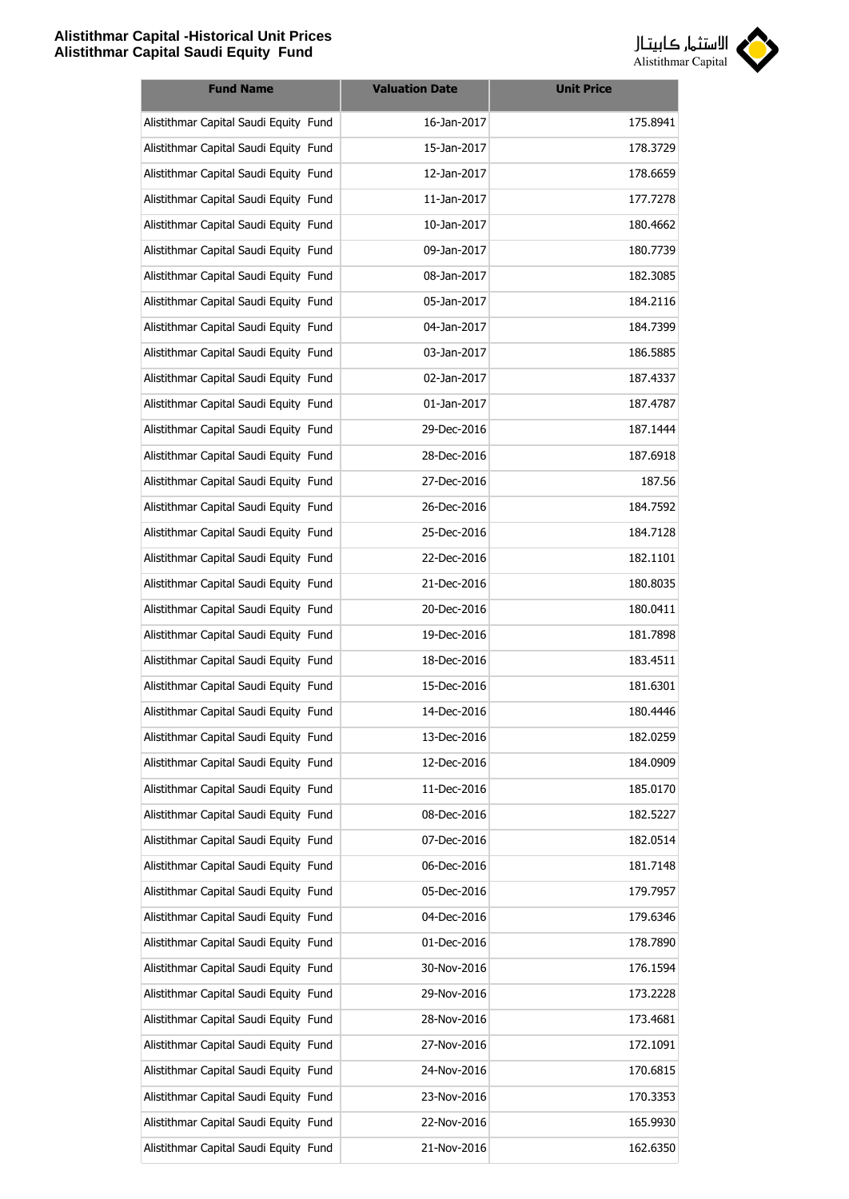

| <b>Fund Name</b>                      | <b>Valuation Date</b> | <b>Unit Price</b> |
|---------------------------------------|-----------------------|-------------------|
| Alistithmar Capital Saudi Equity Fund | 16-Jan-2017           | 175.8941          |
| Alistithmar Capital Saudi Equity Fund | 15-Jan-2017           | 178.3729          |
| Alistithmar Capital Saudi Equity Fund | 12-Jan-2017           | 178.6659          |
| Alistithmar Capital Saudi Equity Fund | 11-Jan-2017           | 177.7278          |
| Alistithmar Capital Saudi Equity Fund | 10-Jan-2017           | 180.4662          |
| Alistithmar Capital Saudi Equity Fund | 09-Jan-2017           | 180.7739          |
| Alistithmar Capital Saudi Equity Fund | 08-Jan-2017           | 182.3085          |
| Alistithmar Capital Saudi Equity Fund | 05-Jan-2017           | 184.2116          |
| Alistithmar Capital Saudi Equity Fund | 04-Jan-2017           | 184.7399          |
| Alistithmar Capital Saudi Equity Fund | 03-Jan-2017           | 186.5885          |
| Alistithmar Capital Saudi Equity Fund | 02-Jan-2017           | 187.4337          |
| Alistithmar Capital Saudi Equity Fund | 01-Jan-2017           | 187.4787          |
| Alistithmar Capital Saudi Equity Fund | 29-Dec-2016           | 187.1444          |
| Alistithmar Capital Saudi Equity Fund | 28-Dec-2016           | 187.6918          |
| Alistithmar Capital Saudi Equity Fund | 27-Dec-2016           | 187.56            |
| Alistithmar Capital Saudi Equity Fund | 26-Dec-2016           | 184.7592          |
| Alistithmar Capital Saudi Equity Fund | 25-Dec-2016           | 184.7128          |
| Alistithmar Capital Saudi Equity Fund | 22-Dec-2016           | 182.1101          |
| Alistithmar Capital Saudi Equity Fund | 21-Dec-2016           | 180.8035          |
| Alistithmar Capital Saudi Equity Fund | 20-Dec-2016           | 180.0411          |
| Alistithmar Capital Saudi Equity Fund | 19-Dec-2016           | 181.7898          |
| Alistithmar Capital Saudi Equity Fund | 18-Dec-2016           | 183.4511          |
| Alistithmar Capital Saudi Equity Fund | 15-Dec-2016           | 181.6301          |
| Alistithmar Capital Saudi Equity Fund | 14-Dec-2016           | 180.4446          |
| Alistithmar Capital Saudi Equity Fund | 13-Dec-2016           | 182.0259          |
| Alistithmar Capital Saudi Equity Fund | 12-Dec-2016           | 184.0909          |
| Alistithmar Capital Saudi Equity Fund | 11-Dec-2016           | 185.0170          |
| Alistithmar Capital Saudi Equity Fund | 08-Dec-2016           | 182.5227          |
| Alistithmar Capital Saudi Equity Fund | 07-Dec-2016           | 182.0514          |
| Alistithmar Capital Saudi Equity Fund | 06-Dec-2016           | 181.7148          |
| Alistithmar Capital Saudi Equity Fund | 05-Dec-2016           | 179.7957          |
| Alistithmar Capital Saudi Equity Fund | 04-Dec-2016           | 179.6346          |
| Alistithmar Capital Saudi Equity Fund | 01-Dec-2016           | 178.7890          |
| Alistithmar Capital Saudi Equity Fund | 30-Nov-2016           | 176.1594          |
| Alistithmar Capital Saudi Equity Fund | 29-Nov-2016           | 173.2228          |
| Alistithmar Capital Saudi Equity Fund | 28-Nov-2016           | 173.4681          |
| Alistithmar Capital Saudi Equity Fund | 27-Nov-2016           | 172.1091          |
| Alistithmar Capital Saudi Equity Fund | 24-Nov-2016           | 170.6815          |
| Alistithmar Capital Saudi Equity Fund | 23-Nov-2016           | 170.3353          |
| Alistithmar Capital Saudi Equity Fund | 22-Nov-2016           | 165.9930          |
| Alistithmar Capital Saudi Equity Fund | 21-Nov-2016           | 162.6350          |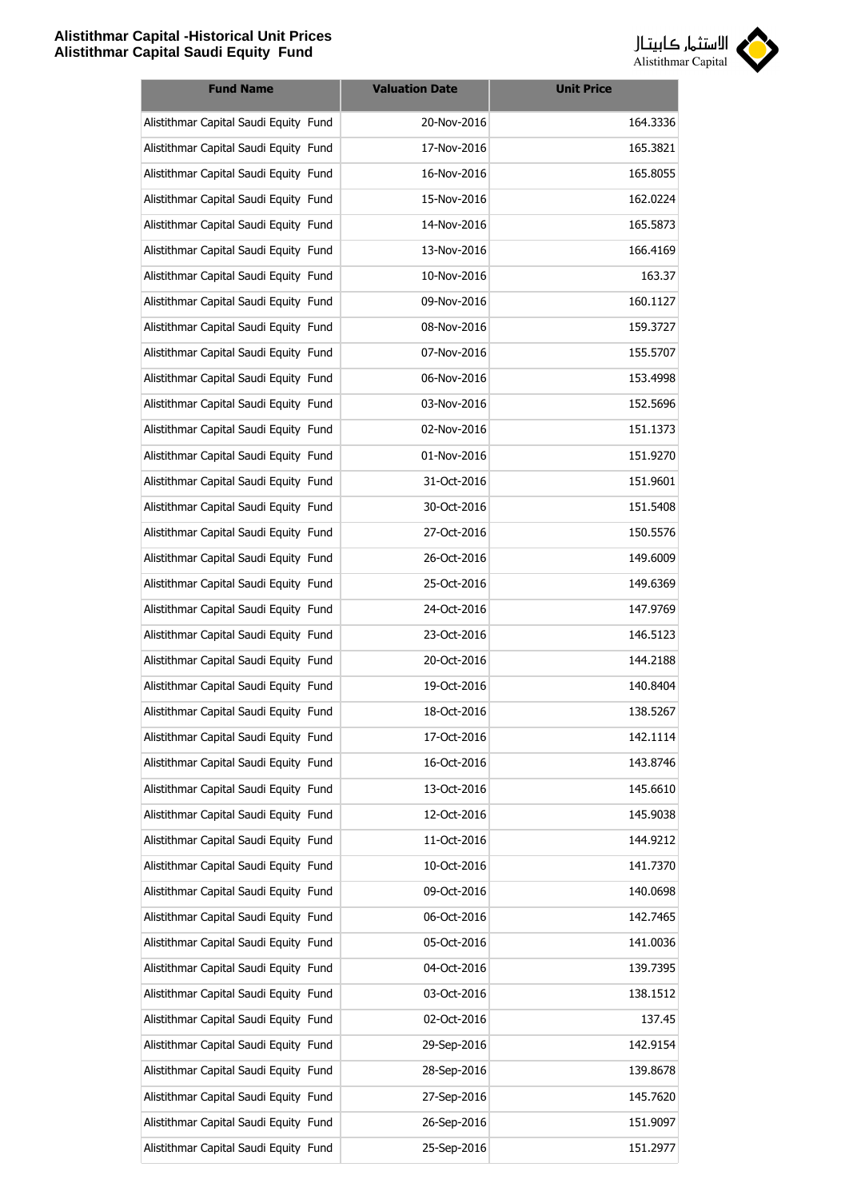

| <b>Fund Name</b>                      | <b>Valuation Date</b> | <b>Unit Price</b> |
|---------------------------------------|-----------------------|-------------------|
| Alistithmar Capital Saudi Equity Fund | 20-Nov-2016           | 164.3336          |
| Alistithmar Capital Saudi Equity Fund | 17-Nov-2016           | 165.3821          |
| Alistithmar Capital Saudi Equity Fund | 16-Nov-2016           | 165.8055          |
| Alistithmar Capital Saudi Equity Fund | 15-Nov-2016           | 162.0224          |
| Alistithmar Capital Saudi Equity Fund | 14-Nov-2016           | 165.5873          |
| Alistithmar Capital Saudi Equity Fund | 13-Nov-2016           | 166.4169          |
| Alistithmar Capital Saudi Equity Fund | 10-Nov-2016           | 163.37            |
| Alistithmar Capital Saudi Equity Fund | 09-Nov-2016           | 160.1127          |
| Alistithmar Capital Saudi Equity Fund | 08-Nov-2016           | 159.3727          |
| Alistithmar Capital Saudi Equity Fund | 07-Nov-2016           | 155.5707          |
| Alistithmar Capital Saudi Equity Fund | 06-Nov-2016           | 153.4998          |
| Alistithmar Capital Saudi Equity Fund | 03-Nov-2016           | 152.5696          |
| Alistithmar Capital Saudi Equity Fund | 02-Nov-2016           | 151.1373          |
| Alistithmar Capital Saudi Equity Fund | 01-Nov-2016           | 151.9270          |
| Alistithmar Capital Saudi Equity Fund | 31-Oct-2016           | 151.9601          |
| Alistithmar Capital Saudi Equity Fund | 30-Oct-2016           | 151.5408          |
| Alistithmar Capital Saudi Equity Fund | 27-Oct-2016           | 150.5576          |
| Alistithmar Capital Saudi Equity Fund | 26-Oct-2016           | 149.6009          |
| Alistithmar Capital Saudi Equity Fund | 25-Oct-2016           | 149.6369          |
| Alistithmar Capital Saudi Equity Fund | 24-Oct-2016           | 147.9769          |
| Alistithmar Capital Saudi Equity Fund | 23-Oct-2016           | 146.5123          |
| Alistithmar Capital Saudi Equity Fund | 20-Oct-2016           | 144.2188          |
| Alistithmar Capital Saudi Equity Fund | 19-Oct-2016           | 140.8404          |
| Alistithmar Capital Saudi Equity Fund | 18-Oct-2016           | 138.5267          |
| Alistithmar Capital Saudi Equity Fund | 17-Oct-2016           | 142.1114          |
| Alistithmar Capital Saudi Equity Fund | 16-Oct-2016           | 143.8746          |
| Alistithmar Capital Saudi Equity Fund | 13-Oct-2016           | 145.6610          |
| Alistithmar Capital Saudi Equity Fund | 12-Oct-2016           | 145.9038          |
| Alistithmar Capital Saudi Equity Fund | 11-Oct-2016           | 144.9212          |
| Alistithmar Capital Saudi Equity Fund | 10-Oct-2016           | 141.7370          |
| Alistithmar Capital Saudi Equity Fund | 09-Oct-2016           | 140.0698          |
| Alistithmar Capital Saudi Equity Fund | 06-Oct-2016           | 142.7465          |
| Alistithmar Capital Saudi Equity Fund | 05-Oct-2016           | 141.0036          |
| Alistithmar Capital Saudi Equity Fund | 04-Oct-2016           | 139.7395          |
| Alistithmar Capital Saudi Equity Fund | 03-Oct-2016           | 138.1512          |
| Alistithmar Capital Saudi Equity Fund | 02-Oct-2016           | 137.45            |
| Alistithmar Capital Saudi Equity Fund | 29-Sep-2016           | 142.9154          |
| Alistithmar Capital Saudi Equity Fund | 28-Sep-2016           | 139.8678          |
| Alistithmar Capital Saudi Equity Fund | 27-Sep-2016           | 145.7620          |
| Alistithmar Capital Saudi Equity Fund | 26-Sep-2016           | 151.9097          |
| Alistithmar Capital Saudi Equity Fund | 25-Sep-2016           | 151.2977          |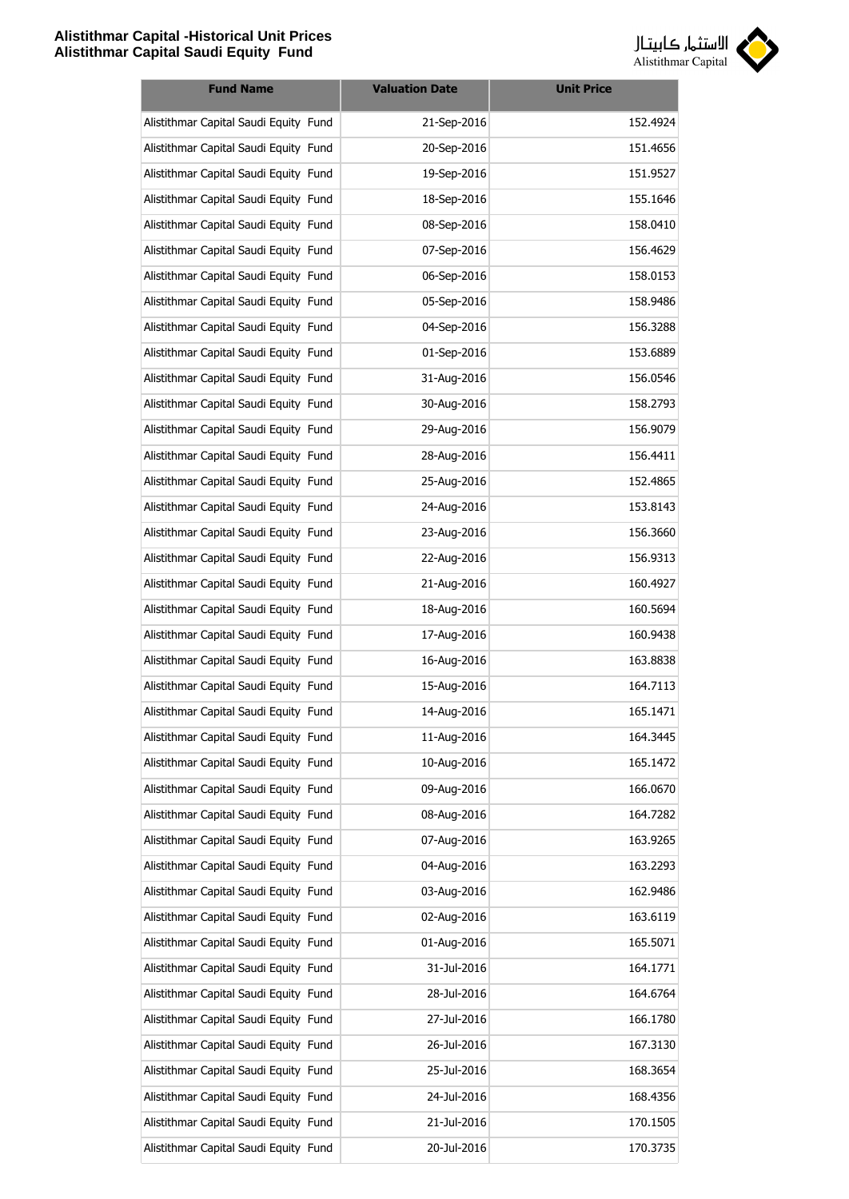

| <b>Fund Name</b>                      | <b>Valuation Date</b> | <b>Unit Price</b> |
|---------------------------------------|-----------------------|-------------------|
| Alistithmar Capital Saudi Equity Fund | 21-Sep-2016           | 152.4924          |
| Alistithmar Capital Saudi Equity Fund | 20-Sep-2016           | 151.4656          |
| Alistithmar Capital Saudi Equity Fund | 19-Sep-2016           | 151.9527          |
| Alistithmar Capital Saudi Equity Fund | 18-Sep-2016           | 155.1646          |
| Alistithmar Capital Saudi Equity Fund | 08-Sep-2016           | 158.0410          |
| Alistithmar Capital Saudi Equity Fund | 07-Sep-2016           | 156.4629          |
| Alistithmar Capital Saudi Equity Fund | 06-Sep-2016           | 158.0153          |
| Alistithmar Capital Saudi Equity Fund | 05-Sep-2016           | 158.9486          |
| Alistithmar Capital Saudi Equity Fund | 04-Sep-2016           | 156.3288          |
| Alistithmar Capital Saudi Equity Fund | 01-Sep-2016           | 153.6889          |
| Alistithmar Capital Saudi Equity Fund | 31-Aug-2016           | 156.0546          |
| Alistithmar Capital Saudi Equity Fund | 30-Aug-2016           | 158.2793          |
| Alistithmar Capital Saudi Equity Fund | 29-Aug-2016           | 156.9079          |
| Alistithmar Capital Saudi Equity Fund | 28-Aug-2016           | 156.4411          |
| Alistithmar Capital Saudi Equity Fund | 25-Aug-2016           | 152.4865          |
| Alistithmar Capital Saudi Equity Fund | 24-Aug-2016           | 153.8143          |
| Alistithmar Capital Saudi Equity Fund | 23-Aug-2016           | 156.3660          |
| Alistithmar Capital Saudi Equity Fund | 22-Aug-2016           | 156.9313          |
| Alistithmar Capital Saudi Equity Fund | 21-Aug-2016           | 160.4927          |
| Alistithmar Capital Saudi Equity Fund | 18-Aug-2016           | 160.5694          |
| Alistithmar Capital Saudi Equity Fund | 17-Aug-2016           | 160.9438          |
| Alistithmar Capital Saudi Equity Fund | 16-Aug-2016           | 163.8838          |
| Alistithmar Capital Saudi Equity Fund | 15-Aug-2016           | 164.7113          |
| Alistithmar Capital Saudi Equity Fund | 14-Aug-2016           | 165.1471          |
| Alistithmar Capital Saudi Equity Fund | 11-Aug-2016           | 164.3445          |
| Alistithmar Capital Saudi Equity Fund | 10-Aug-2016           | 165.1472          |
| Alistithmar Capital Saudi Equity Fund | 09-Aug-2016           | 166.0670          |
| Alistithmar Capital Saudi Equity Fund | 08-Aug-2016           | 164.7282          |
| Alistithmar Capital Saudi Equity Fund | 07-Aug-2016           | 163.9265          |
| Alistithmar Capital Saudi Equity Fund | 04-Aug-2016           | 163.2293          |
| Alistithmar Capital Saudi Equity Fund | 03-Aug-2016           | 162.9486          |
| Alistithmar Capital Saudi Equity Fund | 02-Aug-2016           | 163.6119          |
| Alistithmar Capital Saudi Equity Fund | 01-Aug-2016           | 165.5071          |
| Alistithmar Capital Saudi Equity Fund | 31-Jul-2016           | 164.1771          |
| Alistithmar Capital Saudi Equity Fund | 28-Jul-2016           | 164.6764          |
| Alistithmar Capital Saudi Equity Fund | 27-Jul-2016           | 166.1780          |
| Alistithmar Capital Saudi Equity Fund | 26-Jul-2016           | 167.3130          |
| Alistithmar Capital Saudi Equity Fund | 25-Jul-2016           | 168.3654          |
| Alistithmar Capital Saudi Equity Fund | 24-Jul-2016           | 168.4356          |
| Alistithmar Capital Saudi Equity Fund | 21-Jul-2016           | 170.1505          |
| Alistithmar Capital Saudi Equity Fund | 20-Jul-2016           | 170.3735          |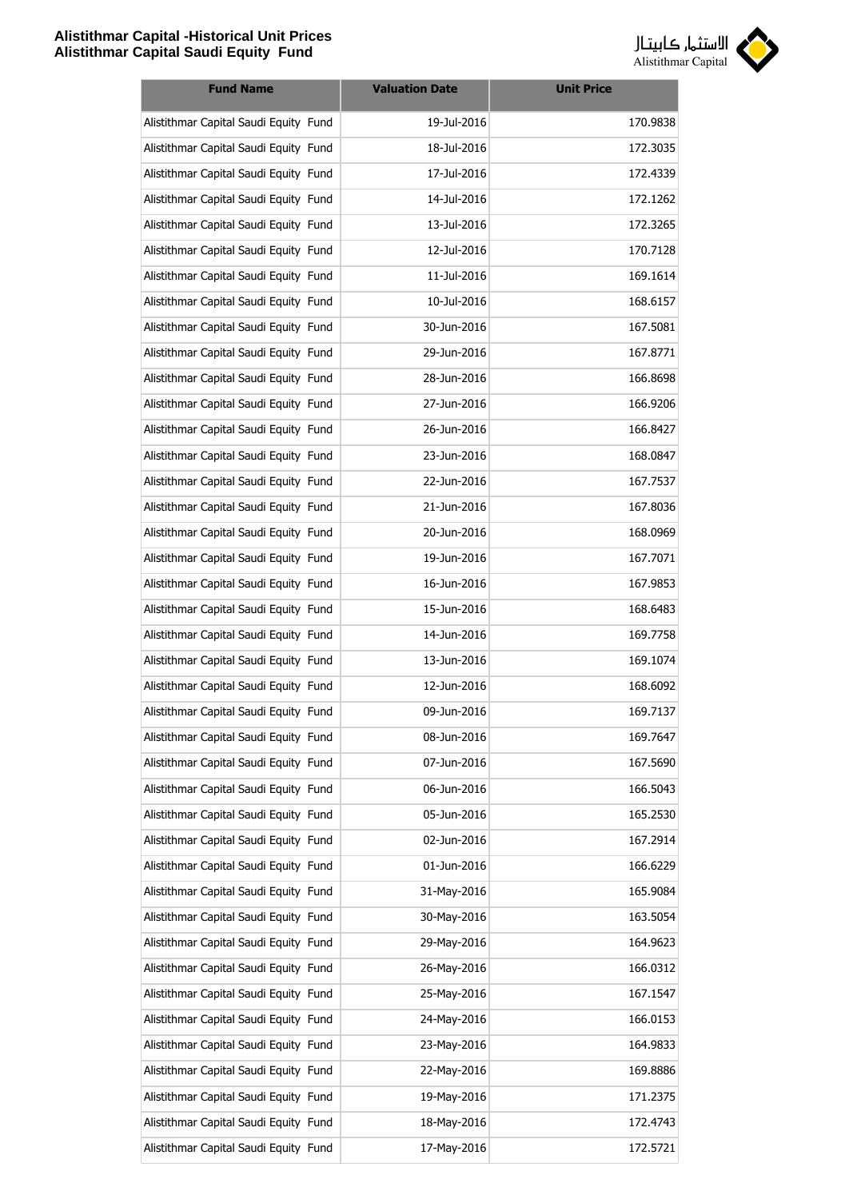

| <b>Fund Name</b>                      | <b>Valuation Date</b> | <b>Unit Price</b> |
|---------------------------------------|-----------------------|-------------------|
| Alistithmar Capital Saudi Equity Fund | 19-Jul-2016           | 170.9838          |
| Alistithmar Capital Saudi Equity Fund | 18-Jul-2016           | 172.3035          |
| Alistithmar Capital Saudi Equity Fund | 17-Jul-2016           | 172.4339          |
| Alistithmar Capital Saudi Equity Fund | 14-Jul-2016           | 172.1262          |
| Alistithmar Capital Saudi Equity Fund | 13-Jul-2016           | 172.3265          |
| Alistithmar Capital Saudi Equity Fund | 12-Jul-2016           | 170.7128          |
| Alistithmar Capital Saudi Equity Fund | 11-Jul-2016           | 169.1614          |
| Alistithmar Capital Saudi Equity Fund | 10-Jul-2016           | 168.6157          |
| Alistithmar Capital Saudi Equity Fund | 30-Jun-2016           | 167.5081          |
| Alistithmar Capital Saudi Equity Fund | 29-Jun-2016           | 167.8771          |
| Alistithmar Capital Saudi Equity Fund | 28-Jun-2016           | 166.8698          |
| Alistithmar Capital Saudi Equity Fund | 27-Jun-2016           | 166.9206          |
| Alistithmar Capital Saudi Equity Fund | 26-Jun-2016           | 166.8427          |
| Alistithmar Capital Saudi Equity Fund | 23-Jun-2016           | 168.0847          |
| Alistithmar Capital Saudi Equity Fund | 22-Jun-2016           | 167.7537          |
| Alistithmar Capital Saudi Equity Fund | 21-Jun-2016           | 167.8036          |
| Alistithmar Capital Saudi Equity Fund | 20-Jun-2016           | 168.0969          |
| Alistithmar Capital Saudi Equity Fund | 19-Jun-2016           | 167.7071          |
| Alistithmar Capital Saudi Equity Fund | 16-Jun-2016           | 167.9853          |
| Alistithmar Capital Saudi Equity Fund | 15-Jun-2016           | 168.6483          |
| Alistithmar Capital Saudi Equity Fund | 14-Jun-2016           | 169.7758          |
| Alistithmar Capital Saudi Equity Fund | 13-Jun-2016           | 169.1074          |
| Alistithmar Capital Saudi Equity Fund | 12-Jun-2016           | 168.6092          |
| Alistithmar Capital Saudi Equity Fund | 09-Jun-2016           | 169.7137          |
| Alistithmar Capital Saudi Equity Fund | 08-Jun-2016           | 169.7647          |
| Alistithmar Capital Saudi Equity Fund | 07-Jun-2016           | 167.5690          |
| Alistithmar Capital Saudi Equity Fund | 06-Jun-2016           | 166.5043          |
| Alistithmar Capital Saudi Equity Fund | 05-Jun-2016           | 165.2530          |
| Alistithmar Capital Saudi Equity Fund | 02-Jun-2016           | 167.2914          |
| Alistithmar Capital Saudi Equity Fund | 01-Jun-2016           | 166.6229          |
| Alistithmar Capital Saudi Equity Fund | 31-May-2016           | 165.9084          |
| Alistithmar Capital Saudi Equity Fund | 30-May-2016           | 163.5054          |
| Alistithmar Capital Saudi Equity Fund | 29-May-2016           | 164.9623          |
| Alistithmar Capital Saudi Equity Fund | 26-May-2016           | 166.0312          |
| Alistithmar Capital Saudi Equity Fund | 25-May-2016           | 167.1547          |
| Alistithmar Capital Saudi Equity Fund | 24-May-2016           | 166.0153          |
| Alistithmar Capital Saudi Equity Fund | 23-May-2016           | 164.9833          |
| Alistithmar Capital Saudi Equity Fund | 22-May-2016           | 169.8886          |
| Alistithmar Capital Saudi Equity Fund | 19-May-2016           | 171.2375          |
| Alistithmar Capital Saudi Equity Fund | 18-May-2016           | 172.4743          |
| Alistithmar Capital Saudi Equity Fund | 17-May-2016           | 172.5721          |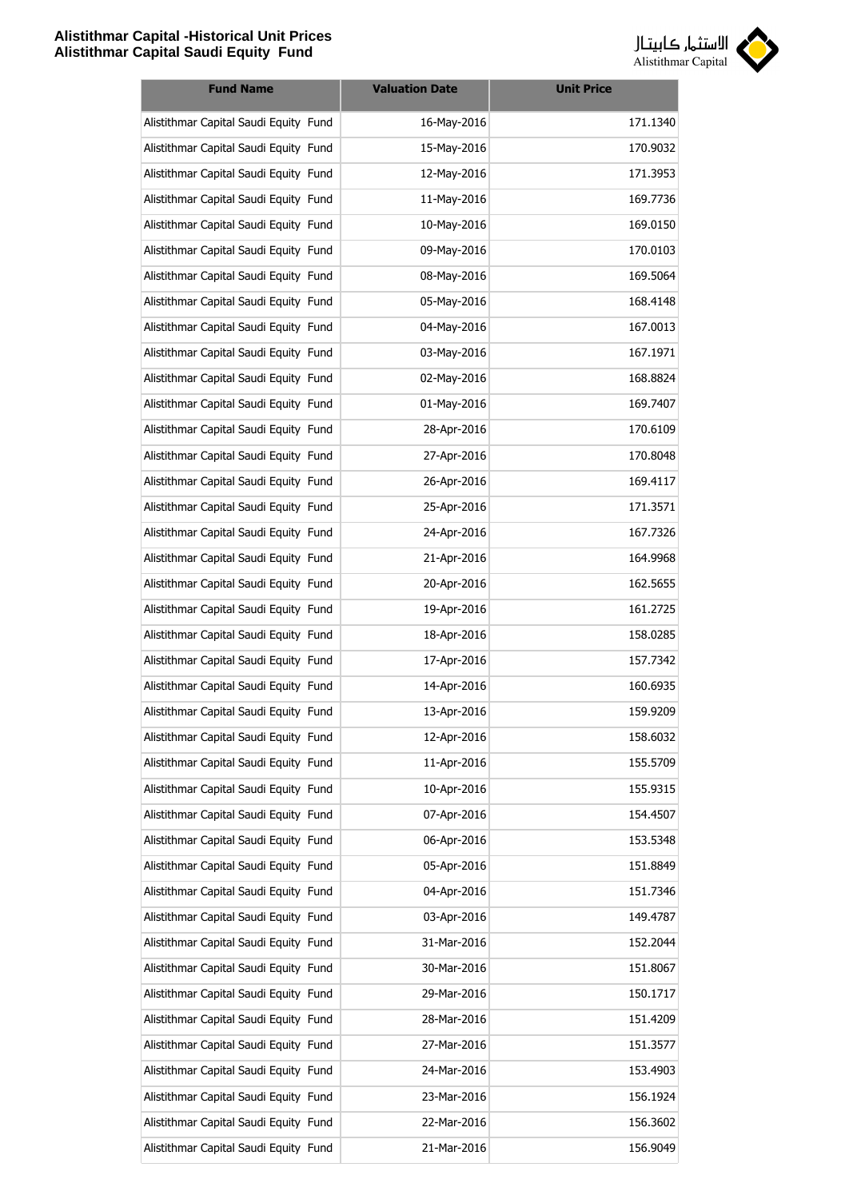

| <b>Fund Name</b>                      | <b>Valuation Date</b> | <b>Unit Price</b> |
|---------------------------------------|-----------------------|-------------------|
| Alistithmar Capital Saudi Equity Fund | 16-May-2016           | 171.1340          |
| Alistithmar Capital Saudi Equity Fund | 15-May-2016           | 170.9032          |
| Alistithmar Capital Saudi Equity Fund | 12-May-2016           | 171.3953          |
| Alistithmar Capital Saudi Equity Fund | 11-May-2016           | 169.7736          |
| Alistithmar Capital Saudi Equity Fund | 10-May-2016           | 169.0150          |
| Alistithmar Capital Saudi Equity Fund | 09-May-2016           | 170.0103          |
| Alistithmar Capital Saudi Equity Fund | 08-May-2016           | 169.5064          |
| Alistithmar Capital Saudi Equity Fund | 05-May-2016           | 168.4148          |
| Alistithmar Capital Saudi Equity Fund | 04-May-2016           | 167.0013          |
| Alistithmar Capital Saudi Equity Fund | 03-May-2016           | 167.1971          |
| Alistithmar Capital Saudi Equity Fund | 02-May-2016           | 168.8824          |
| Alistithmar Capital Saudi Equity Fund | 01-May-2016           | 169.7407          |
| Alistithmar Capital Saudi Equity Fund | 28-Apr-2016           | 170.6109          |
| Alistithmar Capital Saudi Equity Fund | 27-Apr-2016           | 170.8048          |
| Alistithmar Capital Saudi Equity Fund | 26-Apr-2016           | 169.4117          |
| Alistithmar Capital Saudi Equity Fund | 25-Apr-2016           | 171.3571          |
| Alistithmar Capital Saudi Equity Fund | 24-Apr-2016           | 167.7326          |
| Alistithmar Capital Saudi Equity Fund | 21-Apr-2016           | 164.9968          |
| Alistithmar Capital Saudi Equity Fund | 20-Apr-2016           | 162.5655          |
| Alistithmar Capital Saudi Equity Fund | 19-Apr-2016           | 161.2725          |
| Alistithmar Capital Saudi Equity Fund | 18-Apr-2016           | 158.0285          |
| Alistithmar Capital Saudi Equity Fund | 17-Apr-2016           | 157.7342          |
| Alistithmar Capital Saudi Equity Fund | 14-Apr-2016           | 160.6935          |
| Alistithmar Capital Saudi Equity Fund | 13-Apr-2016           | 159.9209          |
| Alistithmar Capital Saudi Equity Fund | 12-Apr-2016           | 158.6032          |
| Alistithmar Capital Saudi Equity Fund | 11-Apr-2016           | 155.5709          |
| Alistithmar Capital Saudi Equity Fund | 10-Apr-2016           | 155.9315          |
| Alistithmar Capital Saudi Equity Fund | 07-Apr-2016           | 154.4507          |
| Alistithmar Capital Saudi Equity Fund | 06-Apr-2016           | 153.5348          |
| Alistithmar Capital Saudi Equity Fund | 05-Apr-2016           | 151.8849          |
| Alistithmar Capital Saudi Equity Fund | 04-Apr-2016           | 151.7346          |
| Alistithmar Capital Saudi Equity Fund | 03-Apr-2016           | 149.4787          |
| Alistithmar Capital Saudi Equity Fund | 31-Mar-2016           | 152.2044          |
| Alistithmar Capital Saudi Equity Fund | 30-Mar-2016           | 151.8067          |
| Alistithmar Capital Saudi Equity Fund | 29-Mar-2016           | 150.1717          |
| Alistithmar Capital Saudi Equity Fund | 28-Mar-2016           | 151.4209          |
| Alistithmar Capital Saudi Equity Fund | 27-Mar-2016           | 151.3577          |
| Alistithmar Capital Saudi Equity Fund | 24-Mar-2016           | 153.4903          |
| Alistithmar Capital Saudi Equity Fund | 23-Mar-2016           | 156.1924          |
| Alistithmar Capital Saudi Equity Fund | 22-Mar-2016           | 156.3602          |
| Alistithmar Capital Saudi Equity Fund | 21-Mar-2016           | 156.9049          |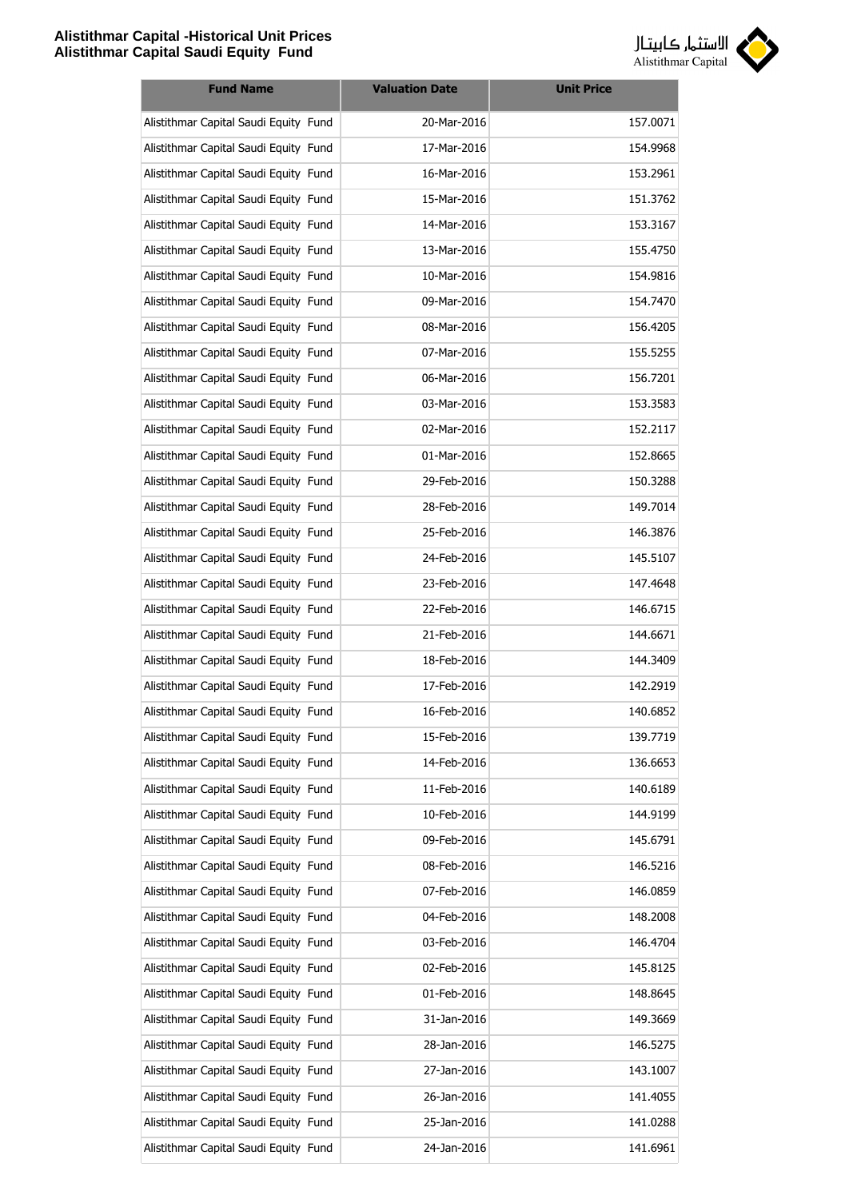

| <b>Fund Name</b>                      | <b>Valuation Date</b> | <b>Unit Price</b> |
|---------------------------------------|-----------------------|-------------------|
| Alistithmar Capital Saudi Equity Fund | 20-Mar-2016           | 157.0071          |
| Alistithmar Capital Saudi Equity Fund | 17-Mar-2016           | 154.9968          |
| Alistithmar Capital Saudi Equity Fund | 16-Mar-2016           | 153.2961          |
| Alistithmar Capital Saudi Equity Fund | 15-Mar-2016           | 151.3762          |
| Alistithmar Capital Saudi Equity Fund | 14-Mar-2016           | 153.3167          |
| Alistithmar Capital Saudi Equity Fund | 13-Mar-2016           | 155.4750          |
| Alistithmar Capital Saudi Equity Fund | 10-Mar-2016           | 154.9816          |
| Alistithmar Capital Saudi Equity Fund | 09-Mar-2016           | 154.7470          |
| Alistithmar Capital Saudi Equity Fund | 08-Mar-2016           | 156.4205          |
| Alistithmar Capital Saudi Equity Fund | 07-Mar-2016           | 155.5255          |
| Alistithmar Capital Saudi Equity Fund | 06-Mar-2016           | 156.7201          |
| Alistithmar Capital Saudi Equity Fund | 03-Mar-2016           | 153.3583          |
| Alistithmar Capital Saudi Equity Fund | 02-Mar-2016           | 152.2117          |
| Alistithmar Capital Saudi Equity Fund | 01-Mar-2016           | 152.8665          |
| Alistithmar Capital Saudi Equity Fund | 29-Feb-2016           | 150.3288          |
| Alistithmar Capital Saudi Equity Fund | 28-Feb-2016           | 149.7014          |
| Alistithmar Capital Saudi Equity Fund | 25-Feb-2016           | 146.3876          |
| Alistithmar Capital Saudi Equity Fund | 24-Feb-2016           | 145.5107          |
| Alistithmar Capital Saudi Equity Fund | 23-Feb-2016           | 147.4648          |
| Alistithmar Capital Saudi Equity Fund | 22-Feb-2016           | 146.6715          |
| Alistithmar Capital Saudi Equity Fund | 21-Feb-2016           | 144.6671          |
| Alistithmar Capital Saudi Equity Fund | 18-Feb-2016           | 144.3409          |
| Alistithmar Capital Saudi Equity Fund | 17-Feb-2016           | 142.2919          |
| Alistithmar Capital Saudi Equity Fund | 16-Feb-2016           | 140.6852          |
| Alistithmar Capital Saudi Equity Fund | 15-Feb-2016           | 139.7719          |
| Alistithmar Capital Saudi Equity Fund | 14-Feb-2016           | 136.6653          |
| Alistithmar Capital Saudi Equity Fund | 11-Feb-2016           | 140.6189          |
| Alistithmar Capital Saudi Equity Fund | 10-Feb-2016           | 144.9199          |
| Alistithmar Capital Saudi Equity Fund | 09-Feb-2016           | 145.6791          |
| Alistithmar Capital Saudi Equity Fund | 08-Feb-2016           | 146.5216          |
| Alistithmar Capital Saudi Equity Fund | 07-Feb-2016           | 146.0859          |
| Alistithmar Capital Saudi Equity Fund | 04-Feb-2016           | 148.2008          |
| Alistithmar Capital Saudi Equity Fund | 03-Feb-2016           | 146.4704          |
| Alistithmar Capital Saudi Equity Fund | 02-Feb-2016           | 145.8125          |
| Alistithmar Capital Saudi Equity Fund | 01-Feb-2016           | 148.8645          |
| Alistithmar Capital Saudi Equity Fund | 31-Jan-2016           | 149.3669          |
| Alistithmar Capital Saudi Equity Fund | 28-Jan-2016           | 146.5275          |
| Alistithmar Capital Saudi Equity Fund | 27-Jan-2016           | 143.1007          |
| Alistithmar Capital Saudi Equity Fund | 26-Jan-2016           | 141.4055          |
| Alistithmar Capital Saudi Equity Fund | 25-Jan-2016           | 141.0288          |
| Alistithmar Capital Saudi Equity Fund | 24-Jan-2016           | 141.6961          |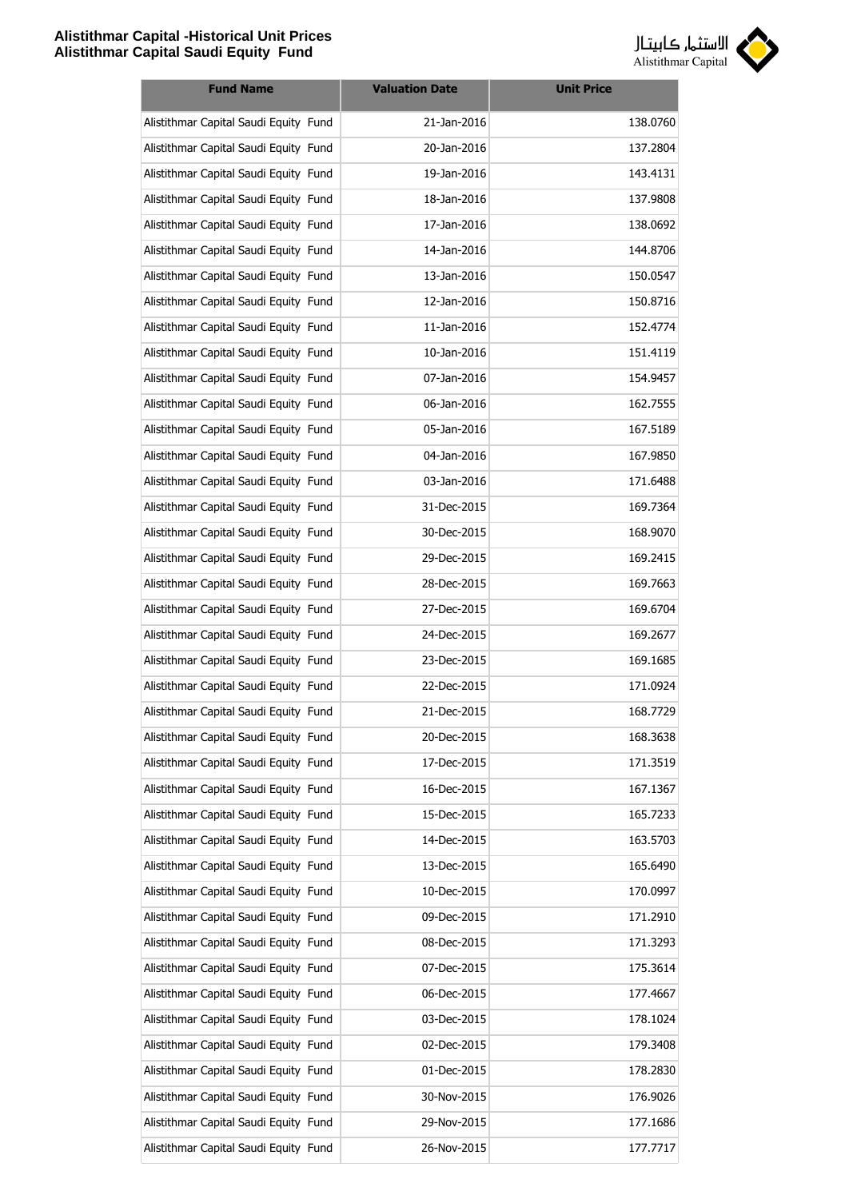

| <b>Fund Name</b>                      | <b>Valuation Date</b> | <b>Unit Price</b> |
|---------------------------------------|-----------------------|-------------------|
| Alistithmar Capital Saudi Equity Fund | 21-Jan-2016           | 138.0760          |
| Alistithmar Capital Saudi Equity Fund | 20-Jan-2016           | 137.2804          |
| Alistithmar Capital Saudi Equity Fund | 19-Jan-2016           | 143.4131          |
| Alistithmar Capital Saudi Equity Fund | 18-Jan-2016           | 137.9808          |
| Alistithmar Capital Saudi Equity Fund | 17-Jan-2016           | 138.0692          |
| Alistithmar Capital Saudi Equity Fund | 14-Jan-2016           | 144.8706          |
| Alistithmar Capital Saudi Equity Fund | 13-Jan-2016           | 150.0547          |
| Alistithmar Capital Saudi Equity Fund | 12-Jan-2016           | 150.8716          |
| Alistithmar Capital Saudi Equity Fund | 11-Jan-2016           | 152.4774          |
| Alistithmar Capital Saudi Equity Fund | 10-Jan-2016           | 151.4119          |
| Alistithmar Capital Saudi Equity Fund | 07-Jan-2016           | 154.9457          |
| Alistithmar Capital Saudi Equity Fund | 06-Jan-2016           | 162.7555          |
| Alistithmar Capital Saudi Equity Fund | 05-Jan-2016           | 167.5189          |
| Alistithmar Capital Saudi Equity Fund | 04-Jan-2016           | 167.9850          |
| Alistithmar Capital Saudi Equity Fund | 03-Jan-2016           | 171.6488          |
| Alistithmar Capital Saudi Equity Fund | 31-Dec-2015           | 169.7364          |
| Alistithmar Capital Saudi Equity Fund | 30-Dec-2015           | 168.9070          |
| Alistithmar Capital Saudi Equity Fund | 29-Dec-2015           | 169.2415          |
| Alistithmar Capital Saudi Equity Fund | 28-Dec-2015           | 169.7663          |
| Alistithmar Capital Saudi Equity Fund | 27-Dec-2015           | 169.6704          |
| Alistithmar Capital Saudi Equity Fund | 24-Dec-2015           | 169.2677          |
| Alistithmar Capital Saudi Equity Fund | 23-Dec-2015           | 169.1685          |
| Alistithmar Capital Saudi Equity Fund | 22-Dec-2015           | 171.0924          |
| Alistithmar Capital Saudi Equity Fund | 21-Dec-2015           | 168.7729          |
| Alistithmar Capital Saudi Equity Fund | 20-Dec-2015           | 168.3638          |
| Alistithmar Capital Saudi Equity Fund | 17-Dec-2015           | 171.3519          |
| Alistithmar Capital Saudi Equity Fund | 16-Dec-2015           | 167.1367          |
| Alistithmar Capital Saudi Equity Fund | 15-Dec-2015           | 165.7233          |
| Alistithmar Capital Saudi Equity Fund | 14-Dec-2015           | 163.5703          |
| Alistithmar Capital Saudi Equity Fund | 13-Dec-2015           | 165.6490          |
| Alistithmar Capital Saudi Equity Fund | 10-Dec-2015           | 170.0997          |
| Alistithmar Capital Saudi Equity Fund | 09-Dec-2015           | 171.2910          |
| Alistithmar Capital Saudi Equity Fund | 08-Dec-2015           | 171.3293          |
| Alistithmar Capital Saudi Equity Fund | 07-Dec-2015           | 175.3614          |
| Alistithmar Capital Saudi Equity Fund | 06-Dec-2015           | 177.4667          |
| Alistithmar Capital Saudi Equity Fund | 03-Dec-2015           | 178.1024          |
| Alistithmar Capital Saudi Equity Fund | 02-Dec-2015           | 179.3408          |
| Alistithmar Capital Saudi Equity Fund | 01-Dec-2015           | 178.2830          |
| Alistithmar Capital Saudi Equity Fund | 30-Nov-2015           | 176.9026          |
| Alistithmar Capital Saudi Equity Fund | 29-Nov-2015           | 177.1686          |
| Alistithmar Capital Saudi Equity Fund | 26-Nov-2015           | 177.7717          |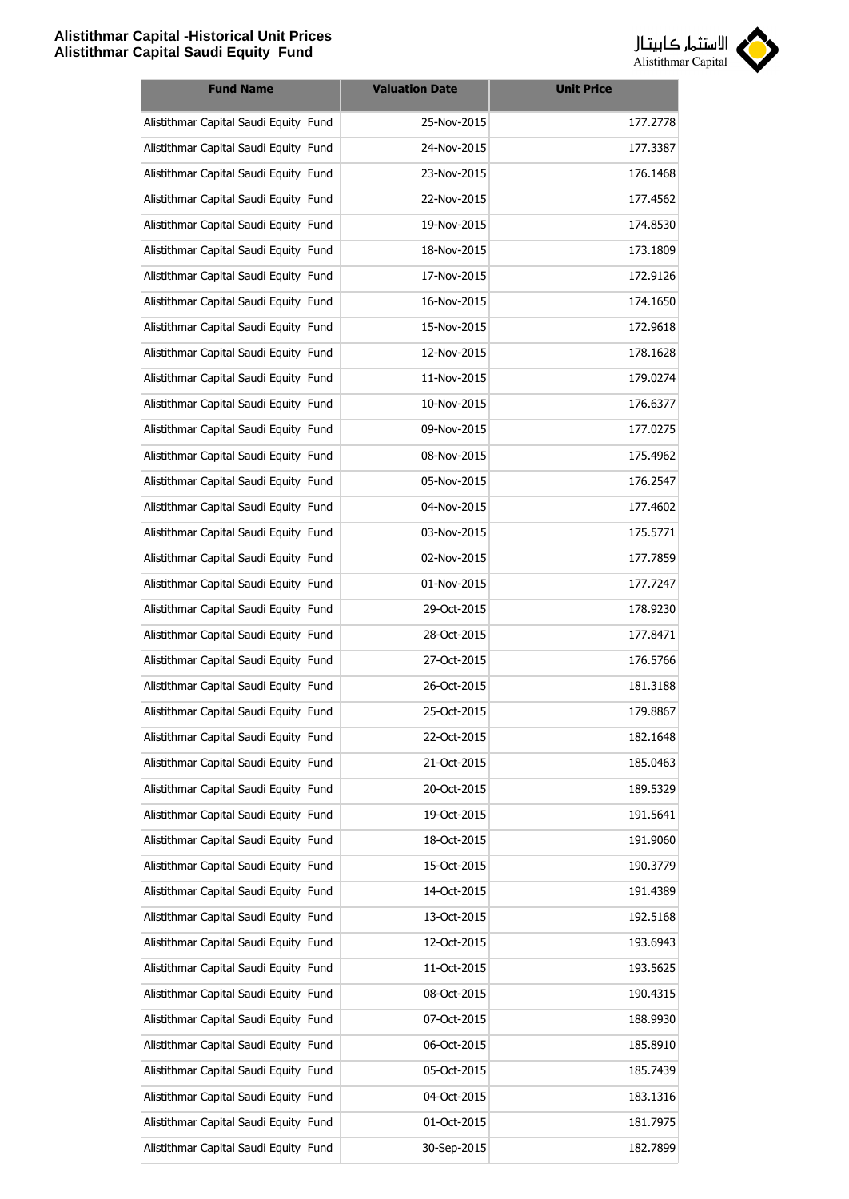

| <b>Fund Name</b>                      | <b>Valuation Date</b> | <b>Unit Price</b> |
|---------------------------------------|-----------------------|-------------------|
| Alistithmar Capital Saudi Equity Fund | 25-Nov-2015           | 177.2778          |
| Alistithmar Capital Saudi Equity Fund | 24-Nov-2015           | 177.3387          |
| Alistithmar Capital Saudi Equity Fund | 23-Nov-2015           | 176.1468          |
| Alistithmar Capital Saudi Equity Fund | 22-Nov-2015           | 177.4562          |
| Alistithmar Capital Saudi Equity Fund | 19-Nov-2015           | 174.8530          |
| Alistithmar Capital Saudi Equity Fund | 18-Nov-2015           | 173.1809          |
| Alistithmar Capital Saudi Equity Fund | 17-Nov-2015           | 172.9126          |
| Alistithmar Capital Saudi Equity Fund | 16-Nov-2015           | 174.1650          |
| Alistithmar Capital Saudi Equity Fund | 15-Nov-2015           | 172.9618          |
| Alistithmar Capital Saudi Equity Fund | 12-Nov-2015           | 178.1628          |
| Alistithmar Capital Saudi Equity Fund | 11-Nov-2015           | 179.0274          |
| Alistithmar Capital Saudi Equity Fund | 10-Nov-2015           | 176.6377          |
| Alistithmar Capital Saudi Equity Fund | 09-Nov-2015           | 177.0275          |
| Alistithmar Capital Saudi Equity Fund | 08-Nov-2015           | 175.4962          |
| Alistithmar Capital Saudi Equity Fund | 05-Nov-2015           | 176.2547          |
| Alistithmar Capital Saudi Equity Fund | 04-Nov-2015           | 177.4602          |
| Alistithmar Capital Saudi Equity Fund | 03-Nov-2015           | 175.5771          |
| Alistithmar Capital Saudi Equity Fund | 02-Nov-2015           | 177.7859          |
| Alistithmar Capital Saudi Equity Fund | 01-Nov-2015           | 177.7247          |
| Alistithmar Capital Saudi Equity Fund | 29-Oct-2015           | 178.9230          |
| Alistithmar Capital Saudi Equity Fund | 28-Oct-2015           | 177.8471          |
| Alistithmar Capital Saudi Equity Fund | 27-Oct-2015           | 176.5766          |
| Alistithmar Capital Saudi Equity Fund | 26-Oct-2015           | 181.3188          |
| Alistithmar Capital Saudi Equity Fund | 25-Oct-2015           | 179.8867          |
| Alistithmar Capital Saudi Equity Fund | 22-Oct-2015           | 182.1648          |
| Alistithmar Capital Saudi Equity Fund | 21-Oct-2015           | 185.0463          |
| Alistithmar Capital Saudi Equity Fund | 20-Oct-2015           | 189.5329          |
| Alistithmar Capital Saudi Equity Fund | 19-Oct-2015           | 191.5641          |
| Alistithmar Capital Saudi Equity Fund | 18-Oct-2015           | 191.9060          |
| Alistithmar Capital Saudi Equity Fund | 15-Oct-2015           | 190.3779          |
| Alistithmar Capital Saudi Equity Fund | 14-Oct-2015           | 191.4389          |
| Alistithmar Capital Saudi Equity Fund | 13-Oct-2015           | 192.5168          |
| Alistithmar Capital Saudi Equity Fund | 12-Oct-2015           | 193.6943          |
| Alistithmar Capital Saudi Equity Fund | 11-Oct-2015           | 193.5625          |
| Alistithmar Capital Saudi Equity Fund | 08-Oct-2015           | 190.4315          |
| Alistithmar Capital Saudi Equity Fund | 07-Oct-2015           | 188.9930          |
| Alistithmar Capital Saudi Equity Fund | 06-Oct-2015           | 185.8910          |
| Alistithmar Capital Saudi Equity Fund | 05-Oct-2015           | 185.7439          |
| Alistithmar Capital Saudi Equity Fund | 04-Oct-2015           | 183.1316          |
| Alistithmar Capital Saudi Equity Fund | 01-Oct-2015           | 181.7975          |
| Alistithmar Capital Saudi Equity Fund | 30-Sep-2015           | 182.7899          |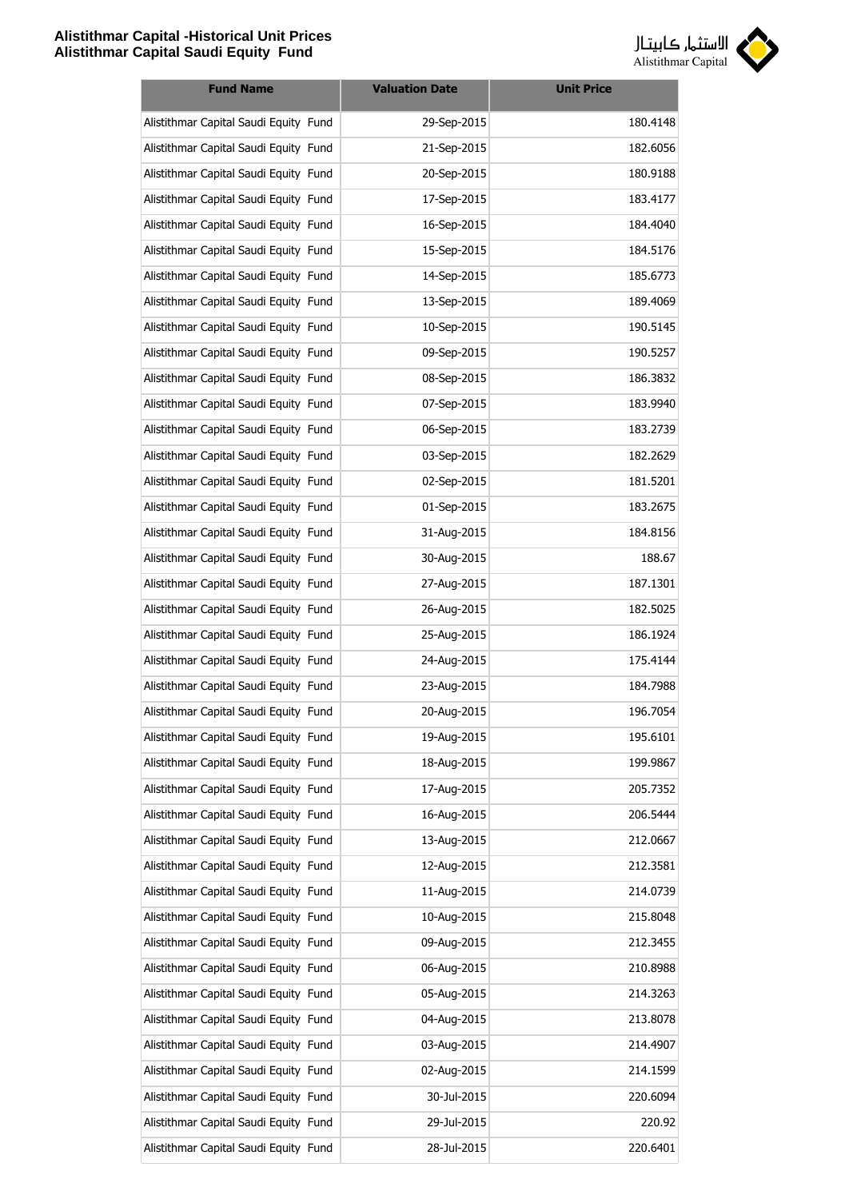

| <b>Fund Name</b>                      | <b>Valuation Date</b> | <b>Unit Price</b> |
|---------------------------------------|-----------------------|-------------------|
| Alistithmar Capital Saudi Equity Fund | 29-Sep-2015           | 180.4148          |
| Alistithmar Capital Saudi Equity Fund | 21-Sep-2015           | 182.6056          |
| Alistithmar Capital Saudi Equity Fund | 20-Sep-2015           | 180.9188          |
| Alistithmar Capital Saudi Equity Fund | 17-Sep-2015           | 183.4177          |
| Alistithmar Capital Saudi Equity Fund | 16-Sep-2015           | 184.4040          |
| Alistithmar Capital Saudi Equity Fund | 15-Sep-2015           | 184.5176          |
| Alistithmar Capital Saudi Equity Fund | 14-Sep-2015           | 185.6773          |
| Alistithmar Capital Saudi Equity Fund | 13-Sep-2015           | 189.4069          |
| Alistithmar Capital Saudi Equity Fund | 10-Sep-2015           | 190.5145          |
| Alistithmar Capital Saudi Equity Fund | 09-Sep-2015           | 190.5257          |
| Alistithmar Capital Saudi Equity Fund | 08-Sep-2015           | 186.3832          |
| Alistithmar Capital Saudi Equity Fund | 07-Sep-2015           | 183.9940          |
| Alistithmar Capital Saudi Equity Fund | 06-Sep-2015           | 183.2739          |
| Alistithmar Capital Saudi Equity Fund | 03-Sep-2015           | 182.2629          |
| Alistithmar Capital Saudi Equity Fund | 02-Sep-2015           | 181.5201          |
| Alistithmar Capital Saudi Equity Fund | 01-Sep-2015           | 183.2675          |
| Alistithmar Capital Saudi Equity Fund | 31-Aug-2015           | 184.8156          |
| Alistithmar Capital Saudi Equity Fund | 30-Aug-2015           | 188.67            |
| Alistithmar Capital Saudi Equity Fund | 27-Aug-2015           | 187.1301          |
| Alistithmar Capital Saudi Equity Fund | 26-Aug-2015           | 182.5025          |
| Alistithmar Capital Saudi Equity Fund | 25-Aug-2015           | 186.1924          |
| Alistithmar Capital Saudi Equity Fund | 24-Aug-2015           | 175.4144          |
| Alistithmar Capital Saudi Equity Fund | 23-Aug-2015           | 184.7988          |
| Alistithmar Capital Saudi Equity Fund | 20-Aug-2015           | 196.7054          |
| Alistithmar Capital Saudi Equity Fund | 19-Aug-2015           | 195.6101          |
| Alistithmar Capital Saudi Equity Fund | 18-Aug-2015           | 199.9867          |
| Alistithmar Capital Saudi Equity Fund | 17-Aug-2015           | 205.7352          |
| Alistithmar Capital Saudi Equity Fund | 16-Aug-2015           | 206.5444          |
| Alistithmar Capital Saudi Equity Fund | 13-Aug-2015           | 212.0667          |
| Alistithmar Capital Saudi Equity Fund | 12-Aug-2015           | 212.3581          |
| Alistithmar Capital Saudi Equity Fund | 11-Aug-2015           | 214.0739          |
| Alistithmar Capital Saudi Equity Fund | 10-Aug-2015           | 215.8048          |
| Alistithmar Capital Saudi Equity Fund | 09-Aug-2015           | 212.3455          |
| Alistithmar Capital Saudi Equity Fund | 06-Aug-2015           | 210.8988          |
| Alistithmar Capital Saudi Equity Fund | 05-Aug-2015           | 214.3263          |
| Alistithmar Capital Saudi Equity Fund | 04-Aug-2015           | 213.8078          |
| Alistithmar Capital Saudi Equity Fund | 03-Aug-2015           | 214.4907          |
| Alistithmar Capital Saudi Equity Fund | 02-Aug-2015           | 214.1599          |
| Alistithmar Capital Saudi Equity Fund | 30-Jul-2015           | 220.6094          |
| Alistithmar Capital Saudi Equity Fund | 29-Jul-2015           | 220.92            |
| Alistithmar Capital Saudi Equity Fund | 28-Jul-2015           | 220.6401          |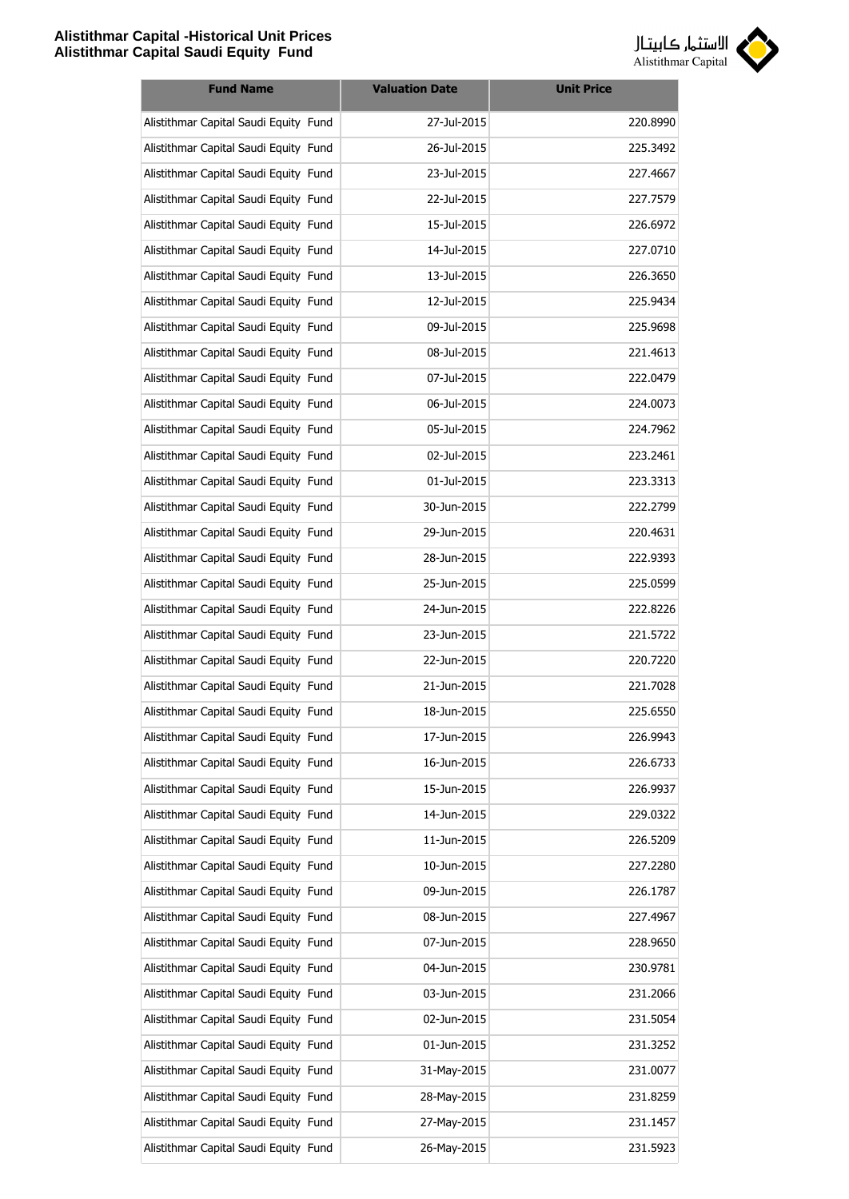

| <b>Fund Name</b>                      | <b>Valuation Date</b> | <b>Unit Price</b> |
|---------------------------------------|-----------------------|-------------------|
| Alistithmar Capital Saudi Equity Fund | 27-Jul-2015           | 220.8990          |
| Alistithmar Capital Saudi Equity Fund | 26-Jul-2015           | 225.3492          |
| Alistithmar Capital Saudi Equity Fund | 23-Jul-2015           | 227.4667          |
| Alistithmar Capital Saudi Equity Fund | 22-Jul-2015           | 227.7579          |
| Alistithmar Capital Saudi Equity Fund | 15-Jul-2015           | 226.6972          |
| Alistithmar Capital Saudi Equity Fund | 14-Jul-2015           | 227.0710          |
| Alistithmar Capital Saudi Equity Fund | 13-Jul-2015           | 226.3650          |
| Alistithmar Capital Saudi Equity Fund | 12-Jul-2015           | 225.9434          |
| Alistithmar Capital Saudi Equity Fund | 09-Jul-2015           | 225.9698          |
| Alistithmar Capital Saudi Equity Fund | 08-Jul-2015           | 221.4613          |
| Alistithmar Capital Saudi Equity Fund | 07-Jul-2015           | 222.0479          |
| Alistithmar Capital Saudi Equity Fund | 06-Jul-2015           | 224.0073          |
| Alistithmar Capital Saudi Equity Fund | 05-Jul-2015           | 224.7962          |
| Alistithmar Capital Saudi Equity Fund | 02-Jul-2015           | 223.2461          |
| Alistithmar Capital Saudi Equity Fund | 01-Jul-2015           | 223.3313          |
| Alistithmar Capital Saudi Equity Fund | 30-Jun-2015           | 222.2799          |
| Alistithmar Capital Saudi Equity Fund | 29-Jun-2015           | 220.4631          |
| Alistithmar Capital Saudi Equity Fund | 28-Jun-2015           | 222.9393          |
| Alistithmar Capital Saudi Equity Fund | 25-Jun-2015           | 225.0599          |
| Alistithmar Capital Saudi Equity Fund | 24-Jun-2015           | 222.8226          |
| Alistithmar Capital Saudi Equity Fund | 23-Jun-2015           | 221.5722          |
| Alistithmar Capital Saudi Equity Fund | 22-Jun-2015           | 220.7220          |
| Alistithmar Capital Saudi Equity Fund | 21-Jun-2015           | 221.7028          |
| Alistithmar Capital Saudi Equity Fund | 18-Jun-2015           | 225.6550          |
| Alistithmar Capital Saudi Equity Fund | 17-Jun-2015           | 226.9943          |
| Alistithmar Capital Saudi Equity Fund | 16-Jun-2015           | 226.6733          |
| Alistithmar Capital Saudi Equity Fund | 15-Jun-2015           | 226.9937          |
| Alistithmar Capital Saudi Equity Fund | 14-Jun-2015           | 229.0322          |
| Alistithmar Capital Saudi Equity Fund | 11-Jun-2015           | 226.5209          |
| Alistithmar Capital Saudi Equity Fund | 10-Jun-2015           | 227.2280          |
| Alistithmar Capital Saudi Equity Fund | 09-Jun-2015           | 226.1787          |
| Alistithmar Capital Saudi Equity Fund | 08-Jun-2015           | 227.4967          |
| Alistithmar Capital Saudi Equity Fund | 07-Jun-2015           | 228.9650          |
| Alistithmar Capital Saudi Equity Fund | 04-Jun-2015           | 230.9781          |
| Alistithmar Capital Saudi Equity Fund | 03-Jun-2015           | 231.2066          |
| Alistithmar Capital Saudi Equity Fund | 02-Jun-2015           | 231.5054          |
| Alistithmar Capital Saudi Equity Fund | 01-Jun-2015           | 231.3252          |
| Alistithmar Capital Saudi Equity Fund | 31-May-2015           | 231.0077          |
| Alistithmar Capital Saudi Equity Fund | 28-May-2015           | 231.8259          |
| Alistithmar Capital Saudi Equity Fund | 27-May-2015           | 231.1457          |
| Alistithmar Capital Saudi Equity Fund | 26-May-2015           | 231.5923          |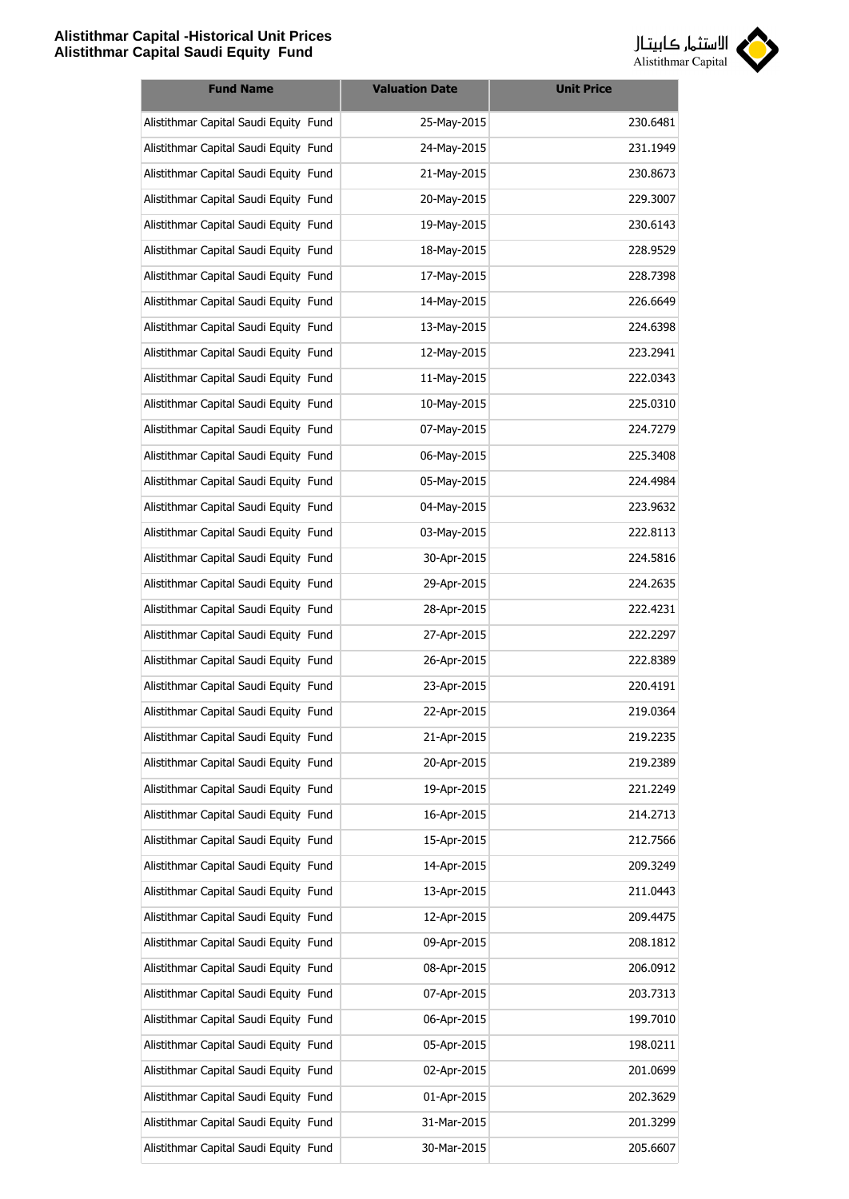

| <b>Fund Name</b>                      | <b>Valuation Date</b> | <b>Unit Price</b> |
|---------------------------------------|-----------------------|-------------------|
| Alistithmar Capital Saudi Equity Fund | 25-May-2015           | 230.6481          |
| Alistithmar Capital Saudi Equity Fund | 24-May-2015           | 231.1949          |
| Alistithmar Capital Saudi Equity Fund | 21-May-2015           | 230.8673          |
| Alistithmar Capital Saudi Equity Fund | 20-May-2015           | 229.3007          |
| Alistithmar Capital Saudi Equity Fund | 19-May-2015           | 230.6143          |
| Alistithmar Capital Saudi Equity Fund | 18-May-2015           | 228.9529          |
| Alistithmar Capital Saudi Equity Fund | 17-May-2015           | 228.7398          |
| Alistithmar Capital Saudi Equity Fund | 14-May-2015           | 226.6649          |
| Alistithmar Capital Saudi Equity Fund | 13-May-2015           | 224.6398          |
| Alistithmar Capital Saudi Equity Fund | 12-May-2015           | 223.2941          |
| Alistithmar Capital Saudi Equity Fund | 11-May-2015           | 222.0343          |
| Alistithmar Capital Saudi Equity Fund | 10-May-2015           | 225.0310          |
| Alistithmar Capital Saudi Equity Fund | 07-May-2015           | 224.7279          |
| Alistithmar Capital Saudi Equity Fund | 06-May-2015           | 225.3408          |
| Alistithmar Capital Saudi Equity Fund | 05-May-2015           | 224.4984          |
| Alistithmar Capital Saudi Equity Fund | 04-May-2015           | 223.9632          |
| Alistithmar Capital Saudi Equity Fund | 03-May-2015           | 222.8113          |
| Alistithmar Capital Saudi Equity Fund | 30-Apr-2015           | 224.5816          |
| Alistithmar Capital Saudi Equity Fund | 29-Apr-2015           | 224.2635          |
| Alistithmar Capital Saudi Equity Fund | 28-Apr-2015           | 222.4231          |
| Alistithmar Capital Saudi Equity Fund | 27-Apr-2015           | 222.2297          |
| Alistithmar Capital Saudi Equity Fund | 26-Apr-2015           | 222.8389          |
| Alistithmar Capital Saudi Equity Fund | 23-Apr-2015           | 220.4191          |
| Alistithmar Capital Saudi Equity Fund | 22-Apr-2015           | 219.0364          |
| Alistithmar Capital Saudi Equity Fund | 21-Apr-2015           | 219.2235          |
| Alistithmar Capital Saudi Equity Fund | 20-Apr-2015           | 219.2389          |
| Alistithmar Capital Saudi Equity Fund | 19-Apr-2015           | 221.2249          |
| Alistithmar Capital Saudi Equity Fund | 16-Apr-2015           | 214.2713          |
| Alistithmar Capital Saudi Equity Fund | 15-Apr-2015           | 212.7566          |
| Alistithmar Capital Saudi Equity Fund | 14-Apr-2015           | 209.3249          |
| Alistithmar Capital Saudi Equity Fund | 13-Apr-2015           | 211.0443          |
| Alistithmar Capital Saudi Equity Fund | 12-Apr-2015           | 209.4475          |
| Alistithmar Capital Saudi Equity Fund | 09-Apr-2015           | 208.1812          |
| Alistithmar Capital Saudi Equity Fund | 08-Apr-2015           | 206.0912          |
| Alistithmar Capital Saudi Equity Fund | 07-Apr-2015           | 203.7313          |
| Alistithmar Capital Saudi Equity Fund | 06-Apr-2015           | 199.7010          |
| Alistithmar Capital Saudi Equity Fund | 05-Apr-2015           | 198.0211          |
| Alistithmar Capital Saudi Equity Fund | 02-Apr-2015           | 201.0699          |
| Alistithmar Capital Saudi Equity Fund | 01-Apr-2015           | 202.3629          |
| Alistithmar Capital Saudi Equity Fund | 31-Mar-2015           | 201.3299          |
| Alistithmar Capital Saudi Equity Fund | 30-Mar-2015           | 205.6607          |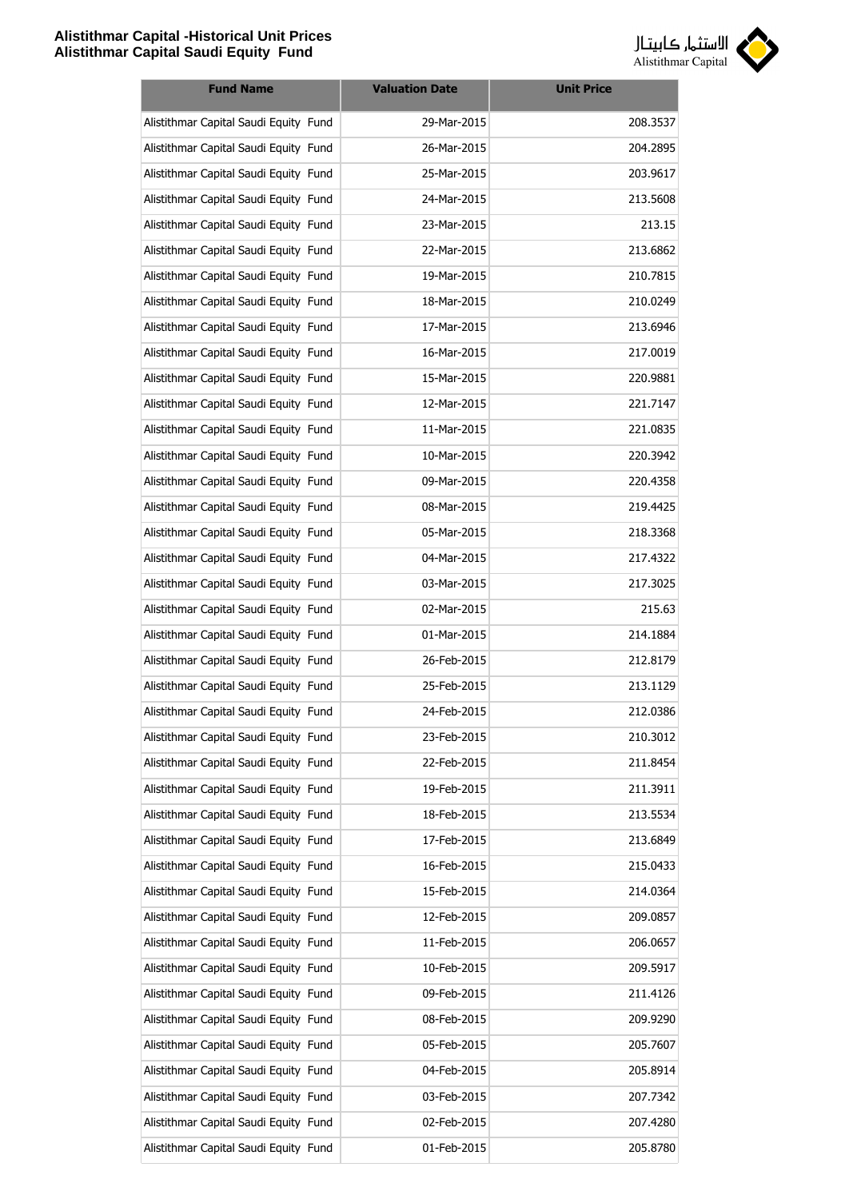

| <b>Fund Name</b>                      | <b>Valuation Date</b> | <b>Unit Price</b> |
|---------------------------------------|-----------------------|-------------------|
| Alistithmar Capital Saudi Equity Fund | 29-Mar-2015           | 208.3537          |
| Alistithmar Capital Saudi Equity Fund | 26-Mar-2015           | 204.2895          |
| Alistithmar Capital Saudi Equity Fund | 25-Mar-2015           | 203.9617          |
| Alistithmar Capital Saudi Equity Fund | 24-Mar-2015           | 213.5608          |
| Alistithmar Capital Saudi Equity Fund | 23-Mar-2015           | 213.15            |
| Alistithmar Capital Saudi Equity Fund | 22-Mar-2015           | 213.6862          |
| Alistithmar Capital Saudi Equity Fund | 19-Mar-2015           | 210.7815          |
| Alistithmar Capital Saudi Equity Fund | 18-Mar-2015           | 210.0249          |
| Alistithmar Capital Saudi Equity Fund | 17-Mar-2015           | 213.6946          |
| Alistithmar Capital Saudi Equity Fund | 16-Mar-2015           | 217.0019          |
| Alistithmar Capital Saudi Equity Fund | 15-Mar-2015           | 220.9881          |
| Alistithmar Capital Saudi Equity Fund | 12-Mar-2015           | 221.7147          |
| Alistithmar Capital Saudi Equity Fund | 11-Mar-2015           | 221.0835          |
| Alistithmar Capital Saudi Equity Fund | 10-Mar-2015           | 220.3942          |
| Alistithmar Capital Saudi Equity Fund | 09-Mar-2015           | 220.4358          |
| Alistithmar Capital Saudi Equity Fund | 08-Mar-2015           | 219.4425          |
| Alistithmar Capital Saudi Equity Fund | 05-Mar-2015           | 218.3368          |
| Alistithmar Capital Saudi Equity Fund | 04-Mar-2015           | 217.4322          |
| Alistithmar Capital Saudi Equity Fund | 03-Mar-2015           | 217.3025          |
| Alistithmar Capital Saudi Equity Fund | 02-Mar-2015           | 215.63            |
| Alistithmar Capital Saudi Equity Fund | 01-Mar-2015           | 214.1884          |
| Alistithmar Capital Saudi Equity Fund | 26-Feb-2015           | 212.8179          |
| Alistithmar Capital Saudi Equity Fund | 25-Feb-2015           | 213.1129          |
| Alistithmar Capital Saudi Equity Fund | 24-Feb-2015           | 212.0386          |
| Alistithmar Capital Saudi Equity Fund | 23-Feb-2015           | 210.3012          |
| Alistithmar Capital Saudi Equity Fund | 22-Feb-2015           | 211.8454          |
| Alistithmar Capital Saudi Equity Fund | 19-Feb-2015           | 211.3911          |
| Alistithmar Capital Saudi Equity Fund | 18-Feb-2015           | 213.5534          |
| Alistithmar Capital Saudi Equity Fund | 17-Feb-2015           | 213.6849          |
| Alistithmar Capital Saudi Equity Fund | 16-Feb-2015           | 215.0433          |
| Alistithmar Capital Saudi Equity Fund | 15-Feb-2015           | 214.0364          |
| Alistithmar Capital Saudi Equity Fund | 12-Feb-2015           | 209.0857          |
| Alistithmar Capital Saudi Equity Fund | 11-Feb-2015           | 206.0657          |
| Alistithmar Capital Saudi Equity Fund | 10-Feb-2015           | 209.5917          |
| Alistithmar Capital Saudi Equity Fund | 09-Feb-2015           | 211.4126          |
| Alistithmar Capital Saudi Equity Fund | 08-Feb-2015           | 209.9290          |
| Alistithmar Capital Saudi Equity Fund | 05-Feb-2015           | 205.7607          |
| Alistithmar Capital Saudi Equity Fund | 04-Feb-2015           | 205.8914          |
| Alistithmar Capital Saudi Equity Fund | 03-Feb-2015           | 207.7342          |
| Alistithmar Capital Saudi Equity Fund | 02-Feb-2015           | 207.4280          |
| Alistithmar Capital Saudi Equity Fund | 01-Feb-2015           | 205.8780          |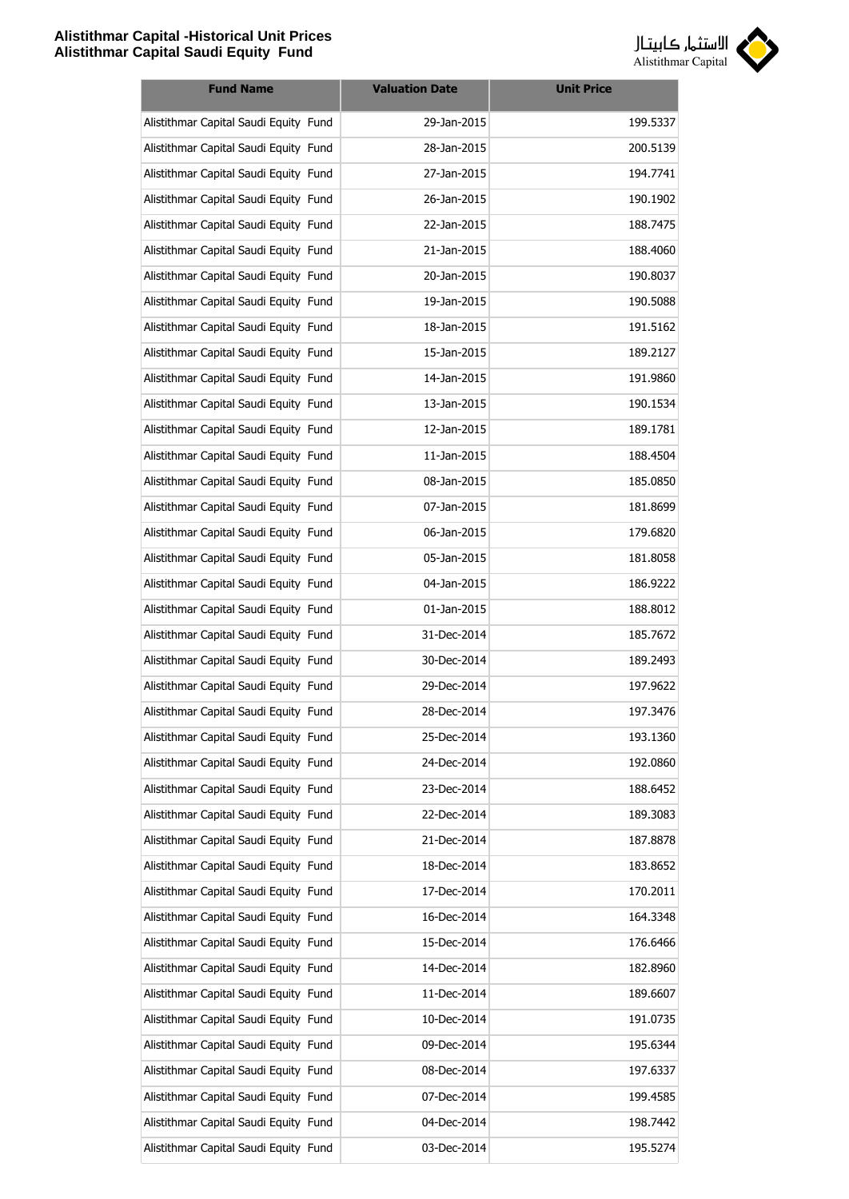

| <b>Fund Name</b>                      | <b>Valuation Date</b> | <b>Unit Price</b> |
|---------------------------------------|-----------------------|-------------------|
| Alistithmar Capital Saudi Equity Fund | 29-Jan-2015           | 199.5337          |
| Alistithmar Capital Saudi Equity Fund | 28-Jan-2015           | 200.5139          |
| Alistithmar Capital Saudi Equity Fund | 27-Jan-2015           | 194.7741          |
| Alistithmar Capital Saudi Equity Fund | 26-Jan-2015           | 190.1902          |
| Alistithmar Capital Saudi Equity Fund | 22-Jan-2015           | 188.7475          |
| Alistithmar Capital Saudi Equity Fund | 21-Jan-2015           | 188.4060          |
| Alistithmar Capital Saudi Equity Fund | 20-Jan-2015           | 190.8037          |
| Alistithmar Capital Saudi Equity Fund | 19-Jan-2015           | 190.5088          |
| Alistithmar Capital Saudi Equity Fund | 18-Jan-2015           | 191.5162          |
| Alistithmar Capital Saudi Equity Fund | 15-Jan-2015           | 189.2127          |
| Alistithmar Capital Saudi Equity Fund | 14-Jan-2015           | 191.9860          |
| Alistithmar Capital Saudi Equity Fund | 13-Jan-2015           | 190.1534          |
| Alistithmar Capital Saudi Equity Fund | 12-Jan-2015           | 189.1781          |
| Alistithmar Capital Saudi Equity Fund | 11-Jan-2015           | 188.4504          |
| Alistithmar Capital Saudi Equity Fund | 08-Jan-2015           | 185.0850          |
| Alistithmar Capital Saudi Equity Fund | 07-Jan-2015           | 181.8699          |
| Alistithmar Capital Saudi Equity Fund | 06-Jan-2015           | 179.6820          |
| Alistithmar Capital Saudi Equity Fund | 05-Jan-2015           | 181.8058          |
| Alistithmar Capital Saudi Equity Fund | 04-Jan-2015           | 186.9222          |
| Alistithmar Capital Saudi Equity Fund | 01-Jan-2015           | 188.8012          |
| Alistithmar Capital Saudi Equity Fund | 31-Dec-2014           | 185.7672          |
| Alistithmar Capital Saudi Equity Fund | 30-Dec-2014           | 189.2493          |
| Alistithmar Capital Saudi Equity Fund | 29-Dec-2014           | 197.9622          |
| Alistithmar Capital Saudi Equity Fund | 28-Dec-2014           | 197.3476          |
| Alistithmar Capital Saudi Equity Fund | 25-Dec-2014           | 193.1360          |
| Alistithmar Capital Saudi Equity Fund | 24-Dec-2014           | 192.0860          |
| Alistithmar Capital Saudi Equity Fund | 23-Dec-2014           | 188.6452          |
| Alistithmar Capital Saudi Equity Fund | 22-Dec-2014           | 189.3083          |
| Alistithmar Capital Saudi Equity Fund | 21-Dec-2014           | 187.8878          |
| Alistithmar Capital Saudi Equity Fund | 18-Dec-2014           | 183.8652          |
| Alistithmar Capital Saudi Equity Fund | 17-Dec-2014           | 170.2011          |
| Alistithmar Capital Saudi Equity Fund | 16-Dec-2014           | 164.3348          |
| Alistithmar Capital Saudi Equity Fund | 15-Dec-2014           | 176.6466          |
| Alistithmar Capital Saudi Equity Fund | 14-Dec-2014           | 182.8960          |
| Alistithmar Capital Saudi Equity Fund | 11-Dec-2014           | 189.6607          |
| Alistithmar Capital Saudi Equity Fund | 10-Dec-2014           | 191.0735          |
| Alistithmar Capital Saudi Equity Fund | 09-Dec-2014           | 195.6344          |
| Alistithmar Capital Saudi Equity Fund | 08-Dec-2014           | 197.6337          |
| Alistithmar Capital Saudi Equity Fund | 07-Dec-2014           | 199.4585          |
| Alistithmar Capital Saudi Equity Fund | 04-Dec-2014           | 198.7442          |
| Alistithmar Capital Saudi Equity Fund | 03-Dec-2014           | 195.5274          |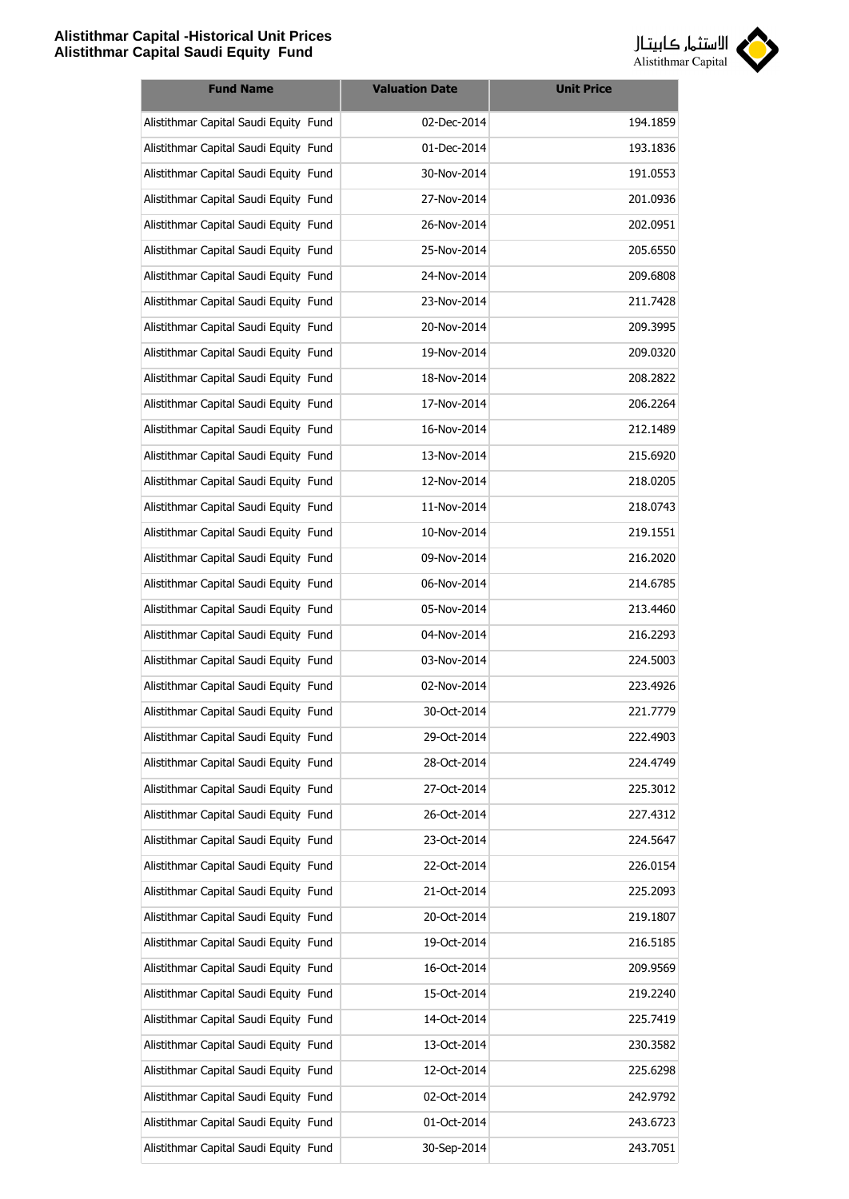

| <b>Fund Name</b>                      | <b>Valuation Date</b> | <b>Unit Price</b> |
|---------------------------------------|-----------------------|-------------------|
| Alistithmar Capital Saudi Equity Fund | 02-Dec-2014           | 194.1859          |
| Alistithmar Capital Saudi Equity Fund | 01-Dec-2014           | 193.1836          |
| Alistithmar Capital Saudi Equity Fund | 30-Nov-2014           | 191.0553          |
| Alistithmar Capital Saudi Equity Fund | 27-Nov-2014           | 201.0936          |
| Alistithmar Capital Saudi Equity Fund | 26-Nov-2014           | 202.0951          |
| Alistithmar Capital Saudi Equity Fund | 25-Nov-2014           | 205.6550          |
| Alistithmar Capital Saudi Equity Fund | 24-Nov-2014           | 209.6808          |
| Alistithmar Capital Saudi Equity Fund | 23-Nov-2014           | 211.7428          |
| Alistithmar Capital Saudi Equity Fund | 20-Nov-2014           | 209.3995          |
| Alistithmar Capital Saudi Equity Fund | 19-Nov-2014           | 209.0320          |
| Alistithmar Capital Saudi Equity Fund | 18-Nov-2014           | 208.2822          |
| Alistithmar Capital Saudi Equity Fund | 17-Nov-2014           | 206.2264          |
| Alistithmar Capital Saudi Equity Fund | 16-Nov-2014           | 212.1489          |
| Alistithmar Capital Saudi Equity Fund | 13-Nov-2014           | 215.6920          |
| Alistithmar Capital Saudi Equity Fund | 12-Nov-2014           | 218.0205          |
| Alistithmar Capital Saudi Equity Fund | 11-Nov-2014           | 218.0743          |
| Alistithmar Capital Saudi Equity Fund | 10-Nov-2014           | 219.1551          |
| Alistithmar Capital Saudi Equity Fund | 09-Nov-2014           | 216.2020          |
| Alistithmar Capital Saudi Equity Fund | 06-Nov-2014           | 214.6785          |
| Alistithmar Capital Saudi Equity Fund | 05-Nov-2014           | 213.4460          |
| Alistithmar Capital Saudi Equity Fund | 04-Nov-2014           | 216.2293          |
| Alistithmar Capital Saudi Equity Fund | 03-Nov-2014           | 224.5003          |
| Alistithmar Capital Saudi Equity Fund | 02-Nov-2014           | 223.4926          |
| Alistithmar Capital Saudi Equity Fund | 30-Oct-2014           | 221.7779          |
| Alistithmar Capital Saudi Equity Fund | 29-Oct-2014           | 222.4903          |
| Alistithmar Capital Saudi Equity Fund | 28-Oct-2014           | 224.4749          |
| Alistithmar Capital Saudi Equity Fund | 27-Oct-2014           | 225.3012          |
| Alistithmar Capital Saudi Equity Fund | 26-Oct-2014           | 227.4312          |
| Alistithmar Capital Saudi Equity Fund | 23-Oct-2014           | 224.5647          |
| Alistithmar Capital Saudi Equity Fund | 22-Oct-2014           | 226.0154          |
| Alistithmar Capital Saudi Equity Fund | 21-Oct-2014           | 225.2093          |
| Alistithmar Capital Saudi Equity Fund | 20-Oct-2014           | 219.1807          |
| Alistithmar Capital Saudi Equity Fund | 19-Oct-2014           | 216.5185          |
| Alistithmar Capital Saudi Equity Fund | 16-Oct-2014           | 209.9569          |
| Alistithmar Capital Saudi Equity Fund | 15-Oct-2014           | 219.2240          |
| Alistithmar Capital Saudi Equity Fund | 14-Oct-2014           | 225.7419          |
| Alistithmar Capital Saudi Equity Fund | 13-Oct-2014           | 230.3582          |
| Alistithmar Capital Saudi Equity Fund | 12-Oct-2014           | 225.6298          |
| Alistithmar Capital Saudi Equity Fund | 02-Oct-2014           | 242.9792          |
| Alistithmar Capital Saudi Equity Fund | 01-Oct-2014           | 243.6723          |
| Alistithmar Capital Saudi Equity Fund | 30-Sep-2014           | 243.7051          |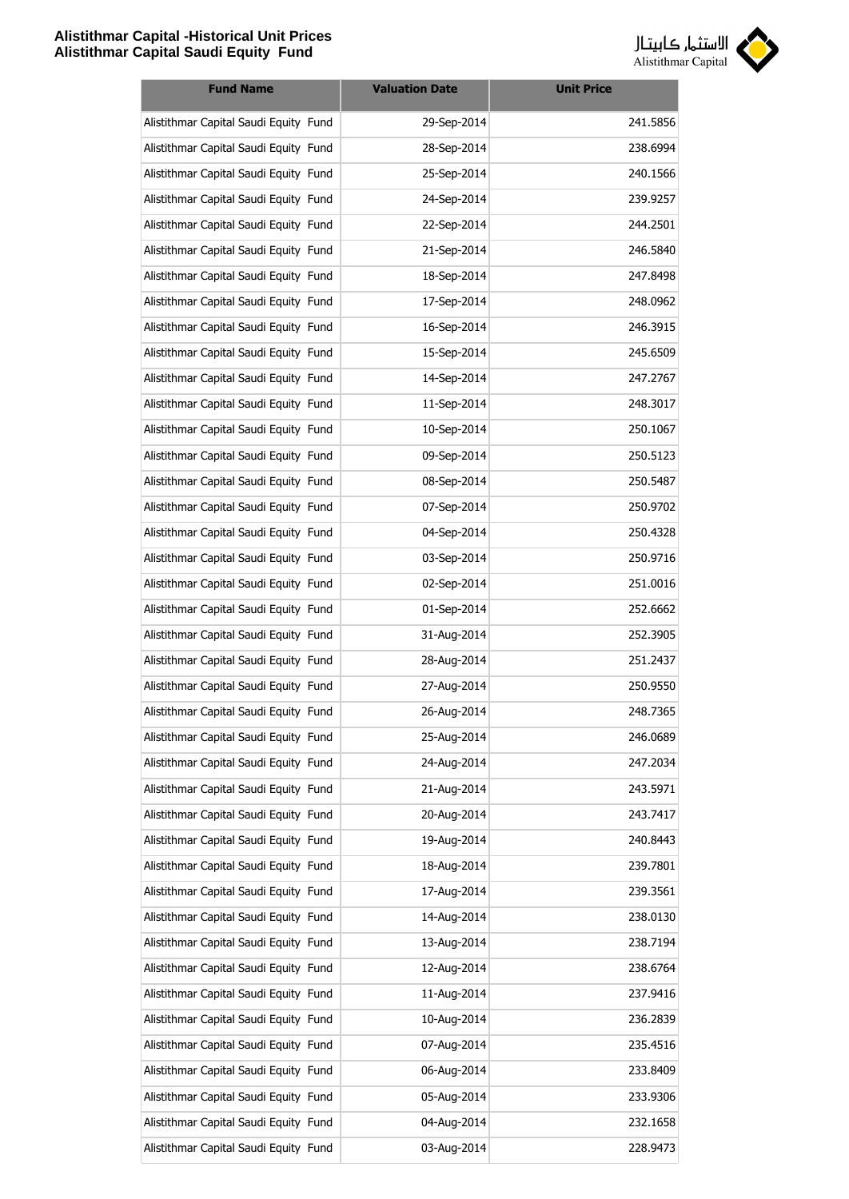

| <b>Fund Name</b>                      | <b>Valuation Date</b> | <b>Unit Price</b> |
|---------------------------------------|-----------------------|-------------------|
| Alistithmar Capital Saudi Equity Fund | 29-Sep-2014           | 241.5856          |
| Alistithmar Capital Saudi Equity Fund | 28-Sep-2014           | 238.6994          |
| Alistithmar Capital Saudi Equity Fund | 25-Sep-2014           | 240.1566          |
| Alistithmar Capital Saudi Equity Fund | 24-Sep-2014           | 239.9257          |
| Alistithmar Capital Saudi Equity Fund | 22-Sep-2014           | 244.2501          |
| Alistithmar Capital Saudi Equity Fund | 21-Sep-2014           | 246.5840          |
| Alistithmar Capital Saudi Equity Fund | 18-Sep-2014           | 247.8498          |
| Alistithmar Capital Saudi Equity Fund | 17-Sep-2014           | 248.0962          |
| Alistithmar Capital Saudi Equity Fund | 16-Sep-2014           | 246.3915          |
| Alistithmar Capital Saudi Equity Fund | 15-Sep-2014           | 245.6509          |
| Alistithmar Capital Saudi Equity Fund | 14-Sep-2014           | 247.2767          |
| Alistithmar Capital Saudi Equity Fund | 11-Sep-2014           | 248.3017          |
| Alistithmar Capital Saudi Equity Fund | 10-Sep-2014           | 250.1067          |
| Alistithmar Capital Saudi Equity Fund | 09-Sep-2014           | 250.5123          |
| Alistithmar Capital Saudi Equity Fund | 08-Sep-2014           | 250.5487          |
| Alistithmar Capital Saudi Equity Fund | 07-Sep-2014           | 250.9702          |
| Alistithmar Capital Saudi Equity Fund | 04-Sep-2014           | 250.4328          |
| Alistithmar Capital Saudi Equity Fund | 03-Sep-2014           | 250.9716          |
| Alistithmar Capital Saudi Equity Fund | 02-Sep-2014           | 251.0016          |
| Alistithmar Capital Saudi Equity Fund | 01-Sep-2014           | 252.6662          |
| Alistithmar Capital Saudi Equity Fund | 31-Aug-2014           | 252.3905          |
| Alistithmar Capital Saudi Equity Fund | 28-Aug-2014           | 251.2437          |
| Alistithmar Capital Saudi Equity Fund | 27-Aug-2014           | 250.9550          |
| Alistithmar Capital Saudi Equity Fund | 26-Aug-2014           | 248.7365          |
| Alistithmar Capital Saudi Equity Fund | 25-Aug-2014           | 246.0689          |
| Alistithmar Capital Saudi Equity Fund | 24-Aug-2014           | 247.2034          |
| Alistithmar Capital Saudi Equity Fund | 21-Aug-2014           | 243.5971          |
| Alistithmar Capital Saudi Equity Fund | 20-Aug-2014           | 243.7417          |
| Alistithmar Capital Saudi Equity Fund | 19-Aug-2014           | 240.8443          |
| Alistithmar Capital Saudi Equity Fund | 18-Aug-2014           | 239.7801          |
| Alistithmar Capital Saudi Equity Fund | 17-Aug-2014           | 239.3561          |
| Alistithmar Capital Saudi Equity Fund | 14-Aug-2014           | 238.0130          |
| Alistithmar Capital Saudi Equity Fund | 13-Aug-2014           | 238.7194          |
| Alistithmar Capital Saudi Equity Fund | 12-Aug-2014           | 238.6764          |
| Alistithmar Capital Saudi Equity Fund | 11-Aug-2014           | 237.9416          |
| Alistithmar Capital Saudi Equity Fund | 10-Aug-2014           | 236.2839          |
| Alistithmar Capital Saudi Equity Fund | 07-Aug-2014           | 235.4516          |
| Alistithmar Capital Saudi Equity Fund | 06-Aug-2014           | 233.8409          |
| Alistithmar Capital Saudi Equity Fund | 05-Aug-2014           | 233.9306          |
| Alistithmar Capital Saudi Equity Fund | 04-Aug-2014           | 232.1658          |
| Alistithmar Capital Saudi Equity Fund | 03-Aug-2014           | 228.9473          |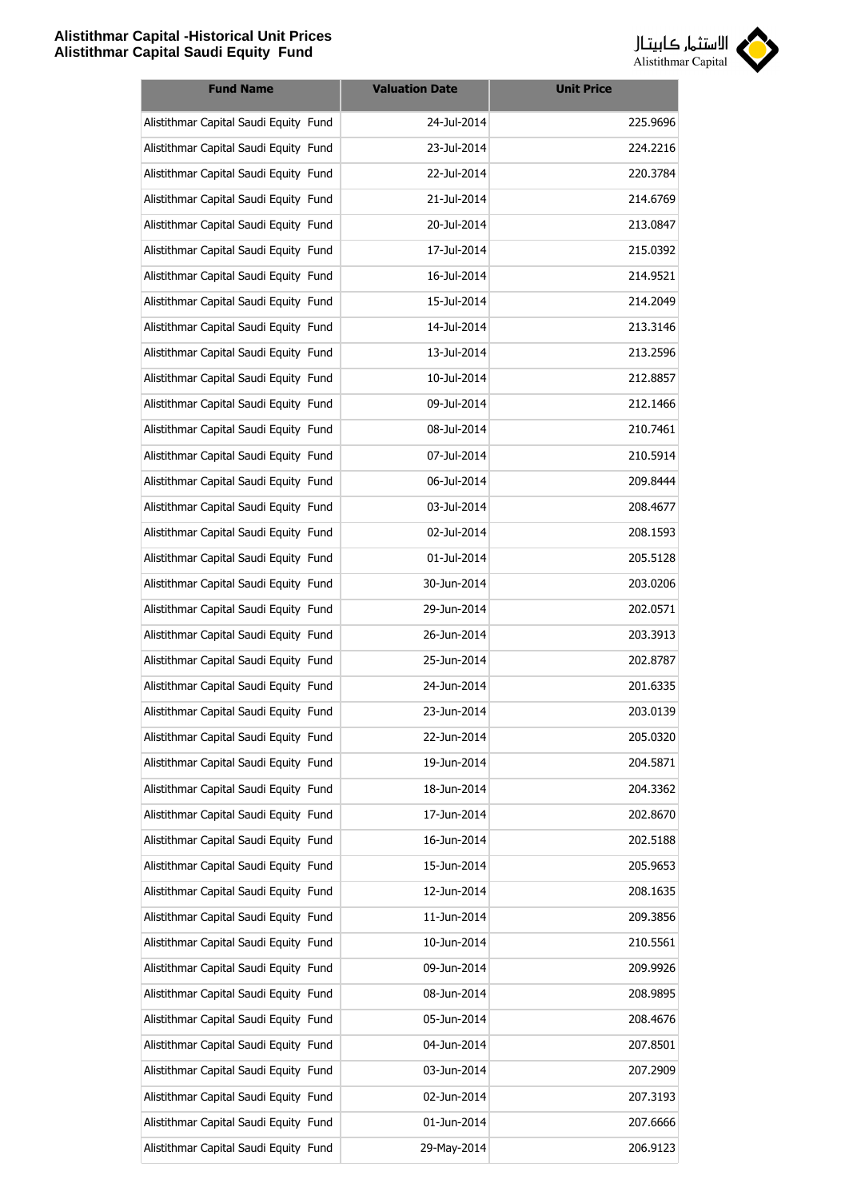

| <b>Fund Name</b>                      | <b>Valuation Date</b> | <b>Unit Price</b> |
|---------------------------------------|-----------------------|-------------------|
| Alistithmar Capital Saudi Equity Fund | 24-Jul-2014           | 225.9696          |
| Alistithmar Capital Saudi Equity Fund | 23-Jul-2014           | 224.2216          |
| Alistithmar Capital Saudi Equity Fund | 22-Jul-2014           | 220.3784          |
| Alistithmar Capital Saudi Equity Fund | 21-Jul-2014           | 214.6769          |
| Alistithmar Capital Saudi Equity Fund | 20-Jul-2014           | 213.0847          |
| Alistithmar Capital Saudi Equity Fund | 17-Jul-2014           | 215.0392          |
| Alistithmar Capital Saudi Equity Fund | 16-Jul-2014           | 214.9521          |
| Alistithmar Capital Saudi Equity Fund | 15-Jul-2014           | 214.2049          |
| Alistithmar Capital Saudi Equity Fund | 14-Jul-2014           | 213.3146          |
| Alistithmar Capital Saudi Equity Fund | 13-Jul-2014           | 213.2596          |
| Alistithmar Capital Saudi Equity Fund | 10-Jul-2014           | 212.8857          |
| Alistithmar Capital Saudi Equity Fund | 09-Jul-2014           | 212.1466          |
| Alistithmar Capital Saudi Equity Fund | 08-Jul-2014           | 210.7461          |
| Alistithmar Capital Saudi Equity Fund | 07-Jul-2014           | 210.5914          |
| Alistithmar Capital Saudi Equity Fund | 06-Jul-2014           | 209.8444          |
| Alistithmar Capital Saudi Equity Fund | 03-Jul-2014           | 208.4677          |
| Alistithmar Capital Saudi Equity Fund | 02-Jul-2014           | 208.1593          |
| Alistithmar Capital Saudi Equity Fund | 01-Jul-2014           | 205.5128          |
| Alistithmar Capital Saudi Equity Fund | 30-Jun-2014           | 203.0206          |
| Alistithmar Capital Saudi Equity Fund | 29-Jun-2014           | 202.0571          |
| Alistithmar Capital Saudi Equity Fund | 26-Jun-2014           | 203.3913          |
| Alistithmar Capital Saudi Equity Fund | 25-Jun-2014           | 202.8787          |
| Alistithmar Capital Saudi Equity Fund | 24-Jun-2014           | 201.6335          |
| Alistithmar Capital Saudi Equity Fund | 23-Jun-2014           | 203.0139          |
| Alistithmar Capital Saudi Equity Fund | 22-Jun-2014           | 205.0320          |
| Alistithmar Capital Saudi Equity Fund | 19-Jun-2014           | 204.5871          |
| Alistithmar Capital Saudi Equity Fund | 18-Jun-2014           | 204.3362          |
| Alistithmar Capital Saudi Equity Fund | 17-Jun-2014           | 202.8670          |
| Alistithmar Capital Saudi Equity Fund | 16-Jun-2014           | 202.5188          |
| Alistithmar Capital Saudi Equity Fund | 15-Jun-2014           | 205.9653          |
| Alistithmar Capital Saudi Equity Fund | 12-Jun-2014           | 208.1635          |
| Alistithmar Capital Saudi Equity Fund | 11-Jun-2014           | 209.3856          |
| Alistithmar Capital Saudi Equity Fund | 10-Jun-2014           | 210.5561          |
| Alistithmar Capital Saudi Equity Fund | 09-Jun-2014           | 209.9926          |
| Alistithmar Capital Saudi Equity Fund | 08-Jun-2014           | 208.9895          |
| Alistithmar Capital Saudi Equity Fund | 05-Jun-2014           | 208.4676          |
| Alistithmar Capital Saudi Equity Fund | 04-Jun-2014           | 207.8501          |
| Alistithmar Capital Saudi Equity Fund | 03-Jun-2014           | 207.2909          |
| Alistithmar Capital Saudi Equity Fund | 02-Jun-2014           | 207.3193          |
| Alistithmar Capital Saudi Equity Fund | 01-Jun-2014           | 207.6666          |
| Alistithmar Capital Saudi Equity Fund | 29-May-2014           | 206.9123          |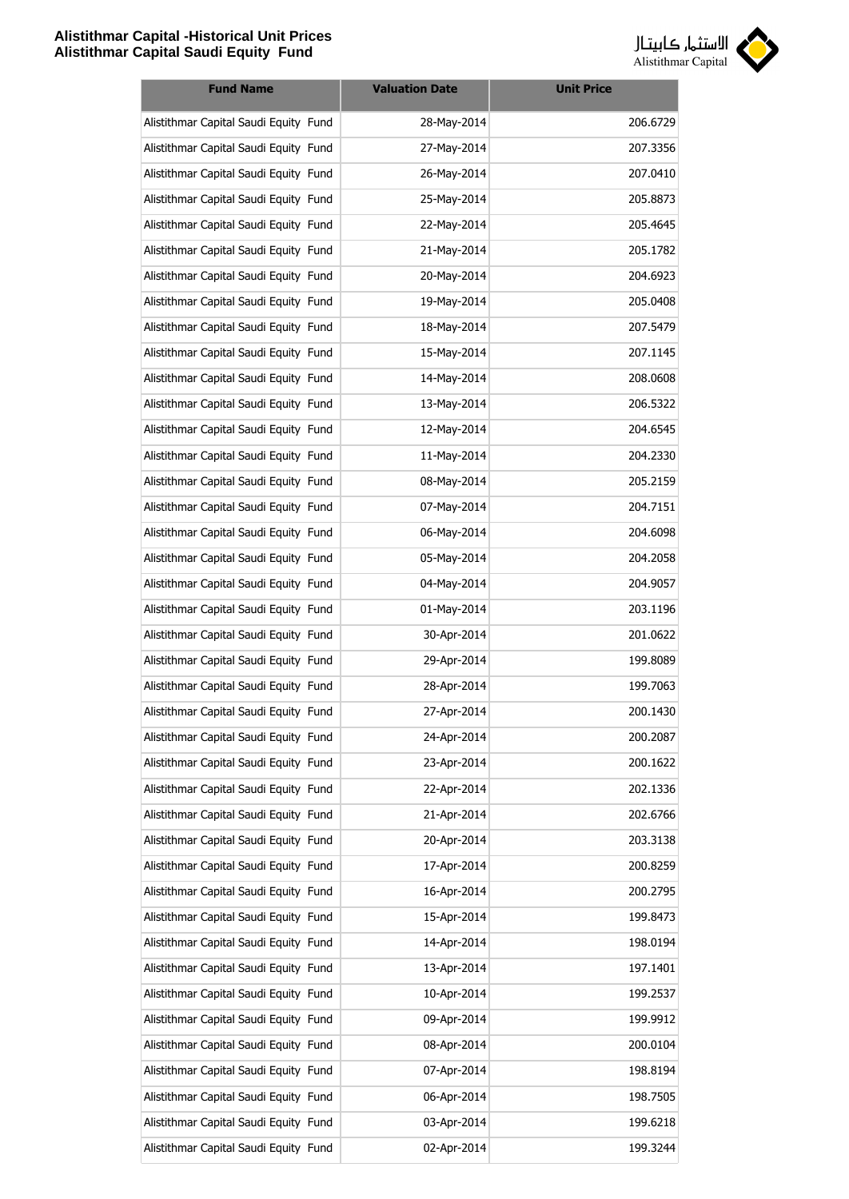

| <b>Fund Name</b>                      | <b>Valuation Date</b> | <b>Unit Price</b> |
|---------------------------------------|-----------------------|-------------------|
| Alistithmar Capital Saudi Equity Fund | 28-May-2014           | 206.6729          |
| Alistithmar Capital Saudi Equity Fund | 27-May-2014           | 207.3356          |
| Alistithmar Capital Saudi Equity Fund | 26-May-2014           | 207.0410          |
| Alistithmar Capital Saudi Equity Fund | 25-May-2014           | 205.8873          |
| Alistithmar Capital Saudi Equity Fund | 22-May-2014           | 205.4645          |
| Alistithmar Capital Saudi Equity Fund | 21-May-2014           | 205.1782          |
| Alistithmar Capital Saudi Equity Fund | 20-May-2014           | 204.6923          |
| Alistithmar Capital Saudi Equity Fund | 19-May-2014           | 205.0408          |
| Alistithmar Capital Saudi Equity Fund | 18-May-2014           | 207.5479          |
| Alistithmar Capital Saudi Equity Fund | 15-May-2014           | 207.1145          |
| Alistithmar Capital Saudi Equity Fund | 14-May-2014           | 208.0608          |
| Alistithmar Capital Saudi Equity Fund | 13-May-2014           | 206.5322          |
| Alistithmar Capital Saudi Equity Fund | 12-May-2014           | 204.6545          |
| Alistithmar Capital Saudi Equity Fund | 11-May-2014           | 204.2330          |
| Alistithmar Capital Saudi Equity Fund | 08-May-2014           | 205.2159          |
| Alistithmar Capital Saudi Equity Fund | 07-May-2014           | 204.7151          |
| Alistithmar Capital Saudi Equity Fund | 06-May-2014           | 204.6098          |
| Alistithmar Capital Saudi Equity Fund | 05-May-2014           | 204.2058          |
| Alistithmar Capital Saudi Equity Fund | 04-May-2014           | 204.9057          |
| Alistithmar Capital Saudi Equity Fund | 01-May-2014           | 203.1196          |
| Alistithmar Capital Saudi Equity Fund | 30-Apr-2014           | 201.0622          |
| Alistithmar Capital Saudi Equity Fund | 29-Apr-2014           | 199.8089          |
| Alistithmar Capital Saudi Equity Fund | 28-Apr-2014           | 199.7063          |
| Alistithmar Capital Saudi Equity Fund | 27-Apr-2014           | 200.1430          |
| Alistithmar Capital Saudi Equity Fund | 24-Apr-2014           | 200.2087          |
| Alistithmar Capital Saudi Equity Fund | 23-Apr-2014           | 200.1622          |
| Alistithmar Capital Saudi Equity Fund | 22-Apr-2014           | 202.1336          |
| Alistithmar Capital Saudi Equity Fund | 21-Apr-2014           | 202.6766          |
| Alistithmar Capital Saudi Equity Fund | 20-Apr-2014           | 203.3138          |
| Alistithmar Capital Saudi Equity Fund | 17-Apr-2014           | 200.8259          |
| Alistithmar Capital Saudi Equity Fund | 16-Apr-2014           | 200.2795          |
| Alistithmar Capital Saudi Equity Fund | 15-Apr-2014           | 199.8473          |
| Alistithmar Capital Saudi Equity Fund | 14-Apr-2014           | 198.0194          |
| Alistithmar Capital Saudi Equity Fund | 13-Apr-2014           | 197.1401          |
| Alistithmar Capital Saudi Equity Fund | 10-Apr-2014           | 199.2537          |
| Alistithmar Capital Saudi Equity Fund | 09-Apr-2014           | 199.9912          |
| Alistithmar Capital Saudi Equity Fund | 08-Apr-2014           | 200.0104          |
| Alistithmar Capital Saudi Equity Fund | 07-Apr-2014           | 198.8194          |
| Alistithmar Capital Saudi Equity Fund | 06-Apr-2014           | 198.7505          |
| Alistithmar Capital Saudi Equity Fund | 03-Apr-2014           | 199.6218          |
| Alistithmar Capital Saudi Equity Fund | 02-Apr-2014           | 199.3244          |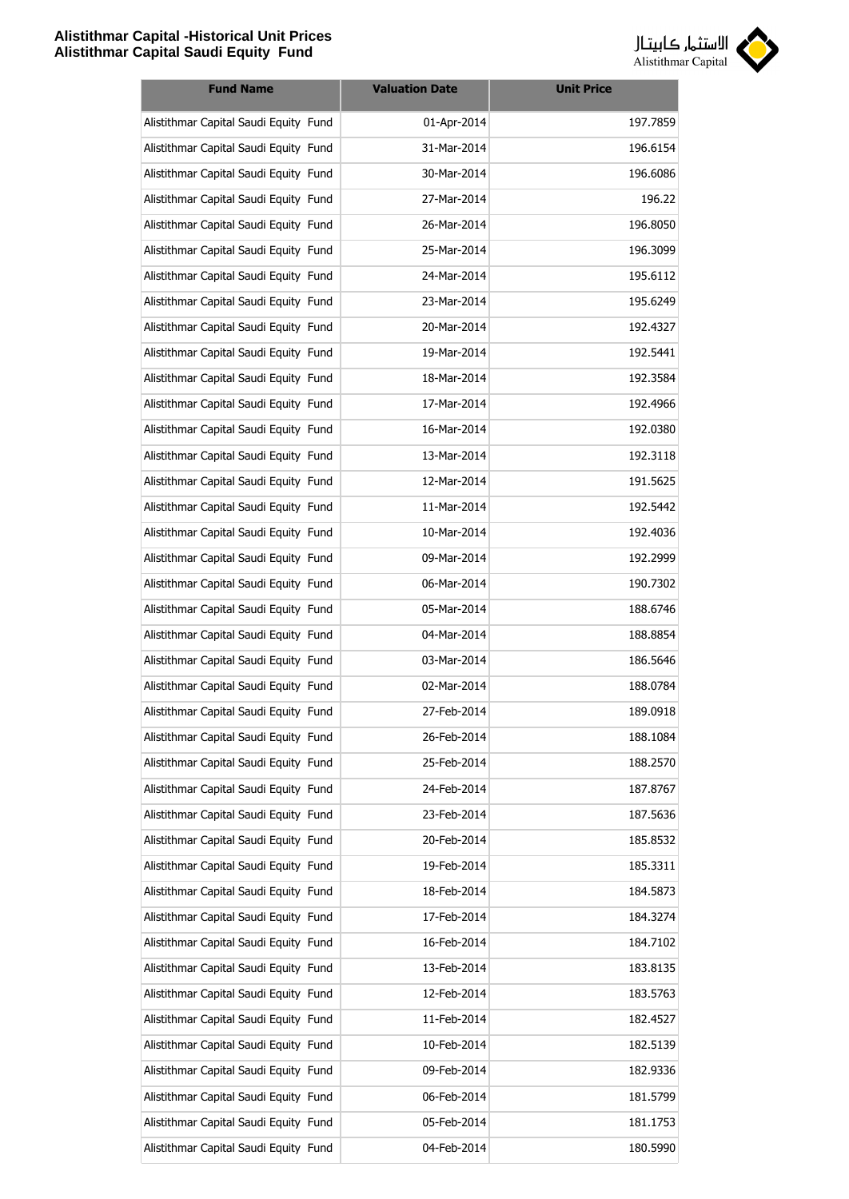

| <b>Fund Name</b>                      | <b>Valuation Date</b> | <b>Unit Price</b> |
|---------------------------------------|-----------------------|-------------------|
| Alistithmar Capital Saudi Equity Fund | 01-Apr-2014           | 197.7859          |
| Alistithmar Capital Saudi Equity Fund | 31-Mar-2014           | 196.6154          |
| Alistithmar Capital Saudi Equity Fund | 30-Mar-2014           | 196.6086          |
| Alistithmar Capital Saudi Equity Fund | 27-Mar-2014           | 196.22            |
| Alistithmar Capital Saudi Equity Fund | 26-Mar-2014           | 196.8050          |
| Alistithmar Capital Saudi Equity Fund | 25-Mar-2014           | 196.3099          |
| Alistithmar Capital Saudi Equity Fund | 24-Mar-2014           | 195.6112          |
| Alistithmar Capital Saudi Equity Fund | 23-Mar-2014           | 195.6249          |
| Alistithmar Capital Saudi Equity Fund | 20-Mar-2014           | 192.4327          |
| Alistithmar Capital Saudi Equity Fund | 19-Mar-2014           | 192.5441          |
| Alistithmar Capital Saudi Equity Fund | 18-Mar-2014           | 192.3584          |
| Alistithmar Capital Saudi Equity Fund | 17-Mar-2014           | 192.4966          |
| Alistithmar Capital Saudi Equity Fund | 16-Mar-2014           | 192.0380          |
| Alistithmar Capital Saudi Equity Fund | 13-Mar-2014           | 192.3118          |
| Alistithmar Capital Saudi Equity Fund | 12-Mar-2014           | 191.5625          |
| Alistithmar Capital Saudi Equity Fund | 11-Mar-2014           | 192.5442          |
| Alistithmar Capital Saudi Equity Fund | 10-Mar-2014           | 192.4036          |
| Alistithmar Capital Saudi Equity Fund | 09-Mar-2014           | 192.2999          |
| Alistithmar Capital Saudi Equity Fund | 06-Mar-2014           | 190.7302          |
| Alistithmar Capital Saudi Equity Fund | 05-Mar-2014           | 188.6746          |
| Alistithmar Capital Saudi Equity Fund | 04-Mar-2014           | 188.8854          |
| Alistithmar Capital Saudi Equity Fund | 03-Mar-2014           | 186.5646          |
| Alistithmar Capital Saudi Equity Fund | 02-Mar-2014           | 188.0784          |
| Alistithmar Capital Saudi Equity Fund | 27-Feb-2014           | 189.0918          |
| Alistithmar Capital Saudi Equity Fund | 26-Feb-2014           | 188.1084          |
| Alistithmar Capital Saudi Equity Fund | 25-Feb-2014           | 188.2570          |
| Alistithmar Capital Saudi Equity Fund | 24-Feb-2014           | 187.8767          |
| Alistithmar Capital Saudi Equity Fund | 23-Feb-2014           | 187.5636          |
| Alistithmar Capital Saudi Equity Fund | 20-Feb-2014           | 185.8532          |
| Alistithmar Capital Saudi Equity Fund | 19-Feb-2014           | 185.3311          |
| Alistithmar Capital Saudi Equity Fund | 18-Feb-2014           | 184.5873          |
| Alistithmar Capital Saudi Equity Fund | 17-Feb-2014           | 184.3274          |
| Alistithmar Capital Saudi Equity Fund | 16-Feb-2014           | 184.7102          |
| Alistithmar Capital Saudi Equity Fund | 13-Feb-2014           | 183.8135          |
| Alistithmar Capital Saudi Equity Fund | 12-Feb-2014           | 183.5763          |
| Alistithmar Capital Saudi Equity Fund | 11-Feb-2014           | 182.4527          |
| Alistithmar Capital Saudi Equity Fund | 10-Feb-2014           | 182.5139          |
| Alistithmar Capital Saudi Equity Fund | 09-Feb-2014           | 182.9336          |
| Alistithmar Capital Saudi Equity Fund | 06-Feb-2014           | 181.5799          |
| Alistithmar Capital Saudi Equity Fund | 05-Feb-2014           | 181.1753          |
| Alistithmar Capital Saudi Equity Fund | 04-Feb-2014           | 180.5990          |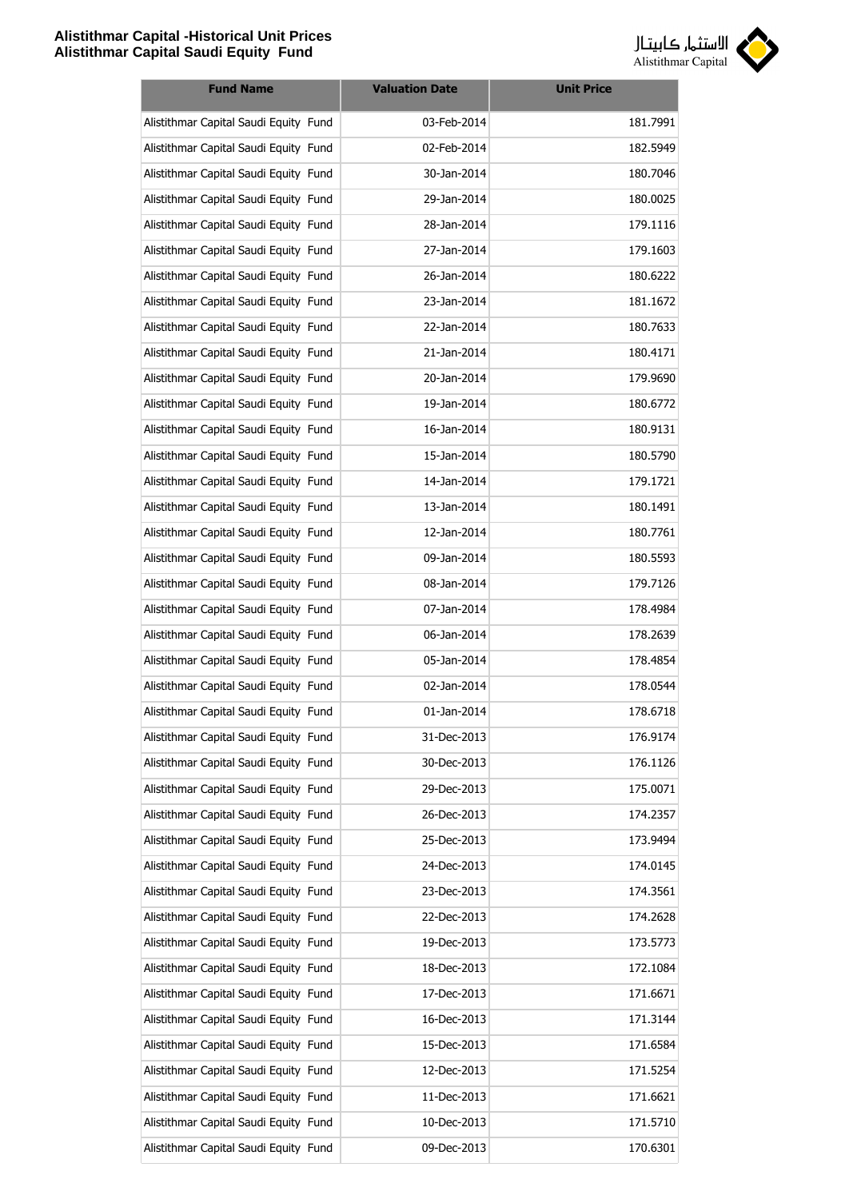

| <b>Fund Name</b>                      | <b>Valuation Date</b> | <b>Unit Price</b> |
|---------------------------------------|-----------------------|-------------------|
| Alistithmar Capital Saudi Equity Fund | 03-Feb-2014           | 181.7991          |
| Alistithmar Capital Saudi Equity Fund | 02-Feb-2014           | 182.5949          |
| Alistithmar Capital Saudi Equity Fund | 30-Jan-2014           | 180.7046          |
| Alistithmar Capital Saudi Equity Fund | 29-Jan-2014           | 180.0025          |
| Alistithmar Capital Saudi Equity Fund | 28-Jan-2014           | 179.1116          |
| Alistithmar Capital Saudi Equity Fund | 27-Jan-2014           | 179.1603          |
| Alistithmar Capital Saudi Equity Fund | 26-Jan-2014           | 180.6222          |
| Alistithmar Capital Saudi Equity Fund | 23-Jan-2014           | 181.1672          |
| Alistithmar Capital Saudi Equity Fund | 22-Jan-2014           | 180.7633          |
| Alistithmar Capital Saudi Equity Fund | 21-Jan-2014           | 180.4171          |
| Alistithmar Capital Saudi Equity Fund | 20-Jan-2014           | 179.9690          |
| Alistithmar Capital Saudi Equity Fund | 19-Jan-2014           | 180.6772          |
| Alistithmar Capital Saudi Equity Fund | 16-Jan-2014           | 180.9131          |
| Alistithmar Capital Saudi Equity Fund | 15-Jan-2014           | 180.5790          |
| Alistithmar Capital Saudi Equity Fund | 14-Jan-2014           | 179.1721          |
| Alistithmar Capital Saudi Equity Fund | 13-Jan-2014           | 180.1491          |
| Alistithmar Capital Saudi Equity Fund | 12-Jan-2014           | 180.7761          |
| Alistithmar Capital Saudi Equity Fund | 09-Jan-2014           | 180.5593          |
| Alistithmar Capital Saudi Equity Fund | 08-Jan-2014           | 179.7126          |
| Alistithmar Capital Saudi Equity Fund | 07-Jan-2014           | 178.4984          |
| Alistithmar Capital Saudi Equity Fund | 06-Jan-2014           | 178.2639          |
| Alistithmar Capital Saudi Equity Fund | 05-Jan-2014           | 178.4854          |
| Alistithmar Capital Saudi Equity Fund | 02-Jan-2014           | 178.0544          |
| Alistithmar Capital Saudi Equity Fund | 01-Jan-2014           | 178.6718          |
| Alistithmar Capital Saudi Equity Fund | 31-Dec-2013           | 176.9174          |
| Alistithmar Capital Saudi Equity Fund | 30-Dec-2013           | 176.1126          |
| Alistithmar Capital Saudi Equity Fund | 29-Dec-2013           | 175.0071          |
| Alistithmar Capital Saudi Equity Fund | 26-Dec-2013           | 174.2357          |
| Alistithmar Capital Saudi Equity Fund | 25-Dec-2013           | 173.9494          |
| Alistithmar Capital Saudi Equity Fund | 24-Dec-2013           | 174.0145          |
| Alistithmar Capital Saudi Equity Fund | 23-Dec-2013           | 174.3561          |
| Alistithmar Capital Saudi Equity Fund | 22-Dec-2013           | 174.2628          |
| Alistithmar Capital Saudi Equity Fund | 19-Dec-2013           | 173.5773          |
| Alistithmar Capital Saudi Equity Fund | 18-Dec-2013           | 172.1084          |
| Alistithmar Capital Saudi Equity Fund | 17-Dec-2013           | 171.6671          |
| Alistithmar Capital Saudi Equity Fund | 16-Dec-2013           | 171.3144          |
| Alistithmar Capital Saudi Equity Fund | 15-Dec-2013           | 171.6584          |
| Alistithmar Capital Saudi Equity Fund | 12-Dec-2013           | 171.5254          |
| Alistithmar Capital Saudi Equity Fund | 11-Dec-2013           | 171.6621          |
| Alistithmar Capital Saudi Equity Fund | 10-Dec-2013           | 171.5710          |
| Alistithmar Capital Saudi Equity Fund | 09-Dec-2013           | 170.6301          |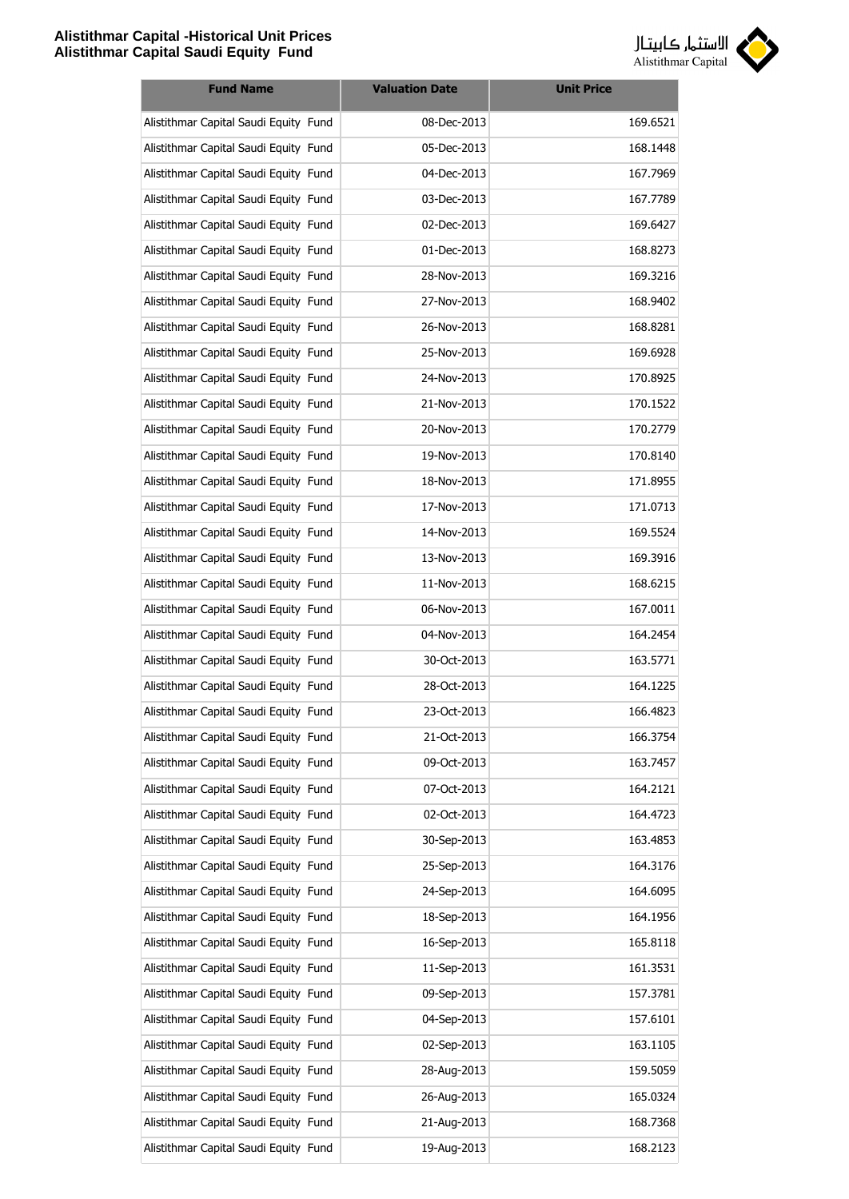

| <b>Fund Name</b>                      | <b>Valuation Date</b> | <b>Unit Price</b> |
|---------------------------------------|-----------------------|-------------------|
| Alistithmar Capital Saudi Equity Fund | 08-Dec-2013           | 169.6521          |
| Alistithmar Capital Saudi Equity Fund | 05-Dec-2013           | 168.1448          |
| Alistithmar Capital Saudi Equity Fund | 04-Dec-2013           | 167.7969          |
| Alistithmar Capital Saudi Equity Fund | 03-Dec-2013           | 167.7789          |
| Alistithmar Capital Saudi Equity Fund | 02-Dec-2013           | 169.6427          |
| Alistithmar Capital Saudi Equity Fund | 01-Dec-2013           | 168.8273          |
| Alistithmar Capital Saudi Equity Fund | 28-Nov-2013           | 169.3216          |
| Alistithmar Capital Saudi Equity Fund | 27-Nov-2013           | 168.9402          |
| Alistithmar Capital Saudi Equity Fund | 26-Nov-2013           | 168.8281          |
| Alistithmar Capital Saudi Equity Fund | 25-Nov-2013           | 169.6928          |
| Alistithmar Capital Saudi Equity Fund | 24-Nov-2013           | 170.8925          |
| Alistithmar Capital Saudi Equity Fund | 21-Nov-2013           | 170.1522          |
| Alistithmar Capital Saudi Equity Fund | 20-Nov-2013           | 170.2779          |
| Alistithmar Capital Saudi Equity Fund | 19-Nov-2013           | 170.8140          |
| Alistithmar Capital Saudi Equity Fund | 18-Nov-2013           | 171.8955          |
| Alistithmar Capital Saudi Equity Fund | 17-Nov-2013           | 171.0713          |
| Alistithmar Capital Saudi Equity Fund | 14-Nov-2013           | 169.5524          |
| Alistithmar Capital Saudi Equity Fund | 13-Nov-2013           | 169.3916          |
| Alistithmar Capital Saudi Equity Fund | 11-Nov-2013           | 168.6215          |
| Alistithmar Capital Saudi Equity Fund | 06-Nov-2013           | 167.0011          |
| Alistithmar Capital Saudi Equity Fund | 04-Nov-2013           | 164.2454          |
| Alistithmar Capital Saudi Equity Fund | 30-Oct-2013           | 163.5771          |
| Alistithmar Capital Saudi Equity Fund | 28-Oct-2013           | 164.1225          |
| Alistithmar Capital Saudi Equity Fund | 23-Oct-2013           | 166.4823          |
| Alistithmar Capital Saudi Equity Fund | 21-Oct-2013           | 166.3754          |
| Alistithmar Capital Saudi Equity Fund | 09-Oct-2013           | 163.7457          |
| Alistithmar Capital Saudi Equity Fund | 07-Oct-2013           | 164.2121          |
| Alistithmar Capital Saudi Equity Fund | 02-Oct-2013           | 164.4723          |
| Alistithmar Capital Saudi Equity Fund | 30-Sep-2013           | 163.4853          |
| Alistithmar Capital Saudi Equity Fund | 25-Sep-2013           | 164.3176          |
| Alistithmar Capital Saudi Equity Fund | 24-Sep-2013           | 164.6095          |
| Alistithmar Capital Saudi Equity Fund | 18-Sep-2013           | 164.1956          |
| Alistithmar Capital Saudi Equity Fund | 16-Sep-2013           | 165.8118          |
| Alistithmar Capital Saudi Equity Fund | 11-Sep-2013           | 161.3531          |
| Alistithmar Capital Saudi Equity Fund | 09-Sep-2013           | 157.3781          |
| Alistithmar Capital Saudi Equity Fund | 04-Sep-2013           | 157.6101          |
| Alistithmar Capital Saudi Equity Fund | 02-Sep-2013           | 163.1105          |
| Alistithmar Capital Saudi Equity Fund | 28-Aug-2013           | 159.5059          |
| Alistithmar Capital Saudi Equity Fund | 26-Aug-2013           | 165.0324          |
| Alistithmar Capital Saudi Equity Fund | 21-Aug-2013           | 168.7368          |
| Alistithmar Capital Saudi Equity Fund | 19-Aug-2013           | 168.2123          |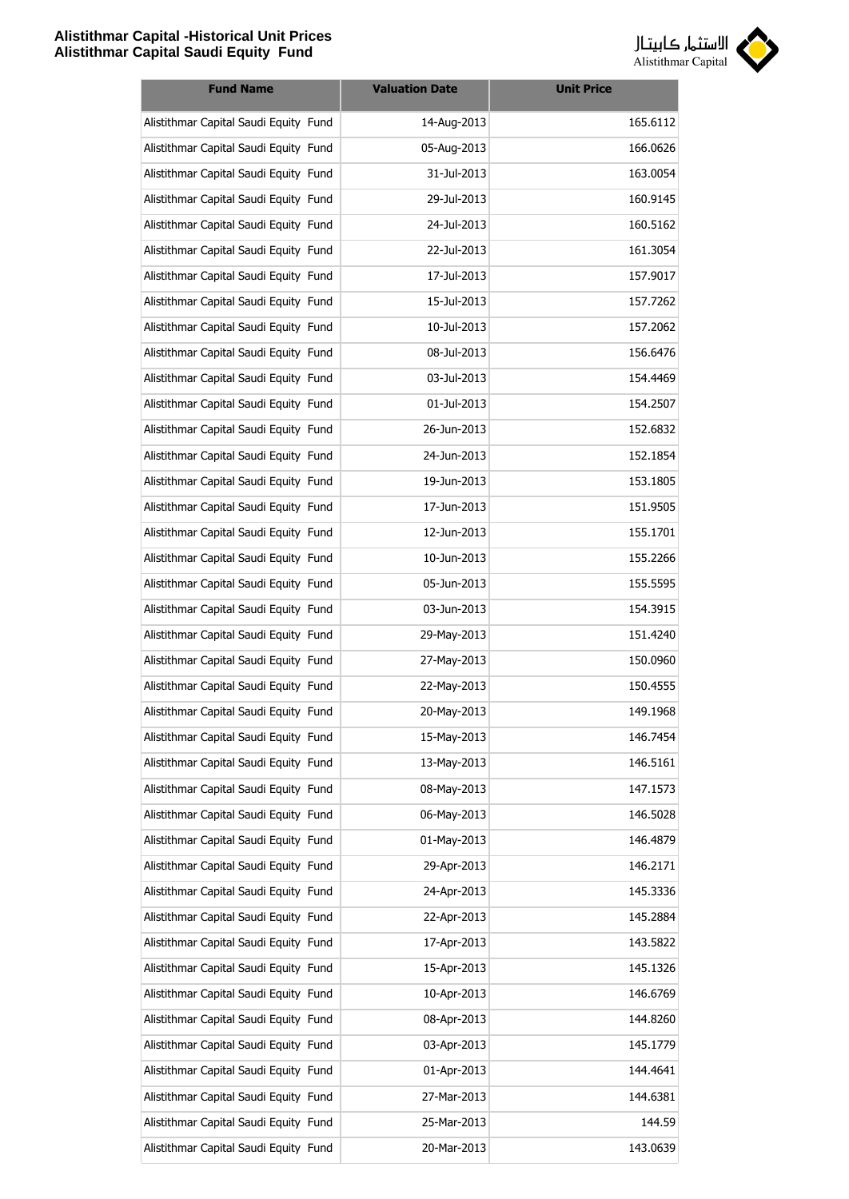

| <b>Fund Name</b>                      | <b>Valuation Date</b> | <b>Unit Price</b> |
|---------------------------------------|-----------------------|-------------------|
| Alistithmar Capital Saudi Equity Fund | 14-Aug-2013           | 165.6112          |
| Alistithmar Capital Saudi Equity Fund | 05-Aug-2013           | 166.0626          |
| Alistithmar Capital Saudi Equity Fund | 31-Jul-2013           | 163.0054          |
| Alistithmar Capital Saudi Equity Fund | 29-Jul-2013           | 160.9145          |
| Alistithmar Capital Saudi Equity Fund | 24-Jul-2013           | 160.5162          |
| Alistithmar Capital Saudi Equity Fund | 22-Jul-2013           | 161.3054          |
| Alistithmar Capital Saudi Equity Fund | 17-Jul-2013           | 157.9017          |
| Alistithmar Capital Saudi Equity Fund | 15-Jul-2013           | 157.7262          |
| Alistithmar Capital Saudi Equity Fund | 10-Jul-2013           | 157.2062          |
| Alistithmar Capital Saudi Equity Fund | 08-Jul-2013           | 156.6476          |
| Alistithmar Capital Saudi Equity Fund | 03-Jul-2013           | 154.4469          |
| Alistithmar Capital Saudi Equity Fund | 01-Jul-2013           | 154.2507          |
| Alistithmar Capital Saudi Equity Fund | 26-Jun-2013           | 152.6832          |
| Alistithmar Capital Saudi Equity Fund | 24-Jun-2013           | 152.1854          |
| Alistithmar Capital Saudi Equity Fund | 19-Jun-2013           | 153.1805          |
| Alistithmar Capital Saudi Equity Fund | 17-Jun-2013           | 151.9505          |
| Alistithmar Capital Saudi Equity Fund | 12-Jun-2013           | 155.1701          |
| Alistithmar Capital Saudi Equity Fund | 10-Jun-2013           | 155.2266          |
| Alistithmar Capital Saudi Equity Fund | 05-Jun-2013           | 155.5595          |
| Alistithmar Capital Saudi Equity Fund | 03-Jun-2013           | 154.3915          |
| Alistithmar Capital Saudi Equity Fund | 29-May-2013           | 151.4240          |
| Alistithmar Capital Saudi Equity Fund | 27-May-2013           | 150.0960          |
| Alistithmar Capital Saudi Equity Fund | 22-May-2013           | 150.4555          |
| Alistithmar Capital Saudi Equity Fund | 20-May-2013           | 149.1968          |
| Alistithmar Capital Saudi Equity Fund | 15-May-2013           | 146.7454          |
| Alistithmar Capital Saudi Equity Fund | 13-May-2013           | 146.5161          |
| Alistithmar Capital Saudi Equity Fund | 08-May-2013           | 147.1573          |
| Alistithmar Capital Saudi Equity Fund | 06-May-2013           | 146.5028          |
| Alistithmar Capital Saudi Equity Fund | 01-May-2013           | 146.4879          |
| Alistithmar Capital Saudi Equity Fund | 29-Apr-2013           | 146.2171          |
| Alistithmar Capital Saudi Equity Fund | 24-Apr-2013           | 145.3336          |
| Alistithmar Capital Saudi Equity Fund | 22-Apr-2013           | 145.2884          |
| Alistithmar Capital Saudi Equity Fund | 17-Apr-2013           | 143.5822          |
| Alistithmar Capital Saudi Equity Fund | 15-Apr-2013           | 145.1326          |
| Alistithmar Capital Saudi Equity Fund | 10-Apr-2013           | 146.6769          |
| Alistithmar Capital Saudi Equity Fund | 08-Apr-2013           | 144.8260          |
| Alistithmar Capital Saudi Equity Fund | 03-Apr-2013           | 145.1779          |
| Alistithmar Capital Saudi Equity Fund | 01-Apr-2013           | 144.4641          |
| Alistithmar Capital Saudi Equity Fund | 27-Mar-2013           | 144.6381          |
| Alistithmar Capital Saudi Equity Fund | 25-Mar-2013           | 144.59            |
| Alistithmar Capital Saudi Equity Fund | 20-Mar-2013           | 143.0639          |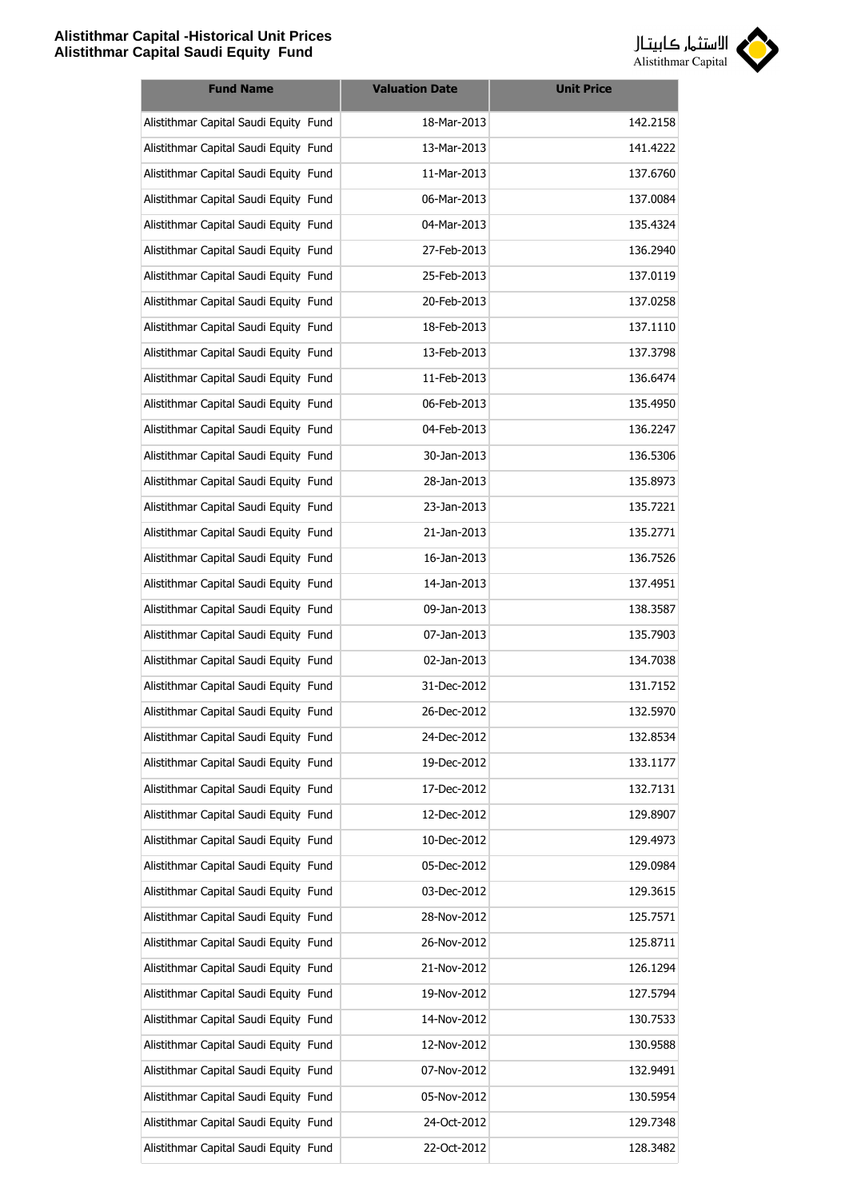

| <b>Fund Name</b>                      | <b>Valuation Date</b> | <b>Unit Price</b> |
|---------------------------------------|-----------------------|-------------------|
| Alistithmar Capital Saudi Equity Fund | 18-Mar-2013           | 142.2158          |
| Alistithmar Capital Saudi Equity Fund | 13-Mar-2013           | 141.4222          |
| Alistithmar Capital Saudi Equity Fund | 11-Mar-2013           | 137.6760          |
| Alistithmar Capital Saudi Equity Fund | 06-Mar-2013           | 137.0084          |
| Alistithmar Capital Saudi Equity Fund | 04-Mar-2013           | 135.4324          |
| Alistithmar Capital Saudi Equity Fund | 27-Feb-2013           | 136.2940          |
| Alistithmar Capital Saudi Equity Fund | 25-Feb-2013           | 137.0119          |
| Alistithmar Capital Saudi Equity Fund | 20-Feb-2013           | 137.0258          |
| Alistithmar Capital Saudi Equity Fund | 18-Feb-2013           | 137.1110          |
| Alistithmar Capital Saudi Equity Fund | 13-Feb-2013           | 137.3798          |
| Alistithmar Capital Saudi Equity Fund | 11-Feb-2013           | 136.6474          |
| Alistithmar Capital Saudi Equity Fund | 06-Feb-2013           | 135.4950          |
| Alistithmar Capital Saudi Equity Fund | 04-Feb-2013           | 136.2247          |
| Alistithmar Capital Saudi Equity Fund | 30-Jan-2013           | 136.5306          |
| Alistithmar Capital Saudi Equity Fund | 28-Jan-2013           | 135.8973          |
| Alistithmar Capital Saudi Equity Fund | 23-Jan-2013           | 135.7221          |
| Alistithmar Capital Saudi Equity Fund | 21-Jan-2013           | 135.2771          |
| Alistithmar Capital Saudi Equity Fund | 16-Jan-2013           | 136.7526          |
| Alistithmar Capital Saudi Equity Fund | 14-Jan-2013           | 137.4951          |
| Alistithmar Capital Saudi Equity Fund | 09-Jan-2013           | 138.3587          |
| Alistithmar Capital Saudi Equity Fund | 07-Jan-2013           | 135.7903          |
| Alistithmar Capital Saudi Equity Fund | 02-Jan-2013           | 134.7038          |
| Alistithmar Capital Saudi Equity Fund | 31-Dec-2012           | 131.7152          |
| Alistithmar Capital Saudi Equity Fund | 26-Dec-2012           | 132.5970          |
| Alistithmar Capital Saudi Equity Fund | 24-Dec-2012           | 132.8534          |
| Alistithmar Capital Saudi Equity Fund | 19-Dec-2012           | 133.1177          |
| Alistithmar Capital Saudi Equity Fund | 17-Dec-2012           | 132.7131          |
| Alistithmar Capital Saudi Equity Fund | 12-Dec-2012           | 129.8907          |
| Alistithmar Capital Saudi Equity Fund | 10-Dec-2012           | 129.4973          |
| Alistithmar Capital Saudi Equity Fund | 05-Dec-2012           | 129.0984          |
| Alistithmar Capital Saudi Equity Fund | 03-Dec-2012           | 129.3615          |
| Alistithmar Capital Saudi Equity Fund | 28-Nov-2012           | 125.7571          |
| Alistithmar Capital Saudi Equity Fund | 26-Nov-2012           | 125.8711          |
| Alistithmar Capital Saudi Equity Fund | 21-Nov-2012           | 126.1294          |
| Alistithmar Capital Saudi Equity Fund | 19-Nov-2012           | 127.5794          |
| Alistithmar Capital Saudi Equity Fund | 14-Nov-2012           | 130.7533          |
| Alistithmar Capital Saudi Equity Fund | 12-Nov-2012           | 130.9588          |
| Alistithmar Capital Saudi Equity Fund | 07-Nov-2012           | 132.9491          |
| Alistithmar Capital Saudi Equity Fund | 05-Nov-2012           | 130.5954          |
| Alistithmar Capital Saudi Equity Fund | 24-Oct-2012           | 129.7348          |
| Alistithmar Capital Saudi Equity Fund | 22-Oct-2012           | 128.3482          |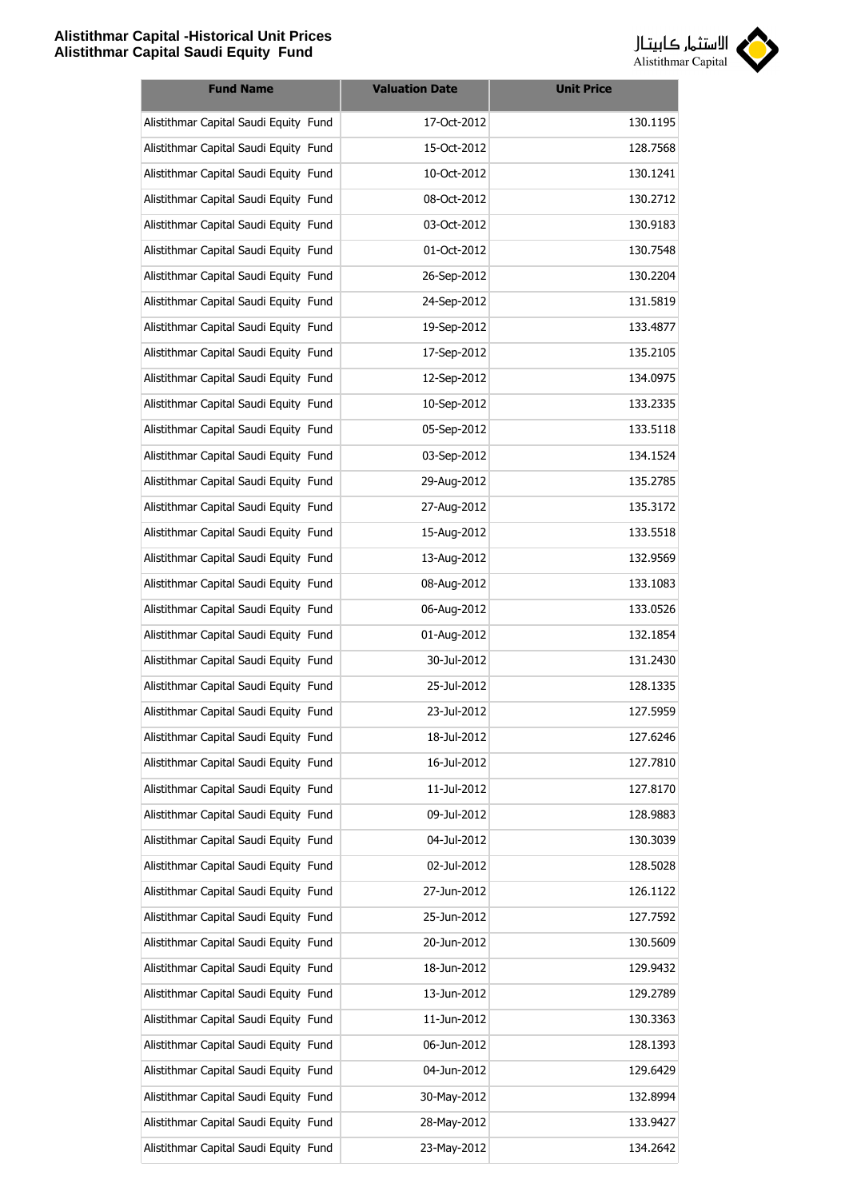

| <b>Fund Name</b>                      | <b>Valuation Date</b> | <b>Unit Price</b> |
|---------------------------------------|-----------------------|-------------------|
| Alistithmar Capital Saudi Equity Fund | 17-Oct-2012           | 130.1195          |
| Alistithmar Capital Saudi Equity Fund | 15-Oct-2012           | 128.7568          |
| Alistithmar Capital Saudi Equity Fund | 10-Oct-2012           | 130.1241          |
| Alistithmar Capital Saudi Equity Fund | 08-Oct-2012           | 130.2712          |
| Alistithmar Capital Saudi Equity Fund | 03-Oct-2012           | 130.9183          |
| Alistithmar Capital Saudi Equity Fund | 01-Oct-2012           | 130.7548          |
| Alistithmar Capital Saudi Equity Fund | 26-Sep-2012           | 130.2204          |
| Alistithmar Capital Saudi Equity Fund | 24-Sep-2012           | 131.5819          |
| Alistithmar Capital Saudi Equity Fund | 19-Sep-2012           | 133.4877          |
| Alistithmar Capital Saudi Equity Fund | 17-Sep-2012           | 135.2105          |
| Alistithmar Capital Saudi Equity Fund | 12-Sep-2012           | 134.0975          |
| Alistithmar Capital Saudi Equity Fund | 10-Sep-2012           | 133.2335          |
| Alistithmar Capital Saudi Equity Fund | 05-Sep-2012           | 133.5118          |
| Alistithmar Capital Saudi Equity Fund | 03-Sep-2012           | 134.1524          |
| Alistithmar Capital Saudi Equity Fund | 29-Aug-2012           | 135.2785          |
| Alistithmar Capital Saudi Equity Fund | 27-Aug-2012           | 135.3172          |
| Alistithmar Capital Saudi Equity Fund | 15-Aug-2012           | 133.5518          |
| Alistithmar Capital Saudi Equity Fund | 13-Aug-2012           | 132.9569          |
| Alistithmar Capital Saudi Equity Fund | 08-Aug-2012           | 133.1083          |
| Alistithmar Capital Saudi Equity Fund | 06-Aug-2012           | 133.0526          |
| Alistithmar Capital Saudi Equity Fund | 01-Aug-2012           | 132.1854          |
| Alistithmar Capital Saudi Equity Fund | 30-Jul-2012           | 131.2430          |
| Alistithmar Capital Saudi Equity Fund | 25-Jul-2012           | 128.1335          |
| Alistithmar Capital Saudi Equity Fund | 23-Jul-2012           | 127.5959          |
| Alistithmar Capital Saudi Equity Fund | 18-Jul-2012           | 127.6246          |
| Alistithmar Capital Saudi Equity Fund | 16-Jul-2012           | 127.7810          |
| Alistithmar Capital Saudi Equity Fund | 11-Jul-2012           | 127.8170          |
| Alistithmar Capital Saudi Equity Fund | 09-Jul-2012           | 128.9883          |
| Alistithmar Capital Saudi Equity Fund | 04-Jul-2012           | 130.3039          |
| Alistithmar Capital Saudi Equity Fund | 02-Jul-2012           | 128.5028          |
| Alistithmar Capital Saudi Equity Fund | 27-Jun-2012           | 126.1122          |
| Alistithmar Capital Saudi Equity Fund | 25-Jun-2012           | 127.7592          |
| Alistithmar Capital Saudi Equity Fund | 20-Jun-2012           | 130.5609          |
| Alistithmar Capital Saudi Equity Fund | 18-Jun-2012           | 129.9432          |
| Alistithmar Capital Saudi Equity Fund | 13-Jun-2012           | 129.2789          |
| Alistithmar Capital Saudi Equity Fund | 11-Jun-2012           | 130.3363          |
| Alistithmar Capital Saudi Equity Fund | 06-Jun-2012           | 128.1393          |
| Alistithmar Capital Saudi Equity Fund | 04-Jun-2012           | 129.6429          |
| Alistithmar Capital Saudi Equity Fund | 30-May-2012           | 132.8994          |
| Alistithmar Capital Saudi Equity Fund | 28-May-2012           | 133.9427          |
| Alistithmar Capital Saudi Equity Fund | 23-May-2012           | 134.2642          |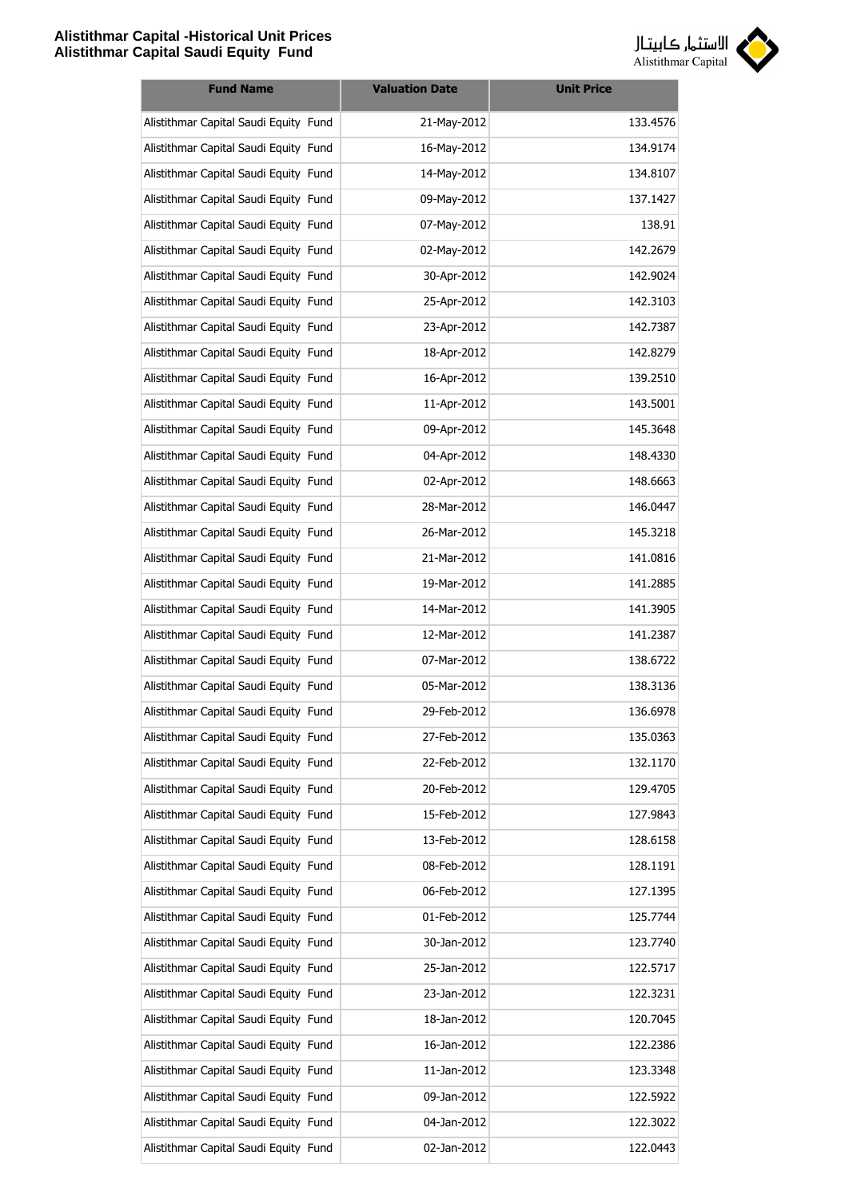

| <b>Fund Name</b>                      | <b>Valuation Date</b> | <b>Unit Price</b> |
|---------------------------------------|-----------------------|-------------------|
| Alistithmar Capital Saudi Equity Fund | 21-May-2012           | 133.4576          |
| Alistithmar Capital Saudi Equity Fund | 16-May-2012           | 134.9174          |
| Alistithmar Capital Saudi Equity Fund | 14-May-2012           | 134.8107          |
| Alistithmar Capital Saudi Equity Fund | 09-May-2012           | 137.1427          |
| Alistithmar Capital Saudi Equity Fund | 07-May-2012           | 138.91            |
| Alistithmar Capital Saudi Equity Fund | 02-May-2012           | 142.2679          |
| Alistithmar Capital Saudi Equity Fund | 30-Apr-2012           | 142.9024          |
| Alistithmar Capital Saudi Equity Fund | 25-Apr-2012           | 142.3103          |
| Alistithmar Capital Saudi Equity Fund | 23-Apr-2012           | 142.7387          |
| Alistithmar Capital Saudi Equity Fund | 18-Apr-2012           | 142.8279          |
| Alistithmar Capital Saudi Equity Fund | 16-Apr-2012           | 139.2510          |
| Alistithmar Capital Saudi Equity Fund | 11-Apr-2012           | 143.5001          |
| Alistithmar Capital Saudi Equity Fund | 09-Apr-2012           | 145.3648          |
| Alistithmar Capital Saudi Equity Fund | 04-Apr-2012           | 148.4330          |
| Alistithmar Capital Saudi Equity Fund | 02-Apr-2012           | 148.6663          |
| Alistithmar Capital Saudi Equity Fund | 28-Mar-2012           | 146.0447          |
| Alistithmar Capital Saudi Equity Fund | 26-Mar-2012           | 145.3218          |
| Alistithmar Capital Saudi Equity Fund | 21-Mar-2012           | 141.0816          |
| Alistithmar Capital Saudi Equity Fund | 19-Mar-2012           | 141.2885          |
| Alistithmar Capital Saudi Equity Fund | 14-Mar-2012           | 141.3905          |
| Alistithmar Capital Saudi Equity Fund | 12-Mar-2012           | 141.2387          |
| Alistithmar Capital Saudi Equity Fund | 07-Mar-2012           | 138.6722          |
| Alistithmar Capital Saudi Equity Fund | 05-Mar-2012           | 138.3136          |
| Alistithmar Capital Saudi Equity Fund | 29-Feb-2012           | 136.6978          |
| Alistithmar Capital Saudi Equity Fund | 27-Feb-2012           | 135.0363          |
| Alistithmar Capital Saudi Equity Fund | 22-Feb-2012           | 132.1170          |
| Alistithmar Capital Saudi Equity Fund | 20-Feb-2012           | 129.4705          |
| Alistithmar Capital Saudi Equity Fund | 15-Feb-2012           | 127.9843          |
| Alistithmar Capital Saudi Equity Fund | 13-Feb-2012           | 128.6158          |
| Alistithmar Capital Saudi Equity Fund | 08-Feb-2012           | 128.1191          |
| Alistithmar Capital Saudi Equity Fund | 06-Feb-2012           | 127.1395          |
| Alistithmar Capital Saudi Equity Fund | 01-Feb-2012           | 125.7744          |
| Alistithmar Capital Saudi Equity Fund | 30-Jan-2012           | 123.7740          |
| Alistithmar Capital Saudi Equity Fund | 25-Jan-2012           | 122.5717          |
| Alistithmar Capital Saudi Equity Fund | 23-Jan-2012           | 122.3231          |
| Alistithmar Capital Saudi Equity Fund | 18-Jan-2012           | 120.7045          |
| Alistithmar Capital Saudi Equity Fund | 16-Jan-2012           | 122.2386          |
| Alistithmar Capital Saudi Equity Fund | 11-Jan-2012           | 123.3348          |
| Alistithmar Capital Saudi Equity Fund | 09-Jan-2012           | 122.5922          |
| Alistithmar Capital Saudi Equity Fund | 04-Jan-2012           | 122.3022          |
| Alistithmar Capital Saudi Equity Fund | 02-Jan-2012           | 122.0443          |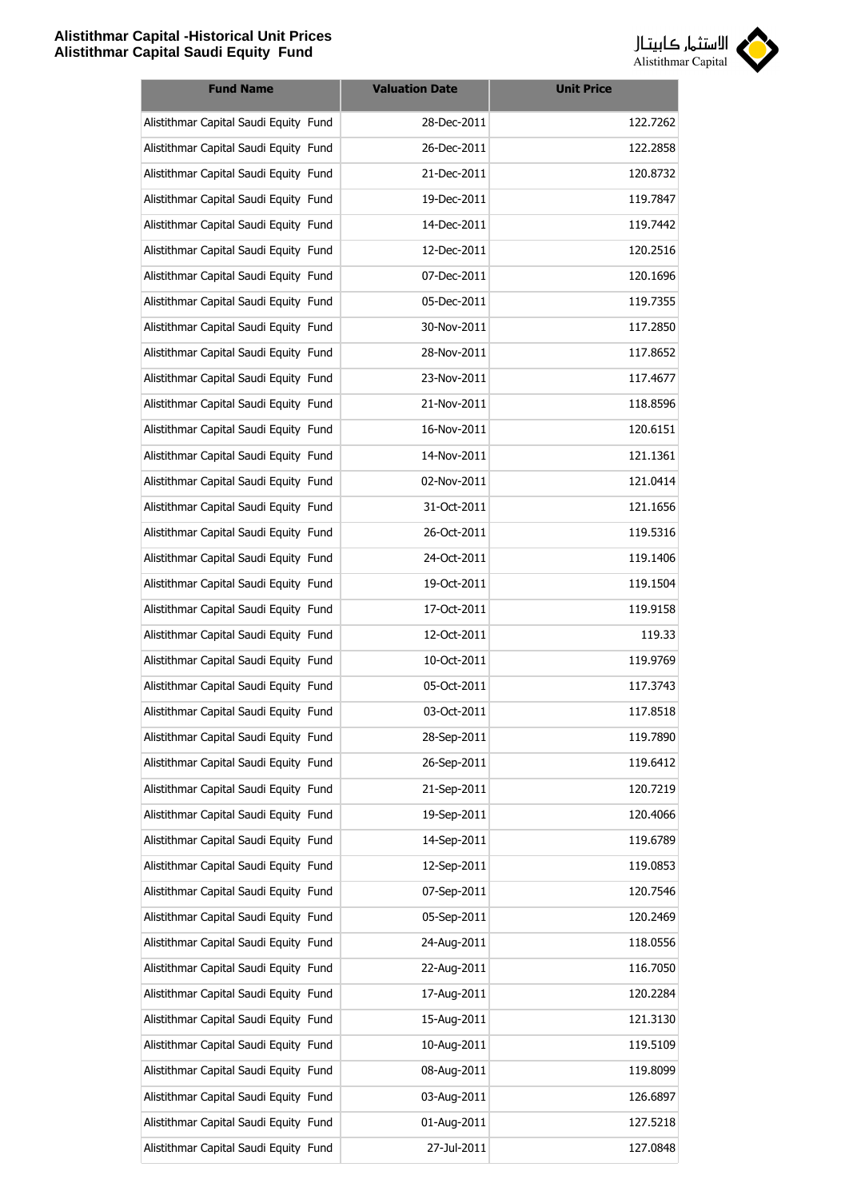

| <b>Fund Name</b>                      | <b>Valuation Date</b> | <b>Unit Price</b> |
|---------------------------------------|-----------------------|-------------------|
| Alistithmar Capital Saudi Equity Fund | 28-Dec-2011           | 122.7262          |
| Alistithmar Capital Saudi Equity Fund | 26-Dec-2011           | 122.2858          |
| Alistithmar Capital Saudi Equity Fund | 21-Dec-2011           | 120.8732          |
| Alistithmar Capital Saudi Equity Fund | 19-Dec-2011           | 119.7847          |
| Alistithmar Capital Saudi Equity Fund | 14-Dec-2011           | 119.7442          |
| Alistithmar Capital Saudi Equity Fund | 12-Dec-2011           | 120.2516          |
| Alistithmar Capital Saudi Equity Fund | 07-Dec-2011           | 120.1696          |
| Alistithmar Capital Saudi Equity Fund | 05-Dec-2011           | 119.7355          |
| Alistithmar Capital Saudi Equity Fund | 30-Nov-2011           | 117.2850          |
| Alistithmar Capital Saudi Equity Fund | 28-Nov-2011           | 117.8652          |
| Alistithmar Capital Saudi Equity Fund | 23-Nov-2011           | 117.4677          |
| Alistithmar Capital Saudi Equity Fund | 21-Nov-2011           | 118.8596          |
| Alistithmar Capital Saudi Equity Fund | 16-Nov-2011           | 120.6151          |
| Alistithmar Capital Saudi Equity Fund | 14-Nov-2011           | 121.1361          |
| Alistithmar Capital Saudi Equity Fund | 02-Nov-2011           | 121.0414          |
| Alistithmar Capital Saudi Equity Fund | 31-Oct-2011           | 121.1656          |
| Alistithmar Capital Saudi Equity Fund | 26-Oct-2011           | 119.5316          |
| Alistithmar Capital Saudi Equity Fund | 24-Oct-2011           | 119.1406          |
| Alistithmar Capital Saudi Equity Fund | 19-Oct-2011           | 119.1504          |
| Alistithmar Capital Saudi Equity Fund | 17-Oct-2011           | 119.9158          |
| Alistithmar Capital Saudi Equity Fund | 12-Oct-2011           | 119.33            |
| Alistithmar Capital Saudi Equity Fund | 10-Oct-2011           | 119.9769          |
| Alistithmar Capital Saudi Equity Fund | 05-Oct-2011           | 117.3743          |
| Alistithmar Capital Saudi Equity Fund | 03-Oct-2011           | 117.8518          |
| Alistithmar Capital Saudi Equity Fund | 28-Sep-2011           | 119.7890          |
| Alistithmar Capital Saudi Equity Fund | 26-Sep-2011           | 119.6412          |
| Alistithmar Capital Saudi Equity Fund | 21-Sep-2011           | 120.7219          |
| Alistithmar Capital Saudi Equity Fund | 19-Sep-2011           | 120.4066          |
| Alistithmar Capital Saudi Equity Fund | 14-Sep-2011           | 119.6789          |
| Alistithmar Capital Saudi Equity Fund | 12-Sep-2011           | 119.0853          |
| Alistithmar Capital Saudi Equity Fund | 07-Sep-2011           | 120.7546          |
| Alistithmar Capital Saudi Equity Fund | 05-Sep-2011           | 120.2469          |
| Alistithmar Capital Saudi Equity Fund | 24-Aug-2011           | 118.0556          |
| Alistithmar Capital Saudi Equity Fund | 22-Aug-2011           | 116.7050          |
| Alistithmar Capital Saudi Equity Fund | 17-Aug-2011           | 120.2284          |
| Alistithmar Capital Saudi Equity Fund | 15-Aug-2011           | 121.3130          |
| Alistithmar Capital Saudi Equity Fund | 10-Aug-2011           | 119.5109          |
| Alistithmar Capital Saudi Equity Fund | 08-Aug-2011           | 119.8099          |
| Alistithmar Capital Saudi Equity Fund | 03-Aug-2011           | 126.6897          |
| Alistithmar Capital Saudi Equity Fund | 01-Aug-2011           | 127.5218          |
| Alistithmar Capital Saudi Equity Fund | 27-Jul-2011           | 127.0848          |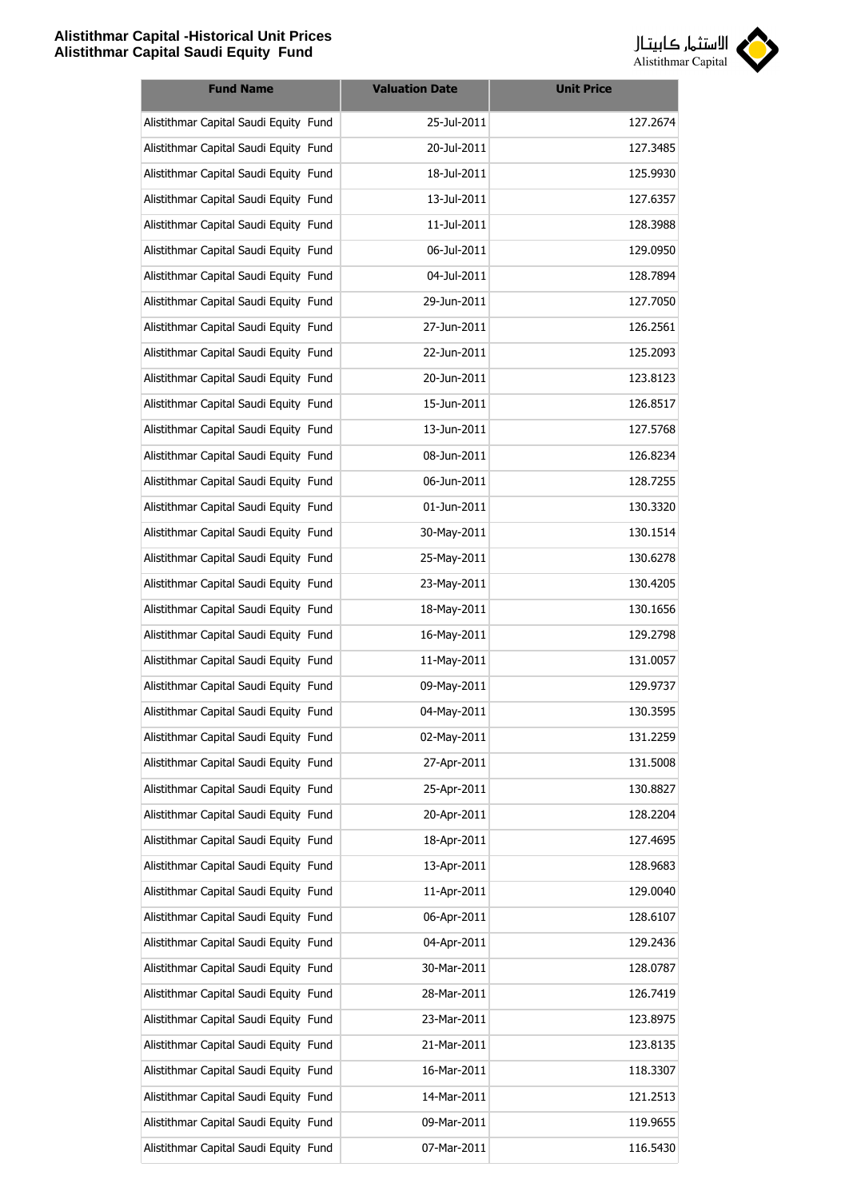

| <b>Fund Name</b>                      | <b>Valuation Date</b> | <b>Unit Price</b> |
|---------------------------------------|-----------------------|-------------------|
| Alistithmar Capital Saudi Equity Fund | 25-Jul-2011           | 127.2674          |
| Alistithmar Capital Saudi Equity Fund | 20-Jul-2011           | 127.3485          |
| Alistithmar Capital Saudi Equity Fund | 18-Jul-2011           | 125.9930          |
| Alistithmar Capital Saudi Equity Fund | 13-Jul-2011           | 127.6357          |
| Alistithmar Capital Saudi Equity Fund | 11-Jul-2011           | 128.3988          |
| Alistithmar Capital Saudi Equity Fund | 06-Jul-2011           | 129.0950          |
| Alistithmar Capital Saudi Equity Fund | 04-Jul-2011           | 128.7894          |
| Alistithmar Capital Saudi Equity Fund | 29-Jun-2011           | 127.7050          |
| Alistithmar Capital Saudi Equity Fund | 27-Jun-2011           | 126.2561          |
| Alistithmar Capital Saudi Equity Fund | 22-Jun-2011           | 125.2093          |
| Alistithmar Capital Saudi Equity Fund | 20-Jun-2011           | 123.8123          |
| Alistithmar Capital Saudi Equity Fund | 15-Jun-2011           | 126.8517          |
| Alistithmar Capital Saudi Equity Fund | 13-Jun-2011           | 127.5768          |
| Alistithmar Capital Saudi Equity Fund | 08-Jun-2011           | 126.8234          |
| Alistithmar Capital Saudi Equity Fund | 06-Jun-2011           | 128.7255          |
| Alistithmar Capital Saudi Equity Fund | 01-Jun-2011           | 130.3320          |
| Alistithmar Capital Saudi Equity Fund | 30-May-2011           | 130.1514          |
| Alistithmar Capital Saudi Equity Fund | 25-May-2011           | 130.6278          |
| Alistithmar Capital Saudi Equity Fund | 23-May-2011           | 130.4205          |
| Alistithmar Capital Saudi Equity Fund | 18-May-2011           | 130.1656          |
| Alistithmar Capital Saudi Equity Fund | 16-May-2011           | 129.2798          |
| Alistithmar Capital Saudi Equity Fund | 11-May-2011           | 131.0057          |
| Alistithmar Capital Saudi Equity Fund | 09-May-2011           | 129.9737          |
| Alistithmar Capital Saudi Equity Fund | 04-May-2011           | 130.3595          |
| Alistithmar Capital Saudi Equity Fund | 02-May-2011           | 131.2259          |
| Alistithmar Capital Saudi Equity Fund | 27-Apr-2011           | 131.5008          |
| Alistithmar Capital Saudi Equity Fund | 25-Apr-2011           | 130.8827          |
| Alistithmar Capital Saudi Equity Fund | 20-Apr-2011           | 128.2204          |
| Alistithmar Capital Saudi Equity Fund | 18-Apr-2011           | 127.4695          |
| Alistithmar Capital Saudi Equity Fund | 13-Apr-2011           | 128.9683          |
| Alistithmar Capital Saudi Equity Fund | 11-Apr-2011           | 129.0040          |
| Alistithmar Capital Saudi Equity Fund | 06-Apr-2011           | 128.6107          |
| Alistithmar Capital Saudi Equity Fund | 04-Apr-2011           | 129.2436          |
| Alistithmar Capital Saudi Equity Fund | 30-Mar-2011           | 128.0787          |
| Alistithmar Capital Saudi Equity Fund | 28-Mar-2011           | 126.7419          |
| Alistithmar Capital Saudi Equity Fund | 23-Mar-2011           | 123.8975          |
| Alistithmar Capital Saudi Equity Fund | 21-Mar-2011           | 123.8135          |
| Alistithmar Capital Saudi Equity Fund | 16-Mar-2011           | 118.3307          |
| Alistithmar Capital Saudi Equity Fund | 14-Mar-2011           | 121.2513          |
| Alistithmar Capital Saudi Equity Fund | 09-Mar-2011           | 119.9655          |
| Alistithmar Capital Saudi Equity Fund | 07-Mar-2011           | 116.5430          |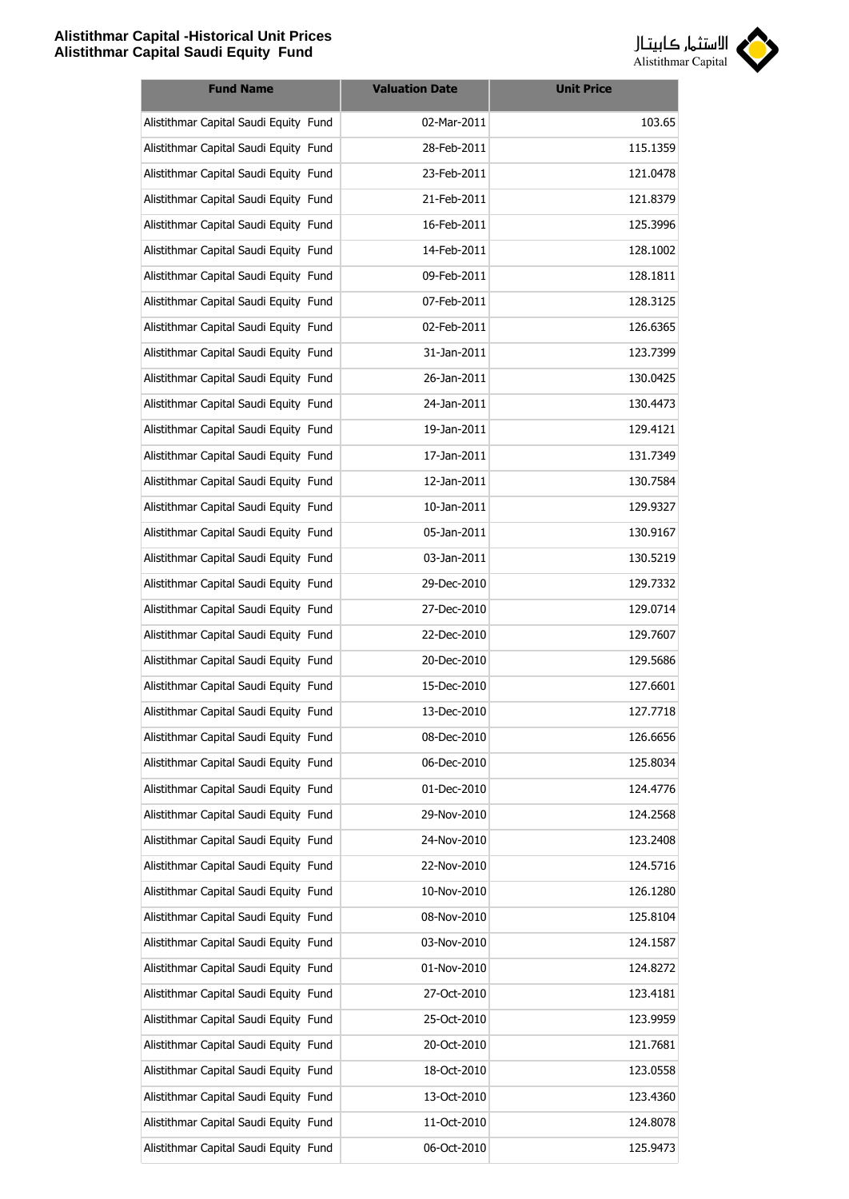

| <b>Fund Name</b>                      | <b>Valuation Date</b> | <b>Unit Price</b> |
|---------------------------------------|-----------------------|-------------------|
| Alistithmar Capital Saudi Equity Fund | 02-Mar-2011           | 103.65            |
| Alistithmar Capital Saudi Equity Fund | 28-Feb-2011           | 115.1359          |
| Alistithmar Capital Saudi Equity Fund | 23-Feb-2011           | 121.0478          |
| Alistithmar Capital Saudi Equity Fund | 21-Feb-2011           | 121.8379          |
| Alistithmar Capital Saudi Equity Fund | 16-Feb-2011           | 125.3996          |
| Alistithmar Capital Saudi Equity Fund | 14-Feb-2011           | 128.1002          |
| Alistithmar Capital Saudi Equity Fund | 09-Feb-2011           | 128.1811          |
| Alistithmar Capital Saudi Equity Fund | 07-Feb-2011           | 128.3125          |
| Alistithmar Capital Saudi Equity Fund | 02-Feb-2011           | 126.6365          |
| Alistithmar Capital Saudi Equity Fund | 31-Jan-2011           | 123.7399          |
| Alistithmar Capital Saudi Equity Fund | 26-Jan-2011           | 130.0425          |
| Alistithmar Capital Saudi Equity Fund | 24-Jan-2011           | 130.4473          |
| Alistithmar Capital Saudi Equity Fund | 19-Jan-2011           | 129.4121          |
| Alistithmar Capital Saudi Equity Fund | 17-Jan-2011           | 131.7349          |
| Alistithmar Capital Saudi Equity Fund | 12-Jan-2011           | 130.7584          |
| Alistithmar Capital Saudi Equity Fund | 10-Jan-2011           | 129.9327          |
| Alistithmar Capital Saudi Equity Fund | 05-Jan-2011           | 130.9167          |
| Alistithmar Capital Saudi Equity Fund | 03-Jan-2011           | 130.5219          |
| Alistithmar Capital Saudi Equity Fund | 29-Dec-2010           | 129.7332          |
| Alistithmar Capital Saudi Equity Fund | 27-Dec-2010           | 129.0714          |
| Alistithmar Capital Saudi Equity Fund | 22-Dec-2010           | 129.7607          |
| Alistithmar Capital Saudi Equity Fund | 20-Dec-2010           | 129.5686          |
| Alistithmar Capital Saudi Equity Fund | 15-Dec-2010           | 127.6601          |
| Alistithmar Capital Saudi Equity Fund | 13-Dec-2010           | 127.7718          |
| Alistithmar Capital Saudi Equity Fund | 08-Dec-2010           | 126.6656          |
| Alistithmar Capital Saudi Equity Fund | 06-Dec-2010           | 125.8034          |
| Alistithmar Capital Saudi Equity Fund | 01-Dec-2010           | 124.4776          |
| Alistithmar Capital Saudi Equity Fund | 29-Nov-2010           | 124.2568          |
| Alistithmar Capital Saudi Equity Fund | 24-Nov-2010           | 123.2408          |
| Alistithmar Capital Saudi Equity Fund | 22-Nov-2010           | 124.5716          |
| Alistithmar Capital Saudi Equity Fund | 10-Nov-2010           | 126.1280          |
| Alistithmar Capital Saudi Equity Fund | 08-Nov-2010           | 125.8104          |
| Alistithmar Capital Saudi Equity Fund | 03-Nov-2010           | 124.1587          |
| Alistithmar Capital Saudi Equity Fund | 01-Nov-2010           | 124.8272          |
| Alistithmar Capital Saudi Equity Fund | 27-Oct-2010           | 123.4181          |
| Alistithmar Capital Saudi Equity Fund | 25-Oct-2010           | 123.9959          |
| Alistithmar Capital Saudi Equity Fund | 20-Oct-2010           | 121.7681          |
| Alistithmar Capital Saudi Equity Fund | 18-Oct-2010           | 123.0558          |
| Alistithmar Capital Saudi Equity Fund | 13-Oct-2010           | 123.4360          |
| Alistithmar Capital Saudi Equity Fund | 11-Oct-2010           | 124.8078          |
| Alistithmar Capital Saudi Equity Fund | 06-Oct-2010           | 125.9473          |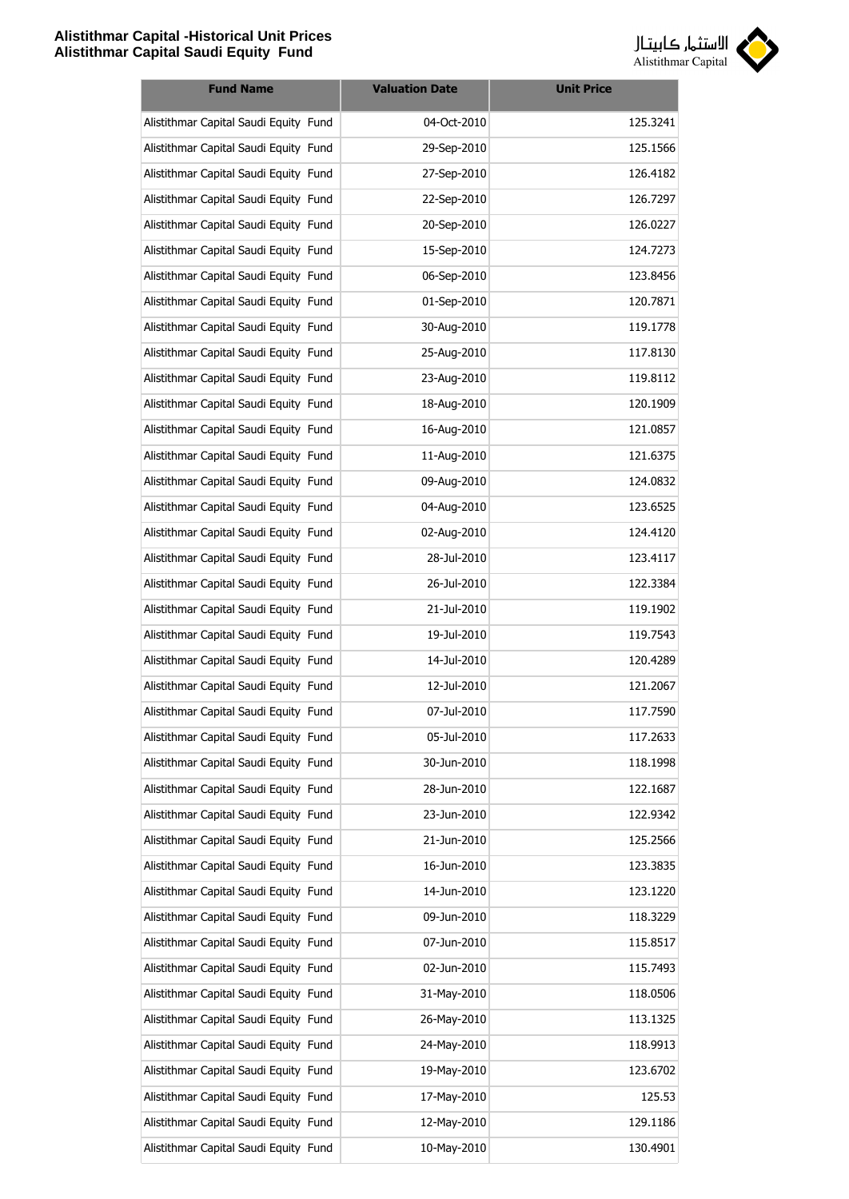

| <b>Fund Name</b>                      | <b>Valuation Date</b> | <b>Unit Price</b> |
|---------------------------------------|-----------------------|-------------------|
| Alistithmar Capital Saudi Equity Fund | 04-Oct-2010           | 125.3241          |
| Alistithmar Capital Saudi Equity Fund | 29-Sep-2010           | 125.1566          |
| Alistithmar Capital Saudi Equity Fund | 27-Sep-2010           | 126.4182          |
| Alistithmar Capital Saudi Equity Fund | 22-Sep-2010           | 126.7297          |
| Alistithmar Capital Saudi Equity Fund | 20-Sep-2010           | 126.0227          |
| Alistithmar Capital Saudi Equity Fund | 15-Sep-2010           | 124.7273          |
| Alistithmar Capital Saudi Equity Fund | 06-Sep-2010           | 123.8456          |
| Alistithmar Capital Saudi Equity Fund | 01-Sep-2010           | 120.7871          |
| Alistithmar Capital Saudi Equity Fund | 30-Aug-2010           | 119.1778          |
| Alistithmar Capital Saudi Equity Fund | 25-Aug-2010           | 117.8130          |
| Alistithmar Capital Saudi Equity Fund | 23-Aug-2010           | 119.8112          |
| Alistithmar Capital Saudi Equity Fund | 18-Aug-2010           | 120.1909          |
| Alistithmar Capital Saudi Equity Fund | 16-Aug-2010           | 121.0857          |
| Alistithmar Capital Saudi Equity Fund | 11-Aug-2010           | 121.6375          |
| Alistithmar Capital Saudi Equity Fund | 09-Aug-2010           | 124.0832          |
| Alistithmar Capital Saudi Equity Fund | 04-Aug-2010           | 123.6525          |
| Alistithmar Capital Saudi Equity Fund | 02-Aug-2010           | 124.4120          |
| Alistithmar Capital Saudi Equity Fund | 28-Jul-2010           | 123.4117          |
| Alistithmar Capital Saudi Equity Fund | 26-Jul-2010           | 122.3384          |
| Alistithmar Capital Saudi Equity Fund | 21-Jul-2010           | 119.1902          |
| Alistithmar Capital Saudi Equity Fund | 19-Jul-2010           | 119.7543          |
| Alistithmar Capital Saudi Equity Fund | 14-Jul-2010           | 120.4289          |
| Alistithmar Capital Saudi Equity Fund | 12-Jul-2010           | 121.2067          |
| Alistithmar Capital Saudi Equity Fund | 07-Jul-2010           | 117.7590          |
| Alistithmar Capital Saudi Equity Fund | 05-Jul-2010           | 117.2633          |
| Alistithmar Capital Saudi Equity Fund | 30-Jun-2010           | 118.1998          |
| Alistithmar Capital Saudi Equity Fund | 28-Jun-2010           | 122.1687          |
| Alistithmar Capital Saudi Equity Fund | 23-Jun-2010           | 122.9342          |
| Alistithmar Capital Saudi Equity Fund | 21-Jun-2010           | 125.2566          |
| Alistithmar Capital Saudi Equity Fund | 16-Jun-2010           | 123.3835          |
| Alistithmar Capital Saudi Equity Fund | 14-Jun-2010           | 123.1220          |
| Alistithmar Capital Saudi Equity Fund | 09-Jun-2010           | 118.3229          |
| Alistithmar Capital Saudi Equity Fund | 07-Jun-2010           | 115.8517          |
| Alistithmar Capital Saudi Equity Fund | 02-Jun-2010           | 115.7493          |
| Alistithmar Capital Saudi Equity Fund | 31-May-2010           | 118.0506          |
| Alistithmar Capital Saudi Equity Fund | 26-May-2010           | 113.1325          |
| Alistithmar Capital Saudi Equity Fund | 24-May-2010           | 118.9913          |
| Alistithmar Capital Saudi Equity Fund | 19-May-2010           | 123.6702          |
| Alistithmar Capital Saudi Equity Fund | 17-May-2010           | 125.53            |
| Alistithmar Capital Saudi Equity Fund | 12-May-2010           | 129.1186          |
| Alistithmar Capital Saudi Equity Fund | 10-May-2010           | 130.4901          |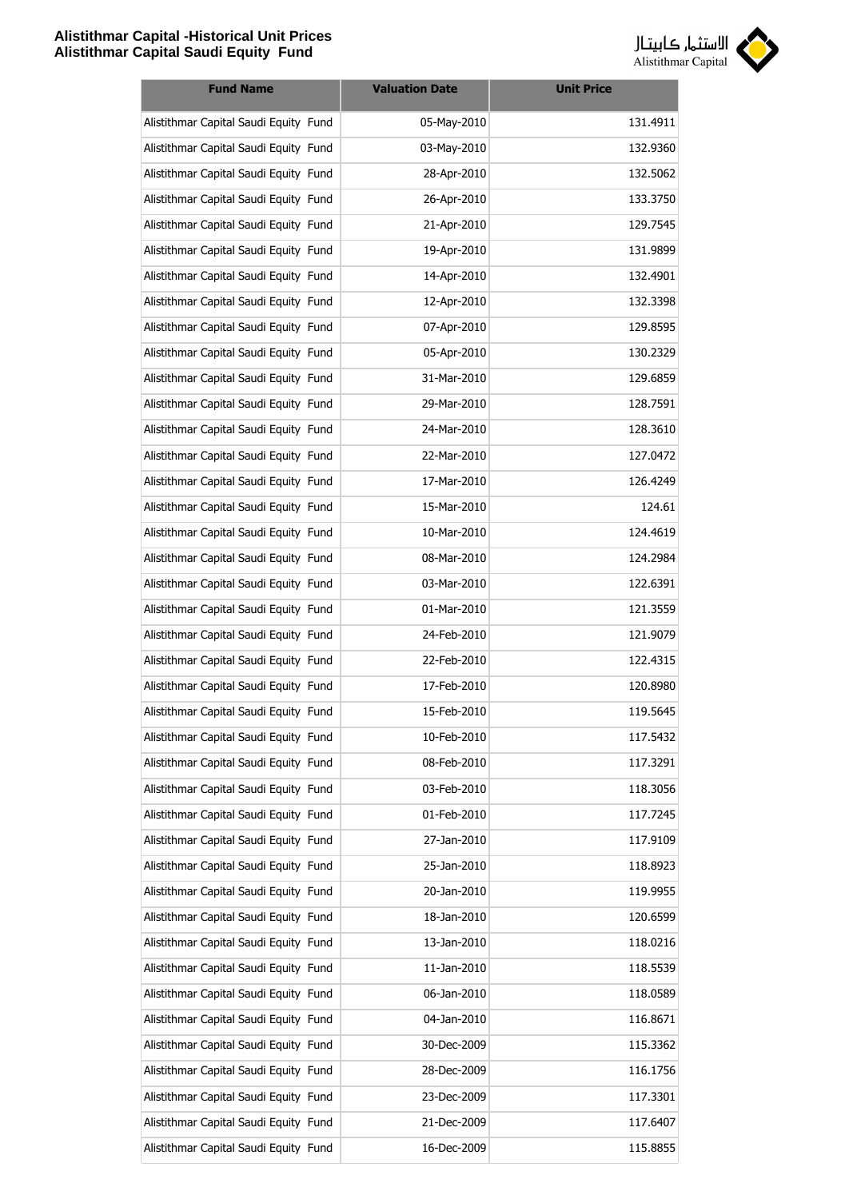

| <b>Fund Name</b>                      | <b>Valuation Date</b> | <b>Unit Price</b> |
|---------------------------------------|-----------------------|-------------------|
| Alistithmar Capital Saudi Equity Fund | 05-May-2010           | 131.4911          |
| Alistithmar Capital Saudi Equity Fund | 03-May-2010           | 132.9360          |
| Alistithmar Capital Saudi Equity Fund | 28-Apr-2010           | 132.5062          |
| Alistithmar Capital Saudi Equity Fund | 26-Apr-2010           | 133.3750          |
| Alistithmar Capital Saudi Equity Fund | 21-Apr-2010           | 129.7545          |
| Alistithmar Capital Saudi Equity Fund | 19-Apr-2010           | 131.9899          |
| Alistithmar Capital Saudi Equity Fund | 14-Apr-2010           | 132.4901          |
| Alistithmar Capital Saudi Equity Fund | 12-Apr-2010           | 132.3398          |
| Alistithmar Capital Saudi Equity Fund | 07-Apr-2010           | 129.8595          |
| Alistithmar Capital Saudi Equity Fund | 05-Apr-2010           | 130.2329          |
| Alistithmar Capital Saudi Equity Fund | 31-Mar-2010           | 129.6859          |
| Alistithmar Capital Saudi Equity Fund | 29-Mar-2010           | 128.7591          |
| Alistithmar Capital Saudi Equity Fund | 24-Mar-2010           | 128.3610          |
| Alistithmar Capital Saudi Equity Fund | 22-Mar-2010           | 127.0472          |
| Alistithmar Capital Saudi Equity Fund | 17-Mar-2010           | 126.4249          |
| Alistithmar Capital Saudi Equity Fund | 15-Mar-2010           | 124.61            |
| Alistithmar Capital Saudi Equity Fund | 10-Mar-2010           | 124.4619          |
| Alistithmar Capital Saudi Equity Fund | 08-Mar-2010           | 124.2984          |
| Alistithmar Capital Saudi Equity Fund | 03-Mar-2010           | 122.6391          |
| Alistithmar Capital Saudi Equity Fund | 01-Mar-2010           | 121.3559          |
| Alistithmar Capital Saudi Equity Fund | 24-Feb-2010           | 121.9079          |
| Alistithmar Capital Saudi Equity Fund | 22-Feb-2010           | 122.4315          |
| Alistithmar Capital Saudi Equity Fund | 17-Feb-2010           | 120.8980          |
| Alistithmar Capital Saudi Equity Fund | 15-Feb-2010           | 119.5645          |
| Alistithmar Capital Saudi Equity Fund | 10-Feb-2010           | 117.5432          |
| Alistithmar Capital Saudi Equity Fund | 08-Feb-2010           | 117.3291          |
| Alistithmar Capital Saudi Equity Fund | 03-Feb-2010           | 118.3056          |
| Alistithmar Capital Saudi Equity Fund | 01-Feb-2010           | 117.7245          |
| Alistithmar Capital Saudi Equity Fund | 27-Jan-2010           | 117.9109          |
| Alistithmar Capital Saudi Equity Fund | 25-Jan-2010           | 118.8923          |
| Alistithmar Capital Saudi Equity Fund | 20-Jan-2010           | 119.9955          |
| Alistithmar Capital Saudi Equity Fund | 18-Jan-2010           | 120.6599          |
| Alistithmar Capital Saudi Equity Fund | 13-Jan-2010           | 118.0216          |
| Alistithmar Capital Saudi Equity Fund | 11-Jan-2010           | 118.5539          |
| Alistithmar Capital Saudi Equity Fund | 06-Jan-2010           | 118.0589          |
| Alistithmar Capital Saudi Equity Fund | 04-Jan-2010           | 116.8671          |
| Alistithmar Capital Saudi Equity Fund | 30-Dec-2009           | 115.3362          |
| Alistithmar Capital Saudi Equity Fund | 28-Dec-2009           | 116.1756          |
| Alistithmar Capital Saudi Equity Fund | 23-Dec-2009           | 117.3301          |
| Alistithmar Capital Saudi Equity Fund | 21-Dec-2009           | 117.6407          |
| Alistithmar Capital Saudi Equity Fund | 16-Dec-2009           | 115.8855          |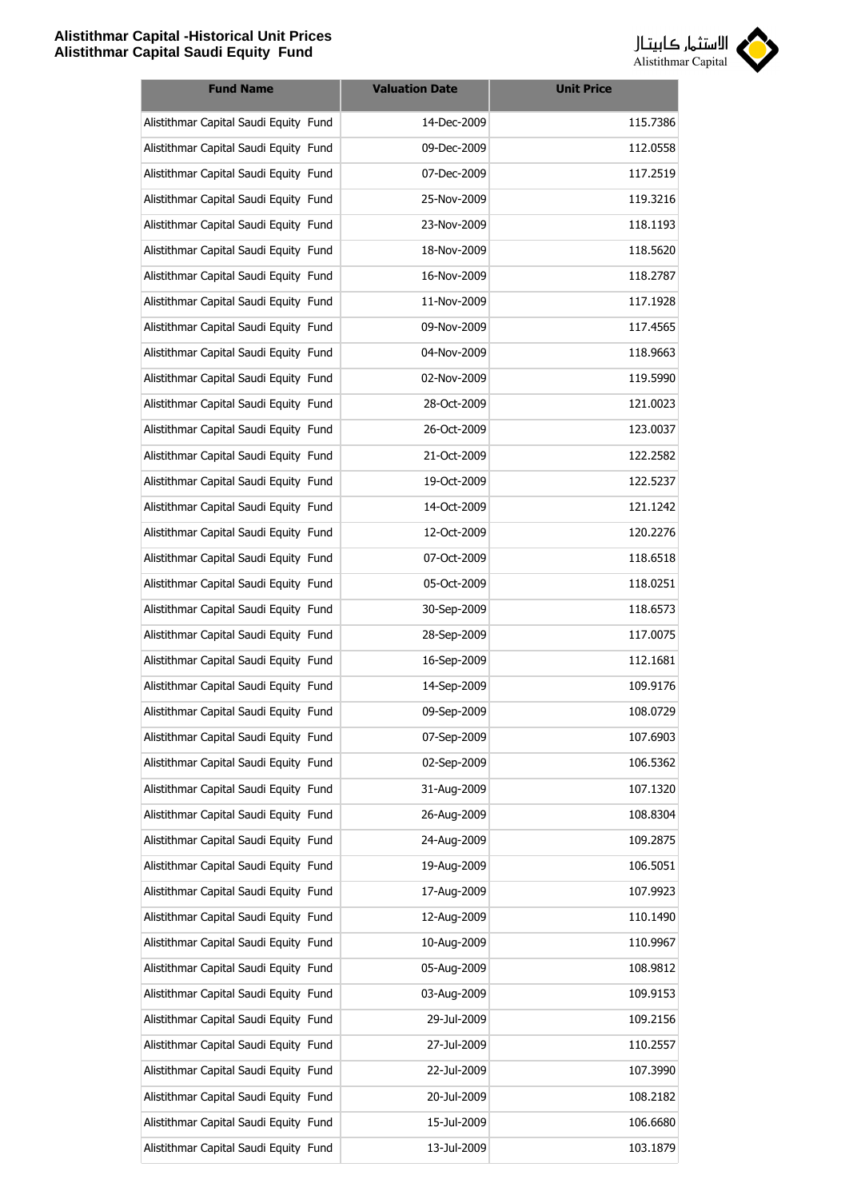

| <b>Fund Name</b>                      | <b>Valuation Date</b> | <b>Unit Price</b> |
|---------------------------------------|-----------------------|-------------------|
| Alistithmar Capital Saudi Equity Fund | 14-Dec-2009           | 115.7386          |
| Alistithmar Capital Saudi Equity Fund | 09-Dec-2009           | 112.0558          |
| Alistithmar Capital Saudi Equity Fund | 07-Dec-2009           | 117.2519          |
| Alistithmar Capital Saudi Equity Fund | 25-Nov-2009           | 119.3216          |
| Alistithmar Capital Saudi Equity Fund | 23-Nov-2009           | 118.1193          |
| Alistithmar Capital Saudi Equity Fund | 18-Nov-2009           | 118.5620          |
| Alistithmar Capital Saudi Equity Fund | 16-Nov-2009           | 118.2787          |
| Alistithmar Capital Saudi Equity Fund | 11-Nov-2009           | 117.1928          |
| Alistithmar Capital Saudi Equity Fund | 09-Nov-2009           | 117.4565          |
| Alistithmar Capital Saudi Equity Fund | 04-Nov-2009           | 118.9663          |
| Alistithmar Capital Saudi Equity Fund | 02-Nov-2009           | 119.5990          |
| Alistithmar Capital Saudi Equity Fund | 28-Oct-2009           | 121.0023          |
| Alistithmar Capital Saudi Equity Fund | 26-Oct-2009           | 123.0037          |
| Alistithmar Capital Saudi Equity Fund | 21-Oct-2009           | 122.2582          |
| Alistithmar Capital Saudi Equity Fund | 19-Oct-2009           | 122.5237          |
| Alistithmar Capital Saudi Equity Fund | 14-Oct-2009           | 121.1242          |
| Alistithmar Capital Saudi Equity Fund | 12-Oct-2009           | 120.2276          |
| Alistithmar Capital Saudi Equity Fund | 07-Oct-2009           | 118.6518          |
| Alistithmar Capital Saudi Equity Fund | 05-Oct-2009           | 118.0251          |
| Alistithmar Capital Saudi Equity Fund | 30-Sep-2009           | 118.6573          |
| Alistithmar Capital Saudi Equity Fund | 28-Sep-2009           | 117.0075          |
| Alistithmar Capital Saudi Equity Fund | 16-Sep-2009           | 112.1681          |
| Alistithmar Capital Saudi Equity Fund | 14-Sep-2009           | 109.9176          |
| Alistithmar Capital Saudi Equity Fund | 09-Sep-2009           | 108.0729          |
| Alistithmar Capital Saudi Equity Fund | 07-Sep-2009           | 107.6903          |
| Alistithmar Capital Saudi Equity Fund | 02-Sep-2009           | 106.5362          |
| Alistithmar Capital Saudi Equity Fund | 31-Aug-2009           | 107.1320          |
| Alistithmar Capital Saudi Equity Fund | 26-Aug-2009           | 108.8304          |
| Alistithmar Capital Saudi Equity Fund | 24-Aug-2009           | 109.2875          |
| Alistithmar Capital Saudi Equity Fund | 19-Aug-2009           | 106.5051          |
| Alistithmar Capital Saudi Equity Fund | 17-Aug-2009           | 107.9923          |
| Alistithmar Capital Saudi Equity Fund | 12-Aug-2009           | 110.1490          |
| Alistithmar Capital Saudi Equity Fund | 10-Aug-2009           | 110.9967          |
| Alistithmar Capital Saudi Equity Fund | 05-Aug-2009           | 108.9812          |
| Alistithmar Capital Saudi Equity Fund | 03-Aug-2009           | 109.9153          |
| Alistithmar Capital Saudi Equity Fund | 29-Jul-2009           | 109.2156          |
| Alistithmar Capital Saudi Equity Fund | 27-Jul-2009           | 110.2557          |
| Alistithmar Capital Saudi Equity Fund | 22-Jul-2009           | 107.3990          |
| Alistithmar Capital Saudi Equity Fund | 20-Jul-2009           | 108.2182          |
| Alistithmar Capital Saudi Equity Fund | 15-Jul-2009           | 106.6680          |
| Alistithmar Capital Saudi Equity Fund | 13-Jul-2009           | 103.1879          |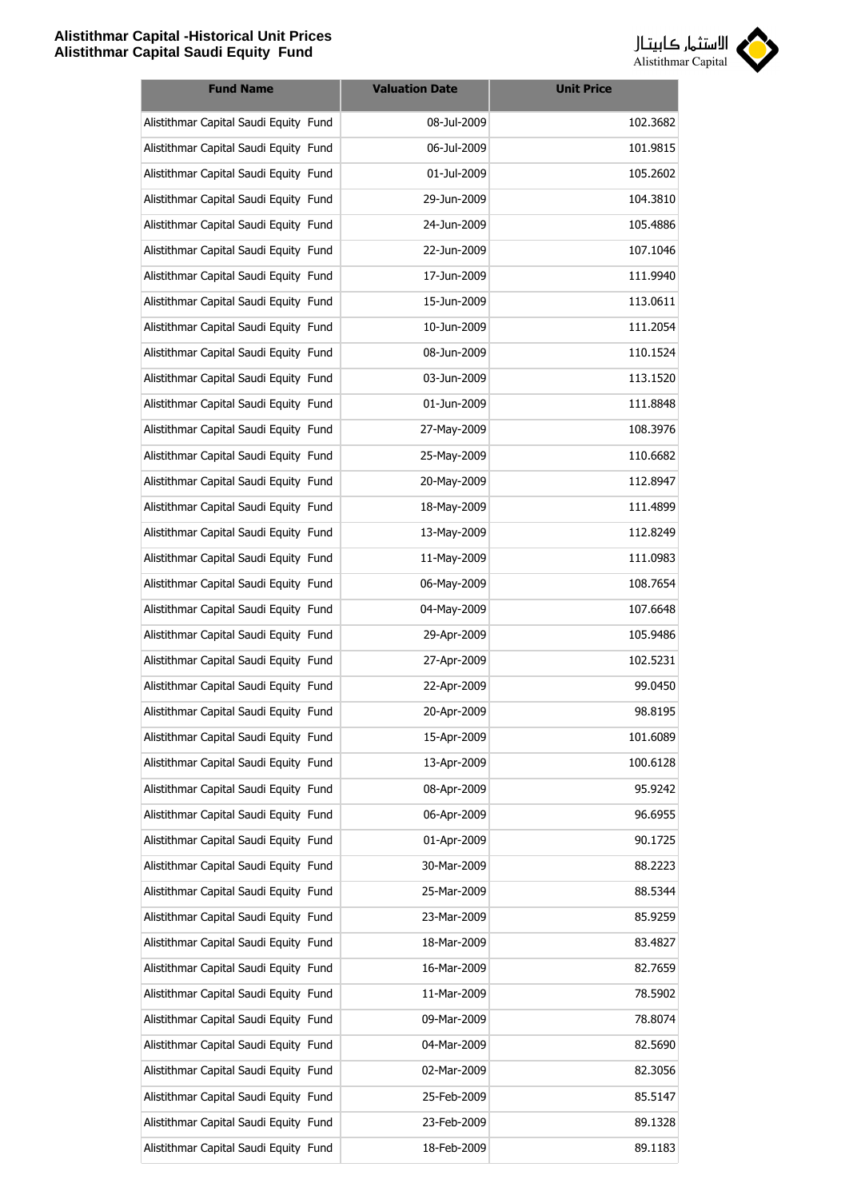

| <b>Fund Name</b>                      | <b>Valuation Date</b> | <b>Unit Price</b> |
|---------------------------------------|-----------------------|-------------------|
| Alistithmar Capital Saudi Equity Fund | 08-Jul-2009           | 102.3682          |
| Alistithmar Capital Saudi Equity Fund | 06-Jul-2009           | 101.9815          |
| Alistithmar Capital Saudi Equity Fund | 01-Jul-2009           | 105.2602          |
| Alistithmar Capital Saudi Equity Fund | 29-Jun-2009           | 104.3810          |
| Alistithmar Capital Saudi Equity Fund | 24-Jun-2009           | 105.4886          |
| Alistithmar Capital Saudi Equity Fund | 22-Jun-2009           | 107.1046          |
| Alistithmar Capital Saudi Equity Fund | 17-Jun-2009           | 111.9940          |
| Alistithmar Capital Saudi Equity Fund | 15-Jun-2009           | 113.0611          |
| Alistithmar Capital Saudi Equity Fund | 10-Jun-2009           | 111.2054          |
| Alistithmar Capital Saudi Equity Fund | 08-Jun-2009           | 110.1524          |
| Alistithmar Capital Saudi Equity Fund | 03-Jun-2009           | 113.1520          |
| Alistithmar Capital Saudi Equity Fund | 01-Jun-2009           | 111.8848          |
| Alistithmar Capital Saudi Equity Fund | 27-May-2009           | 108.3976          |
| Alistithmar Capital Saudi Equity Fund | 25-May-2009           | 110.6682          |
| Alistithmar Capital Saudi Equity Fund | 20-May-2009           | 112.8947          |
| Alistithmar Capital Saudi Equity Fund | 18-May-2009           | 111.4899          |
| Alistithmar Capital Saudi Equity Fund | 13-May-2009           | 112.8249          |
| Alistithmar Capital Saudi Equity Fund | 11-May-2009           | 111.0983          |
| Alistithmar Capital Saudi Equity Fund | 06-May-2009           | 108.7654          |
| Alistithmar Capital Saudi Equity Fund | 04-May-2009           | 107.6648          |
| Alistithmar Capital Saudi Equity Fund | 29-Apr-2009           | 105.9486          |
| Alistithmar Capital Saudi Equity Fund | 27-Apr-2009           | 102.5231          |
| Alistithmar Capital Saudi Equity Fund | 22-Apr-2009           | 99.0450           |
| Alistithmar Capital Saudi Equity Fund | 20-Apr-2009           | 98.8195           |
| Alistithmar Capital Saudi Equity Fund | 15-Apr-2009           | 101.6089          |
| Alistithmar Capital Saudi Equity Fund | 13-Apr-2009           | 100.6128          |
| Alistithmar Capital Saudi Equity Fund | 08-Apr-2009           | 95.9242           |
| Alistithmar Capital Saudi Equity Fund | 06-Apr-2009           | 96.6955           |
| Alistithmar Capital Saudi Equity Fund | 01-Apr-2009           | 90.1725           |
| Alistithmar Capital Saudi Equity Fund | 30-Mar-2009           | 88.2223           |
| Alistithmar Capital Saudi Equity Fund | 25-Mar-2009           | 88.5344           |
| Alistithmar Capital Saudi Equity Fund | 23-Mar-2009           | 85.9259           |
| Alistithmar Capital Saudi Equity Fund | 18-Mar-2009           | 83.4827           |
| Alistithmar Capital Saudi Equity Fund | 16-Mar-2009           | 82.7659           |
| Alistithmar Capital Saudi Equity Fund | 11-Mar-2009           | 78.5902           |
| Alistithmar Capital Saudi Equity Fund | 09-Mar-2009           | 78.8074           |
| Alistithmar Capital Saudi Equity Fund | 04-Mar-2009           | 82.5690           |
| Alistithmar Capital Saudi Equity Fund | 02-Mar-2009           | 82.3056           |
| Alistithmar Capital Saudi Equity Fund | 25-Feb-2009           | 85.5147           |
| Alistithmar Capital Saudi Equity Fund | 23-Feb-2009           | 89.1328           |
| Alistithmar Capital Saudi Equity Fund | 18-Feb-2009           | 89.1183           |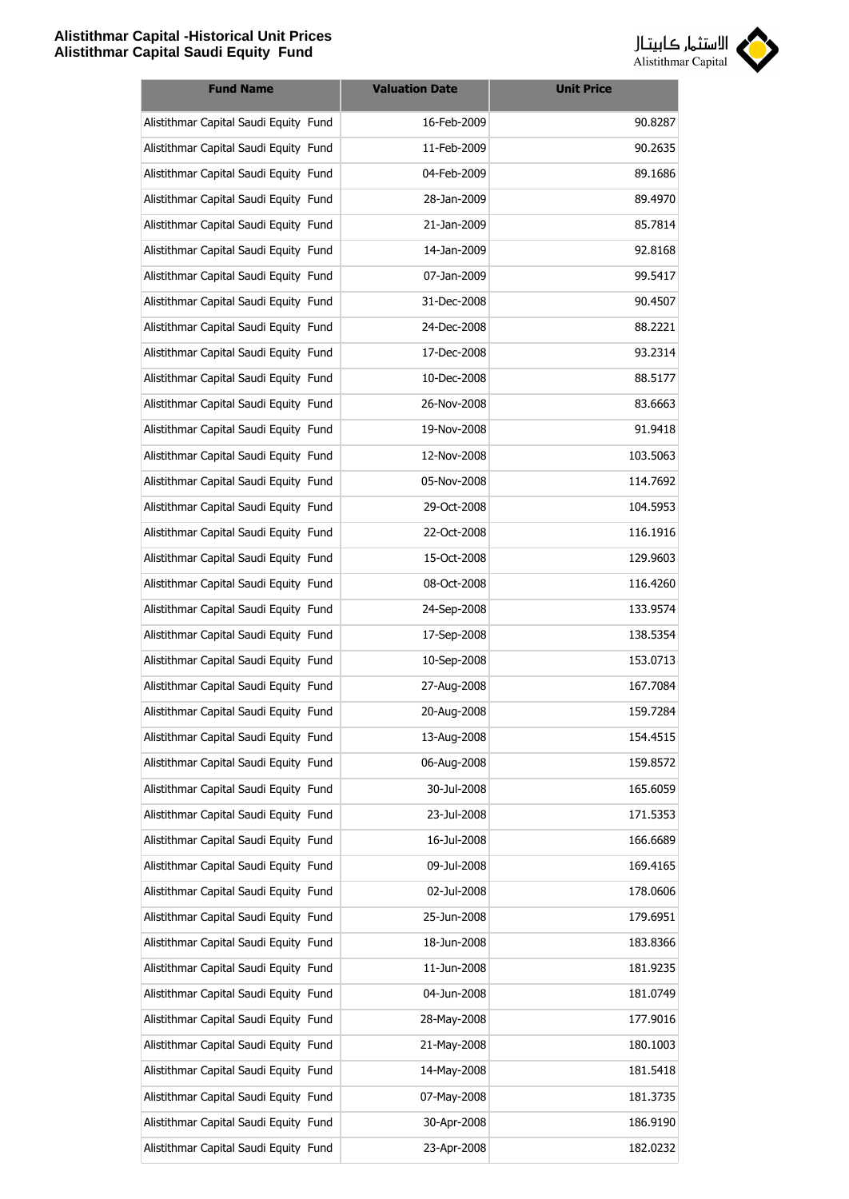

| <b>Fund Name</b>                      | <b>Valuation Date</b> | <b>Unit Price</b> |
|---------------------------------------|-----------------------|-------------------|
| Alistithmar Capital Saudi Equity Fund | 16-Feb-2009           | 90.8287           |
| Alistithmar Capital Saudi Equity Fund | 11-Feb-2009           | 90.2635           |
| Alistithmar Capital Saudi Equity Fund | 04-Feb-2009           | 89.1686           |
| Alistithmar Capital Saudi Equity Fund | 28-Jan-2009           | 89.4970           |
| Alistithmar Capital Saudi Equity Fund | 21-Jan-2009           | 85.7814           |
| Alistithmar Capital Saudi Equity Fund | 14-Jan-2009           | 92.8168           |
| Alistithmar Capital Saudi Equity Fund | 07-Jan-2009           | 99.5417           |
| Alistithmar Capital Saudi Equity Fund | 31-Dec-2008           | 90.4507           |
| Alistithmar Capital Saudi Equity Fund | 24-Dec-2008           | 88.2221           |
| Alistithmar Capital Saudi Equity Fund | 17-Dec-2008           | 93.2314           |
| Alistithmar Capital Saudi Equity Fund | 10-Dec-2008           | 88.5177           |
| Alistithmar Capital Saudi Equity Fund | 26-Nov-2008           | 83.6663           |
| Alistithmar Capital Saudi Equity Fund | 19-Nov-2008           | 91.9418           |
| Alistithmar Capital Saudi Equity Fund | 12-Nov-2008           | 103.5063          |
| Alistithmar Capital Saudi Equity Fund | 05-Nov-2008           | 114.7692          |
| Alistithmar Capital Saudi Equity Fund | 29-Oct-2008           | 104.5953          |
| Alistithmar Capital Saudi Equity Fund | 22-Oct-2008           | 116.1916          |
| Alistithmar Capital Saudi Equity Fund | 15-Oct-2008           | 129.9603          |
| Alistithmar Capital Saudi Equity Fund | 08-Oct-2008           | 116.4260          |
| Alistithmar Capital Saudi Equity Fund | 24-Sep-2008           | 133.9574          |
| Alistithmar Capital Saudi Equity Fund | 17-Sep-2008           | 138.5354          |
| Alistithmar Capital Saudi Equity Fund | 10-Sep-2008           | 153.0713          |
| Alistithmar Capital Saudi Equity Fund | 27-Aug-2008           | 167.7084          |
| Alistithmar Capital Saudi Equity Fund | 20-Aug-2008           | 159.7284          |
| Alistithmar Capital Saudi Equity Fund | 13-Aug-2008           | 154.4515          |
| Alistithmar Capital Saudi Equity Fund | 06-Aug-2008           | 159.8572          |
| Alistithmar Capital Saudi Equity Fund | 30-Jul-2008           | 165.6059          |
| Alistithmar Capital Saudi Equity Fund | 23-Jul-2008           | 171.5353          |
| Alistithmar Capital Saudi Equity Fund | 16-Jul-2008           | 166.6689          |
| Alistithmar Capital Saudi Equity Fund | 09-Jul-2008           | 169.4165          |
| Alistithmar Capital Saudi Equity Fund | 02-Jul-2008           | 178.0606          |
| Alistithmar Capital Saudi Equity Fund | 25-Jun-2008           | 179.6951          |
| Alistithmar Capital Saudi Equity Fund | 18-Jun-2008           | 183.8366          |
| Alistithmar Capital Saudi Equity Fund | 11-Jun-2008           | 181.9235          |
| Alistithmar Capital Saudi Equity Fund | 04-Jun-2008           | 181.0749          |
| Alistithmar Capital Saudi Equity Fund | 28-May-2008           | 177.9016          |
| Alistithmar Capital Saudi Equity Fund | 21-May-2008           | 180.1003          |
| Alistithmar Capital Saudi Equity Fund | 14-May-2008           | 181.5418          |
| Alistithmar Capital Saudi Equity Fund | 07-May-2008           | 181.3735          |
| Alistithmar Capital Saudi Equity Fund | 30-Apr-2008           | 186.9190          |
| Alistithmar Capital Saudi Equity Fund | 23-Apr-2008           | 182.0232          |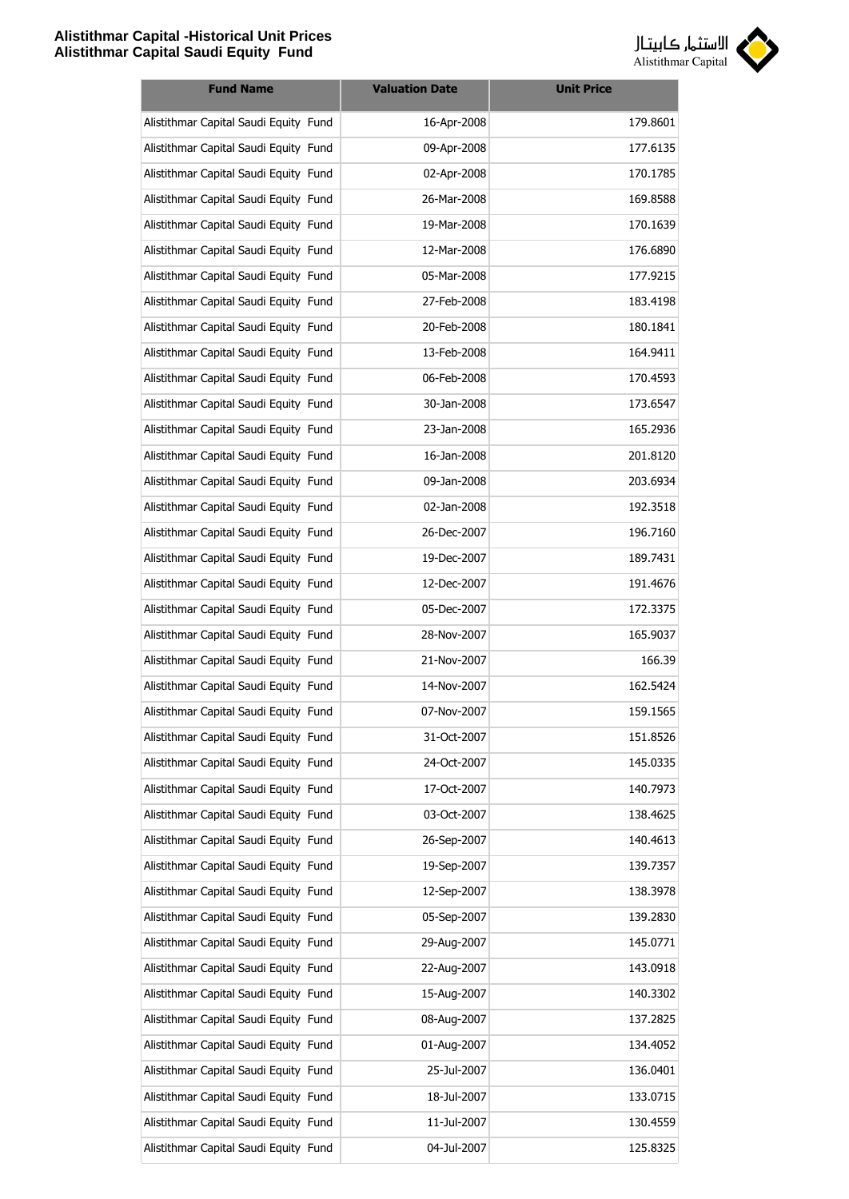

| <b>Fund Name</b>                      | <b>Valuation Date</b> | <b>Unit Price</b> |
|---------------------------------------|-----------------------|-------------------|
| Alistithmar Capital Saudi Equity Fund | 16-Apr-2008           | 179.8601          |
| Alistithmar Capital Saudi Equity Fund | 09-Apr-2008           | 177.6135          |
| Alistithmar Capital Saudi Equity Fund | 02-Apr-2008           | 170.1785          |
| Alistithmar Capital Saudi Equity Fund | 26-Mar-2008           | 169.8588          |
| Alistithmar Capital Saudi Equity Fund | 19-Mar-2008           | 170.1639          |
| Alistithmar Capital Saudi Equity Fund | 12-Mar-2008           | 176.6890          |
| Alistithmar Capital Saudi Equity Fund | 05-Mar-2008           | 177.9215          |
| Alistithmar Capital Saudi Equity Fund | 27-Feb-2008           | 183.4198          |
| Alistithmar Capital Saudi Equity Fund | 20-Feb-2008           | 180.1841          |
| Alistithmar Capital Saudi Equity Fund | 13-Feb-2008           | 164.9411          |
| Alistithmar Capital Saudi Equity Fund | 06-Feb-2008           | 170.4593          |
| Alistithmar Capital Saudi Equity Fund | 30-Jan-2008           | 173.6547          |
| Alistithmar Capital Saudi Equity Fund | 23-Jan-2008           | 165.2936          |
| Alistithmar Capital Saudi Equity Fund | 16-Jan-2008           | 201.8120          |
| Alistithmar Capital Saudi Equity Fund | 09-Jan-2008           | 203.6934          |
| Alistithmar Capital Saudi Equity Fund | 02-Jan-2008           | 192.3518          |
| Alistithmar Capital Saudi Equity Fund | 26-Dec-2007           | 196.7160          |
| Alistithmar Capital Saudi Equity Fund | 19-Dec-2007           | 189.7431          |
| Alistithmar Capital Saudi Equity Fund | 12-Dec-2007           | 191.4676          |
| Alistithmar Capital Saudi Equity Fund | 05-Dec-2007           | 172.3375          |
| Alistithmar Capital Saudi Equity Fund | 28-Nov-2007           | 165.9037          |
| Alistithmar Capital Saudi Equity Fund | 21-Nov-2007           | 166.39            |
| Alistithmar Capital Saudi Equity Fund | 14-Nov-2007           | 162.5424          |
| Alistithmar Capital Saudi Equity Fund | 07-Nov-2007           | 159.1565          |
| Alistithmar Capital Saudi Equity Fund | 31-Oct-2007           | 151.8526          |
| Alistithmar Capital Saudi Equity Fund | 24-Oct-2007           | 145.0335          |
| Alistithmar Capital Saudi Equity Fund | 17-Oct-2007           | 140.7973          |
| Alistithmar Capital Saudi Equity Fund | 03-Oct-2007           | 138.4625          |
| Alistithmar Capital Saudi Equity Fund | 26-Sep-2007           | 140.4613          |
| Alistithmar Capital Saudi Equity Fund | 19-Sep-2007           | 139.7357          |
| Alistithmar Capital Saudi Equity Fund | 12-Sep-2007           | 138.3978          |
| Alistithmar Capital Saudi Equity Fund | 05-Sep-2007           | 139.2830          |
| Alistithmar Capital Saudi Equity Fund | 29-Aug-2007           | 145.0771          |
| Alistithmar Capital Saudi Equity Fund | 22-Aug-2007           | 143.0918          |
| Alistithmar Capital Saudi Equity Fund | 15-Aug-2007           | 140.3302          |
| Alistithmar Capital Saudi Equity Fund | 08-Aug-2007           | 137.2825          |
| Alistithmar Capital Saudi Equity Fund | 01-Aug-2007           | 134.4052          |
| Alistithmar Capital Saudi Equity Fund | 25-Jul-2007           | 136.0401          |
| Alistithmar Capital Saudi Equity Fund | 18-Jul-2007           | 133.0715          |
| Alistithmar Capital Saudi Equity Fund | 11-Jul-2007           | 130.4559          |
| Alistithmar Capital Saudi Equity Fund | 04-Jul-2007           | 125.8325          |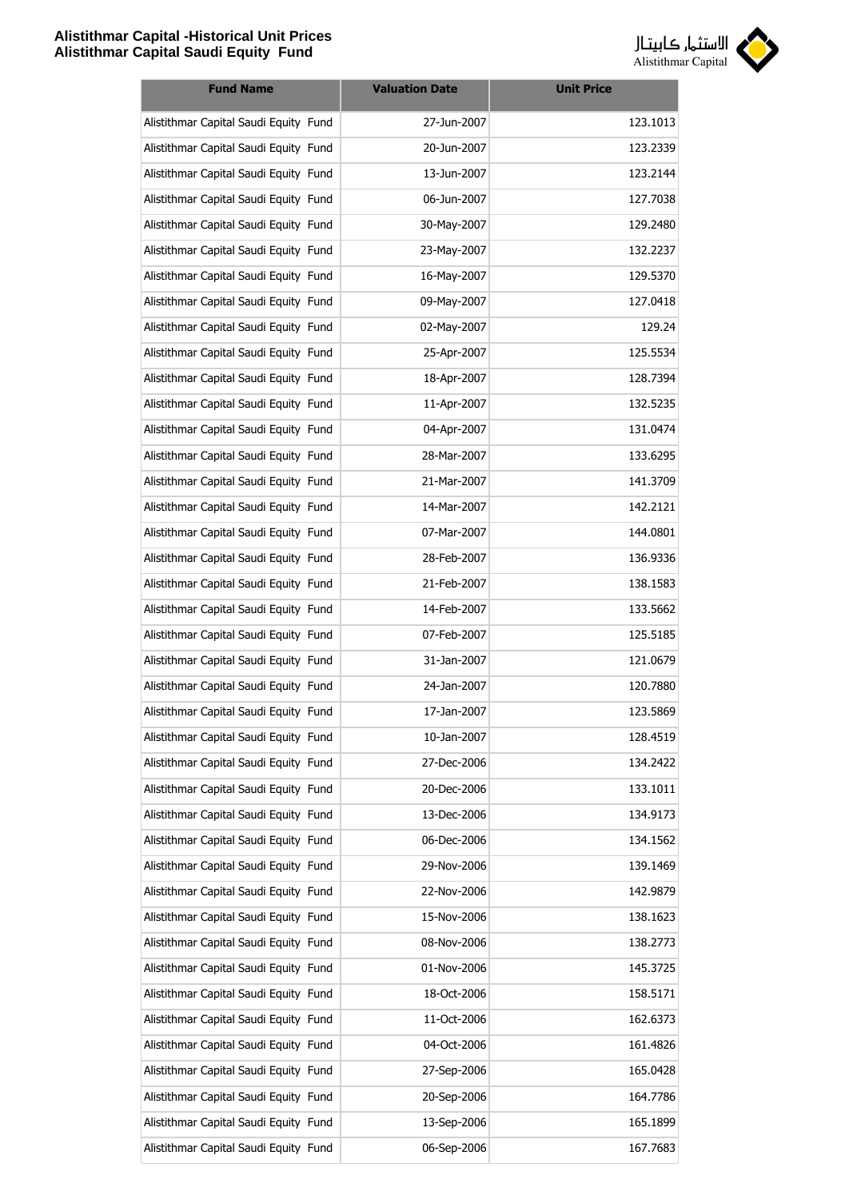

| <b>Fund Name</b>                      | <b>Valuation Date</b> | <b>Unit Price</b> |
|---------------------------------------|-----------------------|-------------------|
| Alistithmar Capital Saudi Equity Fund | 27-Jun-2007           | 123.1013          |
| Alistithmar Capital Saudi Equity Fund | 20-Jun-2007           | 123.2339          |
| Alistithmar Capital Saudi Equity Fund | 13-Jun-2007           | 123.2144          |
| Alistithmar Capital Saudi Equity Fund | 06-Jun-2007           | 127.7038          |
| Alistithmar Capital Saudi Equity Fund | 30-May-2007           | 129.2480          |
| Alistithmar Capital Saudi Equity Fund | 23-May-2007           | 132.2237          |
| Alistithmar Capital Saudi Equity Fund | 16-May-2007           | 129.5370          |
| Alistithmar Capital Saudi Equity Fund | 09-May-2007           | 127.0418          |
| Alistithmar Capital Saudi Equity Fund | 02-May-2007           | 129.24            |
| Alistithmar Capital Saudi Equity Fund | 25-Apr-2007           | 125.5534          |
| Alistithmar Capital Saudi Equity Fund | 18-Apr-2007           | 128.7394          |
| Alistithmar Capital Saudi Equity Fund | 11-Apr-2007           | 132.5235          |
| Alistithmar Capital Saudi Equity Fund | 04-Apr-2007           | 131.0474          |
| Alistithmar Capital Saudi Equity Fund | 28-Mar-2007           | 133.6295          |
| Alistithmar Capital Saudi Equity Fund | 21-Mar-2007           | 141.3709          |
| Alistithmar Capital Saudi Equity Fund | 14-Mar-2007           | 142.2121          |
| Alistithmar Capital Saudi Equity Fund | 07-Mar-2007           | 144.0801          |
| Alistithmar Capital Saudi Equity Fund | 28-Feb-2007           | 136.9336          |
| Alistithmar Capital Saudi Equity Fund | 21-Feb-2007           | 138.1583          |
| Alistithmar Capital Saudi Equity Fund | 14-Feb-2007           | 133.5662          |
| Alistithmar Capital Saudi Equity Fund | 07-Feb-2007           | 125.5185          |
| Alistithmar Capital Saudi Equity Fund | 31-Jan-2007           | 121.0679          |
| Alistithmar Capital Saudi Equity Fund | 24-Jan-2007           | 120.7880          |
| Alistithmar Capital Saudi Equity Fund | 17-Jan-2007           | 123.5869          |
| Alistithmar Capital Saudi Equity Fund | 10-Jan-2007           | 128.4519          |
| Alistithmar Capital Saudi Equity Fund | 27-Dec-2006           | 134.2422          |
| Alistithmar Capital Saudi Equity Fund | 20-Dec-2006           | 133.1011          |
| Alistithmar Capital Saudi Equity Fund | 13-Dec-2006           | 134.9173          |
| Alistithmar Capital Saudi Equity Fund | 06-Dec-2006           | 134.1562          |
| Alistithmar Capital Saudi Equity Fund | 29-Nov-2006           | 139.1469          |
| Alistithmar Capital Saudi Equity Fund | 22-Nov-2006           | 142.9879          |
| Alistithmar Capital Saudi Equity Fund | 15-Nov-2006           | 138.1623          |
| Alistithmar Capital Saudi Equity Fund | 08-Nov-2006           | 138.2773          |
| Alistithmar Capital Saudi Equity Fund | 01-Nov-2006           | 145.3725          |
| Alistithmar Capital Saudi Equity Fund | 18-Oct-2006           | 158.5171          |
| Alistithmar Capital Saudi Equity Fund | 11-Oct-2006           | 162.6373          |
| Alistithmar Capital Saudi Equity Fund | 04-Oct-2006           | 161.4826          |
| Alistithmar Capital Saudi Equity Fund | 27-Sep-2006           | 165.0428          |
| Alistithmar Capital Saudi Equity Fund | 20-Sep-2006           | 164.7786          |
| Alistithmar Capital Saudi Equity Fund | 13-Sep-2006           | 165.1899          |
| Alistithmar Capital Saudi Equity Fund | 06-Sep-2006           | 167.7683          |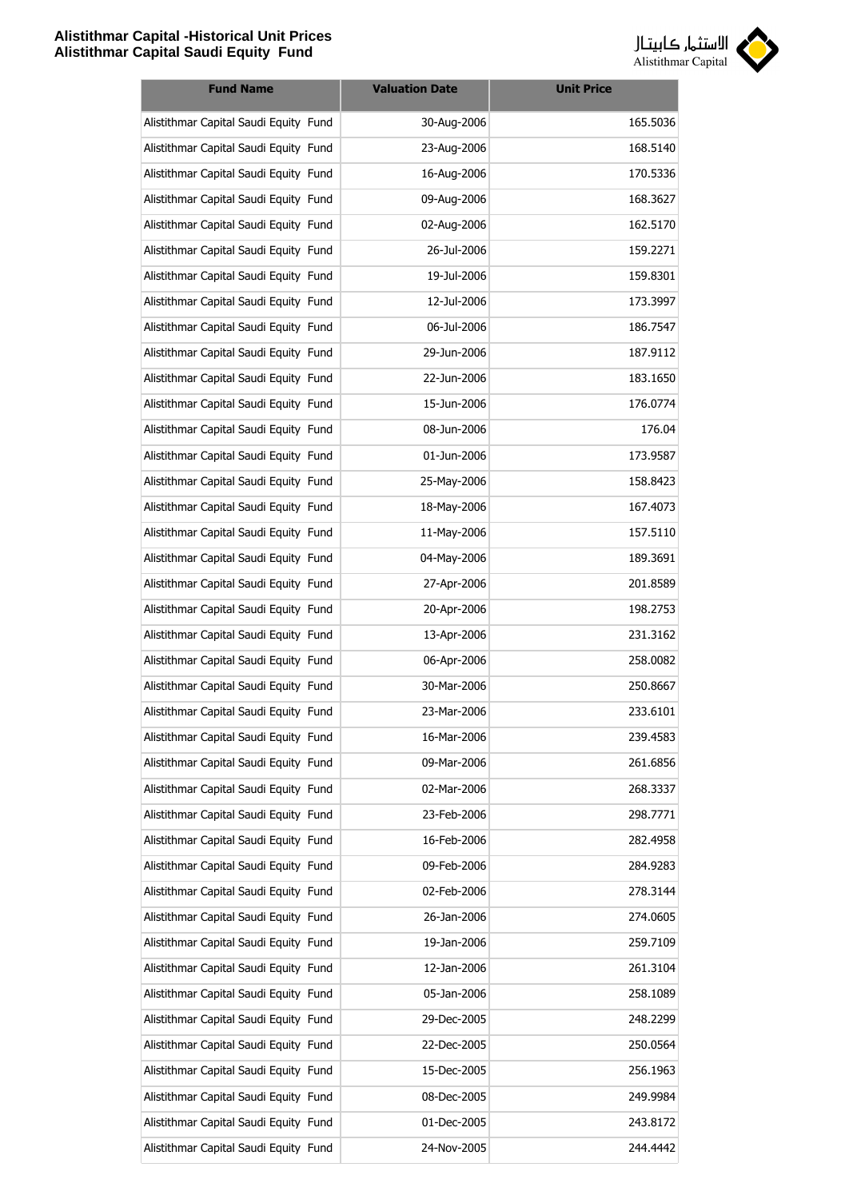

| <b>Fund Name</b>                      | <b>Valuation Date</b> | <b>Unit Price</b> |
|---------------------------------------|-----------------------|-------------------|
| Alistithmar Capital Saudi Equity Fund | 30-Aug-2006           | 165.5036          |
| Alistithmar Capital Saudi Equity Fund | 23-Aug-2006           | 168.5140          |
| Alistithmar Capital Saudi Equity Fund | 16-Aug-2006           | 170.5336          |
| Alistithmar Capital Saudi Equity Fund | 09-Aug-2006           | 168.3627          |
| Alistithmar Capital Saudi Equity Fund | 02-Aug-2006           | 162.5170          |
| Alistithmar Capital Saudi Equity Fund | 26-Jul-2006           | 159.2271          |
| Alistithmar Capital Saudi Equity Fund | 19-Jul-2006           | 159.8301          |
| Alistithmar Capital Saudi Equity Fund | 12-Jul-2006           | 173.3997          |
| Alistithmar Capital Saudi Equity Fund | 06-Jul-2006           | 186.7547          |
| Alistithmar Capital Saudi Equity Fund | 29-Jun-2006           | 187.9112          |
| Alistithmar Capital Saudi Equity Fund | 22-Jun-2006           | 183.1650          |
| Alistithmar Capital Saudi Equity Fund | 15-Jun-2006           | 176.0774          |
| Alistithmar Capital Saudi Equity Fund | 08-Jun-2006           | 176.04            |
| Alistithmar Capital Saudi Equity Fund | 01-Jun-2006           | 173.9587          |
| Alistithmar Capital Saudi Equity Fund | 25-May-2006           | 158.8423          |
| Alistithmar Capital Saudi Equity Fund | 18-May-2006           | 167.4073          |
| Alistithmar Capital Saudi Equity Fund | 11-May-2006           | 157.5110          |
| Alistithmar Capital Saudi Equity Fund | 04-May-2006           | 189.3691          |
| Alistithmar Capital Saudi Equity Fund | 27-Apr-2006           | 201.8589          |
| Alistithmar Capital Saudi Equity Fund | 20-Apr-2006           | 198.2753          |
| Alistithmar Capital Saudi Equity Fund | 13-Apr-2006           | 231.3162          |
| Alistithmar Capital Saudi Equity Fund | 06-Apr-2006           | 258.0082          |
| Alistithmar Capital Saudi Equity Fund | 30-Mar-2006           | 250.8667          |
| Alistithmar Capital Saudi Equity Fund | 23-Mar-2006           | 233.6101          |
| Alistithmar Capital Saudi Equity Fund | 16-Mar-2006           | 239.4583          |
| Alistithmar Capital Saudi Equity Fund | 09-Mar-2006           | 261.6856          |
| Alistithmar Capital Saudi Equity Fund | 02-Mar-2006           | 268.3337          |
| Alistithmar Capital Saudi Equity Fund | 23-Feb-2006           | 298.7771          |
| Alistithmar Capital Saudi Equity Fund | 16-Feb-2006           | 282.4958          |
| Alistithmar Capital Saudi Equity Fund | 09-Feb-2006           | 284.9283          |
| Alistithmar Capital Saudi Equity Fund | 02-Feb-2006           | 278.3144          |
| Alistithmar Capital Saudi Equity Fund | 26-Jan-2006           | 274.0605          |
| Alistithmar Capital Saudi Equity Fund | 19-Jan-2006           | 259.7109          |
| Alistithmar Capital Saudi Equity Fund | 12-Jan-2006           | 261.3104          |
| Alistithmar Capital Saudi Equity Fund | 05-Jan-2006           | 258.1089          |
| Alistithmar Capital Saudi Equity Fund | 29-Dec-2005           | 248.2299          |
| Alistithmar Capital Saudi Equity Fund | 22-Dec-2005           | 250.0564          |
| Alistithmar Capital Saudi Equity Fund | 15-Dec-2005           | 256.1963          |
| Alistithmar Capital Saudi Equity Fund | 08-Dec-2005           | 249.9984          |
| Alistithmar Capital Saudi Equity Fund | 01-Dec-2005           | 243.8172          |
| Alistithmar Capital Saudi Equity Fund | 24-Nov-2005           | 244.4442          |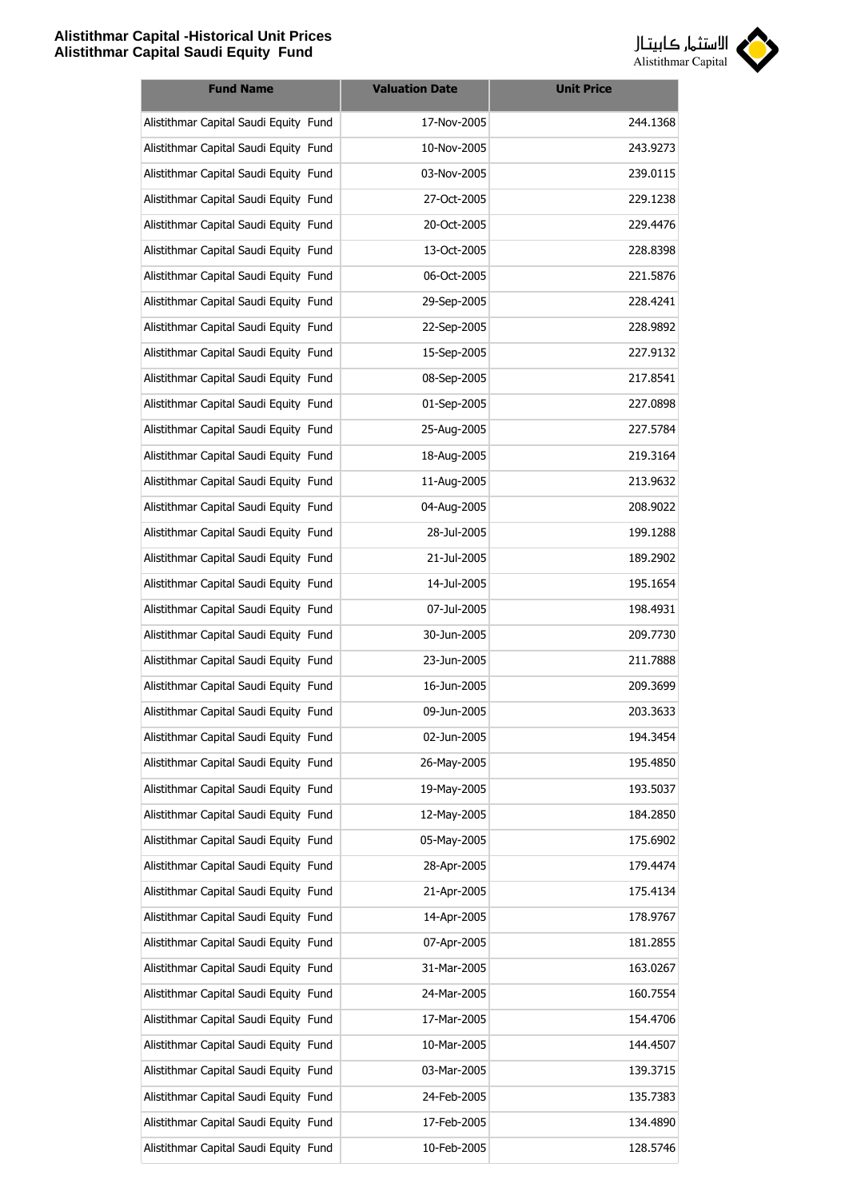

| <b>Fund Name</b>                      | <b>Valuation Date</b> | <b>Unit Price</b> |
|---------------------------------------|-----------------------|-------------------|
| Alistithmar Capital Saudi Equity Fund | 17-Nov-2005           | 244.1368          |
| Alistithmar Capital Saudi Equity Fund | 10-Nov-2005           | 243.9273          |
| Alistithmar Capital Saudi Equity Fund | 03-Nov-2005           | 239.0115          |
| Alistithmar Capital Saudi Equity Fund | 27-Oct-2005           | 229.1238          |
| Alistithmar Capital Saudi Equity Fund | 20-Oct-2005           | 229.4476          |
| Alistithmar Capital Saudi Equity Fund | 13-Oct-2005           | 228.8398          |
| Alistithmar Capital Saudi Equity Fund | 06-Oct-2005           | 221.5876          |
| Alistithmar Capital Saudi Equity Fund | 29-Sep-2005           | 228.4241          |
| Alistithmar Capital Saudi Equity Fund | 22-Sep-2005           | 228.9892          |
| Alistithmar Capital Saudi Equity Fund | 15-Sep-2005           | 227.9132          |
| Alistithmar Capital Saudi Equity Fund | 08-Sep-2005           | 217.8541          |
| Alistithmar Capital Saudi Equity Fund | 01-Sep-2005           | 227.0898          |
| Alistithmar Capital Saudi Equity Fund | 25-Aug-2005           | 227.5784          |
| Alistithmar Capital Saudi Equity Fund | 18-Aug-2005           | 219.3164          |
| Alistithmar Capital Saudi Equity Fund | 11-Aug-2005           | 213.9632          |
| Alistithmar Capital Saudi Equity Fund | 04-Aug-2005           | 208.9022          |
| Alistithmar Capital Saudi Equity Fund | 28-Jul-2005           | 199.1288          |
| Alistithmar Capital Saudi Equity Fund | 21-Jul-2005           | 189.2902          |
| Alistithmar Capital Saudi Equity Fund | 14-Jul-2005           | 195.1654          |
| Alistithmar Capital Saudi Equity Fund | 07-Jul-2005           | 198.4931          |
| Alistithmar Capital Saudi Equity Fund | 30-Jun-2005           | 209.7730          |
| Alistithmar Capital Saudi Equity Fund | 23-Jun-2005           | 211.7888          |
| Alistithmar Capital Saudi Equity Fund | 16-Jun-2005           | 209.3699          |
| Alistithmar Capital Saudi Equity Fund | 09-Jun-2005           | 203.3633          |
| Alistithmar Capital Saudi Equity Fund | 02-Jun-2005           | 194.3454          |
| Alistithmar Capital Saudi Equity Fund | 26-May-2005           | 195.4850          |
| Alistithmar Capital Saudi Equity Fund | 19-May-2005           | 193.5037          |
| Alistithmar Capital Saudi Equity Fund | 12-May-2005           | 184.2850          |
| Alistithmar Capital Saudi Equity Fund | 05-May-2005           | 175.6902          |
| Alistithmar Capital Saudi Equity Fund | 28-Apr-2005           | 179.4474          |
| Alistithmar Capital Saudi Equity Fund | 21-Apr-2005           | 175.4134          |
| Alistithmar Capital Saudi Equity Fund | 14-Apr-2005           | 178.9767          |
| Alistithmar Capital Saudi Equity Fund | 07-Apr-2005           | 181.2855          |
| Alistithmar Capital Saudi Equity Fund | 31-Mar-2005           | 163.0267          |
| Alistithmar Capital Saudi Equity Fund | 24-Mar-2005           | 160.7554          |
| Alistithmar Capital Saudi Equity Fund | 17-Mar-2005           | 154.4706          |
| Alistithmar Capital Saudi Equity Fund | 10-Mar-2005           | 144.4507          |
| Alistithmar Capital Saudi Equity Fund | 03-Mar-2005           | 139.3715          |
| Alistithmar Capital Saudi Equity Fund | 24-Feb-2005           | 135.7383          |
| Alistithmar Capital Saudi Equity Fund | 17-Feb-2005           | 134.4890          |
| Alistithmar Capital Saudi Equity Fund | 10-Feb-2005           | 128.5746          |